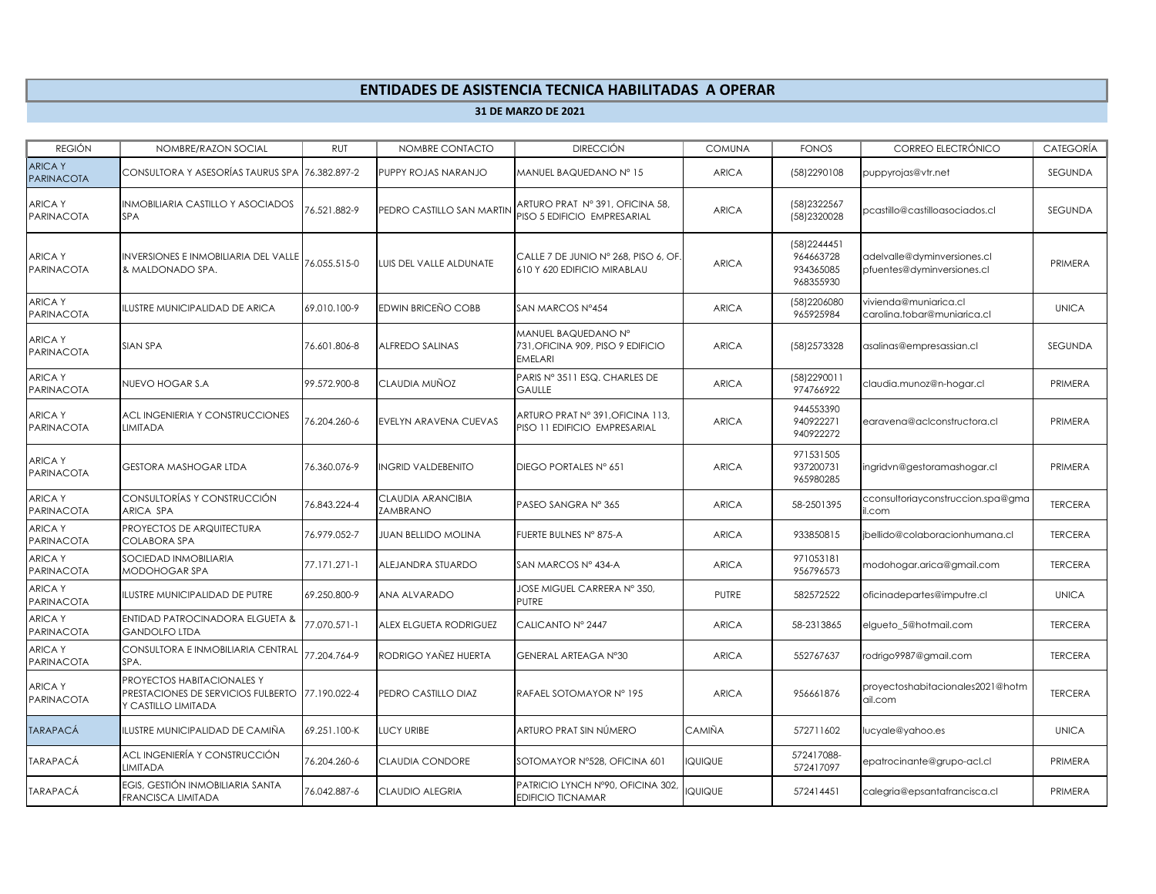## **ENTIDADES DE ASISTENCIA TECNICA HABILITADAS A OPERAR**

**31 DE MARZO DE 2021**

| <b>REGIÓN</b>                      | NOMBRE/RAZON SOCIAL                                                                     | <b>RUT</b>   | NOMBRE CONTACTO               | <b>DIRECCIÓN</b>                                                           | <b>COMUNA</b> | <b>FONOS</b>                                        | CORREO ELECTRÓNICO                                        | <b>CATEGORÍA</b> |
|------------------------------------|-----------------------------------------------------------------------------------------|--------------|-------------------------------|----------------------------------------------------------------------------|---------------|-----------------------------------------------------|-----------------------------------------------------------|------------------|
| <b>ARICAY</b><br><b>PARINACOTA</b> | CONSULTORA Y ASESORÍAS TAURUS SPA                                                       | 76.382.897-2 | PUPPY ROJAS NARANJO           | MANUEL BAQUEDANO Nº 15                                                     | <b>ARICA</b>  | (58) 2290108                                        | puppyrojas@vtr.net                                        | SEGUNDA          |
| <b>ARICAY</b><br><b>PARINACOTA</b> | INMOBILIARIA CASTILLO Y ASOCIADOS<br><b>SPA</b>                                         | 6.521.882-9  | PEDRO CASTILLO SAN MARTIN     | ARTURO PRAT Nº 391, OFICINA 58,<br>PISO 5 EDIFICIO EMPRESARIAL             | <b>ARICA</b>  | (58)2322567<br>(58)2320028                          | pcastillo@castilloasociados.cl                            | SEGUNDA          |
| <b>ARICAY</b><br><b>PARINACOTA</b> | <b>INVERSIONES E INMOBILIARIA DEL VALLE</b><br>& MALDONADO SPA.                         | 76.055.515-0 | UIS DEL VALLE ALDUNATE        | CALLE 7 DE JUNIO Nº 268, PISO 6, OF<br>610 Y 620 EDIFICIO MIRABLAU         | <b>ARICA</b>  | (58) 2244451<br>964663728<br>934365085<br>968355930 | adelvalle@dyminversiones.cl<br>pfuentes@dyminversiones.cl | PRIMERA          |
| <b>ARICAY</b><br><b>PARINACOTA</b> | ILUSTRE MUNICIPALIDAD DE ARICA                                                          | 69.010.100-9 | EDWIN BRICEÑO COBB            | SAN MARCOS Nº454                                                           | <b>ARICA</b>  | (58) 2206080<br>965925984                           | vivienda@muniarica.cl<br>carolina.tobar@muniarica.cl      | <b>UNICA</b>     |
| <b>ARICAY</b><br><b>PARINACOTA</b> | <b>SIAN SPA</b>                                                                         | 76.601.806-8 | ALFREDO SALINAS               | MANUEL BAQUEDANO Nº<br>731, OFICINA 909, PISO 9 EDIFICIO<br><b>EMELARI</b> | <b>ARICA</b>  | (58) 2573328                                        | asalinas@empresassian.cl                                  | <b>SEGUNDA</b>   |
| <b>ARICAY</b><br>PARINACOTA        | NUEVO HOGAR S.A                                                                         | 99.572.900-8 | CLAUDIA MUÑOZ                 | PARIS Nº 3511 ESQ. CHARLES DE<br><b>GAULLE</b>                             | <b>ARICA</b>  | (58) 2290011<br>974766922                           | claudia.munoz@n-hogar.cl                                  | PRIMERA          |
| <b>ARICAY</b><br><b>PARINACOTA</b> | ACL INGENIERIA Y CONSTRUCCIONES<br><b>LIMITADA</b>                                      | 76.204.260-6 | EVELYN ARAVENA CUEVAS         | ARTURO PRAT Nº 391, OFICINA 113,<br>PISO 11 EDIFICIO EMPRESARIAL           | <b>ARICA</b>  | 944553390<br>940922271<br>940922272                 | earavena@aclconstructora.cl                               | PRIMERA          |
| <b>ARICAY</b><br><b>PARINACOTA</b> | <b>GESTORA MASHOGAR LTDA</b>                                                            | 76.360.076-9 | <b>NGRID VALDEBENITO</b>      | DIEGO PORTALES Nº 651                                                      | <b>ARICA</b>  | 971531505<br>937200731<br>965980285                 | ngridvn@gestoramashogar.cl                                | PRIMERA          |
| <b>ARICAY</b><br>PARINACOTA        | CONSULTORÍAS Y CONSTRUCCIÓN<br>ARICA SPA                                                | 76.843.224-4 | CLAUDIA ARANCIBIA<br>ZAMBRANO | PASEO SANGRA Nº 365                                                        | <b>ARICA</b>  | 58-2501395                                          | cconsultoriayconstruccion.spa@gma<br>il.com               | <b>TERCERA</b>   |
| <b>ARICAY</b><br>PARINACOTA        | PROYECTOS DE ARQUITECTURA<br><b>COLABORA SPA</b>                                        | 76.979.052-7 | <b>JUAN BELLIDO MOLINA</b>    | FUERTE BULNES Nº 875-A                                                     | <b>ARICA</b>  | 933850815                                           | bellido@colaboracionhumana.cl                             | <b>TERCERA</b>   |
| <b>ARICAY</b><br><b>PARINACOTA</b> | SOCIEDAD INMOBILIARIA<br>MODOHOGAR SPA                                                  | 77.171.271-1 | ALEJANDRA STUARDO             | SAN MARCOS Nº 434-A                                                        | <b>ARICA</b>  | 971053181<br>956796573                              | modohogar.arica@gmail.com                                 | <b>TERCERA</b>   |
| <b>ARICAY</b><br>PARINACOTA        | ILUSTRE MUNICIPALIDAD DE PUTRE                                                          | 69.250.800-9 | ANA ALVARADO                  | JOSE MIGUEL CARRERA Nº 350,<br>PUTRE                                       | <b>PUTRE</b>  | 582572522                                           | oficinadepartes@imputre.cl                                | <b>UNICA</b>     |
| <b>ARICAY</b><br>PARINACOTA        | ENTIDAD PATROCINADORA ELGUETA &<br><b>GANDOLFO LTDA</b>                                 | 77.070.571-1 | ALEX ELGUETA RODRIGUEZ        | CALICANTO Nº 2447                                                          | <b>ARICA</b>  | 58-2313865                                          | elgueto 5@hotmail.com                                     | <b>TERCERA</b>   |
| <b>ARICAY</b><br>PARINACOTA        | CONSULTORA E INMOBILIARIA CENTRAL<br>SPA.                                               | 77.204.764-9 | RODRIGO YAÑEZ HUERTA          | GENERAL ARTEAGA N°30                                                       | <b>ARICA</b>  | 552767637                                           | rodrigo9987@gmail.com                                     | <b>TERCERA</b>   |
| <b>ARICAY</b><br><b>PARINACOTA</b> | PROYECTOS HABITACIONALES Y<br>PRESTACIONES DE SERVICIOS FULBERTO<br>Y CASTILLO LIMITADA | 77.190.022-4 | PEDRO CASTILLO DIAZ           | RAFAEL SOTOMAYOR Nº 195                                                    | <b>ARICA</b>  | 956661876                                           | proyectoshabitacionales2021@hotm<br>ail.com               | <b>TERCERA</b>   |
| <b>TARAPACÁ</b>                    | ILUSTRE MUNICIPALIDAD DE CAMIÑA                                                         | 69.251.100-K | <b>UCY URIBE</b>              | ARTURO PRAT SIN NÚMERO                                                     | CAMIÑA        | 572711602                                           | lucyale@yahoo.es                                          | <b>UNICA</b>     |
| <b>TARAPACÁ</b>                    | ACL INGENIERÍA Y CONSTRUCCIÓN<br><b>LIMITADA</b>                                        | 76.204.260-6 | CLAUDIA CONDORE               | SOTOMAYOR Nº528, OFICINA 601                                               | QUIQUE        | 572417088-<br>572417097                             | epatrocinante@grupo-acl.cl                                | PRIMERA          |
| <b>TARAPACÁ</b>                    | EGIS, GESTIÓN INMOBILIARIA SANTA<br><b>FRANCISCA LIMITADA</b>                           | 76.042.887-6 | CLAUDIO ALEGRIA               | PATRICIO LYNCH Nº90, OFICINA 302<br><b>EDIFICIO TICNAMAR</b>               | QUIQUE        | 572414451                                           | calegria@epsantafrancisca.cl                              | PRIMERA          |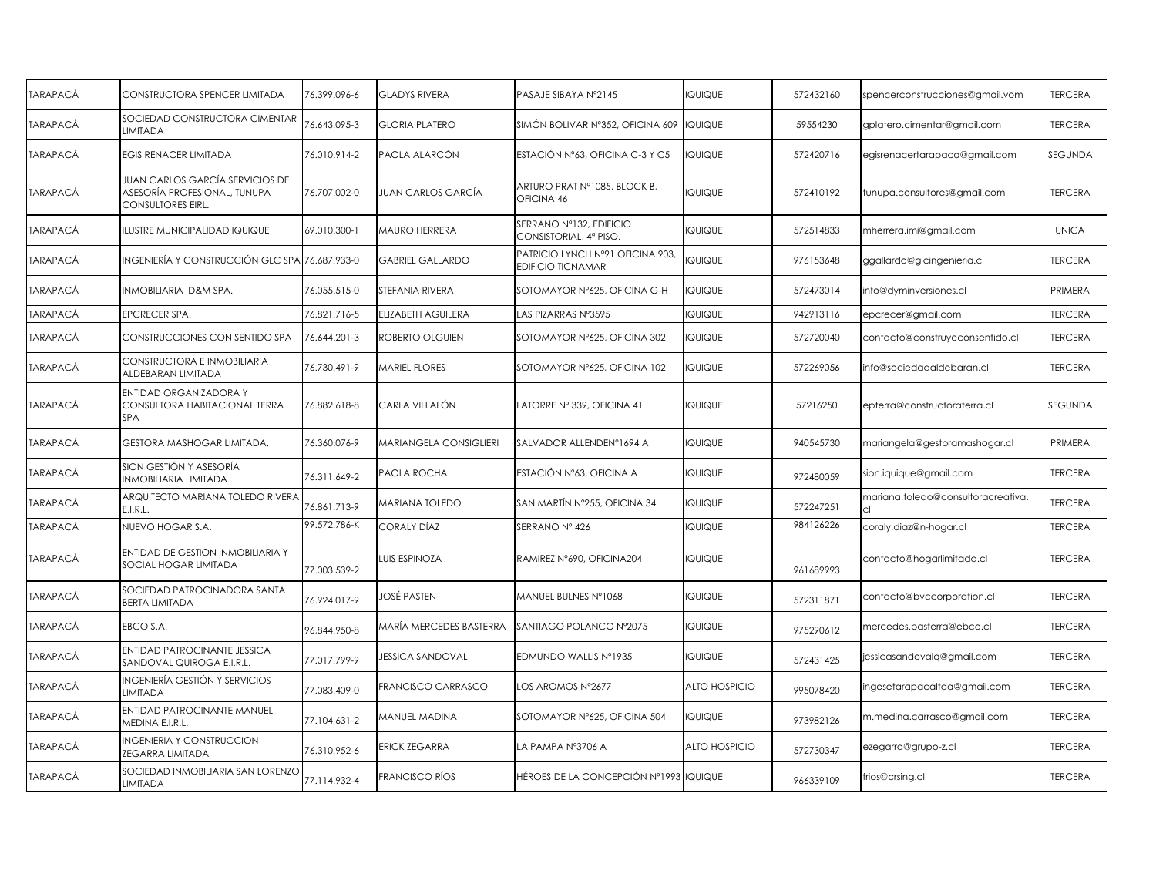| <b>TARAPACÁ</b> | CONSTRUCTORA SPENCER LIMITADA                                                        | 76.399.096-6 | <b>GLADYS RIVERA</b>    | PASAJE SIBAYA Nº2145                                         | QUIQUE               | 572432160 | spencerconstrucciones@gmail.vom           | <b>TERCERA</b> |
|-----------------|--------------------------------------------------------------------------------------|--------------|-------------------------|--------------------------------------------------------------|----------------------|-----------|-------------------------------------------|----------------|
| <b>TARAPACÁ</b> | SOCIEDAD CONSTRUCTORA CIMENTAR<br><b>LIMITADA</b>                                    | 76.643.095-3 | <b>GLORIA PLATERO</b>   | SIMÓN BOLIVAR Nº352, OFICINA 609                             | QUIQUE               | 59554230  | gplatero.cimentar@gmail.com               | <b>TERCERA</b> |
| TARAPACÁ        | <b>EGIS RENACER LIMITADA</b>                                                         | 76.010.914-2 | PAOLA ALARCÓN           | ESTACIÓN Nº63, OFICINA C-3 Y C5                              | QUIQUE               | 572420716 | egisrenacertarapaca@gmail.com             | SEGUNDA        |
| TARAPACÁ        | JUAN CARLOS GARCÍA SERVICIOS DE<br>ASESORÍA PROFESIONAL, TUNUPA<br>CONSULTORES EIRL. | 76.707.002-0 | JUAN CARLOS GARCÍA      | ARTURO PRAT Nº1085, BLOCK B,<br>OFICINA 46                   | QUIQUE               | 572410192 | tunupa.consultores@gmail.com              | <b>TERCERA</b> |
| <b>TARAPACÁ</b> | <b>ILUSTRE MUNICIPALIDAD IQUIQUE</b>                                                 | 69.010.300-1 | MAURO HERRERA           | SERRANO Nº132, EDIFICIO<br>CONSISTORIAL, 4ª PISO.            | QUIQUE               | 572514833 | mherrera.imi@gmail.com                    | <b>UNICA</b>   |
| TARAPACÁ        | INGENIERÍA Y CONSTRUCCIÓN GLC SPA 76.687.933-0                                       |              | <b>GABRIEL GALLARDO</b> | PATRICIO LYNCH Nº91 OFICINA 903,<br><b>EDIFICIO TICNAMAR</b> | QUIQUE               | 976153648 | ggallardo@glcingenieria.cl                | <b>TERCERA</b> |
| TARAPACÁ        | INMOBILIARIA D&M SPA.                                                                | 76.055.515-0 | STEFANIA RIVERA         | SOTOMAYOR Nº625, OFICINA G-H                                 | QUIQUE               | 572473014 | info@dyminversiones.cl                    | PRIMERA        |
| TARAPACÁ        | <b>EPCRECER SPA.</b>                                                                 | 76.821.716-5 | ELIZABETH AGUILERA      | LAS PIZARRAS Nº3595                                          | QUIQUE               | 942913116 | epcrecer@gmail.com                        | <b>TERCERA</b> |
| TARAPACÁ        | CONSTRUCCIONES CON SENTIDO SPA                                                       | 76.644.201-3 | ROBERTO OLGUIEN         | SOTOMAYOR Nº625, OFICINA 302                                 | QUIQUE               | 572720040 | contacto@construyeconsentido.cl           | <b>TERCERA</b> |
| <b>TARAPACÁ</b> | CONSTRUCTORA E INMOBILIARIA<br>ALDEBARAN LIMITADA                                    | 76.730.491-9 | <b>MARIEL FLORES</b>    | SOTOMAYOR Nº625, OFICINA 102                                 | QUIQUE               | 572269056 | info@sociedadaldebaran.cl                 | <b>TERCERA</b> |
| TARAPACÁ        | ENTIDAD ORGANIZADORA Y<br>CONSULTORA HABITACIONAL TERRA<br><b>SPA</b>                | 76.882.618-8 | CARLA VILLALÓN          | LATORRE Nº 339, OFICINA 41                                   | QUIQUE               | 57216250  | epterra@constructoraterra.cl              | SEGUNDA        |
| TARAPACÁ        | GESTORA MASHOGAR LIMITADA.                                                           | 76.360.076-9 | MARIANGELA CONSIGLIERI  | SALVADOR ALLENDENº1694 A                                     | QUIQUE               | 940545730 | mariangela@gestoramashogar.cl             | PRIMERA        |
| TARAPACÁ        | SION GESTIÓN Y ASESORÍA<br><b>INMOBILIARIA LIMITADA</b>                              | 76.311.649-2 | PAOLA ROCHA             | ESTACIÓN Nº63, OFICINA A                                     | QUIQUE               | 972480059 | sion.iquique@gmail.com                    | <b>TERCERA</b> |
| <b>TARAPACÁ</b> | ARQUITECTO MARIANA TOLEDO RIVERA<br>E.I.R.L.                                         | 76.861.713-9 | <b>MARIANA TOLEDO</b>   | SAN MARTÍN Nº255, OFICINA 34                                 | QUIQUE               | 572247251 | mariana.toledo@consultoracreativa.<br>cl. | <b>TERCERA</b> |
| <b>TARAPACÁ</b> | NUEVO HOGAR S.A.                                                                     | 99.572.786-K | <b>CORALY DÍAZ</b>      | SERRANO Nº 426                                               | QUIQUE               | 984126226 | coraly.diaz@n-hogar.cl                    | <b>TERCERA</b> |
| TARAPACÁ        | ENTIDAD DE GESTION INMOBILIARIA Y<br>SOCIAL HOGAR LIMITADA                           | 77.003.539-2 | LUIS ESPINOZA           | RAMIREZ N°690, OFICINA204                                    | QUIQUE               | 961689993 | contacto@hogarlimitada.cl                 | <b>TERCERA</b> |
| TARAPACÁ        | SOCIEDAD PATROCINADORA SANTA<br><b>BERTA LIMITADA</b>                                | 76.924.017-9 | JOSÉ PASTEN             | MANUEL BULNES Nº1068                                         | QUIQUE               | 572311871 | contacto@bvccorporation.cl                | <b>TERCERA</b> |
| <b>TARAPACÁ</b> | EBCO S.A.                                                                            | 96,844.950-8 | MARÍA MERCEDES BASTERRA | SANTIAGO POLANCO Nº2075                                      | QUIQUE               | 975290612 | mercedes.basterra@ebco.cl                 | <b>TERCERA</b> |
| <b>TARAPACÁ</b> | ENTIDAD PATROCINANTE JESSICA<br>SANDOVAL QUIROGA E.I.R.L.                            | 77.017.799-9 | <b>JESSICA SANDOVAL</b> | EDMUNDO WALLIS Nº1935                                        | QUIQUE               | 572431425 | jessicasandovalq@gmail.com                | <b>TERCERA</b> |
| TARAPACÁ        | INGENIERÍA GESTIÓN Y SERVICIOS<br><b>LIMITADA</b>                                    | 77.083.409-0 | FRANCISCO CARRASCO      | LOS AROMOS Nº2677                                            | <b>ALTO HOSPICIO</b> | 995078420 | ingesetarapacaltda@gmail.com              | <b>TERCERA</b> |
| <b>TARAPACÁ</b> | ENTIDAD PATROCINANTE MANUEL<br>MEDINA E.I.R.L.                                       | 77.104,631-2 | MANUEL MADINA           | SOTOMAYOR Nº625, OFICINA 504                                 | QUIQUE               | 973982126 | m.medina.carrasco@gmail.com               | <b>TERCERA</b> |
| TARAPACÁ        | <b>INGENIERIA Y CONSTRUCCION</b><br>ZEGARRA LIMITADA                                 | 76.310.952-6 | <b>ERICK ZEGARRA</b>    | LA PAMPA Nº3706 A                                            | <b>ALTO HOSPICIO</b> | 572730347 | ezegarra@grupo-z.cl                       | <b>TERCERA</b> |
| TARAPACÁ        | SOCIEDAD INMOBILIARIA SAN LORENZO<br><b>LIMITADA</b>                                 | 77.114.932-4 | <b>FRANCISCO RÍOS</b>   | HÉROES DE LA CONCEPCIÓN Nº1993                               | <b>IQUIQUE</b>       | 966339109 | frios@crsing.cl                           | <b>TERCERA</b> |
|                 |                                                                                      |              |                         |                                                              |                      |           |                                           |                |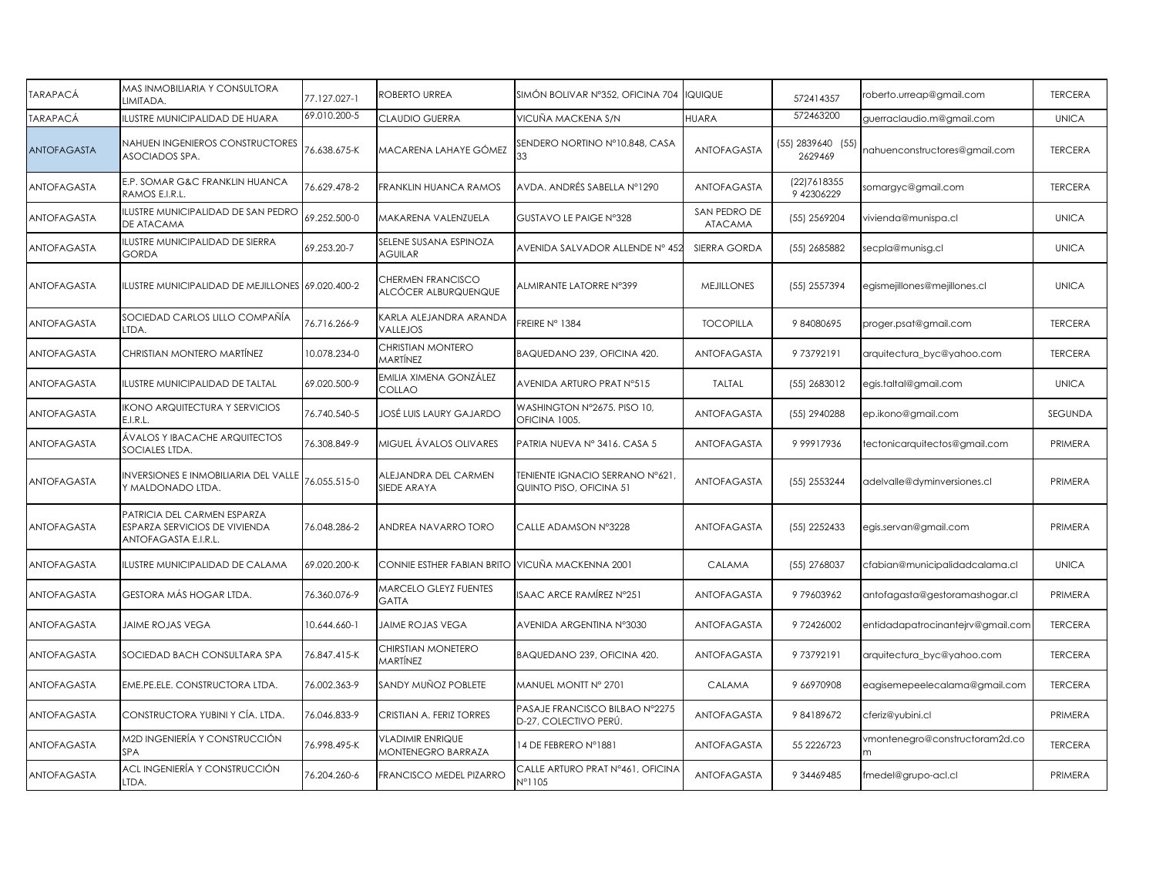| <b>TARAPACÁ</b>    | MAS INMOBILIARIA Y CONSULTORA<br>LIMITADA.                                           | 77.127.027-1 | ROBERTO URREA                                   | SIMÓN BOLIVAR Nº352, OFICINA 704                                 | <b>IQUIQUE</b>                 | 572414357                        | roberto.urreap@gmail.com          | <b>TERCERA</b> |
|--------------------|--------------------------------------------------------------------------------------|--------------|-------------------------------------------------|------------------------------------------------------------------|--------------------------------|----------------------------------|-----------------------------------|----------------|
| TARAPACÁ           | <b>ILUSTRE MUNICIPALIDAD DE HUARA</b>                                                | 69.010.200-5 | <b>CLAUDIO GUERRA</b>                           | VICUÑA MACKENA S/N                                               | <b>HUARA</b>                   | 572463200                        | guerraclaudio.m@gmail.com         | <b>UNICA</b>   |
| ANTOFAGASTA        | NAHUEN INGENIEROS CONSTRUCTORES<br>ASOCIADOS SPA.                                    | 76.638.675-K | MACARENA LAHAYE GÓMEZ                           | SENDERO NORTINO Nº10.848, CASA<br>33                             | ANTOFAGASTA                    | $(55)$ 2839640 $(55)$<br>2629469 | nahuenconstructores@gmail.com     | <b>TERCERA</b> |
| ANTOFAGASTA        | E.P. SOMAR G&C FRANKLIN HUANCA<br>RAMOS E.I.R.L                                      | 76.629.478-2 | FRANKLIN HUANCA RAMOS                           | AVDA. ANDRÉS SABELLA N°1290                                      | ANTOFAGASTA                    | (22)7618355<br>9 42306229        | somargyc@gmail.com                | <b>TERCERA</b> |
| ANTOFAGASTA        | LUSTRE MUNICIPALIDAD DE SAN PEDRO<br>DE ATACAMA                                      | 69.252.500-0 | MAKARENA VALENZUELA                             | GUSTAVO LE PAIGE N°328                                           | SAN PEDRO DE<br><b>ATACAMA</b> | (55) 2569204                     | vivienda@munispa.cl               | <b>UNICA</b>   |
| ANTOFAGASTA        | LUSTRE MUNICIPALIDAD DE SIERRA<br><b>GORDA</b>                                       | 69.253.20-7  | SELENE SUSANA ESPINOZA<br><b>AGUILAR</b>        | AVENIDA SALVADOR ALLENDE Nº 452                                  | SIERRA GORDA                   | (55) 2685882                     | secpla@munisg.cl                  | <b>UNICA</b>   |
| ANTOFAGASTA        | ILUSTRE MUNICIPALIDAD DE MEJILLONES 69.020.400-2                                     |              | CHERMEN FRANCISCO<br>ALCÓCER ALBURQUENQUE       | ALMIRANTE LATORRE N°399                                          | <b>MEJILLONES</b>              | (55) 2557394                     | egismejillones@mejillones.cl      | <b>UNICA</b>   |
| ANTOFAGASTA        | SOCIEDAD CARLOS LILLO COMPAÑÍA<br>LTDA.                                              | 76.716.266-9 | <b>CARLA ALEJANDRA ARANDA</b><br>VALLEJOS       | FREIRE N° 1384                                                   | <b>TOCOPILLA</b>               | 984080695                        | proger.psat@gmail.com             | <b>TERCERA</b> |
| ANTOFAGASTA        | CHRISTIAN MONTERO MARTÍNEZ                                                           | 10.078.234-0 | CHRISTIAN MONTERO<br>MARTÍNEZ                   | BAQUEDANO 239, OFICINA 420.                                      | ANTOFAGASTA                    | 973792191                        | arquitectura_byc@yahoo.com        | <b>TERCERA</b> |
| ANTOFAGASTA        | <b>ILUSTRE MUNICIPALIDAD DE TALTAL</b>                                               | 69.020.500-9 | EMILIA XIMENA GONZÁLEZ<br>COLLAO                | AVENIDA ARTURO PRAT Nº515                                        | <b>TALTAL</b>                  | (55) 2683012                     | egis.taltal@gmail.com             | <b>UNICA</b>   |
| ANTOFAGASTA        | KONO ARQUITECTURA Y SERVICIOS<br>E.I.R.L.                                            | 76.740.540-5 | JOSÉ LUIS LAURY GAJARDO                         | WASHINGTON N°2675. PISO 10,<br>OFICINA 1005.                     | ANTOFAGASTA                    | (55) 2940288                     | ep.ikono@gmail.com                | SEGUNDA        |
| <b>ANTOFAGASTA</b> | ÁVALOS Y IBACACHE ARQUITECTOS<br>SOCIALES LTDA.                                      | 76.308.849-9 | MIGUEL ÁVALOS OLIVARES                          | PATRIA NUEVA Nº 3416. CASA 5                                     | <b>ANTOFAGASTA</b>             | 999917936                        | tectonicarquitectos@gmail.com     | PRIMERA        |
| ANTOFAGASTA        | INVERSIONES E INMOBILIARIA DEL VALLE<br>Y MALDONADO LTDA.                            | 76.055.515-0 | ALEJANDRA DEL CARMEN<br>SIEDE ARAYA             | <b>TENIENTE IGNACIO SERRANO N°621</b><br>QUINTO PISO, OFICINA 51 | ANTOFAGASTA                    | (55) 2553244                     | adelvalle@dyminversiones.cl       | PRIMERA        |
| <b>ANTOFAGASTA</b> | PATRICIA DEL CARMEN ESPARZA<br>ESPARZA SERVICIOS DE VIVIENDA<br>ANTOFAGASTA E.I.R.L. | 76.048.286-2 | ANDREA NAVARRO TORO                             | CALLE ADAMSON N°3228                                             | ANTOFAGASTA                    | (55) 2252433                     | egis.servan@gmail.com             | PRIMERA        |
| ANTOFAGASTA        | ILUSTRE MUNICIPALIDAD DE CALAMA                                                      | 69.020.200-K | CONNIE ESTHER FABIAN BRITO VICUÑA MACKENNA 2001 |                                                                  | CALAMA                         | (55) 2768037                     | cfabian@municipalidadcalama.cl    | <b>UNICA</b>   |
| ANTOFAGASTA        | GESTORA MÁS HOGAR LTDA.                                                              | 76.360.076-9 | MARCELO GLEYZ FUENTES<br>GATTA                  | ISAAC ARCE RAMÍREZ N°251                                         | ANTOFAGASTA                    | 979603962                        | antofagasta@gestoramashogar.cl    | PRIMERA        |
| ANTOFAGASTA        | JAIME ROJAS VEGA                                                                     | 10.644.660-1 | <b>JAIME ROJAS VEGA</b>                         | AVENIDA ARGENTINA N°3030                                         | <b>ANTOFAGASTA</b>             | 972426002                        | entidadapatrocinantejrv@gmail.com | <b>TERCERA</b> |
| ANTOFAGASTA        | SOCIEDAD BACH CONSULTARA SPA                                                         | 76.847.415-K | CHIRSTIAN MONETERO<br>MARTÍNEZ                  | BAQUEDANO 239, OFICINA 420.                                      | ANTOFAGASTA                    | 973792191                        | arquitectura_byc@yahoo.com        | <b>TERCERA</b> |
| ANTOFAGASTA        | EME.PE.ELE. CONSTRUCTORA LTDA.                                                       | 76.002.363-9 | SANDY MUÑOZ POBLETE                             | MANUEL MONTT N° 2701                                             | CALAMA                         | 9 66970908                       | eagisemepeelecalama@gmail.com     | <b>TERCERA</b> |
| ANTOFAGASTA        | CONSTRUCTORA YUBINI Y CÍA. LTDA.                                                     | 76.046.833-9 | CRISTIAN A. FERIZ TORRES                        | PASAJE FRANCISCO BILBAO Nº2275<br>D-27, COLECTIVO PERÚ.          | <b>ANTOFAGASTA</b>             | 984189672                        | cferiz@yubini.cl                  | PRIMERA        |
| ANTOFAGASTA        | M2D INGENIERÍA Y CONSTRUCCIÓN<br><b>SPA</b>                                          | 76.998.495-K | VLADIMIR ENRIQUE<br><b>MONTENEGRO BARRAZA</b>   | 14 DE FEBRERO Nº1881                                             | ANTOFAGASTA                    | 55 2226723                       | /montenegro@constructoram2d.co    | <b>TERCERA</b> |
| ANTOFAGASTA        | ACL INGENIERÍA Y CONSTRUCCIÓN<br>LTDA.                                               | 76.204.260-6 | FRANCISCO MEDEL PIZARRO                         | CALLE ARTURO PRAT Nº461, OFICINA<br>N°1105                       | ANTOFAGASTA                    | 9 34469485                       | fmedel@grupo-acl.cl               | PRIMERA        |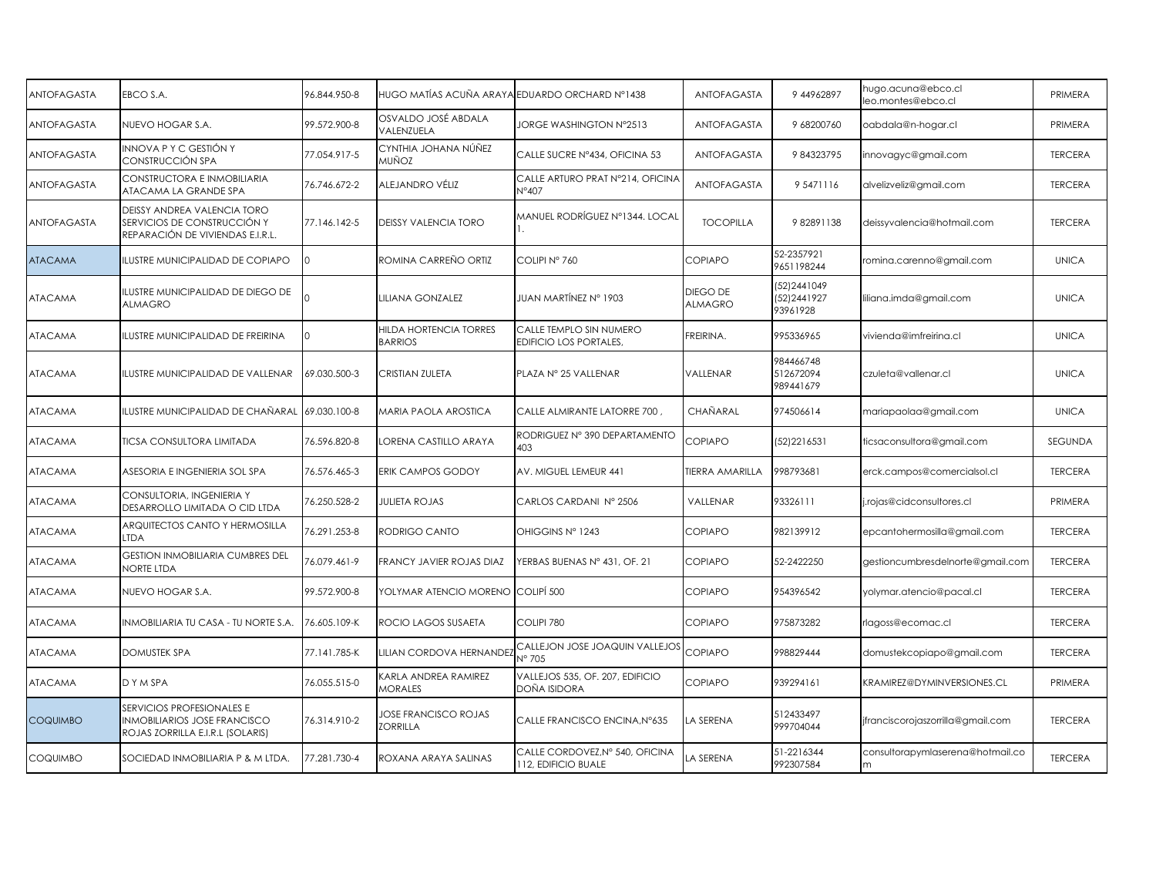| <b>ANTOFAGASTA</b> | EBCO S.A.                                                                                            | 96.844.950-8 |                                               | HUGO MATÍAS ACUÑA ARAYA EDUARDO ORCHARD N°1438           | ANTOFAGASTA                | 9 449 628 97                            | hugo.acuna@ebco.cl<br>leo.montes@ebco.cl | PRIMERA        |
|--------------------|------------------------------------------------------------------------------------------------------|--------------|-----------------------------------------------|----------------------------------------------------------|----------------------------|-----------------------------------------|------------------------------------------|----------------|
| <b>ANTOFAGASTA</b> | NUEVO HOGAR S.A.                                                                                     | 99.572.900-8 | OSVALDO JOSÉ ABDALA<br>VALENZUELA             | <b>JORGE WASHINGTON N°2513</b>                           | ANTOFAGASTA                | 9 68200760                              | oabdala@n-hogar.cl                       | PRIMERA        |
| <b>ANTOFAGASTA</b> | INNOVA P Y C GESTIÓN Y<br>CONSTRUCCIÓN SPA                                                           | 77.054.917-5 | CYNTHIA JOHANA NÚÑEZ<br>MUÑOZ                 | CALLE SUCRE Nº434, OFICINA 53                            | <b>ANTOFAGASTA</b>         | 984323795                               | innovagyc@gmail.com                      | <b>TERCERA</b> |
| ANTOFAGASTA        | CONSTRUCTORA E INMOBILIARIA<br>ATACAMA LA GRANDE SPA                                                 | 76.746.672-2 | ALEJANDRO VÉLIZ                               | CALLE ARTURO PRAT Nº214, OFICINA<br>N°407                | ANTOFAGASTA                | 95471116                                | alvelizveliz@gmail.com                   | <b>TERCERA</b> |
| <b>ANTOFAGASTA</b> | DEISSY ANDREA VALENCIA TORO<br>SERVICIOS DE CONSTRUCCIÓN Y<br>REPARACIÓN DE VIVIENDAS E.I.R.L.       | 77.146.142-5 | DEISSY VALENCIA TORO                          | MANUEL RODRÍGUEZ N°1344. LOCAL                           | <b>TOCOPILLA</b>           | 982891138                               | deissyvalencia@hotmail.com               | <b>TERCERA</b> |
| <b>ATACAMA</b>     | <b>ILUSTRE MUNICIPALIDAD DE COPIAPO</b>                                                              |              | ROMINA CARREÑO ORTIZ                          | COLIPINº 760                                             | <b>COPIAPO</b>             | 52-2357921<br>9651198244                | romina.carenno@gmail.com                 | <b>UNICA</b>   |
| <b>ATACAMA</b>     | ILUSTRE MUNICIPALIDAD DE DIEGO DE<br>ALMAGRO                                                         |              | LILIANA GONZALEZ                              | JUAN MARTÍNEZ N° 1903                                    | DIEGO DE<br><b>ALMAGRO</b> | 52) 2441049<br>[52] 2441927<br>93961928 | liliana.imda@gmail.com                   | <b>UNICA</b>   |
| <b>ATACAMA</b>     | ILUSTRE MUNICIPALIDAD DE FREIRINA                                                                    | $\Omega$     | HILDA HORTENCIA TORRES<br>BARRIOS             | CALLE TEMPLO SIN NUMERO<br><b>EDIFICIO LOS PORTALES,</b> | FREIRINA.                  | 995336965                               | vivienda@imfreirina.cl                   | <b>UNICA</b>   |
| <b>ATACAMA</b>     | ILUSTRE MUNICIPALIDAD DE VALLENAR                                                                    | 69.030.500-3 | CRISTIAN ZULETA                               | PLAZA Nº 25 VALLENAR                                     | VALLENAR                   | 984466748<br>512672094<br>989441679     | czuleta@vallenar.cl                      | <b>UNICA</b>   |
| <b>ATACAMA</b>     | ILUSTRE MUNICIPALIDAD DE CHAÑARAL                                                                    | 69.030.100-8 | MARIA PAOLA AROSTICA                          | CALLE ALMIRANTE LATORRE 700,                             | CHAÑARAL                   | 974506614                               | mariapaolaa@gmail.com                    | <b>UNICA</b>   |
| <b>ATACAMA</b>     | TICSA CONSULTORA LIMITADA                                                                            | 76.596.820-8 | ORENA CASTILLO ARAYA                          | RODRIGUEZ Nº 390 DEPARTAMENTO<br>403                     | <b>COPIAPO</b>             | 52) 221 6531                            | ticsaconsultora@gmail.com                | SEGUNDA        |
| <b>ATACAMA</b>     | ASESORIA E INGENIERIA SOL SPA                                                                        | 76.576.465-3 | <b>ERIK CAMPOS GODOY</b>                      | AV. MIGUEL LEMEUR 441                                    | <b>TIERRA AMARILLA</b>     | 998793681                               | erck.campos@comercialsol.cl              | <b>TERCERA</b> |
| <b>ATACAMA</b>     | CONSULTORIA, INGENIERIA Y<br>DESARROLLO LIMITADA O CID LTDA                                          | 76.250.528-2 | JULIETA ROJAS                                 | CARLOS CARDANI Nº 2506                                   | VALLENAR                   | 93326111                                | j.rojas@cidconsultores.cl                | PRIMERA        |
| <b>ATACAMA</b>     | ARQUITECTOS CANTO Y HERMOSILLA<br>TDA.                                                               | 76.291.253-8 | RODRIGO CANTO                                 | OHIGGINS Nº 1243                                         | <b>COPIAPO</b>             | 982139912                               | epcantohermosilla@gmail.com              | <b>TERCERA</b> |
| <b>ATACAMA</b>     | <b>GESTION INMOBILIARIA CUMBRES DEL</b><br>NORTE LTDA                                                | 76.079.461-9 | FRANCY JAVIER ROJAS DIAZ                      | YERBAS BUENAS N° 431, OF. 21                             | <b>COPIAPO</b>             | 52-2422250                              | gestioncumbresdelnorte@gmail.com         | <b>TERCERA</b> |
| <b>ATACAMA</b>     | NUEVO HOGAR S.A.                                                                                     | 99.572.900-8 | YOLYMAR ATENCIO MORENO   COLIPÍ 500           |                                                          | <b>COPIAPO</b>             | 954396542                               | yolymar.atencio@pacal.cl                 | <b>TERCERA</b> |
| <b>ATACAMA</b>     | INMOBILIARIA TU CASA - TU NORTE S.A.                                                                 | 76.605.109-K | ROCIO LAGOS SUSAETA                           | COLIPI 780                                               | <b>COPIAPO</b>             | 975873282                               | rlagoss@ecomac.cl                        | <b>TERCERA</b> |
| <b>ATACAMA</b>     | <b>DOMUSTEK SPA</b>                                                                                  | 77.141.785-K | LILIAN CORDOVA HERNANDEZ                      | CALLEJON JOSE JOAQUIN VALLEJOS<br>N° 705                 | <b>COPIAPO</b>             | 998829444                               | domustekcopiapo@gmail.com                | <b>TERCERA</b> |
| <b>ATACAMA</b>     | DYMSPA                                                                                               | 76.055.515-0 | <b>CARLA ANDREA RAMIREZ</b><br><b>MORALES</b> | VALLEJOS 535, OF. 207, EDIFICIO<br>DOÑA ISIDORA          | <b>COPIAPO</b>             | 939294161                               | KRAMIREZ@DYMINVERSIONES.CL               | PRIMERA        |
| <b>COQUIMBO</b>    | SERVICIOS PROFESIONALES E<br><b>INMOBILIARIOS JOSE FRANCISCO</b><br>ROJAS ZORRILLA E.I.R.L (SOLARIS) | 76.314.910-2 | JOSE FRANCISCO ROJAS<br>ZORRILLA              | CALLE FRANCISCO ENCINA, N°635                            | LA SERENA                  | 512433497<br>999704044                  | jfranciscorojaszorrilla@gmail.com        | <b>TERCERA</b> |
| <b>COQUIMBO</b>    | SOCIEDAD INMOBILIARIA P & M LTDA.                                                                    | 77.281.730-4 | ROXANA ARAYA SALINAS                          | CALLE CORDOVEZ, Nº 540, OFICINA<br>112, EDIFICIO BUALE   | LA SERENA                  | 51-2216344<br>992307584                 | consultorapymlaserena@hotmail.co         | <b>TERCERA</b> |
|                    |                                                                                                      |              |                                               |                                                          |                            |                                         |                                          |                |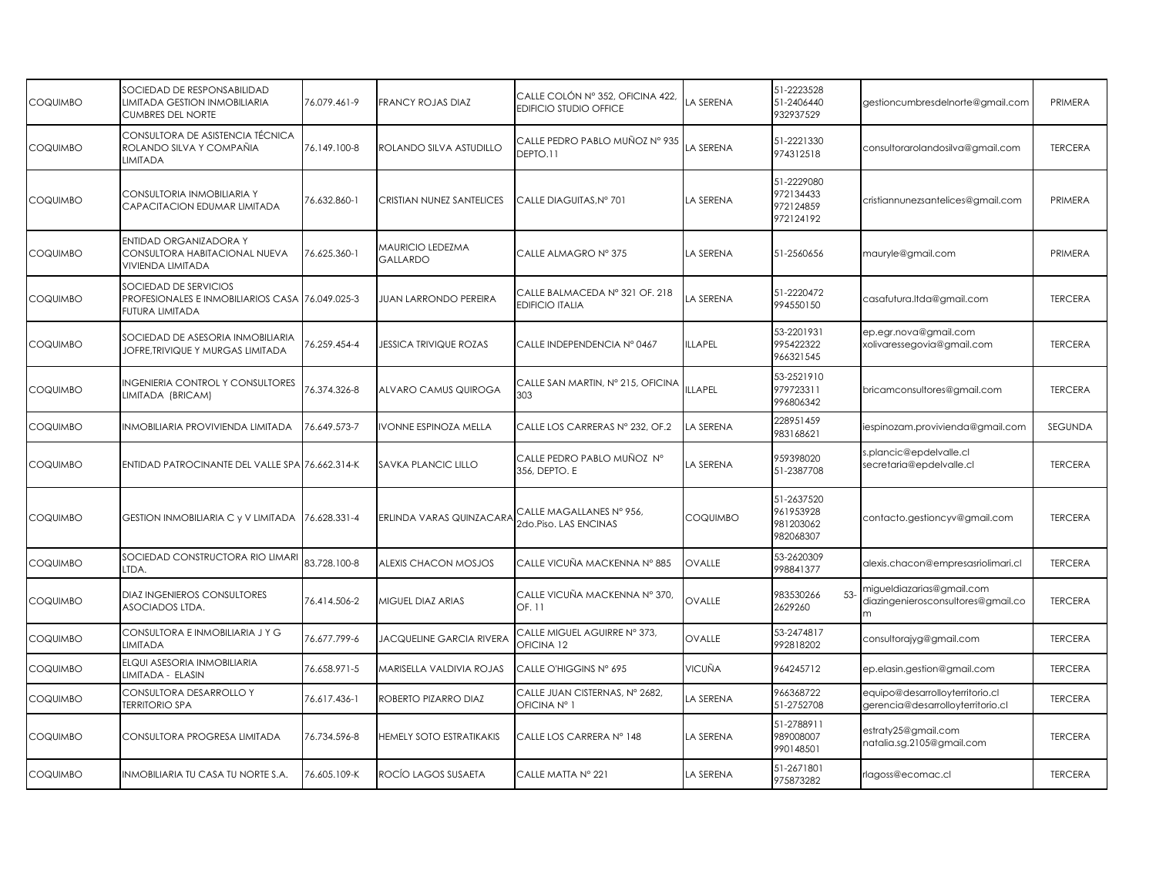| <b>COQUIMBO</b> | SOCIEDAD DE RESPONSABILIDAD<br>LIMITADA GESTION INMOBILIARIA<br><b>CUMBRES DEL NORTE</b> | 76.079.461-9 | FRANCY ROJAS DIAZ                   | CALLE COLÓN Nº 352, OFICINA 422,<br>EDIFICIO STUDIO OFFICE | A SERENA        | 51-2223528<br>51-2406440<br>932937529             | gestioncumbresdelnorte@gmail.com                                     | PRIMERA        |
|-----------------|------------------------------------------------------------------------------------------|--------------|-------------------------------------|------------------------------------------------------------|-----------------|---------------------------------------------------|----------------------------------------------------------------------|----------------|
| <b>COQUIMBO</b> | CONSULTORA DE ASISTENCIA TÉCNICA<br>ROLANDO SILVA Y COMPAÑIA<br><b>LIMITADA</b>          | 76.149.100-8 | ROLANDO SILVA ASTUDILLO             | CALLE PEDRO PABLO MUÑOZ Nº 935<br>DEPTO.11                 | LA SERENA       | 51-2221330<br>974312518                           | consultorarolandosilva@gmail.com                                     | <b>TERCERA</b> |
| <b>COQUIMBO</b> | CONSULTORIA INMOBILIARIA Y<br>CAPACITACION EDUMAR LIMITADA                               | 76.632.860-1 | CRISTIAN NUNEZ SANTELICES           | CALLE DIAGUITAS.N° 701                                     | LA SERENA       | 51-2229080<br>972134433<br>972124859<br>972124192 | cristiannunezsantelices@gmail.com                                    | PRIMERA        |
| COQUIMBO        | ENTIDAD ORGANIZADORA Y<br>CONSULTORA HABITACIONAL NUEVA<br>VIVIENDA LIMITADA             | 76.625.360-1 | <b>VAURICIO LEDEZMA</b><br>GALLARDO | CALLE ALMAGRO Nº 375                                       | LA SERENA       | 51-2560656                                        | mauryle@gmail.com                                                    | PRIMERA        |
| <b>COQUIMBO</b> | SOCIEDAD DE SERVICIOS<br>PROFESIONALES E INMOBILIARIOS CASA<br>FUTURA LIMITADA           | 76.049.025-3 | <b>JUAN LARRONDO PEREIRA</b>        | CALLE BALMACEDA N° 321 OF. 218<br><b>EDIFICIO ITALIA</b>   | A SERENA        | 51-2220472<br>994550150                           | casafutura.Itda@gmail.com                                            | <b>TERCERA</b> |
| <b>COQUIMBO</b> | SOCIEDAD DE ASESORIA INMOBILIARIA<br>JOFRE.TRIVIQUE Y MURGAS LIMITADA                    | 76.259.454-4 | JESSICA TRIVIQUE ROZAS              | CALLE INDEPENDENCIA Nº 0467                                | ILLAPEL         | 53-2201931<br>995422322<br>966321545              | ep.egr.nova@gmail.com<br>xolivaressegovia@gmail.com                  | <b>TERCERA</b> |
| <b>COQUIMBO</b> | <b>INGENIERIA CONTROL Y CONSULTORES</b><br>LIMITADA (BRICAM)                             | 76.374.326-8 | ALVARO CAMUS QUIROGA                | CALLE SAN MARTIN, Nº 215, OFICINA<br>303                   | ILLAPEL         | 53-2521910<br>979723311<br>996806342              | bricamconsultores@gmail.com                                          | <b>TERCERA</b> |
| <b>COQUIMBO</b> | INMOBILIARIA PROVIVIENDA LIMITADA                                                        | 76.649.573-7 | VONNE ESPINOZA MELLA                | CALLE LOS CARRERAS N° 232, OF.2                            | LA SERENA       | 228951459<br>983168621                            | iespinozam.provivienda@gmail.com                                     | SEGUNDA        |
| <b>COQUIMBO</b> | ENTIDAD PATROCINANTE DEL VALLE SPA 76.662.314-K                                          |              | SAVKA PLANCIC LILLO                 | CALLE PEDRO PABLO MUÑOZ Nº<br>356, DEPTO. E                | LA SERENA       | 959398020<br>51-2387708                           | s.plancic@epdelvalle.cl<br>secretaria@epdelvalle.cl                  | <b>TERCERA</b> |
| <b>COQUIMBO</b> | GESTION INMOBILIARIA C y V LIMITADA                                                      | 76.628.331-4 | ERLINDA VARAS QUINZACARA            | CALLE MAGALLANES N° 956,<br>2do.Piso. LAS ENCINAS          | <b>COQUIMBO</b> | 51-2637520<br>961953928<br>981203062<br>982068307 | contacto.gestioncyv@gmail.com                                        | <b>TERCERA</b> |
| <b>COQUIMBO</b> | SOCIEDAD CONSTRUCTORA RIO LIMARI<br>LTDA.                                                | 83.728.100-8 | ALEXIS CHACON MOSJOS                | CALLE VICUÑA MACKENNA Nº 885                               | OVALLE          | 53-2620309<br>998841377                           | alexis.chacon@empresasriolimari.cl                                   | <b>TERCERA</b> |
| <b>COQUIMBO</b> | <b>DIAZ INGENIEROS CONSULTORES</b><br>ASOCIADOS LTDA.                                    | 76.414.506-2 | MIGUEL DIAZ ARIAS                   | CALLE VICUÑA MACKENNA Nº 370,<br>OF. 11                    | OVALLE          | 983530266<br>53<br>2629260                        | migueldiazarias@gmail.com<br>diazingenierosconsultores@gmail.co      | <b>TERCERA</b> |
| <b>COQUIMBO</b> | CONSULTORA E INMOBILIARIA JY G<br>LIMITADA                                               | 76.677.799-6 | <b>JACQUELINE GARCIA RIVERA</b>     | CALLE MIGUEL AGUIRRE N° 373,<br>OFICINA <sub>12</sub>      | OVALLE          | 53-2474817<br>992818202                           | consultorajyg@gmail.com                                              | <b>TERCERA</b> |
| <b>COQUIMBO</b> | ELQUI ASESORIA INMOBILIARIA<br>LIMITADA - ELASIN                                         | 76.658.971-5 | <b>MARISELLA VALDIVIA ROJAS</b>     | CALLE O'HIGGINS N° 695                                     | VICUÑA          | 964245712                                         | ep.elasin.gestion@gmail.com                                          | <b>TERCERA</b> |
| <b>COQUIMBO</b> | CONSULTORA DESARROLLO Y<br><b>TERRITORIO SPA</b>                                         | 76.617.436-1 | ROBERTO PIZARRO DIAZ                | CALLE JUAN CISTERNAS, N° 2682,<br>OFICINA Nº 1             | LA SERENA       | 966368722<br>51-2752708                           | equipo@desarrolloyterritorio.cl<br>gerencia@desarrolloyterritorio.cl | <b>TERCERA</b> |
| <b>COQUIMBO</b> | CONSULTORA PROGRESA LIMITADA                                                             | 76.734.596-8 | HEMELY SOTO ESTRATIKAKIS            | CALLE LOS CARRERA Nº 148                                   | LA SERENA       | 51-2788911<br>989008007<br>990148501              | estraty25@gmail.com<br>natalia.sg.2105@gmail.com                     | <b>TERCERA</b> |
| <b>COQUIMBO</b> | INMOBILIARIA TU CASA TU NORTE S.A.                                                       | 76.605.109-K | ROCÍO LAGOS SUSAETA                 | CALLE MATTA N° 221                                         | LA SERENA       | 51-2671801<br>975873282                           | rlagoss@ecomac.cl                                                    | <b>TERCERA</b> |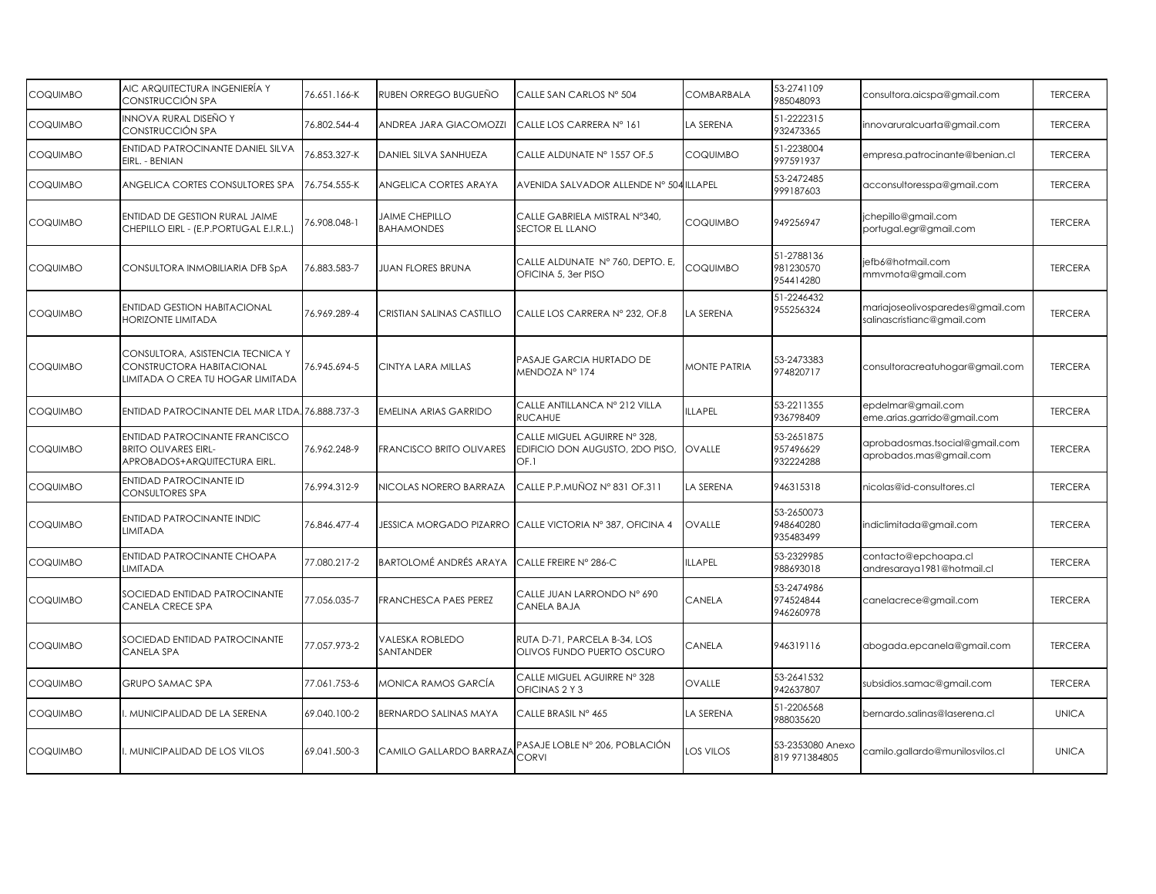| <b>COQUIMBO</b> | AIC ARQUITECTURA INGENIERÍA Y<br>CONSTRUCCIÓN SPA                                                    | 76.651.166-K | RUBEN ORREGO BUGUEÑO                       | CALLE SAN CARLOS Nº 504                                                 | COMBARBALA          | 53-2741109<br>985048093              | consultora.aicspa@gmail.com                                    | <b>TERCERA</b> |
|-----------------|------------------------------------------------------------------------------------------------------|--------------|--------------------------------------------|-------------------------------------------------------------------------|---------------------|--------------------------------------|----------------------------------------------------------------|----------------|
| <b>COQUIMBO</b> | INNOVA RURAL DISEÑO Y<br>CONSTRUCCIÓN SPA                                                            | 76.802.544-4 | ANDREA JARA GIACOMOZZI                     | CALLE LOS CARRERA Nº 161                                                | LA SERENA           | 51-2222315<br>932473365              | innovaruralcuarta@gmail.com                                    | <b>TERCERA</b> |
| COQUIMBO        | ENTIDAD PATROCINANTE DANIEL SILVA<br>EIRL. - BENIAN                                                  | 76.853.327-K | DANIEL SILVA SANHUEZA                      | CALLE ALDUNATE Nº 1557 OF.5                                             | COQUIMBO            | 51-2238004<br>997591937              | empresa.patrocinante@benian.cl                                 | <b>TERCERA</b> |
| COQUIMBO        | ANGELICA CORTES CONSULTORES SPA                                                                      | 76.754.555-K | ANGELICA CORTES ARAYA                      | AVENIDA SALVADOR ALLENDE Nº 504 ILLAPEL                                 |                     | 53-2472485<br>999187603              | acconsultoresspa@gmail.com                                     | <b>TERCERA</b> |
| COQUIMBO        | ENTIDAD DE GESTION RURAL JAIME<br>CHEPILLO EIRL - (E.P.PORTUGAL E.I.R.L.)                            | 76.908.048-1 | <b>JAIME CHEPILLO</b><br><b>BAHAMONDES</b> | CALLE GABRIELA MISTRAL N°340,<br>SECTOR EL LLANO                        | COQUIMBO            | 949256947                            | jchepillo@gmail.com<br>portugal.egr@gmail.com                  | <b>TERCERA</b> |
| <b>COQUIMBO</b> | CONSULTORA INMOBILIARIA DFB SpA                                                                      | 76.883.583-7 | <b>JUAN FLORES BRUNA</b>                   | CALLE ALDUNATE Nº 760, DEPTO. E,<br>OFICINA 5, 3er PISO                 | COQUIMBO            | 51-2788136<br>981230570<br>954414280 | jefb6@hotmail.com<br>mmvmota@gmail.com                         | <b>TERCERA</b> |
| COQUIMBO        | <b>ENTIDAD GESTION HABITACIONAL</b><br><b>HORIZONTE LIMITADA</b>                                     | 76.969.289-4 | CRISTIAN SALINAS CASTILLO                  | CALLE LOS CARRERA Nº 232, OF.8                                          | LA SERENA           | 51-2246432<br>955256324              | mariajoseolivosparedes@gmail.com<br>salinascristianc@gmail.com | <b>TERCERA</b> |
| <b>COQUIMBO</b> | CONSULTORA, ASISTENCIA TECNICA Y<br>CONSTRUCTORA HABITACIONAL<br>LIMITADA O CREA TU HOGAR LIMITADA   | 76.945.694-5 | CINTYA LARA MILLAS                         | PASAJE GARCIA HURTADO DE<br>MENDOZA Nº 174                              | <b>MONTE PATRIA</b> | 53-2473383<br>974820717              | consultoracreatuhogar@gmail.com                                | <b>TERCERA</b> |
| <b>COQUIMBO</b> | ENTIDAD PATROCINANTE DEL MAR LTDA. 76.888.737-3                                                      |              | EMELINA ARIAS GARRIDO                      | CALLE ANTILLANCA Nº 212 VILLA<br><b>RUCAHUE</b>                         | <b>ILLAPEL</b>      | 53-2211355<br>936798409              | epdelmar@gmail.com<br>eme.arias.garrido@gmail.com              | <b>TERCERA</b> |
| <b>COQUIMBO</b> | <b>ENTIDAD PATROCINANTE FRANCISCO</b><br><b>BRITO OLIVARES EIRL-</b><br>APROBADOS+ARQUITECTURA EIRL. | 76.962.248-9 | <b>FRANCISCO BRITO OLIVARES</b>            | CALLE MIGUEL AGUIRRE Nº 328,<br>EDIFICIO DON AUGUSTO, 2DO PISO,<br>OF.1 | OVALLE              | 53-2651875<br>957496629<br>932224288 | aprobadosmas.tsocial@gmail.com<br>aprobados.mas@gmail.com      | <b>TERCERA</b> |
| <b>COQUIMBO</b> | <b>ENTIDAD PATROCINANTE ID</b><br><b>CONSULTORES SPA</b>                                             | 76.994.312-9 | <b>NICOLAS NORERO BARRAZA</b>              | CALLE P.P.MUÑOZ N° 831 OF.311                                           | LA SERENA           | 946315318                            | nicolas@id-consultores.cl                                      | <b>TERCERA</b> |
| <b>COQUIMBO</b> | ENTIDAD PATROCINANTE INDIC<br>LIMITADA                                                               | 76.846.477-4 |                                            | JESSICA MORGADO PIZARRO CALLE VICTORIA Nº 387, OFICINA 4                | OVALLE              | 53-2650073<br>948640280<br>935483499 | indiclimitada@gmail.com                                        | <b>TERCERA</b> |
| <b>COQUIMBO</b> | ENTIDAD PATROCINANTE CHOAPA<br><b>LIMITADA</b>                                                       | 77.080.217-2 | <b>BARTOLOMÉ ANDRÉS ARAYA</b>              | CALLE FREIRE N° 286-C                                                   | <b>ILLAPEL</b>      | 53-2329985<br>988693018              | contacto@epchoapa.cl<br>andresaraya1981@hotmail.cl             | <b>TERCERA</b> |
| <b>COQUIMBO</b> | SOCIEDAD ENTIDAD PATROCINANTE<br>CANELA CRECE SPA                                                    | 77.056.035-7 | FRANCHESCA PAES PEREZ                      | CALLE JUAN LARRONDO Nº 690<br>CANELA BAJA                               | CANELA              | 53-2474986<br>974524844<br>946260978 | canelacrece@gmail.com                                          | <b>TERCERA</b> |
| <b>COQUIMBO</b> | SOCIEDAD ENTIDAD PATROCINANTE<br>CANELA SPA                                                          | 77.057.973-2 | VALESKA ROBLEDO<br>SANTANDER               | RUTA D-71, PARCELA B-34, LOS<br>OLIVOS FUNDO PUERTO OSCURO              | CANELA              | 946319116                            | abogada.epcanela@gmail.com                                     | <b>TERCERA</b> |
| COQUIMBO        | GRUPO SAMAC SPA                                                                                      | 77.061.753-6 | MONICA RAMOS GARCÍA                        | CALLE MIGUEL AGUIRRE Nº 328<br>OFICINAS 2 Y 3                           | OVALLE              | 53-2641532<br>942637807              | subsidios.samac@gmail.com                                      | <b>TERCERA</b> |
| COQUIMBO        | . MUNICIPALIDAD DE LA SERENA                                                                         | 69.040.100-2 | BERNARDO SALINAS MAYA                      | CALLE BRASIL Nº 465                                                     | LA SERENA           | 51-2206568<br>988035620              | bernardo.salinas@laserena.cl                                   | <b>UNICA</b>   |
| <b>COQUIMBO</b> | I. MUNICIPALIDAD DE LOS VILOS                                                                        | 69.041.500-3 | CAMILO GALLARDO BARRAZA                    | PASAJE LOBLE Nº 206, POBLACIÓN<br><b>CORVI</b>                          | LOS VILOS           | 53-2353080 Anexo<br>819 971384805    | camilo.gallardo@munilosvilos.cl                                | <b>UNICA</b>   |
|                 |                                                                                                      |              |                                            |                                                                         |                     |                                      |                                                                |                |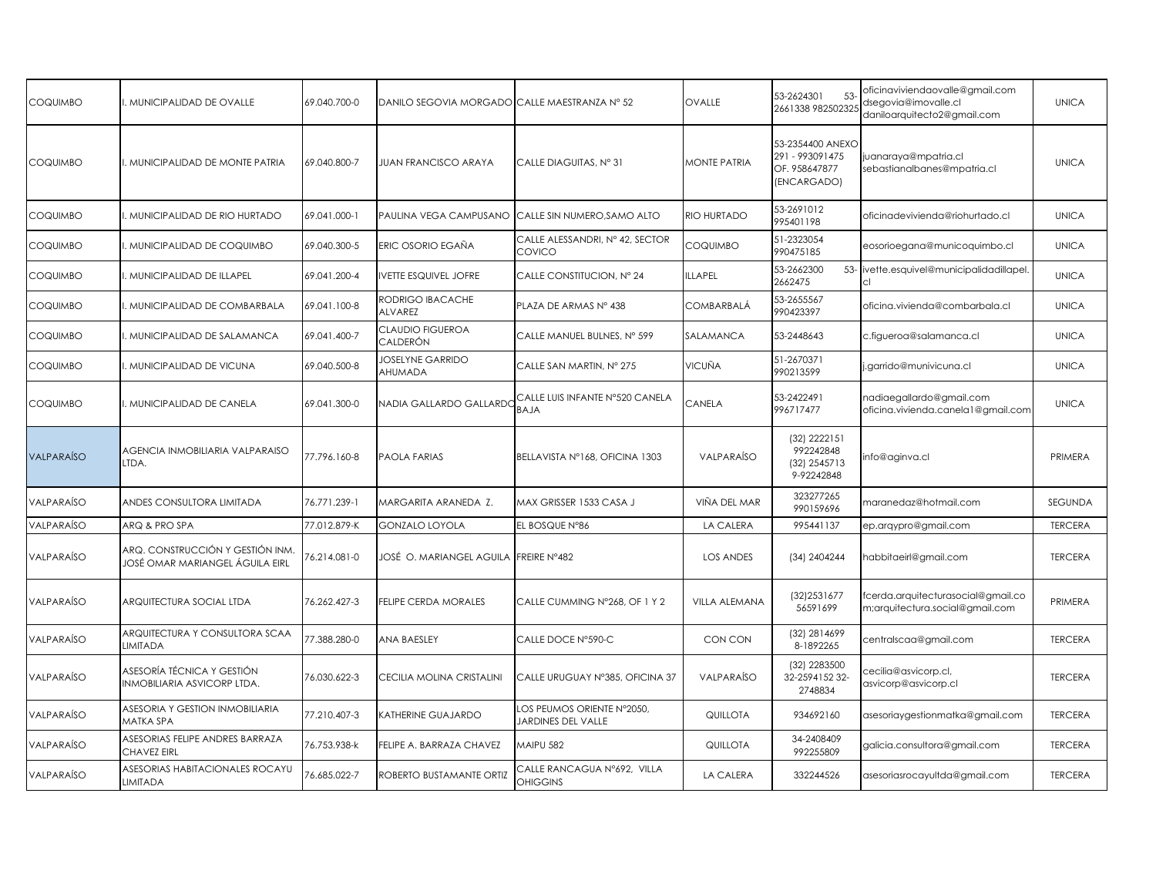| <b>COQUIMBO</b>   | MUNICIPALIDAD DE OVALLE                                             | 69.040.700-0 | DANILO SEGOVIA MORGADO CALLE MAESTRANZA Nº 52 |                                                 | OVALLE              | 53-2624301<br>$53-$<br>2661338 982502325                            | oficinaviviendaovalle@gmail.com<br>dsegovia@imovalle.cl<br>daniloarquitecto2@gmail.com | <b>UNICA</b>   |
|-------------------|---------------------------------------------------------------------|--------------|-----------------------------------------------|-------------------------------------------------|---------------------|---------------------------------------------------------------------|----------------------------------------------------------------------------------------|----------------|
| <b>COQUIMBO</b>   | . MUNICIPALIDAD DE MONTE PATRIA                                     | 69.040.800-7 | <b>JUAN FRANCISCO ARAYA</b>                   | CALLE DIAGUITAS, Nº 31                          | <b>MONTE PATRIA</b> | 53-2354400 ANEXO<br>291 - 993091475<br>OF. 958647877<br>(ENCARGADO) | juanaraya@mpatria.cl<br>sebastianalbanes@mpatria.cl                                    | <b>UNICA</b>   |
| <b>COQUIMBO</b>   | MUNICIPALIDAD DE RIO HURTADO                                        | 69.041.000-1 | PAULINA VEGA CAMPUSANO                        | CALLE SIN NUMERO, SAMO ALTO                     | RIO HURTADO         | 53-2691012<br>995401198                                             | oficinadevivienda@riohurtado.cl                                                        | <b>UNICA</b>   |
| <b>COQUIMBO</b>   | , MUNICIPALIDAD DE COQUIMBO                                         | 69.040.300-5 | ERIC OSORIO EGAÑA                             | CALLE ALESSANDRI, Nº 42, SECTOR<br>COVICO       | COQUIMBO            | 51-2323054<br>990475185                                             | eosorioegana@municoquimbo.cl                                                           | <b>UNICA</b>   |
| <b>COQUIMBO</b>   | MUNICIPALIDAD DE ILLAPEL                                            | 69.041.200-4 | VETTE ESQUIVEL JOFRE                          | CALLE CONSTITUCION, Nº 24                       | <b>ILLAPEL</b>      | 53-2662300<br>2662475                                               | 53- ivette.esquivel@municipalidadillapel.                                              | <b>UNICA</b>   |
| <b>COQUIMBO</b>   | MUNICIPALIDAD DE COMBARBALA                                         | 69.041.100-8 | <b>RODRIGO IBACACHE</b><br>ALVAREZ            | PLAZA DE ARMAS Nº 438                           | COMBARBALÁ          | 53-2655567<br>990423397                                             | oficina.vivienda@combarbala.cl                                                         | <b>UNICA</b>   |
| <b>COQUIMBO</b>   | . MUNICIPALIDAD DE SALAMANCA                                        | 69.041.400-7 | CLAUDIO FIGUEROA<br>CALDERÓN                  | CALLE MANUEL BULNES, Nº 599                     | SALAMANCA           | 53-2448643                                                          | c.figueroa@salamanca.cl                                                                | <b>UNICA</b>   |
| <b>COQUIMBO</b>   | , MUNICIPALIDAD DE VICUNA                                           | 69.040.500-8 | JOSELYNE GARRIDO<br>AHUMADA                   | CALLE SAN MARTIN, Nº 275                        | VICUÑA              | 51-2670371<br>990213599                                             | .garrido@munivicuna.cl                                                                 | <b>UNICA</b>   |
| <b>COQUIMBO</b>   | MUNICIPALIDAD DE CANELA                                             | 69.041.300-0 | <b>VADIA GALLARDO GALLARDC</b>                | CALLE LUIS INFANTE N°520 CANELA<br>BAJA         | CANELA              | 53-2422491<br>996717477                                             | nadiaegallardo@gmail.com<br>oficina.vivienda.canela1@gmail.com                         | <b>UNICA</b>   |
| <b>VALPARAÍSO</b> | AGENCIA INMOBILIARIA VALPARAISO<br>LTDA.                            | 77.796.160-8 | PAOLA FARIAS                                  | BELLAVISTA N°168, OFICINA 1303                  | VALPARAÍSO          | (32) 2222151<br>992242848<br>(32) 2545713<br>9-92242848             | info@aginva.cl                                                                         | PRIMERA        |
| VALPARAÍSO        | ANDES CONSULTORA LIMITADA                                           | 76.771.239-1 | vargarita araneda z.                          | MAX GRISSER 1533 CASA J                         | VIÑA DEL MAR        | 323277265<br>990159696                                              | maranedaz@hotmail.com                                                                  | SEGUNDA        |
| <b>VALPARAÍSO</b> | ARQ & PRO SPA                                                       | 77.012.879-K | <b>GONZALO LOYOLA</b>                         | EL BOSQUE N°86                                  | LA CALERA           | 995441137                                                           | ep.arqypro@gmail.com                                                                   | <b>TERCERA</b> |
| VALPARAÍSO        | ARQ. CONSTRUCCIÓN Y GESTIÓN INM.<br>JOSÉ OMAR MARIANGEL ÁGUILA EIRL | 76.214.081-0 | JOSÉ O. MARIANGEL AGUILA                      | FREIRE N°482                                    | <b>LOS ANDES</b>    | (34) 2404244                                                        | nabbitaeirl@gmail.com                                                                  | <b>TERCERA</b> |
| <b>VALPARAÍSO</b> | ARQUITECTURA SOCIAL LTDA                                            | 76.262.427-3 | FELIPE CERDA MORALES                          | CALLE CUMMING N°268, OF 1 Y 2                   | VILLA ALEMANA       | (32) 2531 677<br>56591699                                           | fcerda.arquitecturasocial@gmail.co<br>m;arquitectura.social@gmail.com                  | PRIMERA        |
| VALPARAÍSO        | ARQUITECTURA Y CONSULTORA SCAA<br>LIMITADA                          | 77.388.280-0 | ANA BAESLEY                                   | CALLE DOCE N°590-C                              | CON CON             | (32) 2814699<br>8-1892265                                           | centralscaa@gmail.com                                                                  | <b>TERCERA</b> |
| <b>VALPARAÍSO</b> | ASESORÍA TÉCNICA Y GESTIÓN<br>INMOBILIARIA ASVICORP LTDA.           | 76.030.622-3 | CECILIA MOLINA CRISTALINI                     | CALLE URUGUAY N°385, OFICINA 37                 | VALPARAÍSO          | (32) 2283500<br>32-259415232-<br>2748834                            | cecilia@asvicorp.cl,<br>asvicorp@asvicorp.cl                                           | <b>TERCERA</b> |
| VALPARAÍSO        | ASESORIA Y GESTION INMOBILIARIA<br>MATKA SPA                        | 77.210.407-3 | KATHERINE GUAJARDO                            | OS PEUMOS ORIENTE Nº2050,<br>JARDINES DEL VALLE | QUILLOTA            | 934692160                                                           | asesoriaygestionmatka@gmail.com                                                        | <b>TERCERA</b> |
| VALPARAÍSO        | ASESORIAS FELIPE ANDRES BARRAZA<br>CHAVEZ EIRL                      | 76.753.938-k | FELIPE A. BARRAZA CHAVEZ                      | <b>MAIPU 582</b>                                | QUILLOTA            | 34-2408409<br>992255809                                             | galicia.consultora@gmail.com                                                           | <b>TERCERA</b> |
| VALPARAÍSO        | ASESORIAS HABITACIONALES ROCAYU<br><b>LIMITADA</b>                  | 76.685.022-7 | ROBERTO BUSTAMANTE ORTIZ                      | CALLE RANCAGUA N°692, VILLA<br><b>OHIGGINS</b>  | LA CALERA           | 332244526                                                           | asesoriasrocayultda@gmail.com                                                          | <b>TERCERA</b> |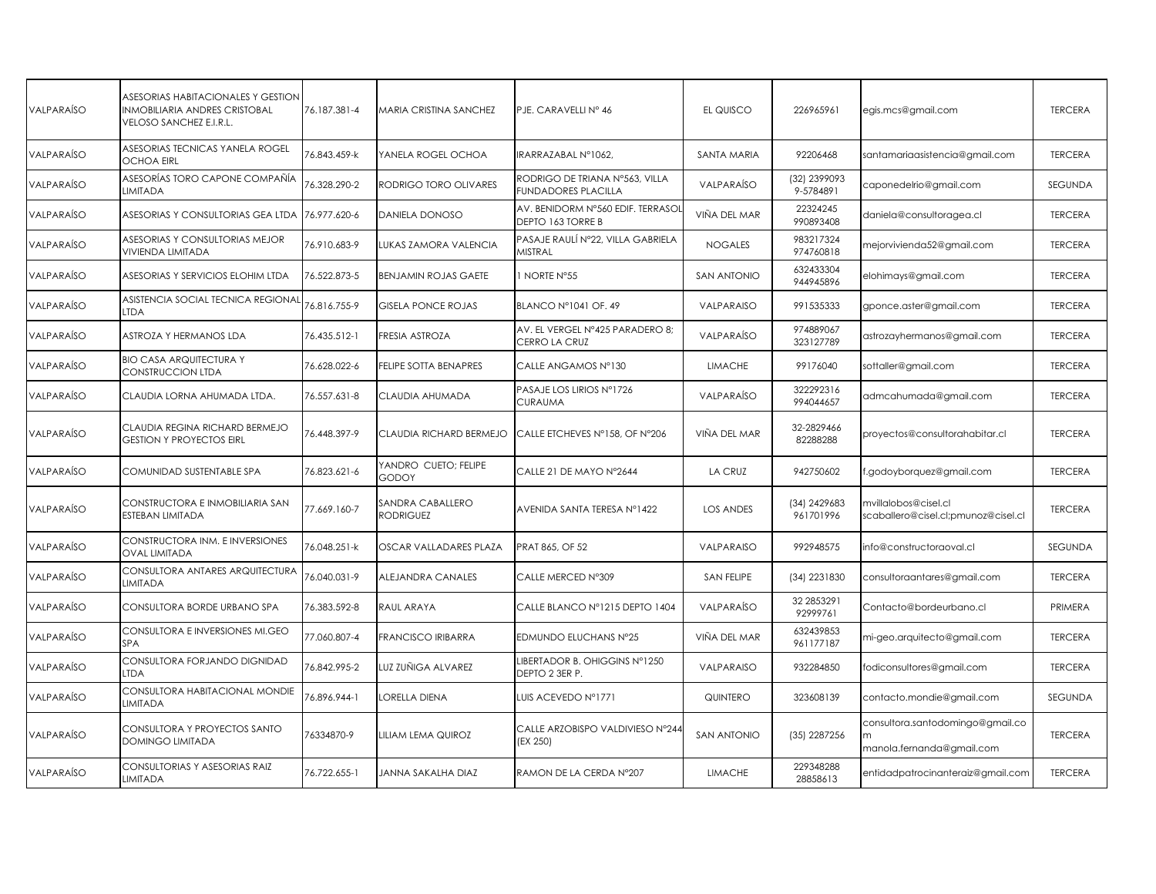| <b>VALPARAÍSO</b> | ASESORIAS HABITACIONALES Y GESTION<br>INMOBILIARIA ANDRES CRISTOBAL<br>VELOSO SANCHEZ E.I.R.L. | 76.187.381-4 | MARIA CRISTINA SANCHEZ               | PJE. CARAVELLI Nº 46                                         | EL QUISCO          | 226965961                 | egis.mcs@gmail.com                                            | <b>TERCERA</b> |
|-------------------|------------------------------------------------------------------------------------------------|--------------|--------------------------------------|--------------------------------------------------------------|--------------------|---------------------------|---------------------------------------------------------------|----------------|
| <b>VALPARAÍSO</b> | ASESORIAS TECNICAS YANELA ROGEL<br><b>OCHOA EIRL</b>                                           | 76.843.459-k | YANELA ROGEL OCHOA                   | IRARRAZABAL N°1062.                                          | <b>SANTA MARIA</b> | 92206468                  | santamariaasistencia@gmail.com                                | <b>TERCERA</b> |
| <b>VALPARAÍSO</b> | ASESORÍAS TORO CAPONE COMPAÑÍA<br>LIMITADA                                                     | 6.328.290-2  | RODRIGO TORO OLIVARES                | RODRIGO DE TRIANA Nº563, VILLA<br><b>FUNDADORES PLACILLA</b> | VALPARAÍSO         | (32) 2399093<br>9-5784891 | caponedelrio@gmail.com                                        | SEGUNDA        |
| VALPARAÍSO        | ASESORIAS Y CONSULTORIAS GEA LTDA                                                              | 76.977.620-6 | DANIELA DONOSO                       | AV. BENIDORM N°560 EDIF. TERRASOI<br>DEPTO 163 TORRE B       | VIÑA DEL MAR       | 22324245<br>990893408     | daniela@consultoragea.cl                                      | <b>TERCERA</b> |
| <b>VALPARAÍSO</b> | ASESORIAS Y CONSULTORIAS MEJOR<br><b>VIVIENDA LIMITADA</b>                                     | 76.910.683-9 | LUKAS ZAMORA VALENCIA                | PASAJE RAULÍ N°22, VILLA GABRIELA<br><b>MISTRAL</b>          | <b>NOGALES</b>     | 983217324<br>974760818    | mejorvivienda52@gmail.com                                     | <b>TERCERA</b> |
| VALPARAÍSO        | ASESORIAS Y SERVICIOS ELOHIM LTDA                                                              | 76.522.873-5 | <b>BENJAMIN ROJAS GAETE</b>          | 1 NORTE N°55                                                 | <b>SAN ANTONIO</b> | 632433304<br>944945896    | elohimays@gmail.com                                           | <b>TERCERA</b> |
| VALPARAÍSO        | ASISTENCIA SOCIAL TECNICA REGIONAL<br><b>LTDA</b>                                              | 76.816.755-9 | <b>GISELA PONCE ROJAS</b>            | BLANCO Nº1041 OF, 49                                         | VALPARAISO         | 991535333                 | gponce.aster@gmail.com                                        | <b>TERCERA</b> |
| <b>VALPARAÍSO</b> | ASTROZA Y HERMANOS LDA                                                                         | 76.435.512-1 | FRESIA ASTROZA                       | AV. EL VERGEL Nº425 PARADERO 8;<br>CERRO LA CRUZ             | VALPARAÍSO         | 974889067<br>323127789    | astrozayhermanos@gmail.com                                    | <b>TERCERA</b> |
| VALPARAÍSO        | <b>BIO CASA ARQUITECTURA Y</b><br>CONSTRUCCION LTDA                                            | 76.628.022-6 | FELIPE SOTTA BENAPRES                | CALLE ANGAMOS N°130                                          | <b>LIMACHE</b>     | 99176040                  | sottaller@gmail.com                                           | <b>TERCERA</b> |
| VALPARAÍSO        | CLAUDIA LORNA AHUMADA LTDA.                                                                    | 76.557.631-8 | CLAUDIA AHUMADA                      | PASAJE LOS LIRIOS Nº1726<br><b>CURAUMA</b>                   | VALPARAÍSO         | 322292316<br>994044657    | admcahumada@gmail.com                                         | <b>TERCERA</b> |
| VALPARAÍSO        | CLAUDIA REGINA RICHARD BERMEJO<br><b>GESTION Y PROYECTOS EIRL</b>                              | 76.448.397-9 | CLAUDIA RICHARD BERMEJO              | CALLE ETCHEVES N°158, OF N°206                               | VIÑA DEL MAR       | 32-2829466<br>82288288    | proyectos@consultorahabitar.cl                                | <b>TERCERA</b> |
| VALPARAÍSO        | COMUNIDAD SUSTENTABLE SPA                                                                      | 76.823.621-6 | YANDRO CUETO; FELIPE<br>GODOY        | CALLE 21 DE MAYO N°2644                                      | <b>LA CRUZ</b>     | 942750602                 | .godoyborquez@gmail.com                                       | <b>TERCERA</b> |
| <b>VALPARAÍSO</b> | CONSTRUCTORA E INMOBILIARIA SAN<br>ESTEBAN LIMITADA                                            | 77.669.160-7 | SANDRA CABALLERO<br><b>RODRIGUEZ</b> | AVENIDA SANTA TERESA Nº1422                                  | <b>LOS ANDES</b>   | (34) 2429683<br>961701996 | mvillalobos@cisel.cl<br>scaballero@cisel.cl;pmunoz@cisel.cl   | <b>TERCERA</b> |
| VALPARAÍSO        | CONSTRUCTORA INM. E INVERSIONES<br><b>OVAL LIMITADA</b>                                        | 76.048.251-k | OSCAR VALLADARES PLAZA               | PRAT 865, OF 52                                              | VALPARAISO         | 992948575                 | info@constructoraoval.cl                                      | SEGUNDA        |
| VALPARAÍSO        | CONSULTORA ANTARES ARQUITECTURA<br><b>LIMITADA</b>                                             | 76.040.031-9 | ALEJANDRA CANALES                    | CALLE MERCED N°309                                           | SAN FELIPE         | (34) 2231830              | consultoraantares@gmail.com                                   | <b>TERCERA</b> |
| VALPARAÍSO        | CONSULTORA BORDE URBANO SPA                                                                    | 76.383.592-8 | RAUL ARAYA                           | CALLE BLANCO Nº1215 DEPTO 1404                               | VALPARAÍSO         | 32 28 5 32 91<br>92999761 | Contacto@bordeurbano.cl                                       | PRIMERA        |
| VALPARAÍSO        | CONSULTORA E INVERSIONES MI.GEO<br>SPA                                                         | 77.060.807-4 | <b>FRANCISCO IRIBARRA</b>            | EDMUNDO ELUCHANS N°25                                        | VIÑA DEL MAR       | 632439853<br>961177187    | mi-geo.arquitecto@gmail.com                                   | <b>TERCERA</b> |
| VALPARAÍSO        | CONSULTORA FORJANDO DIGNIDAD<br><b>LTDA</b>                                                    | 76.842.995-2 | UZ ZUÑIGA ALVAREZ                    | LIBERTADOR B. OHIGGINS N°1250<br>DEPTO 2 3ER P.              | VALPARAISO         | 932284850                 | fodiconsultores@gmail.com                                     | <b>TERCERA</b> |
| VALPARAÍSO        | CONSULTORA HABITACIONAL MONDIE<br>LIMITADA                                                     | 76.896.944-1 | ORELLA DIENA                         | LUIS ACEVEDO Nº1771                                          | QUINTERO           | 323608139                 | contacto.mondie@gmail.com                                     | SEGUNDA        |
| <b>VALPARAÍSO</b> | CONSULTORA Y PROYECTOS SANTO<br><b>DOMINGO LIMITADA</b>                                        | 76334870-9   | LILIAM LEMA QUIROZ                   | CALLE ARZOBISPO VALDIVIESO N°244<br>(EX 250)                 | <b>SAN ANTONIO</b> | (35) 2287256              | consultora.santodomingo@gmail.co<br>manola.fernanda@gmail.com | <b>TERCERA</b> |
| VALPARAÍSO        | CONSULTORIAS Y ASESORIAS RAIZ<br>LIMITADA                                                      | 76.722.655-1 | JANNA SAKALHA DIAZ                   | RAMON DE LA CERDA N°207                                      | <b>LIMACHE</b>     | 229348288<br>28858613     | entidadpatrocinanteraiz@gmail.com                             | <b>TERCERA</b> |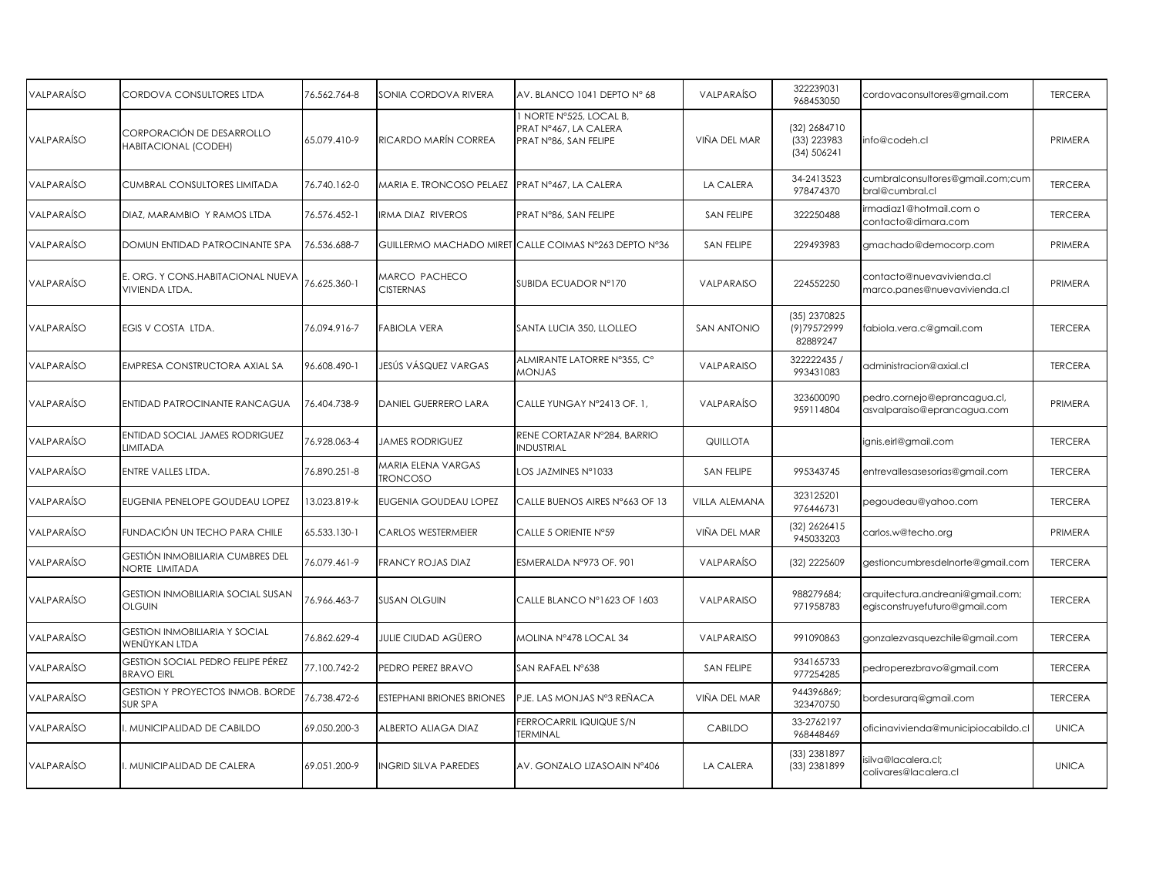| VALPARAÍSO        | CORDOVA CONSULTORES LTDA                                  | 76.562.764-8 | SONIA CORDOVA RIVERA                     | AV. BLANCO 1041 DEPTO Nº 68                                               | VALPARAÍSO         | 322239031<br>968453050                     | cordovaconsultores@gmail.com                                      | <b>TERCERA</b> |
|-------------------|-----------------------------------------------------------|--------------|------------------------------------------|---------------------------------------------------------------------------|--------------------|--------------------------------------------|-------------------------------------------------------------------|----------------|
| VALPARAÍSO        | CORPORACIÓN DE DESARROLLO<br>HABITACIONAL (CODEH)         | 65.079.410-9 | RICARDO MARÍN CORREA                     | 1 NORTE N°525, LOCAL B,<br>PRAT Nº467, LA CALERA<br>PRAT N°86, SAN FELIPE | VIÑA DEL MAR       | (32) 2684710<br>(33) 223983<br>(34) 506241 | info@codeh.cl                                                     | PRIMERA        |
| VALPARAÍSO        | CUMBRAL CONSULTORES LIMITADA                              | 76.740.162-0 | MARIA E. TRONCOSO PELAEZ                 | PRAT N°467, LA CALERA                                                     | LA CALERA          | 34-2413523<br>978474370                    | cumbralconsultores@gmail.com;cum<br>bral@cumbral.cl               | <b>TERCERA</b> |
| VALPARAÍSO        | DIAZ, MARAMBIO Y RAMOS LTDA                               | 76.576.452-1 | RMA DIAZ RIVEROS                         | PRAT N°86, SAN FELIPE                                                     | <b>SAN FELIPE</b>  | 322250488                                  | irmadiaz1@hotmail.com o<br>contacto@dimara.com                    | <b>TERCERA</b> |
| VALPARAÍSO        | DOMUN ENTIDAD PATROCINANTE SPA                            | 76.536.688-7 | GUILLERMO MACHADO MIRET                  | CALLE COIMAS N°263 DEPTO N°36                                             | SAN FELIPE         | 229493983                                  | gmachado@democorp.com                                             | PRIMERA        |
| VALPARAÍSO        | E. ORG. Y CONS.HABITACIONAL NUEVA<br>VIVIENDA LTDA.       | 76.625.360-1 | <b>MARCO PACHECO</b><br><b>CISTERNAS</b> | SUBIDA ECUADOR Nº170                                                      | VALPARAISO         | 224552250                                  | contacto@nuevavivienda.cl<br>marco.panes@nuevavivienda.cl         | PRIMERA        |
| VALPARAÍSO        | EGIS V COSTA LTDA.                                        | 76.094.916-7 | FABIOLA VERA                             | SANTA LUCIA 350, LLOLLEO                                                  | <b>SAN ANTONIO</b> | (35) 2370825<br>(9)79572999<br>82889247    | fabiola.vera.c@gmail.com                                          | <b>TERCERA</b> |
| VALPARAÍSO        | EMPRESA CONSTRUCTORA AXIAL SA                             | 96.608.490-1 | JESÚS VÁSQUEZ VARGAS                     | ALMIRANTE LATORRE N°355, C°<br>MONJAS                                     | VALPARAISO         | 322222435 /<br>993431083                   | administracion@axial.cl                                           | <b>TERCERA</b> |
| VALPARAÍSO        | ENTIDAD PATROCINANTE RANCAGUA                             | 76.404.738-9 | DANIEL GUERRERO LARA                     | CALLE YUNGAY N°2413 OF. 1,                                                | VALPARAÍSO         | 323600090<br>959114804                     | pedro.cornejo@eprancagua.cl,<br>asvalparaiso@eprancagua.com       | PRIMERA        |
| VALPARAÍSO        | ENTIDAD SOCIAL JAMES RODRIGUEZ<br>LIMITADA                | 76.928.063-4 | JAMES RODRIGUEZ                          | RENE CORTAZAR N°284, BARRIO<br><b>INDUSTRIAL</b>                          | <b>QUILLOTA</b>    |                                            | ignis.eirl@gmail.com                                              | <b>TERCERA</b> |
| VALPARAÍSO        | ENTRE VALLES LTDA.                                        | 76.890.251-8 | MARIA ELENA VARGAS<br><b>TRONCOSO</b>    | LOS JAZMINES N°1033                                                       | SAN FELIPE         | 995343745                                  | entrevallesasesorias@gmail.com                                    | <b>TERCERA</b> |
| VALPARAÍSO        | EUGENIA PENELOPE GOUDEAU LOPEZ                            | 3.023.819-k  | EUGENIA GOUDEAU LOPEZ                    | CALLE BUENOS AIRES N°663 OF 13                                            | VILLA ALEMANA      | 323125201<br>976446731                     | pegoudeau@yahoo.com                                               | <b>TERCERA</b> |
| <b>VALPARAÍSO</b> | FUNDACIÓN UN TECHO PARA CHILE                             | 65.533.130-1 | <b>CARLOS WESTERMEIER</b>                | CALLE 5 ORIENTE N°59                                                      | VIÑA DEL MAR       | (32) 2626415<br>945033203                  | carlos.w@techo.org                                                | PRIMERA        |
| VALPARAÍSO        | GESTIÓN INMOBILIARIA CUMBRES DEL<br>NORTE LIMITADA        | 76.079.461-9 | FRANCY ROJAS DIAZ                        | ESMERALDA Nº973 OF. 901                                                   | VALPARAÍSO         | (32) 2225609                               | gestioncumbresdelnorte@gmail.com                                  | <b>TERCERA</b> |
| VALPARAÍSO        | <b>GESTION INMOBILIARIA SOCIAL SUSAN</b><br><b>OLGUIN</b> | 76.966.463-7 | <b>SUSAN OLGUIN</b>                      | CALLE BLANCO N°1623 OF 1603                                               | VALPARAISO         | 988279684;<br>971958783                    | arquitectura.andreani@gmail.com;<br>egisconstruyefuturo@gmail.com | <b>TERCERA</b> |
| VALPARAÍSO        | <b>GESTION INMOBILIARIA Y SOCIAL</b><br>WENÜYKAN LTDA     | 76.862.629-4 | JULIE CIUDAD AGÜERO                      | MOLINA N°478 LOCAL 34                                                     | VALPARAISO         | 991090863                                  | gonzalezvasquezchile@gmail.com                                    | <b>TERCERA</b> |
| VALPARAÍSO        | GESTION SOCIAL PEDRO FELIPE PÉREZ<br><b>BRAVO EIRL</b>    | 77.100.742-2 | PEDRO PEREZ BRAVO                        | SAN RAFAEL N°638                                                          | SAN FELIPE         | 934165733<br>977254285                     | pedroperezbravo@gmail.com                                         | <b>TERCERA</b> |
| <b>VALPARAÍSO</b> | <b>GESTION Y PROYECTOS INMOB. BORDE</b><br><b>SUR SPA</b> | 6.738.472-6  | ESTEPHANI BRIONES BRIONES                | PJE. LAS MONJAS N°3 REÑACA                                                | VIÑA DEL MAR       | 944396869;<br>323470750                    | bordesurarg@gmail.com                                             | <b>TERCERA</b> |
| VALPARAÍSO        | MUNICIPALIDAD DE CABILDO                                  | 69.050.200-3 | ALBERTO ALIAGA DIAZ                      | FERROCARRIL IQUIQUE S/N<br>TERMINAL                                       | CABILDO            | 33-2762197<br>968448469                    | oficinavivienda@municipiocabildo.cl                               | <b>UNICA</b>   |
| VALPARAÍSO        | . MUNICIPALIDAD DE CALERA                                 | 69.051.200-9 | NGRID SILVA PAREDES                      | AV. GONZALO LIZASOAIN Nº406                                               | LA CALERA          | (33) 2381897<br>(33) 2381899               | isilva@lacalera.cl;<br>colivares@lacalera.cl                      | <b>UNICA</b>   |
|                   |                                                           |              |                                          |                                                                           |                    |                                            |                                                                   |                |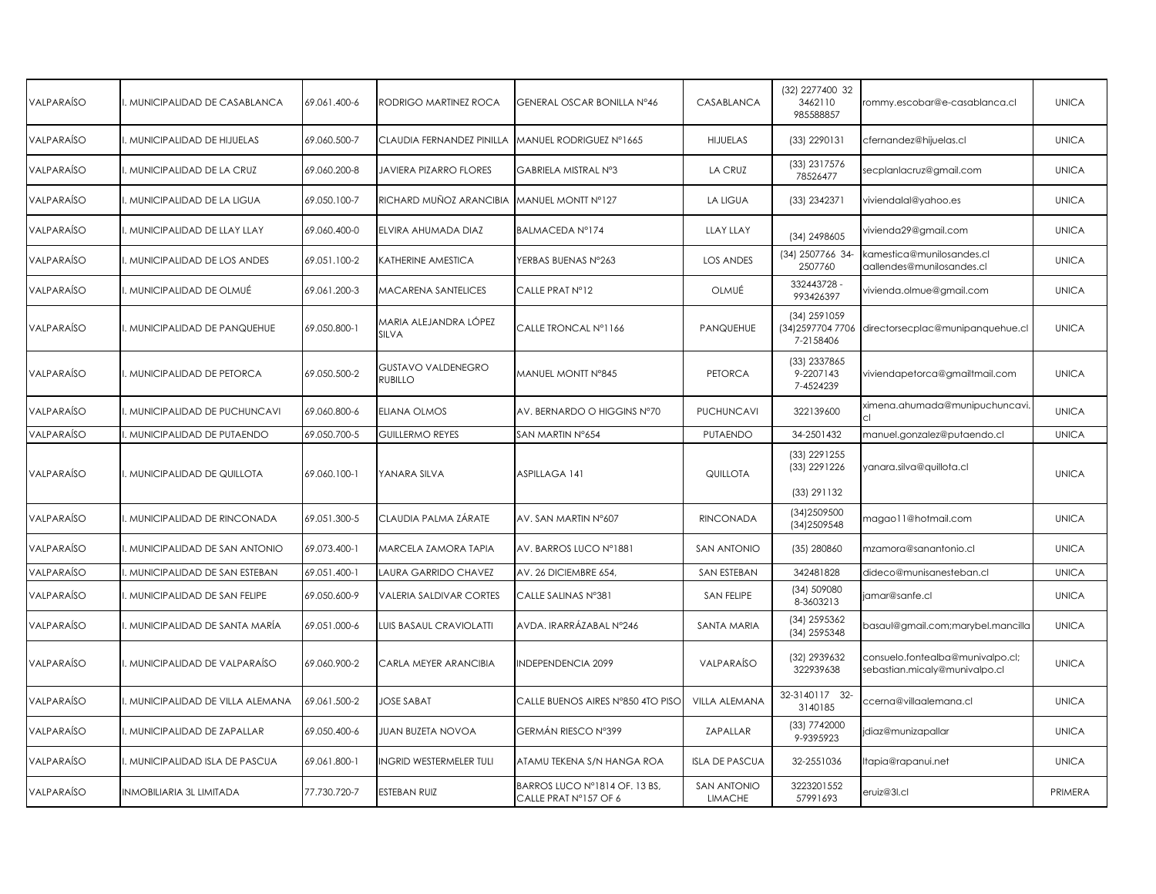| VALPARAÍSO        | MUNICIPALIDAD DE CASABLANCA     | 69.061.400-6 | RODRIGO MARTINEZ ROCA              | GENERAL OSCAR BONILLA Nº46                             | CASABLANCA                           | (32) 2277400 32<br>3462110<br>985588857        | rommy.escobar@e-casablanca.cl                                     | <b>UNICA</b> |
|-------------------|---------------------------------|--------------|------------------------------------|--------------------------------------------------------|--------------------------------------|------------------------------------------------|-------------------------------------------------------------------|--------------|
| VALPARAÍSO        | MUNICIPALIDAD DE HIJUELAS       | 69.060.500-7 | CLAUDIA FERNANDEZ PINILLA          | MANUEL RODRIGUEZ Nº1665                                | <b>HIJUELAS</b>                      | (33) 2290131                                   | cfernandez@hijuelas.cl                                            | <b>UNICA</b> |
| VALPARAÍSO        | . MUNICIPALIDAD DE LA CRUZ      | 69.060.200-8 | JAVIERA PIZARRO FLORES             | GABRIELA MISTRAL Nº3                                   | LA CRUZ                              | (33) 2317576<br>78526477                       | secplanlacruz@gmail.com                                           | <b>UNICA</b> |
| VALPARAÍSO        | . MUNICIPALIDAD DE LA LIGUA     | 69.050.100-7 | RICHARD MUÑOZ ARANCIBIA            | MANUEL MONTT Nº127                                     | <b>LA LIGUA</b>                      | (33) 2342371                                   | viviendalal@yahoo.es                                              | <b>UNICA</b> |
| VALPARAÍSO        | . MUNICIPALIDAD DE LLAY LLAY    | 69.060.400-0 | ELVIRA AHUMADA DIAZ                | BALMACEDA Nº174                                        | <b>LLAY LLAY</b>                     | (34) 2498605                                   | vivienda29@gmail.com                                              | <b>UNICA</b> |
| VALPARAÍSO        | . MUNICIPALIDAD DE LOS ANDES    | 69.051.100-2 | <b>CATHERINE AMESTICA</b>          | YERBAS BUENAS N°263                                    | <b>LOS ANDES</b>                     | (34) 2507766 34<br>2507760                     | camestica@munilosandes.cl<br>aallendes@munilosandes.cl            | <b>UNICA</b> |
| VALPARAÍSO        | . MUNICIPALIDAD DE OLMUÉ        | 69.061.200-3 | MACARENA SANTELICES                | CALLE PRAT N°12                                        | OLMUÉ                                | 332443728 -<br>993426397                       | vivienda.olmue@gmail.com                                          | <b>UNICA</b> |
| <b>VALPARAÍSO</b> | . MUNICIPALIDAD DE PANQUEHUE    | 69.050.800-1 | varia alejandra lópez<br>SILVA     | CALLE TRONCAL Nº1166                                   | PANQUEHUE                            | (34) 2591059<br>(34) 2597704 7706<br>7-2158406 | directorsecplac@munipanquehue.cl                                  | <b>UNICA</b> |
| VALPARAÍSO        | . MUNICIPALIDAD DE PETORCA      | 69.050.500-2 | GUSTAVO VALDENEGRO<br>RUBILLO      | MANUEL MONTT N°845                                     | <b>PETORCA</b>                       | (33) 2337865<br>9-2207143<br>7-4524239         | viviendapetorca@gmailtmail.com                                    | <b>UNICA</b> |
| VALPARAÍSO        | MUNICIPALIDAD DE PUCHUNCAVI     | 69.060.800-6 | ELIANA OLMOS                       | AV. BERNARDO O HIGGINS N°70                            | PUCHUNCAVI                           | 322139600                                      | ximena.ahumada@munipuchuncavi.                                    | <b>UNICA</b> |
| VALPARAÍSO        | . MUNICIPALIDAD DE PUTAENDO     | 69.050.700-5 | <b>GUILLERMO REYES</b>             | SAN MARTIN N°654                                       | PUTAENDO                             | 34-2501432                                     | manuel.gonzalez@putaendo.cl                                       | <b>UNICA</b> |
| VALPARAÍSO        | . MUNICIPALIDAD DE QUILLOTA     | 69.060.100-1 | YANARA SILVA                       | ASPILLAGA 141                                          | QUILLOTA                             | (33) 2291255<br>(33) 2291226<br>(33) 291132    | yanara.silva@quillota.cl                                          | <b>UNICA</b> |
|                   |                                 |              |                                    |                                                        |                                      |                                                |                                                                   |              |
| VALPARAÍSO        | . MUNICIPALIDAD DE RINCONADA    | 69.051.300-5 | CLAUDIA PALMA ZÁRATE               | AV. SAN MARTIN N°607                                   | <b>RINCONADA</b>                     | (34) 2509500<br>(34) 2509548                   | magao11@hotmail.com                                               | <b>UNICA</b> |
| VALPARAÍSO        | . MUNICIPALIDAD DE SAN ANTONIO  | 69.073.400-1 | <b><i>MARCELA ZAMORA TAPIA</i></b> | AV. BARROS LUCO Nº1881                                 | <b>SAN ANTONIO</b>                   | (35) 280860                                    | mzamora@sanantonio.cl                                             | <b>UNICA</b> |
| <b>VALPARAÍSO</b> | . MUNICIPALIDAD DE SAN ESTEBAN  | 69.051.400-1 | LAURA GARRIDO CHAVEZ               | AV. 26 DICIEMBRE 654,                                  | <b>SAN ESTEBAN</b>                   | 342481828                                      | dideco@munisanesteban.cl                                          | <b>UNICA</b> |
| VALPARAÍSO        | . MUNICIPALIDAD DE SAN FELIPE   | 69.050.600-9 | VALERIA SALDIVAR CORTES            | CALLE SALINAS N°381                                    | SAN FELIPE                           | (34) 509080<br>8-3603213                       | jamar@sanfe.cl                                                    | <b>UNICA</b> |
| VALPARAÍSO        | . MUNICIPALIDAD DE SANTA MARÍA  | 69.051.000-6 | UIS BASAUL CRAVIOLATTI             | AVDA. IRARRÁZABAL N°246                                | SANTA MARIA                          | (34) 2595362<br>(34) 2595348                   | basaul@gmail.com;marybel.mancilla                                 | <b>UNICA</b> |
| VALPARAÍSO        | . MUNICIPALIDAD DE VALPARAÍSO   | 69.060.900-2 | CARLA MEYER ARANCIBIA              | <b>INDEPENDENCIA 2099</b>                              | VALPARAÍSO                           | (32) 2939632<br>322939638                      | consuelo.fontealba@munivalpo.cl;<br>sebastian.micaly@munivalpo.cl | <b>UNICA</b> |
| VALPARAÍSO        | MUNICIPALIDAD DE VILLA ALEMANA  | 69.061.500-2 | <b>JOSE SABAT</b>                  | CALLE BUENOS AIRES N°850 4TO PISO                      | VILLA ALEMANA                        | 32-3140117 32-<br>3140185                      | ccerna@villaalemana.cl                                            | <b>UNICA</b> |
| VALPARAÍSO        | . MUNICIPALIDAD DE ZAPALLAR     | 69.050.400-6 | JUAN BUZETA NOVOA                  | GERMÁN RIESCO Nº399                                    | ZAPALLAR                             | (33) 7742000<br>9-9395923                      | jdiaz@munizapallar                                                | <b>UNICA</b> |
| VALPARAÍSO        | MUNICIPALIDAD ISLA DE PASCUA    | 69.061.800-1 | NGRID WESTERMELER TULI             | ATAMU TEKENA S/N HANGA ROA                             | <b>ISLA DE PASCUA</b>                | 32-2551036                                     | tapia@rapanui.net                                                 | <b>UNICA</b> |
| VALPARAÍSO        | <b>INMOBILIARIA 3L LIMITADA</b> | 77.730.720-7 | ESTEBAN RUIZ                       | BARROS LUCO Nº1814 OF. 13 BS,<br>CALLE PRAT Nº157 OF 6 | <b>SAN ANTONIO</b><br><b>LIMACHE</b> | 3223201552<br>57991693                         | eruiz@3l.cl                                                       | PRIMERA      |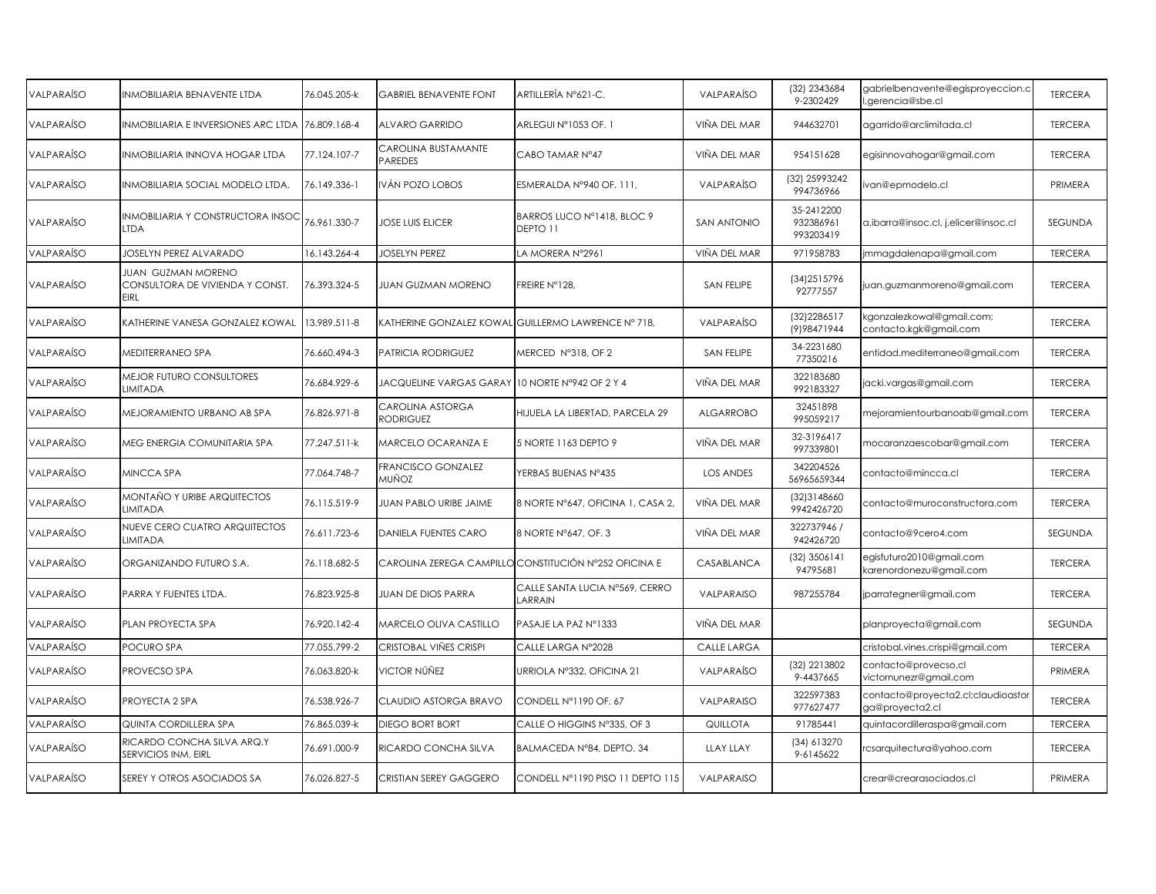| VALPARAÍSO        | INMOBILIARIA BENAVENTE LTDA                                          | 76.045.205-k | <b>GABRIEL BENAVENTE FONT</b>        | ARTILLERÍA Nº621-C,                                   | VALPARAÍSO         | (32) 2343684<br>9-2302429            | gabrielbenavente@egisproyeccion.c<br>gerencia@sbe.cl  | <b>TERCERA</b> |
|-------------------|----------------------------------------------------------------------|--------------|--------------------------------------|-------------------------------------------------------|--------------------|--------------------------------------|-------------------------------------------------------|----------------|
| <b>VALPARAÍSO</b> | INMOBILIARIA E INVERSIONES ARC LTDA                                  | 76.809.168-4 | <b>ALVARO GARRIDO</b>                | ARLEGUI N°1053 OF. 1                                  | VIÑA DEL MAR       | 944632701                            | agarrido@arclimitada.cl                               | <b>TERCERA</b> |
| VALPARAÍSO        | INMOBILIARIA INNOVA HOGAR LTDA                                       | 77.124.107-7 | CAROLINA BUSTAMANTE<br>PAREDES       | CABO TAMAR Nº47                                       | VIÑA DEL MAR       | 954151628                            | egisinnovahogar@gmail.com                             | <b>TERCERA</b> |
| <b>VALPARAÍSO</b> | INMOBILIARIA SOCIAL MODELO LTDA.                                     | 76.149.336-1 | VÁN POZO LOBOS                       | ESMERALDA Nº940 OF. 111,                              | VALPARAÍSO         | (32) 25993242<br>994736966           | van@epmodelo.cl                                       | PRIMERA        |
| VALPARAÍSO        | <b>INMOBILIARIA Y CONSTRUCTORA INSOC</b><br><b>LTDA</b>              | 76.961.330-7 | JOSE LUIS ELICER                     | BARROS LUCO Nº1418, BLOC 9<br>DEPTO 11                | <b>SAN ANTONIO</b> | 35-2412200<br>932386961<br>993203419 | a.ibarra@insoc.cl, j.elicer@insoc.cl                  | <b>SEGUNDA</b> |
| VALPARAÍSO        | <b>JOSELYN PEREZ ALVARADO</b>                                        | 16.143.264-4 | JOSELYN PEREZ                        | LA MORERA N°2961                                      | VIÑA DEL MAR       | 971958783                            | mmagdalenapa@gmail.com                                | <b>TERCERA</b> |
| VALPARAÍSO        | <b>JUAN GUZMAN MORENO</b><br>CONSULTORA DE VIVIENDA Y CONST.<br>EIRL | 76.393.324-5 | JUAN GUZMAN MORENO                   | FREIRE N°128,                                         | SAN FELIPE         | (34) 2515796<br>92777557             | juan.guzmanmoreno@gmail.com                           | <b>TERCERA</b> |
| <b>VALPARAÍSO</b> | KATHERINE VANESA GONZALEZ KOWAL                                      | 13.989.511-8 |                                      | KATHERINE GONZALEZ KOWAL GUILLERMO LAWRENCE Nº 718,   | VALPARAÍSO         | (32) 2286517<br>(9) 9847 1944        | :gonzalezkowal@gmail.com;<br>contacto.kgk@gmail.com   | <b>TERCERA</b> |
| VALPARAÍSO        | MEDITERRANEO SPA                                                     | 76.660.494-3 | PATRICIA RODRIGUEZ                   | MERCED N°318, OF 2                                    | SAN FELIPE         | 34-2231680<br>77350216               | entidad.mediterraneo@gmail.com                        | <b>TERCERA</b> |
| VALPARAÍSO        | MEJOR FUTURO CONSULTORES<br>LIMITADA                                 | 76.684.929-6 | JACQUELINE VARGAS GARAY              | 10 NORTE N°942 OF 2 Y 4                               | VIÑA DEL MAR       | 322183680<br>992183327               | jacki.vargas@gmail.com                                | <b>TERCERA</b> |
| VALPARAÍSO        | MEJORAMIENTO URBANO AB SPA                                           | 76.826.971-8 | CAROLINA ASTORGA<br><b>RODRIGUEZ</b> | HIJUELA LA LIBERTAD, PARCELA 29                       | <b>ALGARROBO</b>   | 32451898<br>995059217                | mejoramientourbanoab@gmail.com                        | <b>TERCERA</b> |
| VALPARAÍSO        | MEG ENERGIA COMUNITARIA SPA                                          | 77.247.511-k | <b>MARCELO OCARANZA E</b>            | 5 NORTE 1163 DEPTO 9                                  | VIÑA DEL MAR       | 32-3196417<br>997339801              | mocaranzaescobar@gmail.com                            | <b>TERCERA</b> |
| <b>VALPARAÍSO</b> | MINCCA SPA                                                           | 77.064.748-7 | FRANCISCO GONZALEZ<br>MUÑOZ          | YERBAS BUENAS N°435                                   | <b>LOS ANDES</b>   | 342204526<br>56965659344             | contacto@mincca.cl                                    | <b>TERCERA</b> |
| VALPARAÍSO        | MONTAÑO Y URIBE ARQUITECTOS<br><b>LIMITADA</b>                       | 76.115.519-9 | JUAN PABLO URIBE JAIME               | 8 NORTE N°647, OFICINA 1, CASA 2,                     | VIÑA DEL MAR       | (32) 3148660<br>9942426720           | contacto@muroconstructora.com                         | <b>TERCERA</b> |
| VALPARAÍSO        | NUEVE CERO CUATRO ARQUITECTOS<br>LIMITADA                            | 76.611.723-6 | DANIELA FUENTES CARO                 | 8 NORTE N°647, OF. 3                                  | VIÑA DEL MAR       | 322737946 /<br>942426720             | contacto@9cero4.com                                   | SEGUNDA        |
| VALPARAÍSO        | ORGANIZANDO FUTURO S.A.                                              | 76.118.682-5 |                                      | CAROLINA ZEREGA CAMPILLO CONSTITUCIÓN Nº252 OFICINA E | CASABLANCA         | $(32)$ 3506141<br>94795681           | egisfuturo2010@gmail.com<br>karenordonezu@gmail.com   | <b>TERCERA</b> |
| VALPARAÍSO        | PARRA Y FUENTES LTDA.                                                | 76.823.925-8 | JUAN DE DIOS PARRA                   | CALLE SANTA LUCIA N°569, CERRO<br>LARRAIN             | VALPARAISO         | 987255784                            | jparrategner@gmail.com                                | <b>TERCERA</b> |
| <b>VALPARAÍSO</b> | PLAN PROYECTA SPA                                                    | 76.920.142-4 | MARCELO OLIVA CASTILLO               | PASAJE LA PAZ Nº1333                                  | VIÑA DEL MAR       |                                      | planproyecta@gmail.com                                | <b>SEGUNDA</b> |
| VALPARAÍSO        | POCURO SPA                                                           | 77.055.799-2 | CRISTOBAL VIÑES CRISPI               | CALLE LARGA N°2028                                    | CALLE LARGA        |                                      | cristobal.vines.crispi@gmail.com                      | <b>TERCERA</b> |
| VALPARAÍSO        | PROVECSO SPA                                                         | 76.063.820-k | VICTOR NÚÑEZ                         | URRIOLA Nº332, OFICINA 21                             | VALPARAÍSO         | (32) 2213802<br>9-4437665            | contacto@provecso.cl<br>victornunezr@gmail.com        | PRIMERA        |
| VALPARAÍSO        | PROYECTA 2 SPA                                                       | 76.538.926-7 | CLAUDIO ASTORGA BRAVO                | CONDELL Nº1190 OF. 67                                 | VALPARAISO         | 322597383<br>977627477               | contacto@proyecta2.cl;claudioastor<br>ga@proyecta2.cl | <b>TERCERA</b> |
| VALPARAÍSO        | QUINTA CORDILLERA SPA                                                | 76.865.039-k | DIEGO BORT BORT                      | CALLE O HIGGINS N°335, OF 3                           | <b>QUILLOTA</b>    | 91785441                             | quintacordilleraspa@gmail.com                         | <b>TERCERA</b> |
| VALPARAÍSO        | RICARDO CONCHA SILVA ARQ.Y<br>SERVICIOS INM. EIRL                    | 76.691.000-9 | RICARDO CONCHA SILVA                 | BALMACEDA Nº84, DEPTO. 34                             | <b>LLAY LLAY</b>   | (34) 613270<br>9-6145622             | csarquitectura@yahoo.com                              | <b>TERCERA</b> |
| VALPARAÍSO        | SEREY Y OTROS ASOCIADOS SA                                           | 76.026.827-5 | CRISTIAN SEREY GAGGERO               | CONDELL Nº1190 PISO 11 DEPTO 115                      | VALPARAISO         |                                      | crear@crearasociados.cl                               | PRIMERA        |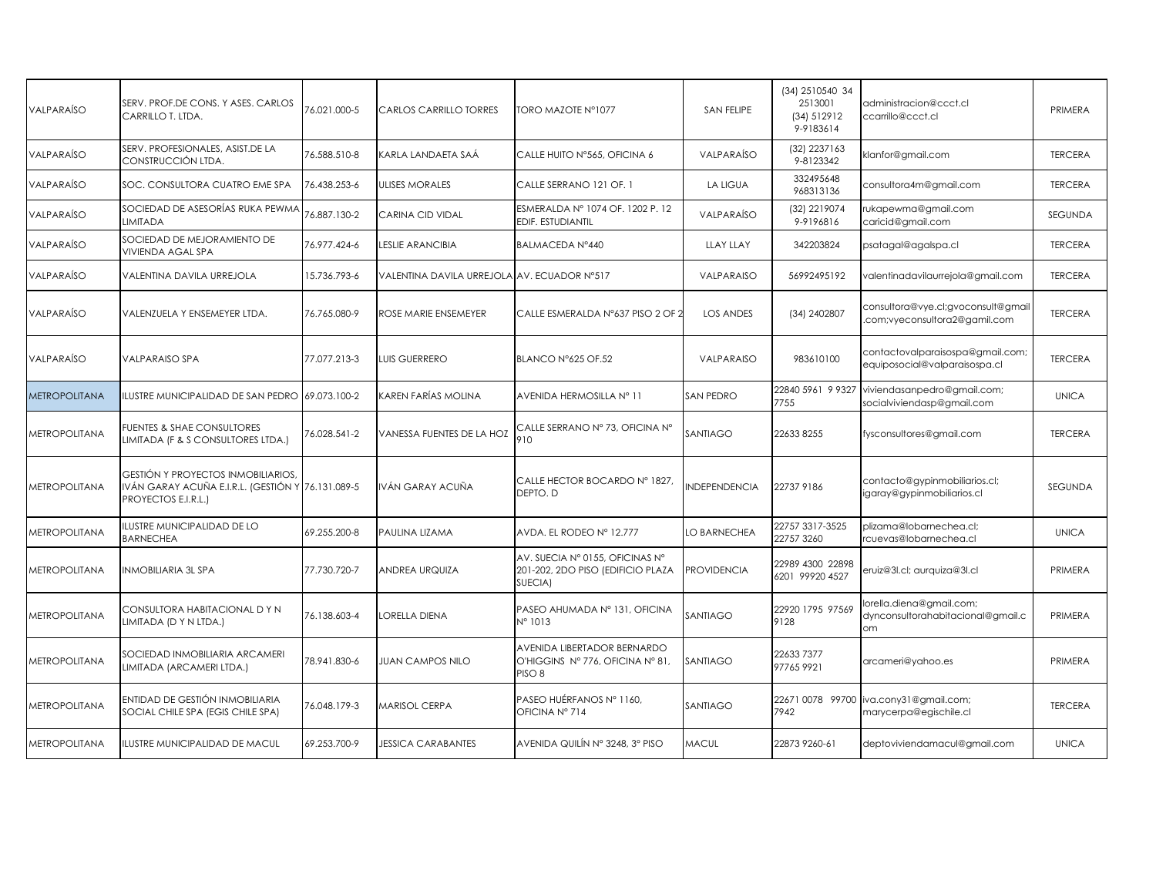| SERV. PROF.DE CONS. Y ASES. CARLOS<br>CARRILLO T. LTDA.                     | 76.021.000-5 | CARLOS CARRILLO TORRES                                            | TORO MAZOTE N°1077                                                                   | <b>SAN FELIPE</b>                           | (34) 2510540 34<br>2513001<br>(34) 512912<br>9-9183614 | administracion@ccct.cl<br>ccarrillo@ccct.cl                        | PRIMERA                                  |
|-----------------------------------------------------------------------------|--------------|-------------------------------------------------------------------|--------------------------------------------------------------------------------------|---------------------------------------------|--------------------------------------------------------|--------------------------------------------------------------------|------------------------------------------|
| SERV. PROFESIONALES, ASIST.DE LA<br>CONSTRUCCIÓN LTDA.                      | 76.588.510-8 | KARLA LANDAETA SAÁ                                                | CALLE HUITO N°565, OFICINA 6                                                         | VALPARAÍSO                                  | (32) 2237163<br>9-8123342                              | klanfor@gmail.com                                                  | <b>TERCERA</b>                           |
| SOC. CONSULTORA CUATRO EME SPA                                              | 76.438.253-6 | <b>ULISES MORALES</b>                                             | CALLE SERRANO 121 OF. 1                                                              | <b>LA LIGUA</b>                             | 332495648<br>968313136                                 | consultora4m@gmail.com                                             | <b>TERCERA</b>                           |
| SOCIEDAD DE ASESORÍAS RUKA PEWMA<br>LIMITADA                                | 76.887.130-2 | CARINA CID VIDAL                                                  | ESMERALDA Nº 1074 OF. 1202 P. 12<br>EDIF. ESTUDIANTIL                                | VALPARAÍSO                                  | (32) 2219074<br>9-9196816                              | rukapewma@gmail.com<br>caricid@gmail.com                           | SEGUNDA                                  |
| SOCIEDAD DE MEJORAMIENTO DE<br>VIVIENDA AGAL SPA                            | 76.977.424-6 | <b>ESLIE ARANCIBIA</b>                                            | BALMACEDA Nº440                                                                      | <b>LLAY LLAY</b>                            | 342203824                                              | psatagal@agalspa.cl                                                | <b>TERCERA</b>                           |
| VALENTINA DAVILA URREJOLA                                                   | 15.736.793-6 |                                                                   |                                                                                      | VALPARAISO                                  | 56992495192                                            | valentinadavilaurrejola@gmail.com                                  | <b>TERCERA</b>                           |
| VALENZUELA Y ENSEMEYER LTDA.                                                | 76.765.080-9 | ROSE MARIE ENSEMEYER                                              |                                                                                      | <b>LOS ANDES</b>                            | (34) 2402807                                           | consultora@vye.cl;gvoconsult@gmail<br>com;vyeconsultora2@gamil.com | <b>TERCERA</b>                           |
| VALPARAISO SPA                                                              | 77.077.213-3 | <b>LUIS GUERRERO</b>                                              | BLANCO N°625 OF.52                                                                   | VALPARAISO                                  | 983610100                                              | contactovalparaisospa@gmail.com;<br>equiposocial@valparaisospa.cl  | <b>TERCERA</b>                           |
| ILUSTRE MUNICIPALIDAD DE SAN PEDRO                                          |              | KAREN FARÍAS MOLINA                                               | AVENIDA HERMOSILLA Nº 11                                                             | SAN PEDRO                                   | 22840 5961 9 9327<br>7755                              | viviendasanpedro@gmail.com;<br>socialviviendasp@gmail.com          | <b>UNICA</b>                             |
| <b>FUENTES &amp; SHAE CONSULTORES</b><br>LIMITADA (F & S CONSULTORES LTDA.) | 76.028.541-2 | VANESSA FUENTES DE LA HOZ                                         | CALLE SERRANO Nº 73, OFICINA Nº<br>910                                               | SANTIAGO                                    | 226338255                                              | fysconsultores@gmail.com                                           | <b>TERCERA</b>                           |
| <b>GESTIÓN Y PROYECTOS INMOBILIARIOS,</b><br>PROYECTOS E.I.R.L.)            |              | VÁN GARAY ACUÑA                                                   | CALLE HECTOR BOCARDO Nº 1827,<br>DEPTO. D                                            | <b>INDEPENDENCIA</b>                        | 22737 9186                                             | contacto@gypinmobiliarios.cl;<br>igaray@gypinmobiliarios.cl        | <b>SEGUNDA</b>                           |
| <b>ILUSTRE MUNICIPALIDAD DE LO</b><br><b>BARNECHEA</b>                      | 69.255.200-8 | PAULINA LIZAMA                                                    | AVDA. EL RODEO Nº 12.777                                                             | LO BARNECHEA                                | 22757 3317-3525<br>22757 3260                          | plizama@lobarnechea.cl;<br>rcuevas@lobarnechea.cl                  | <b>UNICA</b>                             |
| INMOBILIARIA 3L SPA                                                         | 77.730.720-7 | ANDREA URQUIZA                                                    | AV. SUECIA Nº 0155, OFICINAS Nº<br>201-202, 2DO PISO (EDIFICIO PLAZA<br>SUECIA)      | <b>PROVIDENCIA</b>                          | 22989 4300 22898<br>6201 99920 4527                    | eruiz@3l.cl; aurquiza@3l.cl                                        | PRIMERA                                  |
| CONSULTORA HABITACIONAL DYN<br>LIMITADA (D Y N LTDA.)                       | 76.138.603-4 | ORELLA DIENA                                                      | PASEO AHUMADA Nº 131, OFICINA<br>N° 1013                                             | SANTIAGO                                    | 22920 1795 97569<br>9128                               | orella.diena@gmail.com;<br>dynconsultorahabitacional@gmail.c<br>om | PRIMERA                                  |
| SOCIEDAD INMOBILIARIA ARCAMERI<br>LIMITADA (ARCAMERI LTDA.)                 | 78.941.830-6 | <b>JUAN CAMPOS NILO</b>                                           | AVENIDA LIBERTADOR BERNARDO<br>O'HIGGINS Nº 776, OFICINA Nº 81,<br>PISO <sub>8</sub> | SANTIAGO                                    | 22633 7377<br>977659921                                | arcameri@yahoo.es                                                  | PRIMERA                                  |
| ENTIDAD DE GESTIÓN INMOBILIARIA<br>SOCIAL CHILE SPA (EGIS CHILE SPA)        | 76.048.179-3 | <b>MARISOL CERPA</b>                                              | PASEO HUÉRFANOS Nº 1160.<br>OFICINA Nº 714                                           | SANTIAGO                                    | 7942                                                   | marycerpa@egischile.cl                                             | <b>TERCERA</b>                           |
| ILUSTRE MUNICIPALIDAD DE MACUL                                              | 69.253.700-9 | <b>JESSICA CARABANTES</b>                                         | AVENIDA QUILÍN Nº 3248, 3º PISO                                                      | MACUL                                       | 22873 9260-61                                          | deptoviviendamacul@gmail.com                                       | <b>UNICA</b>                             |
|                                                                             |              | 69.073.100-2<br>IVÁN GARAY ACUÑA E.I.R.L. (GESTIÓN Y 76.131.089-5 |                                                                                      | VALENTINA DAVILA URREJOLA AV. ECUADOR N°517 | CALLE ESMERALDA N°637 PISO 2 OF 2                      |                                                                    | 22671 0078 99700   iva.cony31@gmail.com; |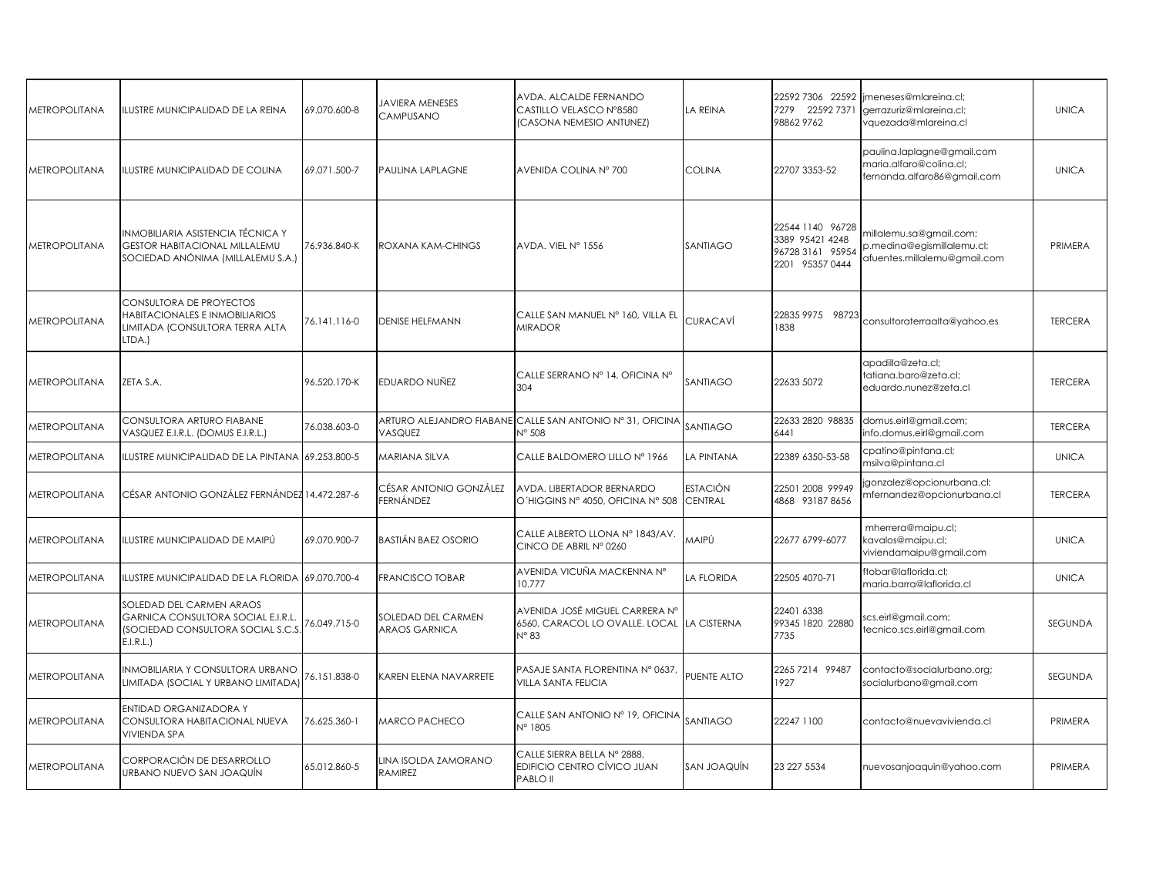| METROPOLITANA        | ILUSTRE MUNICIPALIDAD DE LA REINA                                                                              | 69.070.600-8 | <b>JAVIERA MENESES</b><br>CAMPUSANO               | AVDA. ALCALDE FERNANDO<br>CASTILLO VELASCO N°8580<br>(CASONA NEMESIO ANTUNEZ)      | LA REINA                   | 7279 22592 7371<br>98862 9762                                              | 22592 7306 22592   imeneses@mlareina.cl;<br>gerrazuriz@mlareina.cl;<br>vquezada@mlareina.cl | <b>UNICA</b>   |
|----------------------|----------------------------------------------------------------------------------------------------------------|--------------|---------------------------------------------------|------------------------------------------------------------------------------------|----------------------------|----------------------------------------------------------------------------|---------------------------------------------------------------------------------------------|----------------|
| <b>METROPOLITANA</b> | ILUSTRE MUNICIPALIDAD DE COLINA                                                                                | 69.071.500-7 | <b>PAULINA LAPLAGNE</b>                           | AVENIDA COLINA Nº 700                                                              | <b>COLINA</b>              | 22707 3353-52                                                              | paulina.laplagne@gmail.com<br>maria.alfaro@colina.cl;<br>fernanda.alfaro86@gmail.com        | <b>UNICA</b>   |
| <b>METROPOLITANA</b> | INMOBILIARIA ASISTENCIA TÉCNICA Y<br><b>GESTOR HABITACIONAL MILLALEMU</b><br>SOCIEDAD ANÓNIMA (MILLALEMU S.A.) | 76.936.840-K | <b>ROXANA KAM-CHINGS</b>                          | AVDA. VIEL Nº 1556                                                                 | SANTIAGO                   | 22544 1140 96728<br>3389 95421 4248<br>96728 3161 95954<br>2201 95357 0444 | millalemu.sa@gmail.com;<br>p.medina@egismillalemu.cl;<br>afuentes.millalemu@gmail.com       | PRIMERA        |
| <b>METROPOLITANA</b> | CONSULTORA DE PROYECTOS<br>HABITACIONALES E INMOBILIARIOS<br>LIMITADA (CONSULTORA TERRA ALTA<br>LTDA.)         | 76.141.116-0 | <b>DENISE HELFMANN</b>                            | CALLE SAN MANUEL Nº 160, VILLA EL<br><b>MIRADOR</b>                                | CURACAVÍ                   | 22835 9975 98723<br>1838                                                   | consultoraterraalta@yahoo.es                                                                | <b>TERCERA</b> |
| METROPOLITANA        | ZETA S.A.                                                                                                      | 96.520.170-K | <b>EDUARDO NUÑEZ</b>                              | CALLE SERRANO Nº 14, OFICINA Nº<br>304                                             | SANTIAGO                   | 22633 5072                                                                 | apadilla@zeta.cl;<br>tatiana.baro@zeta.cl;<br>eduardo.nunez@zeta.cl                         | <b>TERCERA</b> |
| METROPOLITANA        | CONSULTORA ARTURO FIABANE<br>VASQUEZ E.I.R.L. (DOMUS E.I.R.L.)                                                 | 76.038.603-0 | VASQUEZ                                           | ARTURO ALEJANDRO FIABANE CALLE SAN ANTONIO Nº 31, OFICINA<br>$N^{\circ}$ 508       | SANTIAGO                   | 22633 2820 98835<br>6441                                                   | domus.eirl@gmail.com;<br>info.domus.eirl@gmail.com                                          | <b>TERCERA</b> |
| METROPOLITANA        | ILUSTRE MUNICIPALIDAD DE LA PINTANA 69.253.800-5                                                               |              | MARIANA SILVA                                     | CALLE BALDOMERO LILLO Nº 1966                                                      | LA PINTANA                 | 22389 6350-53-58                                                           | cpatino@pintana.cl;<br>msilva@pintana.cl                                                    | <b>UNICA</b>   |
| <b>METROPOLITANA</b> | CÉSAR ANTONIO GONZÁLEZ FERNÁNDEZ 14.472.287-6                                                                  |              | CÉSAR ANTONIO GONZÁLEZ<br>FERNÁNDEZ               | AVDA. LIBERTADOR BERNARDO<br>O'HIGGINS Nº 4050, OFICINA Nº 508                     | ESTACIÓN<br><b>CENTRAL</b> | 22501 2008 99949<br>4868 931878656                                         | gonzalez@opcionurbana.cl;<br>mfernandez@opcionurbana.cl                                     | <b>TERCERA</b> |
| <b>METROPOLITANA</b> | ILUSTRE MUNICIPALIDAD DE MAIPÚ                                                                                 | 69.070.900-7 | <b>BASTIÁN BAEZ OSORIO</b>                        | CALLE ALBERTO LLONA Nº 1843/AV.<br>CINCO DE ABRIL Nº 0260                          | MAIPÚ                      | 22677 6799-6077                                                            | mherrera@maipu.cl;<br>kavalos@maipu.cl;<br>viviendamaipu@gmail.com                          | <b>UNICA</b>   |
| <b>METROPOLITANA</b> | ILUSTRE MUNICIPALIDAD DE LA FLORIDA                                                                            | 69.070.700-4 | <b>FRANCISCO TOBAR</b>                            | AVENIDA VICUÑA MACKENNA Nº<br>10.777                                               | LA FLORIDA                 | 22505 4070-71                                                              | ftobar@laflorida.cl;<br>maria.barra@laflorida.cl                                            | <b>UNICA</b>   |
| <b>METROPOLITANA</b> | SOLEDAD DEL CARMEN ARAOS<br>GARNICA CONSULTORA SOCIAL E.I.R.L.<br>SOCIEDAD CONSULTORA SOCIAL S.C.S<br>E.I.R.L. | 6.049.715-0  | <b>SOLEDAD DEL CARMEN</b><br><b>ARAOS GARNICA</b> | AVENIDA JOSÉ MIGUEL CARRERA N°<br>6560, CARACOL LO OVALLE, LOCAL<br>$N^{\circ}$ 83 | <b>LA CISTERNA</b>         | 22401 6338<br>99345 1820 22880<br>7735                                     | scs.eirl@gmail.com;<br>tecnico.scs.eirl@gmail.com                                           | SEGUNDA        |
| METROPOLITANA        | INMOBILIARIA Y CONSULTORA URBANO<br>LIMITADA (SOCIAL Y URBANO LIMITADA)                                        | 6.151.838-0  | KAREN ELENA NAVARRETE                             | PASAJE SANTA FLORENTINA Nº 0637,<br><b>VILLA SANTA FELICIA</b>                     | PUENTE ALTO                | 2265 7214 99487<br>1927                                                    | contacto@socialurbano.org;<br>socialurbano@gmail.com                                        | SEGUNDA        |
| <b>METROPOLITANA</b> | ENTIDAD ORGANIZADORA Y<br>CONSULTORA HABITACIONAL NUEVA<br><b>VIVIENDA SPA</b>                                 | 76.625.360-1 | MARCO PACHECO                                     | CALLE SAN ANTONIO Nº 19, OFICINA<br>N° 1805                                        | SANTIAGO                   | 22247 1100                                                                 | contacto@nuevavivienda.cl                                                                   | PRIMERA        |
| METROPOLITANA        | CORPORACIÓN DE DESARROLLO<br>URBANO NUEVO SAN JOAQUÍN                                                          | 65.012.860-5 | LINA ISOLDA ZAMORANO<br><b>RAMIREZ</b>            | CALLE SIERRA BELLA Nº 2888,<br>EDIFICIO CENTRO CÍVICO JUAN<br>PABLO II             | SAN JOAQUÍN                | 23 227 5534                                                                | nuevosanjoaquin@yahoo.com                                                                   | PRIMERA        |
|                      |                                                                                                                |              |                                                   |                                                                                    |                            |                                                                            |                                                                                             |                |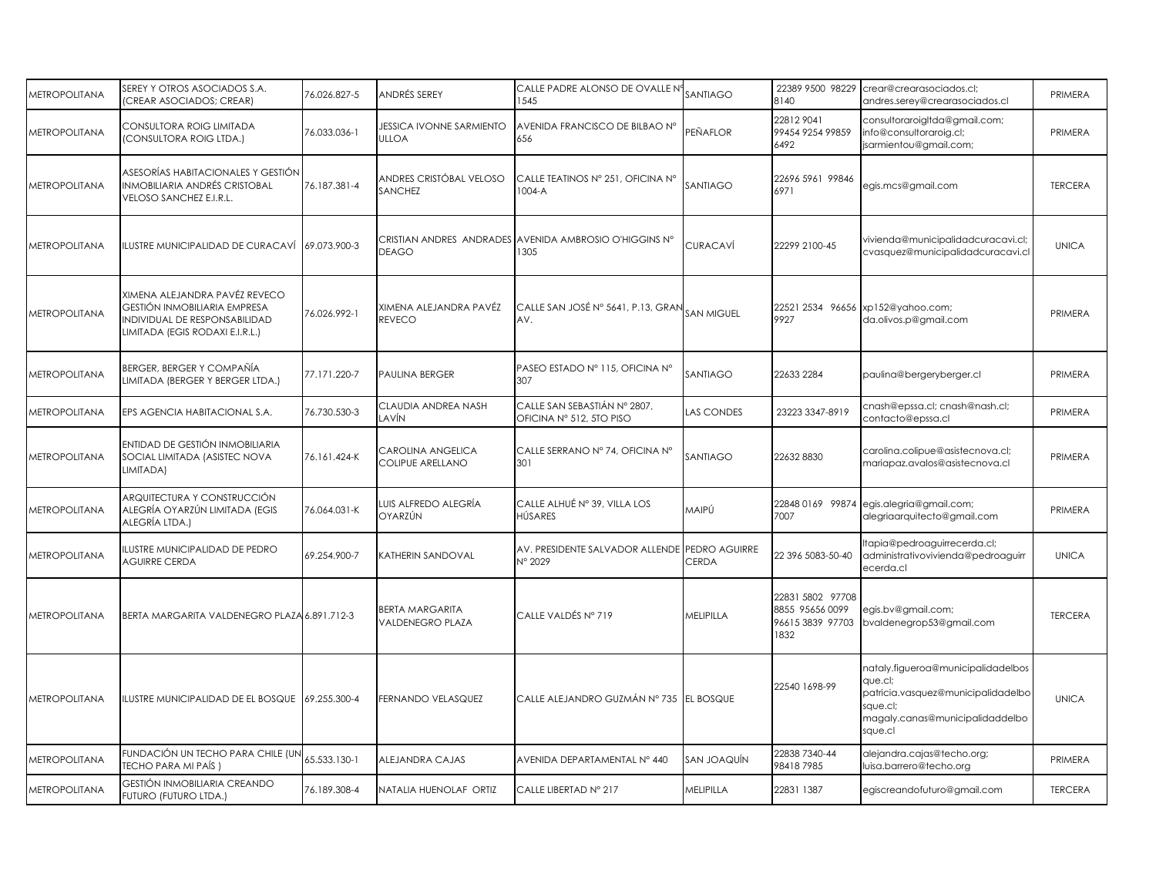| <b>METROPOLITANA</b> | SEREY Y OTROS ASOCIADOS S.A.<br>CREAR ASOCIADOS; CREAR)                                                                           | 76.026.827-5 | ANDRÉS SEREY                               | CALLE PADRE ALONSO DE OVALLE Nº<br>1545                  | SANTIAGO    | 8140                                                            | 22389 9500 98229 crear@crearasociados.cl;<br>andres.serey@crearasociados.cl                                                                   | PRIMERA        |
|----------------------|-----------------------------------------------------------------------------------------------------------------------------------|--------------|--------------------------------------------|----------------------------------------------------------|-------------|-----------------------------------------------------------------|-----------------------------------------------------------------------------------------------------------------------------------------------|----------------|
| <b>METROPOLITANA</b> | CONSULTORA ROIG LIMITADA<br>CONSULTORA ROIG LTDA.)                                                                                | 76.033.036-1 | <b>JESSICA IVONNE SARMIENTO</b><br>ULLOA   | AVENIDA FRANCISCO DE BILBAO Nº<br>656                    | PEÑAFLOR    | 228129041<br>99454 9254 99859<br>6492                           | consultoraroigitda@gmail.com;<br>info@consultoraroig.cl;<br>jsarmientou@gmail.com;                                                            | PRIMERA        |
| METROPOLITANA        | ASESORÍAS HABITACIONALES Y GESTIÓN<br>INMOBILIARIA ANDRÉS CRISTOBAL<br>VELOSO SANCHEZ E.I.R.L.                                    | 76.187.381-4 | ANDRES CRISTÓBAL VELOSO<br>SANCHEZ         | CALLE TEATINOS Nº 251, OFICINA Nº<br>$1004 - A$          | SANTIAGO    | 22696 5961 99846<br>6971                                        | egis.mcs@gmail.com                                                                                                                            | <b>TERCERA</b> |
| <b>METROPOLITANA</b> | ILUSTRE MUNICIPALIDAD DE CURACAVÍ                                                                                                 | 69.073.900-3 | CRISTIAN ANDRES ANDRADES<br>DEAGO          | AVENIDA AMBROSIO O'HIGGINS N°<br>305                     | CURACAVÍ    | 22299 2100-45                                                   | vivienda@municipalidadcuracavi.cl;<br>cvasquez@municipalidadcuracavi.cl                                                                       | <b>UNICA</b>   |
| METROPOLITANA        | XIMENA ALEJANDRA PAVÉZ REVECO<br>GESTIÓN INMOBILIARIA EMPRESA<br>INDIVIDUAL DE RESPONSABILIDAD<br>LIMITADA (EGIS RODAXI E.I.R.L.) | 76.026.992-1 | XIMENA ALEJANDRA PAVÉZ<br>REVECO           | CALLE SAN JOSÉ N° 5641, P.13, GRAN SAN MIGUEL<br>AV.     |             | 9927                                                            | 22521 2534 96656 xp152@yahoo.com;<br>da.olivos.p@gmail.com                                                                                    | PRIMERA        |
| METROPOLITANA        | BERGER, BERGER Y COMPAÑÍA<br>LIMITADA (BERGER Y BERGER LTDA.)                                                                     | 77.171.220-7 | PAULINA BERGER                             | PASEO ESTADO Nº 115, OFICINA Nº<br>307                   | SANTIAGO    | 22633 2284                                                      | paulina@bergeryberger.cl                                                                                                                      | PRIMERA        |
| <b>METROPOLITANA</b> | EPS AGENCIA HABITACIONAL S.A.                                                                                                     | 76.730.530-3 | CLAUDIA ANDREA NASH<br>LAVÍN               | CALLE SAN SEBASTIÁN Nº 2807,<br>OFICINA Nº 512, 5TO PISO | LAS CONDES  | 23223 3347-8919                                                 | cnash@epssa.cl; cnash@nash.cl;<br>contacto@epssa.cl                                                                                           | PRIMERA        |
| <b>METROPOLITANA</b> | ENTIDAD DE GESTIÓN INMOBILIARIA<br>SOCIAL LIMITADA (ASISTEC NOVA<br>LIMITADA)                                                     | 76.161.424-K | CAROLINA ANGELICA<br>COLIPUE ARELLANO      | CALLE SERRANO Nº 74, OFICINA Nº<br>301                   | SANTIAGO    | 22632 8830                                                      | carolina.colipue@asistecnova.cl;<br>mariapaz.avalos@asistecnova.cl                                                                            | PRIMERA        |
| METROPOLITANA        | ARQUITECTURA Y CONSTRUCCIÓN<br>ALEGRÍA OYARZÚN LIMITADA (EGIS<br>ALEGRÍA LTDA.)                                                   | 76.064.031-K | UIS ALFREDO ALEGRÍA<br>OYARZÚN             | CALLE ALHUÉ Nº 39, VILLA LOS<br>HÚSARES                  | MAIPÚ       | 22848 0169 99874<br>7007                                        | egis.alegria@gmail.com;<br>alegriaarquitecto@gmail.com                                                                                        | PRIMERA        |
| <b>METROPOLITANA</b> | <b>LUSTRE MUNICIPALIDAD DE PEDRO</b><br>AGUIRRE CERDA                                                                             | 69.254.900-7 | KATHERIN SANDOVAL                          | AV. PRESIDENTE SALVADOR ALLENDE PEDRO AGUIRRE<br>N° 2029 | CERDA       | 22 396 5083-50-40                                               | tapia@pedroaguirrecerda.cl;<br>administrativovivienda@pedroaguirr<br>ecerda.cl                                                                | <b>UNICA</b>   |
| <b>METROPOLITANA</b> | BERTA MARGARITA VALDENEGRO PLAZA 6.891.712-3                                                                                      |              | <b>BERTA MARGARITA</b><br>VALDENEGRO PLAZA | CALLE VALDÉS Nº 719                                      | MELIPILLA   | 22831 5802 97708<br>8855 95656 0099<br>96615 3839 97703<br>1832 | egis.bv@gmail.com;<br>bvaldenegrop53@gmail.com                                                                                                | <b>TERCERA</b> |
| <b>METROPOLITANA</b> | ILUSTRE MUNICIPALIDAD DE EL BOSQUE                                                                                                | 69.255.300-4 | FERNANDO VELASQUEZ                         | CALLE ALEJANDRO GUZMÁN Nº 735 EL BOSQUE                  |             | 22540 1698-99                                                   | nataly.figueroa@municipalidadelbos<br>que.cl;<br>patricia.vasquez@municipalidadelbo<br>sque.cl;<br>magaly.canas@municipalidaddelbo<br>sque.cl | <b>UNICA</b>   |
| <b>METROPOLITANA</b> | FUNDACIÓN UN TECHO PARA CHILE (UN<br><b>TECHO PARA MI PAÍS)</b>                                                                   | 65.533.130-1 | ALEJANDRA CAJAS                            | AVENIDA DEPARTAMENTAL Nº 440                             | SAN JOAQUÍN | 22838 7340-44<br>984187985                                      | alejandra.cajas@techo.org;<br>luisa.barrero@techo.org                                                                                         | PRIMERA        |
| METROPOLITANA        | GESTIÓN INMOBILIARIA CREANDO<br>FUTURO (FUTURO LTDA.)                                                                             | 76.189.308-4 | NATALIA HUENOLAF ORTIZ                     | CALLE LIBERTAD Nº 217                                    | MELIPILLA   | 22831 1387                                                      | egiscreandofuturo@gmail.com                                                                                                                   | <b>TERCERA</b> |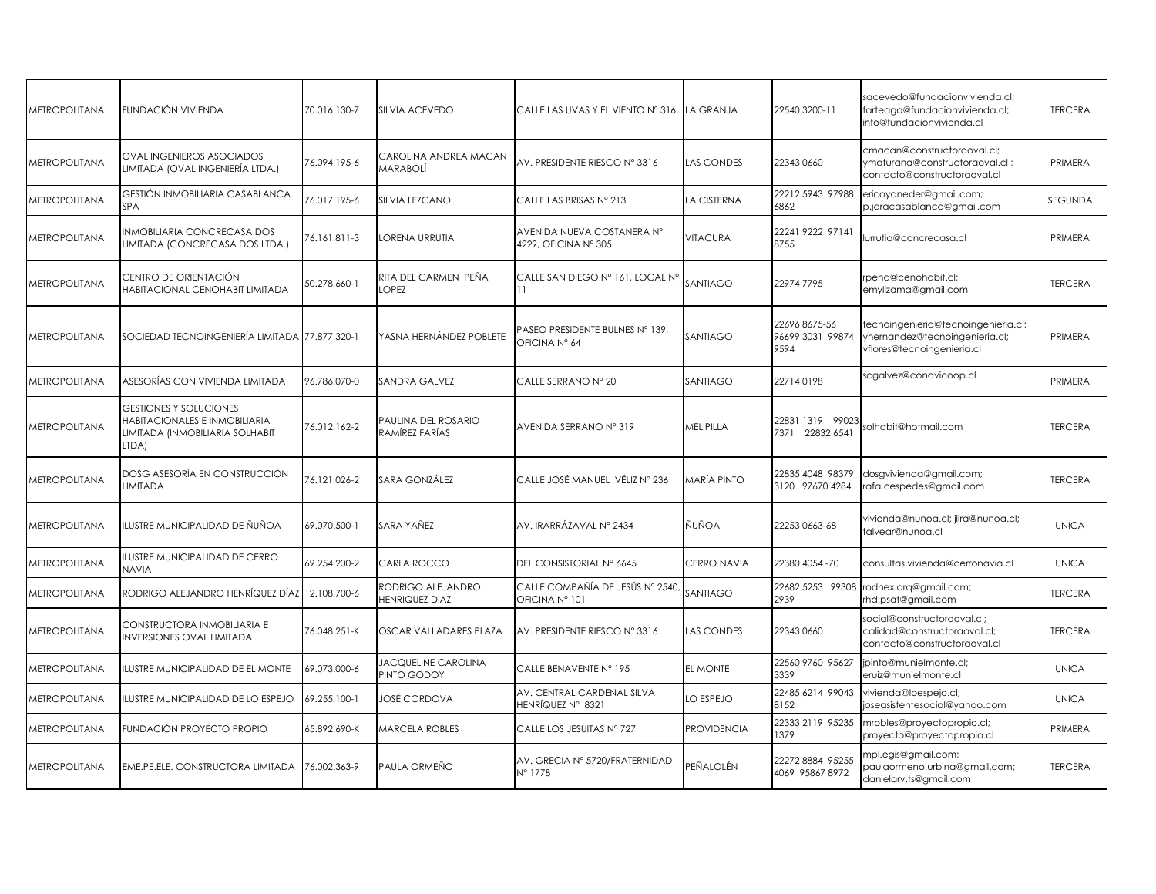| <b>METROPOLITANA</b> | FUNDACIÓN VIVIENDA                                                                                         | 70.016.130-7 | SILVIA ACEVEDO                               | CALLE LAS UVAS Y EL VIENTO Nº 316                  | <b>LA GRANJA</b>   | 22540 3200-11                             | sacevedo@fundacionvivienda.cl;<br>farteaga@fundacionvivienda.cl;<br>info@fundacionvivienda.cl       | <b>TERCERA</b> |
|----------------------|------------------------------------------------------------------------------------------------------------|--------------|----------------------------------------------|----------------------------------------------------|--------------------|-------------------------------------------|-----------------------------------------------------------------------------------------------------|----------------|
| <b>METROPOLITANA</b> | <b>OVAL INGENIEROS ASOCIADOS</b><br>LIMITADA (OVAL INGENIERÍA LTDA.)                                       | 76.094.195-6 | CAROLINA ANDREA MACAN<br>MARABOLÍ            | AV. PRESIDENTE RIESCO Nº 3316                      | LAS CONDES         | 22343 0660                                | cmacan@constructoraoval.cl;<br>ymaturana@constructoraoval.cl;<br>contacto@constructoraoval.cl       | PRIMERA        |
| <b>METROPOLITANA</b> | GESTIÓN INMOBILIARIA CASABLANCA<br>SPA                                                                     | 76.017.195-6 | SILVIA LEZCANO                               | CALLE LAS BRISAS Nº 213                            | LA CISTERNA        | 22212 5943 97988<br>6862                  | ericoyaneder@gmail.com;<br>p.jaracasablanca@gmail.com                                               | SEGUNDA        |
| <b>METROPOLITANA</b> | NMOBILIARIA CONCRECASA DOS<br>LIMITADA (CONCRECASA DOS LTDA.)                                              | 76.161.811-3 | LORENA URRUTIA                               | AVENIDA NUEVA COSTANERA Nº<br>4229, OFICINA Nº 305 | VITACURA           | 22241 9222 97141<br>8755                  | lurrutia@concrecasa.cl                                                                              | PRIMERA        |
| METROPOLITANA        | CENTRO DE ORIENTACIÓN<br>HABITACIONAL CENOHABIT LIMITADA                                                   | 50.278.660-1 | RITA DEL CARMEN PEÑA<br>LOPEZ                | CALLE SAN DIEGO Nº 161, LOCAL Nº<br>11             | SANTIAGO           | 229747795                                 | rpena@cenohabit.cl;<br>emylizama@gmail.com                                                          | <b>TERCERA</b> |
| <b>METROPOLITANA</b> | SOCIEDAD TECNOINGENIERÍA LIMITADA 77.877.320-1                                                             |              | YASNA HERNÁNDEZ POBLETE                      | PASEO PRESIDENTE BULNES Nº 139.<br>OFICINA Nº 64   | SANTIAGO           | 22696 8675-56<br>96699 3031 99874<br>9594 | tecnoingenieria@tecnoingenieria.cl;<br>yhernandez@tecnoingenieria.cl;<br>vflores@tecnoingenieria.cl | PRIMERA        |
| <b>METROPOLITANA</b> | ASESORÍAS CON VIVIENDA LIMITADA                                                                            | 96.786.070-0 | SANDRA GALVEZ                                | CALLE SERRANO Nº 20                                | SANTIAGO           | 227140198                                 | scgalvez@conavicoop.cl                                                                              | PRIMERA        |
| <b>METROPOLITANA</b> | <b>GESTIONES Y SOLUCIONES</b><br>HABITACIONALES E INMOBILIARIA<br>LIMITADA (INMOBILIARIA SOLHABIT<br>LTDA) | 76.012.162-2 | <b>PAULINA DEL ROSARIO</b><br>RAMÍREZ FARÍAS | AVENIDA SERRANO Nº 319                             | MELIPILLA          | 22831 1319 99023<br>7371 22832 6541       | olhabit@hotmail.com                                                                                 | <b>TERCERA</b> |
| METROPOLITANA        | DOSG ASESORÍA EN CONSTRUCCIÓN<br>LIMITADA                                                                  | 76.121.026-2 | SARA GONZÁLEZ                                | CALLE JOSÉ MANUEL VÉLIZ Nº 236                     | MARÍA PINTO        | 22835 4048 98379<br>3120 97670 4284       | dosgvivienda@gmail.com;<br>rafa.cespedes@gmail.com                                                  | <b>TERCERA</b> |
| METROPOLITANA        | ILUSTRE MUNICIPALIDAD DE ÑUÑOA                                                                             | 69.070.500-1 | SARA YAÑEZ                                   | AV. IRARRÁZAVAL Nº 2434                            | ÑUÑOA              | 22253 0663-68                             | vivienda@nunoa.cl; jlira@nunoa.cl;<br>talvear@nunoa.cl                                              | <b>UNICA</b>   |
| <b>METROPOLITANA</b> | LUSTRE MUNICIPALIDAD DE CERRO<br><b>NAVIA</b>                                                              | 69.254.200-2 | CARLA ROCCO                                  | DEL CONSISTORIAL Nº 6645                           | CERRO NAVIA        | 22380 4054 -70                            | consultas.vivienda@cerronavia.cl                                                                    | <b>UNICA</b>   |
| <b>METROPOLITANA</b> | RODRIGO ALEJANDRO HENRÍQUEZ DÍAZ 12.108.700-6                                                              |              | RODRIGO ALEJANDRO<br><b>HENRIQUEZ DIAZ</b>   | CALLE COMPAÑÍA DE JESÚS Nº 2540,<br>OFICINA Nº 101 | SANTIAGO           | 22682 5253 99308<br>2939                  | rodhex.arq@gmail.com;<br>rhd.psat@gmail.com                                                         | <b>TERCERA</b> |
| <b>METROPOLITANA</b> | CONSTRUCTORA INMOBILIARIA E<br><b>INVERSIONES OVAL LIMITADA</b>                                            | 76.048.251-K | OSCAR VALLADARES PLAZA                       | AV. PRESIDENTE RIESCO Nº 3316                      | LAS CONDES         | 22343 0660                                | social@constructoraoval.cl;<br>calidad@constructoraoval.cl;<br>contacto@constructoraoval.cl         | <b>TERCERA</b> |
| <b>METROPOLITANA</b> | ILUSTRE MUNICIPALIDAD DE EL MONTE                                                                          | 69.073.000-6 | <b>JACQUELINE CAROLINA</b><br>PINTO GODOY    | CALLE BENAVENTE Nº 195                             | EL MONTE           | 22560 9760 95627<br>3339                  | jpinto@munielmonte.cl;<br>eruiz@munielmonte.cl                                                      | <b>UNICA</b>   |
| METROPOLITANA        | LUSTRE MUNICIPALIDAD DE LO ESPEJO                                                                          | 69.255.100-1 | JOSÉ CORDOVA                                 | AV. CENTRAL CARDENAL SILVA<br>HENRÍQUEZ Nº 8321    | LO ESPEJO          | 22485 6214 99043<br>8152                  | vivienda@loespejo.cl;<br>joseasistentesocial@yahoo.com                                              | <b>UNICA</b>   |
| <b>METROPOLITANA</b> | FUNDACIÓN PROYECTO PROPIO                                                                                  | 65.892.690-K | <b>MARCELA ROBLES</b>                        | CALLE LOS JESUITAS Nº 727                          | <b>PROVIDENCIA</b> | 22333 2119 95235<br>1379                  | mrobles@proyectopropio.cl;<br>proyecto@proyectopropio.cl                                            | PRIMERA        |
| METROPOLITANA        | EME.PE.ELE. CONSTRUCTORA LIMITADA                                                                          | 76.002.363-9 | PAULA ORMEÑO                                 | AV. GRECIA Nº 5720/FRATERNIDAD<br>N° 1778          | PEÑALOLÉN          | 22272888495255<br>4069 95867 8972         | npl.egis@gmail.com;<br>paulaormeno.urbina@gmail.com;<br>danielarv.ts@gmail.com                      | <b>TERCERA</b> |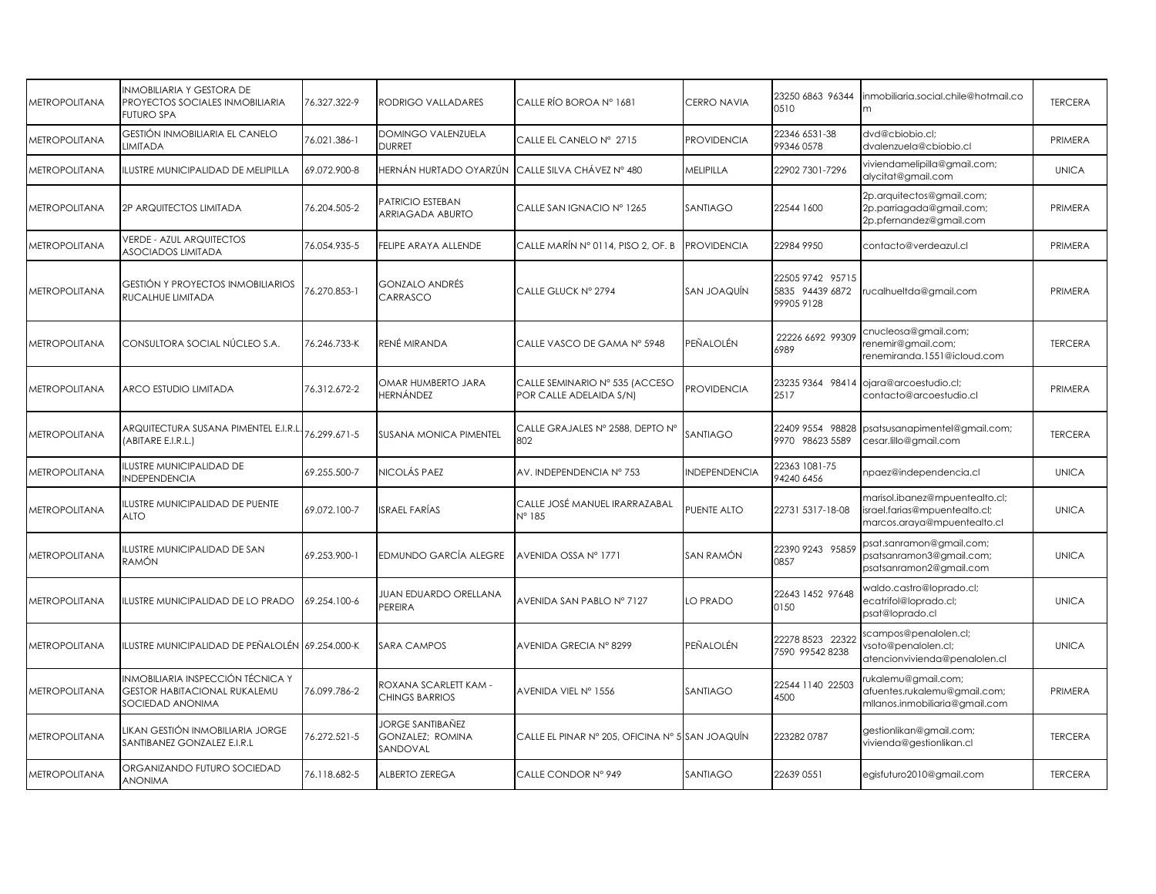| <b>METROPOLITANA</b>        | INMOBILIARIA Y GESTORA DE<br>PROYECTOS SOCIALES INMOBILIARIA<br><b>FUTURO SPA</b>            | 76.327.322-9 | RODRIGO VALLADARES                               | CALLE RÍO BOROA Nº 1681                                   | <b>CERRO NAVIA</b> | 23250 6863 96344<br>0510                         | nmobiliaria.social.chile@hotmail.co<br>m                                                       | <b>TERCERA</b> |
|-----------------------------|----------------------------------------------------------------------------------------------|--------------|--------------------------------------------------|-----------------------------------------------------------|--------------------|--------------------------------------------------|------------------------------------------------------------------------------------------------|----------------|
| <b><i>AETROPOLITANA</i></b> | <b>GESTIÓN INMOBILIARIA EL CANELO</b><br>LIMITADA                                            | 76.021.386-1 | <b>DOMINGO VALENZUELA</b><br>DURRET              | CALLE EL CANELO Nº 2715                                   | <b>PROVIDENCIA</b> | 22346 6531-38<br>99346 0578                      | dvd@cbiobio.cl:<br>dvalenzuela@cbiobio.cl                                                      | PRIMERA        |
| <b>METROPOLITANA</b>        | ILUSTRE MUNICIPALIDAD DE MELIPILLA                                                           | 69.072.900-8 | HERNÁN HURTADO OYARZÚN                           | CALLE SILVA CHÁVEZ Nº 480                                 | MELIPILLA          | 22902 7301-7296                                  | viviendamelipilla@gmail.com;<br>alycitat@gmail.com                                             | <b>UNICA</b>   |
| <b>METROPOLITANA</b>        | 2P ARQUITECTOS LIMITADA                                                                      | 76.204.505-2 | PATRICIO ESTEBAN<br>ARRIAGADA ABURTO             | CALLE SAN IGNACIO Nº 1265                                 | SANTIAGO           | 22544 1600                                       | 2p.arquitectos@gmail.com;<br>2p.parriagada@gmail.com;<br>2p.pfernandez@gmail.com               | PRIMERA        |
| <b>METROPOLITANA</b>        | <b>VERDE - AZUL ARQUITECTOS</b><br><b>ASOCIADOS LIMITADA</b>                                 | 76.054.935-5 | FELIPE ARAYA ALLENDE                             | CALLE MARÍN Nº 0114, PISO 2, OF. B                        | <b>PROVIDENCIA</b> | 22984 9950                                       | contacto@verdeazul.cl                                                                          | PRIMERA        |
| <b>METROPOLITANA</b>        | <b>GESTIÓN Y PROYECTOS INMOBILIARIOS</b><br>RUCALHUE LIMITADA                                | 6.270.853-1  | <b>GONZALO ANDRÉS</b><br>CARRASCO                | CALLE GLUCK Nº 2794                                       | SAN JOAQUÍN        | 22505 9742 95715<br>5835 94439 6872<br>999059128 | ucalhueltda@gmail.com                                                                          | PRIMERA        |
| <b>METROPOLITANA</b>        | CONSULTORA SOCIAL NÚCLEO S.A.                                                                | 76.246.733-K | RENÉ MIRANDA                                     | CALLE VASCO DE GAMA Nº 5948                               | PEÑALOLÉN          | 22226 6692 99309<br>6989                         | cnucleosa@gmail.com;<br>renemir@gmail.com;<br>renemiranda.1551@icloud.com                      | <b>TERCERA</b> |
| <b>METROPOLITANA</b>        | ARCO ESTUDIO LIMITADA                                                                        | 76.312.672-2 | OMAR HUMBERTO JARA<br>HERNÁNDEZ                  | CALLE SEMINARIO Nº 535 (ACCESO<br>POR CALLE ADELAIDA S/N) | <b>PROVIDENCIA</b> | 23235 9364 98414<br>2517                         | ojara@arcoestudio.cl;<br>contacto@arcoestudio.cl                                               | PRIMERA        |
| <b>METROPOLITANA</b>        | ARQUITECTURA SUSANA PIMENTEL E.I.R.L<br>(ABITARE E.I.R.L.)                                   | 76.299.671-5 | <b>SUSANA MONICA PIMENTEL</b>                    | CALLE GRAJALES Nº 2588, DEPTO Nº<br>802                   | SANTIAGO           | 22409 9554 98828<br>9970 98623 5589              | psatsusanapimentel@gmail.com;<br>cesar.lillo@gmail.com                                         | <b>TERCERA</b> |
| <b>METROPOLITANA</b>        | ILUSTRE MUNICIPALIDAD DE<br><b>INDEPENDENCIA</b>                                             | 69.255.500-7 | NICOLÁS PAEZ                                     | AV. INDEPENDENCIA Nº 753                                  | NDEPENDENCIA       | 22363 1081-75<br>94240 6456                      | npaez@independencia.cl                                                                         | <b>UNICA</b>   |
| <b>METROPOLITANA</b>        | ILUSTRE MUNICIPALIDAD DE PUENTE<br><b>ALTO</b>                                               | 69.072.100-7 | <b>ISRAEL FARÍAS</b>                             | CALLE JOSÉ MANUEL IRARRAZABAL<br>$N^{\circ}$ 185          | PUENTE ALTO        | 22731 5317-18-08                                 | marisol.ibanez@mpuentealto.cl;<br>israel.farias@mpuentealto.cl;<br>marcos.araya@mpuentealto.cl | <b>UNICA</b>   |
| <b><i>METROPOLITANA</i></b> | LUSTRE MUNICIPALIDAD DE SAN<br>RAMÓN                                                         | 69.253.900-1 | EDMUNDO GARCÍA ALEGRE                            | AVENIDA OSSA Nº 1771                                      | SAN RAMÓN          | 22390 9243 95859<br>0857                         | psat.sanramon@gmail.com;<br>psatsanramon3@gmail.com;<br>psatsanramon2@gmail.com                | <b>UNICA</b>   |
| <b>METROPOLITANA</b>        | ILUSTRE MUNICIPALIDAD DE LO PRADO                                                            | 69.254.100-6 | JUAN EDUARDO ORELLANA<br>PEREIRA                 | AVENIDA SAN PABLO Nº 7127                                 | LO PRADO           | 22643 1452 97648<br>0150                         | waldo.castro@loprado.cl;<br>ecatrifol@loprado.cl;<br>psat@loprado.cl                           | <b>UNICA</b>   |
| <b>METROPOLITANA</b>        | ILUSTRE MUNICIPALIDAD DE PEÑALOLÉN 69.254.000-K                                              |              | SARA CAMPOS                                      | AVENIDA GRECIA Nº 8299                                    | PEÑALOLÉN          | 22278 8523 2232<br>7590 99542 8238               | scampos@penalolen.cl;<br>vsoto@penalolen.cl;<br>atencionvivienda@penalolen.cl                  | <b>UNICA</b>   |
| <b>METROPOLITANA</b>        | INMOBILIARIA INSPECCIÓN TÉCNICA Y<br><b>GESTOR HABITACIONAL RUKALEMU</b><br>SOCIEDAD ANONIMA | 76.099.786-2 | ROXANA SCARLETT KAM -<br>CHINGS BARRIOS          | AVENIDA VIEL Nº 1556                                      | SANTIAGO           | 22544 1140 22503<br>4500                         | ukalemu@gmail.com;<br>afuentes.rukalemu@gmail.com;<br>mllanos.inmobiliaria@gmail.com           | PRIMERA        |
| <b>METROPOLITANA</b>        | likan Gestión inmobiliaria jorge<br>SANTIBANEZ GONZALEZ E.I.R.L                              | 76.272.521-5 | JORGE SANTIBAÑEZ<br>GONZALEZ; ROMINA<br>SANDOVAL | CALLE EL PINAR Nº 205, OFICINA Nº 5 SAN JOAQUÍN           |                    | 2232820787                                       | gestionlikan@gmail.com;<br>vivienda@gestionlikan.cl                                            | <b>TERCERA</b> |
| <b>METROPOLITANA</b>        | ORGANIZANDO FUTURO SOCIEDAD<br><b>ANONIMA</b>                                                | 76.118.682-5 | ALBERTO ZEREGA                                   | CALLE CONDOR Nº 949                                       | SANTIAGO           | 22639 0551                                       | egisfuturo2010@gmail.com                                                                       | <b>TERCERA</b> |
|                             |                                                                                              |              |                                                  |                                                           |                    |                                                  |                                                                                                |                |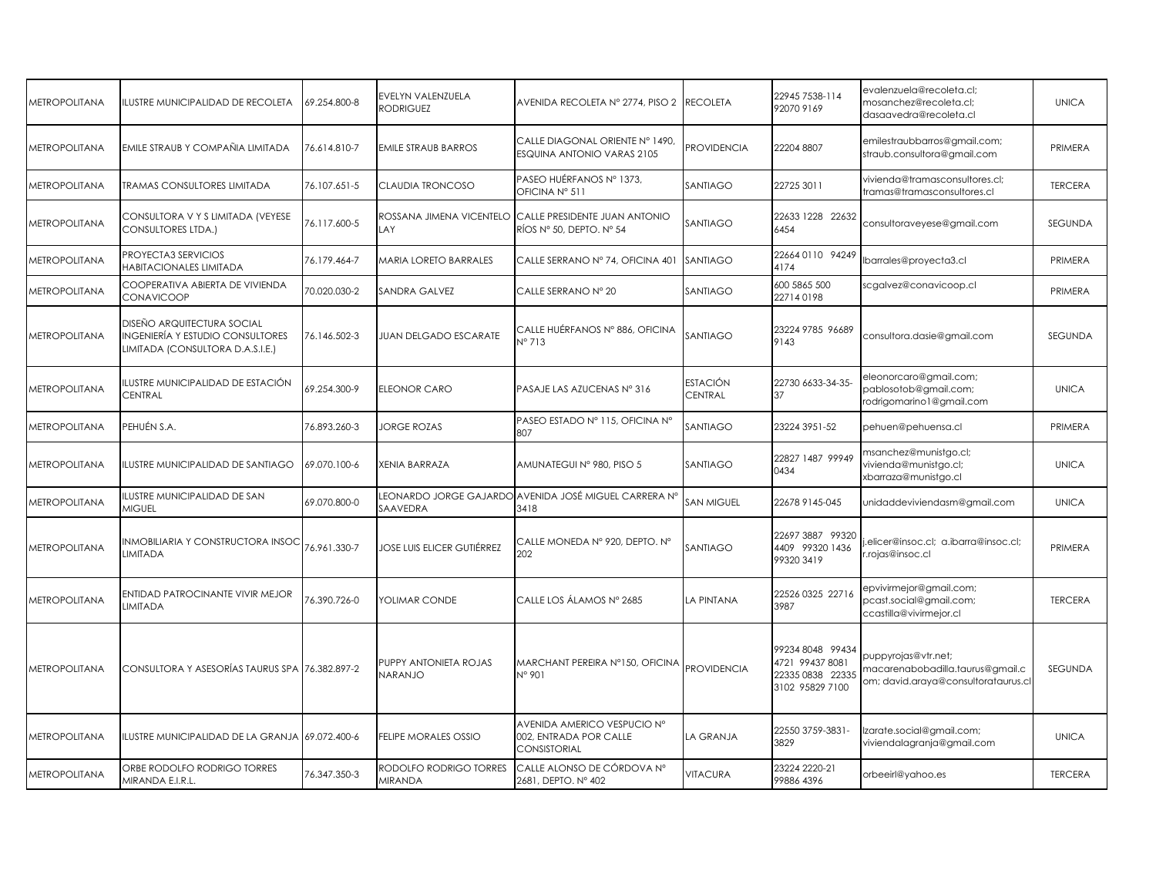| <b>METROPOLITANA</b> | ILUSTRE MUNICIPALIDAD DE RECOLETA                                                                                | 69.254.800-8 | EVELYN VALENZUELA<br><b>RODRIGUEZ</b>          | AVENIDA RECOLETA Nº 2774, PISO 2                                                   | <b>RECOLETA</b>     | 22945 7538-114<br>92070 9169                                              | evalenzuela@recoleta.cl;<br>mosanchez@recoleta.cl;<br>dasaavedra@recoleta.cl                   | <b>UNICA</b>   |
|----------------------|------------------------------------------------------------------------------------------------------------------|--------------|------------------------------------------------|------------------------------------------------------------------------------------|---------------------|---------------------------------------------------------------------------|------------------------------------------------------------------------------------------------|----------------|
| <b>METROPOLITANA</b> | EMILE STRAUB Y COMPAÑIA LIMITADA                                                                                 | 76.614.810-7 | <b>EMILE STRAUB BARROS</b>                     | CALLE DIAGONAL ORIENTE Nº 1490.<br><b>ESQUINA ANTONIO VARAS 2105</b>               | <b>PROVIDENCIA</b>  | 22204 8807                                                                | emilestraubbarros@gmail.com;<br>straub.consultora@gmail.com                                    | PRIMERA        |
| <b>METROPOLITANA</b> | <b>TRAMAS CONSULTORES LIMITADA</b>                                                                               | 76.107.651-5 | CLAUDIA TRONCOSO                               | PASEO HUÉRFANOS Nº 1373,<br>OFICINA Nº 511                                         | SANTIAGO            | 22725 3011                                                                | vivienda@tramasconsultores.cl;<br>tramas@tramasconsultores.cl                                  | <b>TERCERA</b> |
| <b>METROPOLITANA</b> | CONSULTORA V Y S LIMITADA (VEYESE<br><b>CONSULTORES LTDA.)</b>                                                   | 76.117.600-5 | AY                                             | ROSSANA JIMENA VICENTELO CALLE PRESIDENTE JUAN ANTONIO<br>RÍOS Nº 50, DEPTO. Nº 54 | SANTIAGO            | 22633 1228 22632<br>6454                                                  | consultoraveyese@gmail.com                                                                     | SEGUNDA        |
| <b>METROPOLITANA</b> | PROYECTA3 SERVICIOS<br>HABITACIONALES LIMITADA                                                                   | 76.179.464-7 | <b>VARIA LORETO BARRALES</b>                   | CALLE SERRANO Nº 74, OFICINA 401                                                   | SANTIAGO            | 226640110 94249<br>4174                                                   | lbarrales@proyecta3.cl                                                                         | PRIMERA        |
| <b>METROPOLITANA</b> | COOPERATIVA ABIERTA DE VIVIENDA<br><b>CONAVICOOP</b>                                                             | 70.020.030-2 | SANDRA GALVEZ                                  | CALLE SERRANO Nº 20                                                                | SANTIAGO            | 600 5865 500<br>227140198                                                 | scgalvez@conavicoop.cl                                                                         | PRIMERA        |
| <b>METROPOLITANA</b> | <b>DISEÑO ARQUITECTURA SOCIAL</b><br><b>INGENIERÍA Y ESTUDIO CONSULTORES</b><br>LIMITADA (CONSULTORA D.A.S.I.E.) | 76.146.502-3 | JUAN DELGADO ESCARATE                          | CALLE HUÉRFANOS N° 886, OFICINA<br>N° 713                                          | SANTIAGO            | 23224 9785 96689<br>9143                                                  | consultora.dasie@gmail.com                                                                     | <b>SEGUNDA</b> |
| <b>METROPOLITANA</b> | ILUSTRE MUNICIPALIDAD DE ESTACIÓN<br>CENTRAL                                                                     | 69.254.300-9 | ELEONOR CARO                                   | PASAJE LAS AZUCENAS Nº 316                                                         | ESTACIÓN<br>CENTRAL | 22730 6633-34-35-                                                         | eleonorcaro@gmail.com;<br>pablosotob@gmail.com;<br>rodrigomarino 1@gmail.com                   | <b>UNICA</b>   |
| <b>METROPOLITANA</b> | PEHUÉN S.A.                                                                                                      | 76.893.260-3 | <b>JORGE ROZAS</b>                             | PASEO ESTADO Nº 115, OFICINA Nº<br>807                                             | SANTIAGO            | 23224 3951-52                                                             | pehuen@pehuensa.cl                                                                             | PRIMERA        |
| <b>METROPOLITANA</b> | ILUSTRE MUNICIPALIDAD DE SANTIAGO                                                                                | 69.070.100-6 | XENIA BARRAZA                                  | AMUNATEGUI Nº 980, PISO 5                                                          | SANTIAGO            | 22827 1487 99949<br>0434                                                  | msanchez@munistgo.cl;<br>vivienda@munistgo.cl;<br>xbarraza@munistgo.cl                         | <b>UNICA</b>   |
| <b>METROPOLITANA</b> | <b>ILUSTRE MUNICIPALIDAD DE SAN</b><br><b>MIGUEL</b>                                                             | 69.070.800-0 | SAAVEDRA                                       | EONARDO JORGE GAJARDO AVENIDA JOSÉ MIGUEL CARRERA N°<br>3418                       | SAN MIGUEL          | 22678 9145-045                                                            | unidaddeviviendasm@gmail.com                                                                   | <b>UNICA</b>   |
| <b>METROPOLITANA</b> | INMOBILIARIA Y CONSTRUCTORA INSOC<br>LIMITADA                                                                    | 76.961.330-7 | JOSE LUIS ELICER GUTIÉRREZ                     | CALLE MONEDA Nº 920, DEPTO. Nº<br>202                                              | SANTIAGO            | 22697 3887 99320<br>4409 99320 1436<br>993203419                          | .elicer@insoc.cl; a.ibarra@insoc.cl;<br>.rojas@insoc.cl                                        | PRIMERA        |
| <b>METROPOLITANA</b> | <b>ENTIDAD PATROCINANTE VIVIR MEJOR</b><br><b>LIMITADA</b>                                                       | 76.390.726-0 | YOLIMAR CONDE                                  | CALLE LOS ÁLAMOS Nº 2685                                                           | LA PINTANA          | 22526 0325 22716<br>3987                                                  | epvivirmejor@gmail.com;<br>pcast.social@gmail.com;<br>ccastilla@vivirmejor.cl                  | <b>TERCERA</b> |
| <b>METROPOLITANA</b> | CONSULTORA Y ASESORÍAS TAURUS SPA                                                                                | 76.382.897-2 | <b>PUPPY ANTONIETA ROJAS</b><br><b>OLIARAN</b> | MARCHANT PEREIRA Nº150, OFICINA<br>N° 901                                          | <b>PROVIDENCIA</b>  | 992348048 99434<br>4721 99437 8081<br>22335 0838 22335<br>3102 95829 7100 | puppyrojas@vtr.net;<br>macarenabobadilla.taurus@gmail.c<br>om; david.araya@consultorataurus.cl | <b>SEGUNDA</b> |
| <b>METROPOLITANA</b> | ILUSTRE MUNICIPALIDAD DE LA GRANJA 69.072.400-6                                                                  |              | <b>ELIPE MORALES OSSIO</b>                     | AVENIDA AMERICO VESPUCIO Nº<br>002, ENTRADA POR CALLE<br><b>CONSISTORIAL</b>       | LA GRANJA           | 22550 3759-3831-<br>3829                                                  | Izarate.social@gmail.com;<br>viviendalagranja@gmail.com                                        | <b>UNICA</b>   |
| <b>METROPOLITANA</b> | ORBE RODOLFO RODRIGO TORRES<br>MIRANDA E.I.R.L.                                                                  | 76.347.350-3 | RODOLFO RODRIGO TORRES<br><b>MIRANDA</b>       | CALLE ALONSO DE CÓRDOVA Nº<br>2681, DEPTO. Nº 402                                  | VITACURA            | 23224 2220-21<br>99886 4396                                               | orbeeirl@yahoo.es                                                                              | <b>TERCERA</b> |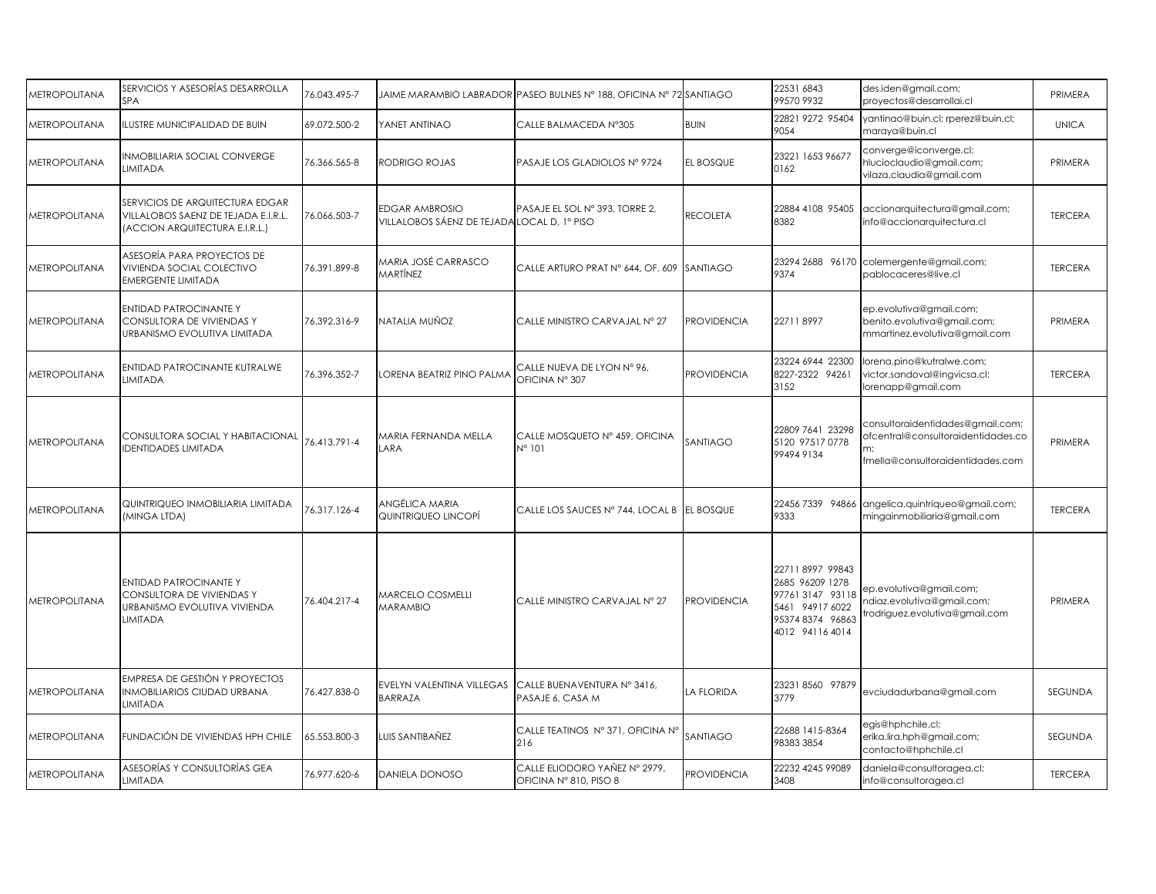| <b>METROPOLITANA</b> | SERVICIOS Y ASESORÍAS DESARROLLA<br><b>SPA</b>                                                           | 76.043.495-7 |                                                                      | JAIME MARAMBIO LABRADOR PASEO BULNES N° 188, OFICINA N° 72 SANTIAGO |                    | 22531 6843<br>99570 9932                                                                                         | des.iden@gmail.com;<br>proyectos@desarrollai.cl                                                            | PRIMERA        |
|----------------------|----------------------------------------------------------------------------------------------------------|--------------|----------------------------------------------------------------------|---------------------------------------------------------------------|--------------------|------------------------------------------------------------------------------------------------------------------|------------------------------------------------------------------------------------------------------------|----------------|
| <b>METROPOLITANA</b> | ILUSTRE MUNICIPALIDAD DE BUIN                                                                            | 69.072.500-2 | YANET ANTINAO                                                        | CALLE BALMACEDA Nº305                                               | <b>BUIN</b>        | 22821 9272 95404<br>9054                                                                                         | yantinao@buin.cl; rperez@buin.cl;<br>maraya@buin.cl                                                        | <b>UNICA</b>   |
| <b>METROPOLITANA</b> | INMOBILIARIA SOCIAL CONVERGE<br><b>LIMITADA</b>                                                          | 76.366.565-8 | RODRIGO ROJAS                                                        | PASAJE LOS GLADIOLOS Nº 9724                                        | EL BOSQUE          | 23221 1653 96677<br>0162                                                                                         | converge@iconverge.cl;<br>hlucioclaudio@gmail.com;<br>vilaza.claudia@gmail.com                             | PRIMERA        |
| <b>METROPOLITANA</b> | SERVICIOS DE ARQUITECTURA EDGAR<br>VILLALOBOS SAENZ DE TEJADA E.I.R.L.<br>(ACCION ARQUITECTURA E.I.R.L.) | 76.066.503-7 | <b>EDGAR AMBROSIO</b><br>VILLALOBOS SÁENZ DE TEJADA LOCAL D, 1º PISO | PASAJE EL SOL Nº 393, TORRE 2,                                      | <b>RECOLETA</b>    | 22884 4108 95405<br>8382                                                                                         | accionarquitectura@gmail.com;<br>info@accionarquitectura.cl                                                | <b>TERCERA</b> |
| METROPOLITANA        | ASESORÍA PARA PROYECTOS DE<br>VIVIENDA SOCIAL COLECTIVO<br>EMERGENTE LIMITADA                            | 76.391.899-8 | MARIA JOSÉ CARRASCO<br>MARTÍNEZ                                      | CALLE ARTURO PRAT Nº 644, OF. 609 SANTIAGO                          |                    | 9374                                                                                                             | 23294 2688 96170 colemergente@gmail.com;<br>pablocaceres@live.cl                                           | <b>TERCERA</b> |
| <b>METROPOLITANA</b> | <b>ENTIDAD PATROCINANTE Y</b><br>CONSULTORA DE VIVIENDAS Y<br>URBANISMO EVOLUTIVA LIMITADA               | 76.392.316-9 | NATALIA MUÑOZ                                                        | CALLE MINISTRO CARVAJAL Nº 27                                       | <b>PROVIDENCIA</b> | 227118997                                                                                                        | ep.evolutiva@gmail.com;<br>benito.evolutiva@gmail.com;<br>mmartinez.evolutiva@gmail.com                    | PRIMERA        |
| <b>METROPOLITANA</b> | ENTIDAD PATROCINANTE KUTRALWE<br>LIMITADA                                                                | 76.396.352-7 | LORENA BEATRIZ PINO PALMA                                            | CALLE NUEVA DE LYON Nº 96.<br>OFICINA Nº 307                        | <b>PROVIDENCIA</b> | 23224 6944 22300<br>8227-2322 94261<br>3152                                                                      | lorena.pino@kutralwe.com;<br>victor.sandoval@ingvicsa.cl;<br>lorenapp@gmail.com                            | <b>TERCERA</b> |
| <b>METROPOLITANA</b> | CONSULTORA SOCIAL Y HABITACIONAL<br><b>DENTIDADES LIMITADA</b>                                           | 76.413.791-4 | MARIA FERNANDA MELLA<br>LARA                                         | CALLE MOSQUETO Nº 459, OFICINA<br>$N^{\circ}$ 101                   | SANTIAGO           | 22809 7641 23298<br>5120 97517 0778<br>99494 9134                                                                | consultoraidentidades@gmail.com;<br>ofcentral@consultoraidentidades.co<br>fmella@consultoraidentidades.com | PRIMERA        |
| <b>METROPOLITANA</b> | QUINTRIQUEO INMOBILIARIA LIMITADA<br>(MINGA LTDA)                                                        | 76.317.126-4 | ANGÉLICA MARIA<br>QUINTRIQUEO LINCOPÍ                                | CALLE LOS SAUCES Nº 744, LOCAL B EL BOSQUE                          |                    | 9333                                                                                                             | 22456 7339 94866 angelica.quintriqueo@gmail.com;<br>mingainmobiliaria@gmail.com                            | <b>TERCERA</b> |
| <b>METROPOLITANA</b> | <b>ENTIDAD PATROCINANTE Y</b><br>CONSULTORA DE VIVIENDAS Y<br>URBANISMO EVOLUTIVA VIVIENDA<br>LIMITADA   | 76.404.217-4 | MARCELO COSMELLI<br><b>MARAMBIO</b>                                  | CALLE MINISTRO CARVAJAL Nº 27                                       | <b>PROVIDENCIA</b> | 22711 8997 99843<br>2685 96209 1278<br>977613147 93118<br>5461 94917 6022<br>95374 8374 96863<br>4012 94116 4014 | ep.evolutiva@gmail.com;<br>diaz.evolutiva@gmail.com;<br>rodriguez.evolutiva@gmail.com                      | PRIMERA        |
| <b>METROPOLITANA</b> | EMPRESA DE GESTIÓN Y PROYECTOS<br><b>INMOBILIARIOS CIUDAD URBANA</b><br><b>LIMITADA</b>                  | 76.427.838-0 | EVELYN VALENTINA VILLEGAS<br><b>BARRAZA</b>                          | CALLE BUENAVENTURA Nº 3416,<br>PASAJE 6, CASA M                     | LA FLORIDA         | 23231 8560 97879<br>3779                                                                                         | evciudadurbana@gmail.com                                                                                   | SEGUNDA        |
| <b>METROPOLITANA</b> | FUNDACIÓN DE VIVIENDAS HPH CHILE                                                                         | 65.553.800-3 | LUIS SANTIBAÑEZ                                                      | CALLE TEATINOS Nº 371, OFICINA Nº<br>216                            | <b>SANTIAGO</b>    | 22688 1415-8364<br>98383 3854                                                                                    | egis@hphchile.cl;<br>erika.lira.hph@gmail.com;<br>contacto@hphchile.cl                                     | SEGUNDA        |
| <b>METROPOLITANA</b> | ASESORÍAS Y CONSULTORÍAS GEA<br>LIMITADA                                                                 | 76.977.620-6 | <b>DANIELA DONOSO</b>                                                | CALLE ELIODORO YAÑEZ Nº 2979,<br>OFICINA Nº 810, PISO 8             | <b>PROVIDENCIA</b> | 22232 4245 99089<br>3408                                                                                         | daniela@consultoragea.cl;<br>info@consultoragea.cl                                                         | <b>TERCERA</b> |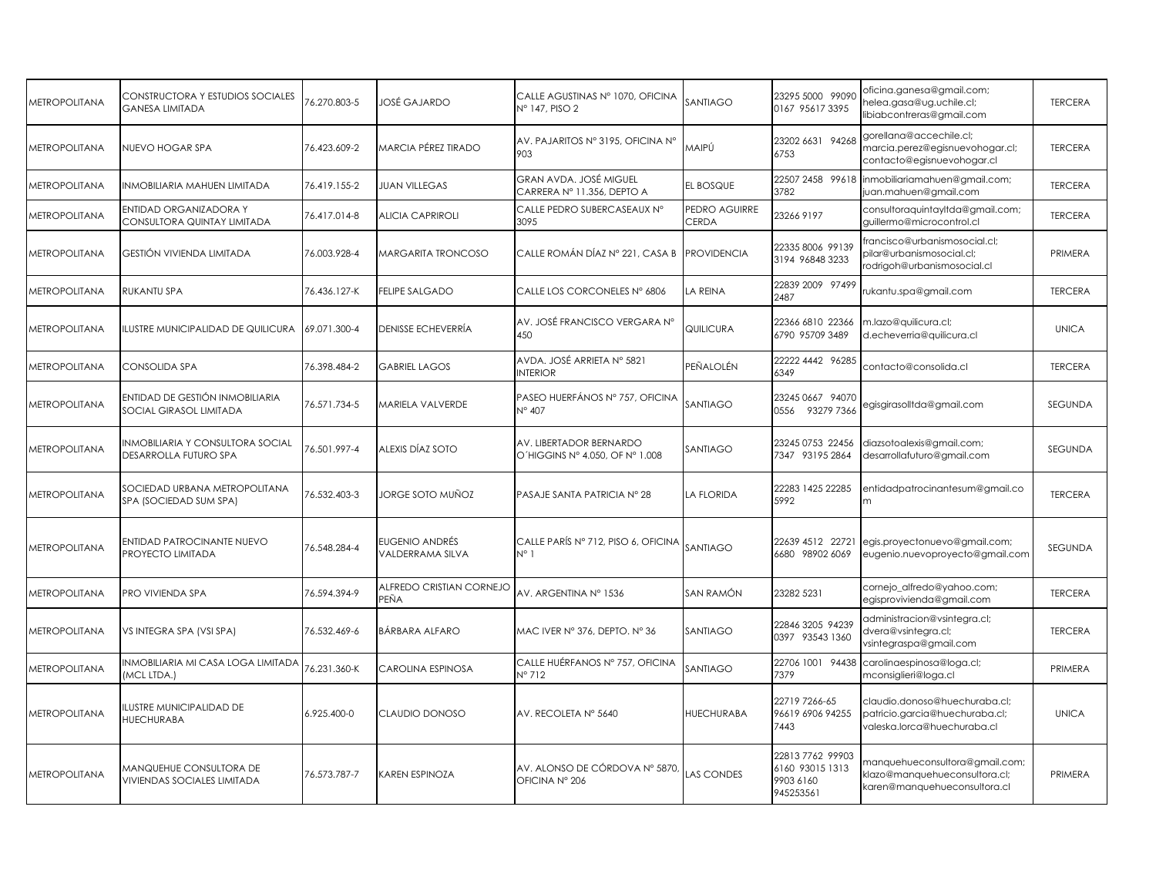| <b>METROPOLITANA</b> | CONSTRUCTORA Y ESTUDIOS SOCIALES<br><b>GANESA LIMITADA</b>    | 6.270.803-5  | JOSÉ GAJARDO                       | CALLE AGUSTINAS Nº 1070, OFICINA<br>Nº 147, PISO 2         | SANTIAGO               | 23295 5000 99090<br>0167 95617 3395                           | oficina.ganesa@gmail.com;<br>ielea.gasa@ug.uchile.cl;<br>libiabcontreras@gmail.com              | <b>TERCERA</b> |
|----------------------|---------------------------------------------------------------|--------------|------------------------------------|------------------------------------------------------------|------------------------|---------------------------------------------------------------|-------------------------------------------------------------------------------------------------|----------------|
| <b>METROPOLITANA</b> | NUEVO HOGAR SPA                                               | 76.423.609-2 | MARCIA PÉREZ TIRADO                | AV. PAJARITOS Nº 3195, OFICINA Nº<br>903                   | MAIPÚ                  | 23202 6631 94268<br>6753                                      | gorellana@accechile.cl;<br>narcia.perez@egisnuevohogar.cl;<br>contacto@egisnuevohogar.cl        | <b>TERCERA</b> |
| <b>METROPOLITANA</b> | <b>INMOBILIARIA MAHUEN LIMITADA</b>                           | 76.419.155-2 | <b>JUAN VILLEGAS</b>               | GRAN AVDA. JOSÉ MIGUEL<br>CARRERA Nº 11.356, DEPTO A       | EL BOSQUE              | 22507 2458 99618<br>3782                                      | inmobiliariamahuen@gmail.com;<br>juan.mahuen@gmail.com                                          | <b>TERCERA</b> |
| <b>METROPOLITANA</b> | ENTIDAD ORGANIZADORA Y<br>CONSULTORA QUINTAY LIMITADA         | 76.417.014-8 | <b>ALICIA CAPRIROLI</b>            | CALLE PEDRO SUBERCASEAUX Nº<br>3095                        | PEDRO AGUIRRE<br>CERDA | 23266 9197                                                    | consultoraquintayltda@gmail.com;<br>quillermo@microcontrol.cl                                   | <b>TERCERA</b> |
| <b>METROPOLITANA</b> | GESTIÓN VIVIENDA LIMITADA                                     | 76.003.928-4 | <b>MARGARITA TRONCOSO</b>          | CALLE ROMÁN DÍAZ Nº 221, CASA BIPROVIDENCIA                |                        | 22335 8006 99139<br>3194 96848 3233                           | rancisco@urbanismosocial.cl;<br>pilar@urbanismosocial.cl;<br>rodrigoh@urbanismosocial.cl        | PRIMERA        |
| <b>METROPOLITANA</b> | <b>RUKANTU SPA</b>                                            | 76.436.127-K | <b>FELIPE SALGADO</b>              | CALLE LOS CORCONELES Nº 6806                               | <b>LA REINA</b>        | 22839 2009 97499<br>2487                                      | ukantu.spa@gmail.com                                                                            | <b>TERCERA</b> |
| <b>METROPOLITANA</b> | ILUSTRE MUNICIPALIDAD DE QUILICURA                            | 69.071.300-4 | <b>DENISSE ECHEVERRÍA</b>          | AV. JOSÉ FRANCISCO VERGARA Nº<br>450                       | QUILICURA              | 22366 6810 22366<br>6790 95709 3489                           | m.lazo@quilicura.cl;<br>d.echeverria@quilicura.cl                                               | <b>UNICA</b>   |
| <b>METROPOLITANA</b> | CONSOLIDA SPA                                                 | 76.398.484-2 | <b>GABRIEL LAGOS</b>               | AVDA. JOSÉ ARRIETA Nº 5821<br><b>INTERIOR</b>              | PEÑALOLÉN              | 22222 4442 96285<br>6349                                      | contacto@consolida.cl                                                                           | <b>TERCERA</b> |
| METROPOLITANA        | ENTIDAD DE GESTIÓN INMOBILIARIA<br>SOCIAL GIRASOL LIMITADA    | 76.571.734-5 | MARIELA VALVERDE                   | PASEO HUERFÁNOS Nº 757, OFICINA<br>N° 407                  | SANTIAGO               | 23245 0667 94070<br>0556 93279 7366                           | egisgirasolltda@gmail.com                                                                       | SEGUNDA        |
| <b>METROPOLITANA</b> | INMOBILIARIA Y CONSULTORA SOCIAL<br>DESARROLLA FUTURO SPA     | 76.501.997-4 | ALEXIS DÍAZ SOTO                   | AV. LIBERTADOR BERNARDO<br>O'HIGGINS Nº 4.050, OF Nº 1.008 | SANTIAGO               | 23245 0753 22456<br>7347 93195 2864                           | diazsotoalexis@gmail.com;<br>desarrollafuturo@gmail.com                                         | SEGUNDA        |
| <b>METROPOLITANA</b> | SOCIEDAD URBANA METROPOLITANA<br>SPA (SOCIEDAD SUM SPA)       | 76.532.403-3 | JORGE SOTO MUÑOZ                   | PASAJE SANTA PATRICIA Nº 28                                | <b>LA FLORIDA</b>      | 22283 1425 22285<br>5992                                      | entidadpatrocinantesum@gmail.co<br>m                                                            | <b>TERCERA</b> |
| METROPOLITANA        | ENTIDAD PATROCINANTE NUEVO<br>PROYECTO LIMITADA               | 76.548.284-4 | EUGENIO ANDRÉS<br>VALDERRAMA SILVA | CALLE PARÍS Nº 712, PISO 6, OFICINA<br>$N^{\circ}$ 1       | SANTIAGO               | 22639 4512 22721<br>6680 98902 6069                           | egis.proyectonuevo@gmail.com;<br>eugenio.nuevoproyecto@gmail.com                                | SEGUNDA        |
| <b>METROPOLITANA</b> | PRO VIVIENDA SPA                                              | 76.594.394-9 | ALFREDO CRISTIAN CORNEJO<br>PEÑA   | AV. ARGENTINA N° 1536                                      | SAN RAMÓN              | 23282 5231                                                    | cornejo_alfredo@yahoo.com;<br>egisprovivienda@gmail.com                                         | <b>TERCERA</b> |
| <b>METROPOLITANA</b> | VS INTEGRA SPA (VSI SPA)                                      | 76.532.469-6 | <b>BÁRBARA ALFARO</b>              | MAC IVER Nº 376, DEPTO. Nº 36                              | SANTIAGO               | 22846 3205 94239<br>0397 93543 1360                           | administracion@vsintegra.cl;<br>dvera@vsintegra.cl;<br>vsintegraspa@gmail.com                   | <b>TERCERA</b> |
| METROPOLITANA        | INMOBILIARIA MI CASA LOGA LIMITADA<br>(MCL LTDA.)             | 76.231.360-K | CAROLINA ESPINOSA                  | CALLE HUÉRFANOS Nº 757, OFICINA<br>N° 712                  | SANTIAGO               | 22706 1001 94438<br>7379                                      | carolinaespinosa@loga.cl;<br>nconsiglieri@loga.cl                                               | PRIMERA        |
| METROPOLITANA        | ILUSTRE MUNICIPALIDAD DE<br><b>HUECHURABA</b>                 | 6.925.400-0  | CLAUDIO DONOSO                     | AV. RECOLETA Nº 5640                                       | <b>HUECHURABA</b>      | 22719 7266-65<br>96619 6906 94255<br>7443                     | claudio.donoso@huechuraba.cl;<br>patricio.garcia@huechuraba.cl;<br>valeska.lorca@huechuraba.cl  | <b>UNICA</b>   |
| METROPOLITANA        | MANQUEHUE CONSULTORA DE<br><b>VIVIENDAS SOCIALES LIMITADA</b> | 76.573.787-7 | <b>KAREN ESPINOZA</b>              | AV. ALONSO DE CÓRDOVA Nº 5870,<br>OFICINA Nº 206           | <b>LAS CONDES</b>      | 22813 7762 99903<br>6160 93015 1313<br>9903 6160<br>945253561 | nanquehueconsultora@gmail.com;<br>klazo@manquehueconsultora.cl;<br>karen@manquehueconsultora.cl | PRIMERA        |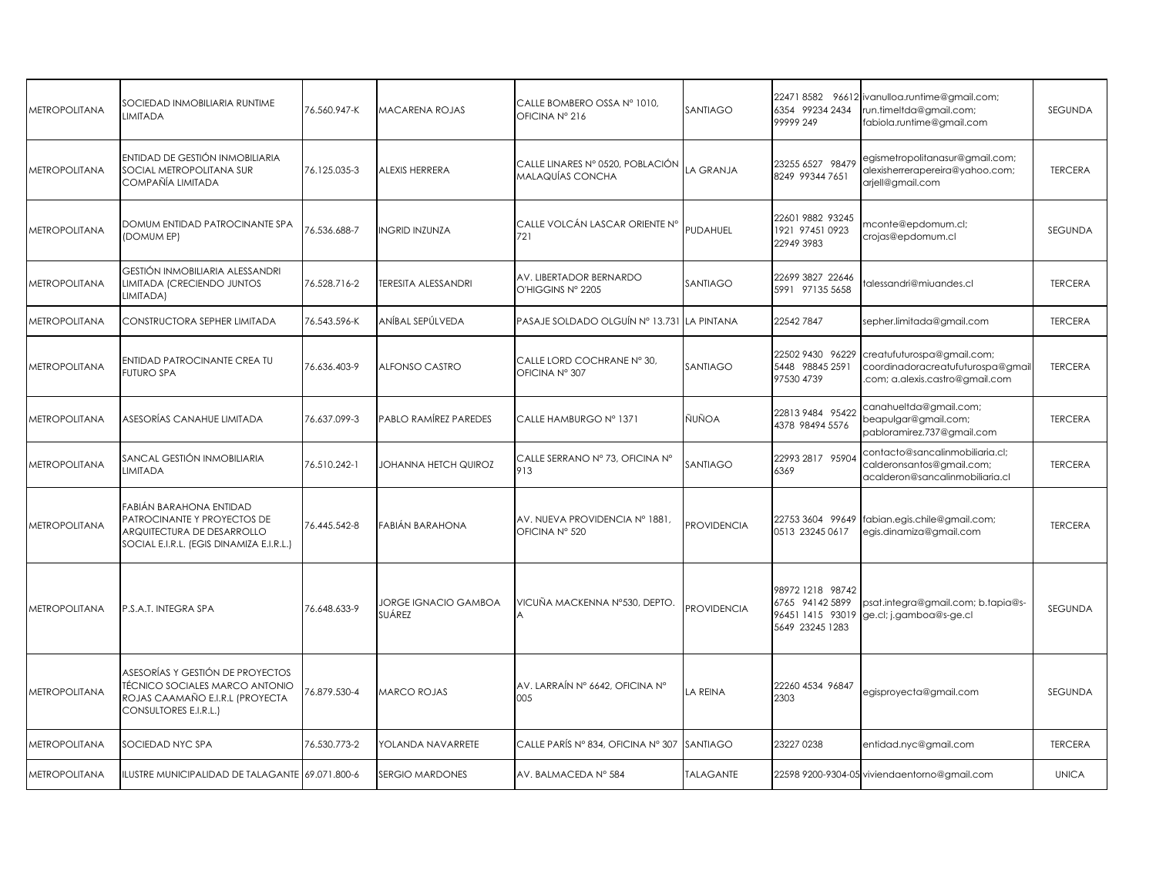| METROPOLITANA        | SOCIEDAD INMOBILIARIA RUNTIME<br><b>LIMITADA</b>                                                                                 | 76.560.947-K | MACARENA ROJAS                        | CALLE BOMBERO OSSA Nº 1010,<br>OFICINA Nº 216               | SANTIAGO           | 224718582 96612<br>6354 99234 2434<br>99999 249                            | ivanulloa.runtime@gmail.com;<br>run.timeltda@gmail.com;<br>fabiola.runtime@gmail.com               | SEGUNDA        |
|----------------------|----------------------------------------------------------------------------------------------------------------------------------|--------------|---------------------------------------|-------------------------------------------------------------|--------------------|----------------------------------------------------------------------------|----------------------------------------------------------------------------------------------------|----------------|
| <b>METROPOLITANA</b> | ENTIDAD DE GESTIÓN INMOBILIARIA<br>SOCIAL METROPOLITANA SUR<br>COMPAÑÍA LIMITADA                                                 | 76.125.035-3 | ALEXIS HERRERA                        | CALLE LINARES Nº 0520, POBLACIÓN<br><b>MALAQUÍAS CONCHA</b> | LA GRANJA          | 23255 6527 98479<br>8249 99344 7651                                        | egismetropolitanasur@gmail.com;<br>alexisherrerapereira@yahoo.com;<br>arjell@gmail.com             | <b>TERCERA</b> |
| <b>METROPOLITANA</b> | DOMUM ENTIDAD PATROCINANTE SPA<br>(DOMUM EP)                                                                                     | 76.536.688-7 | <b>INGRID INZUNZA</b>                 | CALLE VOLCÁN LASCAR ORIENTE N°<br>721                       | PUDAHUEL           | 22601 9882 93245<br>1921 97451 0923<br>22949 3983                          | mconte@epdomum.cl;<br>crojas@epdomum.cl                                                            | <b>SEGUNDA</b> |
| <b>METROPOLITANA</b> | GESTIÓN INMOBILIARIA ALESSANDRI<br>LIMITADA (CRECIENDO JUNTOS<br>LIMITADA)                                                       | 76.528.716-2 | <b><i>TERESITA ALESSANDRI</i></b>     | AV. LIBERTADOR BERNARDO<br>O'HIGGINS Nº 2205                | SANTIAGO           | 22699 3827 22646<br>5991 97135 5658                                        | alessandri@miuandes.cl                                                                             | <b>TERCERA</b> |
| METROPOLITANA        | CONSTRUCTORA SEPHER LIMITADA                                                                                                     | 76.543.596-K | ANÍBAL SEPÚLVEDA                      | PASAJE SOLDADO OLGUÍN Nº 13.731                             | LA PINTANA         | 22542 7847                                                                 | sepher.limitada@gmail.com                                                                          | <b>TERCERA</b> |
| <b>METROPOLITANA</b> | <b>ENTIDAD PATROCINANTE CREA TU</b><br><b>FUTURO SPA</b>                                                                         | 76.636.403-9 | ALFONSO CASTRO                        | CALLE LORD COCHRANE Nº 30.<br>OFICINA Nº 307                | SANTIAGO           | 22502 9430 96229<br>5448 98845 2591<br>97530 4739                          | creatufuturospa@gmail.com;<br>coordinadoracreatufuturospa@gmail<br>.com; a.alexis.castro@gmail.com | <b>TERCERA</b> |
| <b>METROPOLITANA</b> | ASESORÍAS CANAHUE LIMITADA                                                                                                       | 76.637.099-3 | PABLO RAMÍREZ PAREDES                 | CALLE HAMBURGO Nº 1371                                      | ÑUÑOA              | 22813948495422<br>4378 98494 5576                                          | canahueltda@gmail.com;<br>beapulgar@gmail.com;<br>pabloramirez.737@gmail.com                       | <b>TERCERA</b> |
| METROPOLITANA        | SANCAL GESTIÓN INMOBILIARIA<br><b>LIMITADA</b>                                                                                   | 76.510.242-1 | <b>JOHANNA HETCH QUIROZ</b>           | CALLE SERRANO Nº 73, OFICINA Nº<br>913                      | SANTIAGO           | 22993 2817 95904<br>6369                                                   | contacto@sancalinmobiliaria.cl;<br>calderonsantos@gmail.com;<br>acalderon@sancalinmobiliaria.cl    | <b>TERCERA</b> |
| <b>METROPOLITANA</b> | FABIÁN BARAHONA ENTIDAD<br>PATROCINANTE Y PROYECTOS DE<br>ARQUITECTURA DE DESARROLLO<br>SOCIAL E.I.R.L. (EGIS DINAMIZA E.I.R.L.) | 76.445.542-8 | FABIÁN BARAHONA                       | AV. NUEVA PROVIDENCIA Nº 1881,<br>OFICINA Nº 520            | <b>PROVIDENCIA</b> | 22753 3604 99649<br>0513 23245 0617                                        | fabian.egis.chile@gmail.com;<br>egis.dinamiza@gmail.com                                            | <b>TERCERA</b> |
| <b>METROPOLITANA</b> | P.S.A.T. INTEGRA SPA                                                                                                             | 76.648.633-9 | <b>JORGE IGNACIO GAMBOA</b><br>SUÁREZ | VICUÑA MACKENNA Nº530, DEPTO.                               | <b>PROVIDENCIA</b> | 98972 1218 98742<br>6765 94142 5899<br>96451 1415 93019<br>5649 23245 1283 | psat.integra@gmail.com; b.tapia@s-<br>ge.cl; j.gamboa@s-ge.cl                                      | <b>SEGUNDA</b> |
| <b>METROPOLITANA</b> | ASESORÍAS Y GESTIÓN DE PROYECTOS<br>TÉCNICO SOCIALES MARCO ANTONIO<br>ROJAS CAAMAÑO E.I.R.L (PROYECTA<br>CONSULTORES E.I.R.L.)   | 76.879.530-4 | MARCO ROJAS                           | AV. LARRAÍN Nº 6642, OFICINA Nº<br>005                      | LA REINA           | 22260 4534 96847<br>2303                                                   | egisproyecta@gmail.com                                                                             | SEGUNDA        |
| <b>METROPOLITANA</b> | SOCIEDAD NYC SPA                                                                                                                 | 76.530.773-2 | YOLANDA NAVARRETE                     | CALLE PARÍS Nº 834, OFICINA Nº 307                          | SANTIAGO           | 23227 0238                                                                 | entidad.nyc@gmail.com                                                                              | <b>TERCERA</b> |
| <b>METROPOLITANA</b> | ILUSTRE MUNICIPALIDAD DE TALAGANTE 69.071.800-6                                                                                  |              | <b>SERGIO MARDONES</b>                | AV. BALMACEDA Nº 584                                        | <b>TALAGANTE</b>   |                                                                            | 22598 9200-9304-05 viviendaentorno@gmail.com                                                       | <b>UNICA</b>   |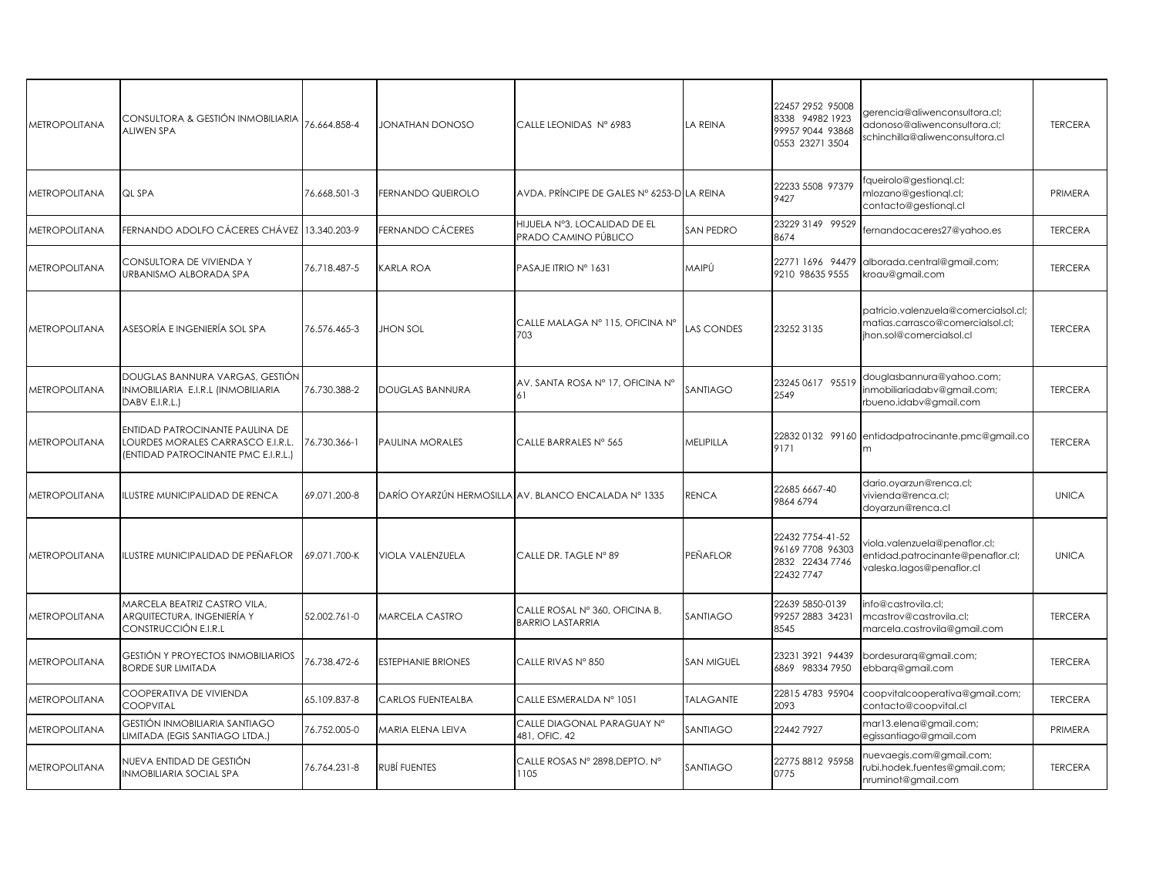| <b>METROPOLITANA</b> | CONSULTORA & GESTIÓN INMOBILIARIA<br><b>ALIWEN SPA</b>                                                      | 76.664.858-4 | JONATHAN DONOSO           | CALLE LEONIDAS Nº 6983                                    | <b>LA REINA</b>   | 22457 2952 95008<br>8338 94982 1923<br>99957 9044 93868<br>0553 23271 3504 | gerencia@aliwenconsultora.cl;<br>adonoso@aliwenconsultora.cl;<br>schinchilla@aliwenconsultora.cl     | <b>TERCERA</b> |
|----------------------|-------------------------------------------------------------------------------------------------------------|--------------|---------------------------|-----------------------------------------------------------|-------------------|----------------------------------------------------------------------------|------------------------------------------------------------------------------------------------------|----------------|
| <b>METROPOLITANA</b> | QL SPA                                                                                                      | 76.668.501-3 | FERNANDO QUEIROLO         | AVDA. PRÍNCIPE DE GALES Nº 6253-D LA REINA                |                   | 22233 5508 97379<br>9427                                                   | queirolo@gestionql.cl;<br>mlozano@gestionql.cl;<br>contacto@gestiongl.cl                             | PRIMERA        |
| METROPOLITANA        | FERNANDO ADOLFO CÁCERES CHÁVEZ 13.340.203-9                                                                 |              | <b>FERNANDO CÁCERES</b>   | HIJUELA Nº3, LOCALIDAD DE EL<br>PRADO CAMINO PÚBLICO      | <b>SAN PEDRO</b>  | 23229 3149 99529<br>8674                                                   | fernandocaceres27@yahoo.es                                                                           | <b>TERCERA</b> |
| <b>METROPOLITANA</b> | CONSULTORA DE VIVIENDA Y<br>URBANISMO ALBORADA SPA                                                          | 76.718.487-5 | <b>KARLA ROA</b>          | PASAJE ITRIO Nº 1631                                      | MAIPÚ             | 22771 1696 94479<br>9210 98635 9555                                        | alborada.central@gmail.com;<br>kroau@gmail.com                                                       | <b>TERCERA</b> |
| <b>METROPOLITANA</b> | ASESORÍA E INGENIERÍA SOL SPA                                                                               | 76.576.465-3 | <b>JHON SOL</b>           | CALLE MALAGA Nº 115, OFICINA Nº<br>703                    | <b>LAS CONDES</b> | 23252 3135                                                                 | patricio.valenzuela@comercialsol.cl;<br>matias.carrasco@comercialsol.cl;<br>ihon.sol@comercialsol.cl | <b>TERCERA</b> |
| <b>METROPOLITANA</b> | DOUGLAS BANNURA VARGAS, GESTIÓN<br>INMOBILIARIA E.I.R.L (INMOBILIARIA<br>DABV E.I.R.L.)                     | 76.730.388-2 | <b>DOUGLAS BANNURA</b>    | AV. SANTA ROSA Nº 17, OFICINA Nº<br>61                    | SANTIAGO          | 23245 0617 95519<br>2549                                                   | douglasbannura@yahoo.com;<br>inmobiliariadabv@gmail.com;<br>rbueno.idabv@gmail.com                   | <b>TERCERA</b> |
| <b>METROPOLITANA</b> | ENTIDAD PATROCINANTE PAULINA DE<br>LOURDES MORALES CARRASCO E.I.R.L.<br>(ENTIDAD PATROCINANTE PMC E.I.R.L.) | 76.730.366-1 | PAULINA MORALES           | CALLE BARRALES Nº 565                                     | MELIPILLA         | 9171                                                                       | 228320132 99160 entidadpatrocinante.pmc@gmail.co                                                     | <b>TERCERA</b> |
| METROPOLITANA        | ILUSTRE MUNICIPALIDAD DE RENCA                                                                              | 69.071.200-8 |                           | DARÍO OYARZÚN HERMOSILLA AV. BLANCO ENCALADA Nº 1335      | <b>RENCA</b>      | 22685 6667-40<br>9864 6794                                                 | dario.oyarzun@renca.cl;<br>vivienda@renca.cl;<br>doyarzun@renca.cl                                   | <b>UNICA</b>   |
| <b>METROPOLITANA</b> | ILUSTRE MUNICIPALIDAD DE PEÑAFLOR                                                                           | 69.071.700-K | <b>VIOLA VALENZUELA</b>   | CALLE DR. TAGLE N° 89                                     | <b>PEÑAFLOR</b>   | 22432 7754-41-52<br>96169 7708 96303<br>2832 22434 7746<br>22432 7747      | viola.valenzuela@penaflor.cl;<br>entidad.patrocinante@penaflor.cl;<br>valeska.lagos@penaflor.cl      | <b>UNICA</b>   |
| <b>METROPOLITANA</b> | MARCELA BEATRIZ CASTRO VILA.<br>ARQUITECTURA, INGENIERÍA Y<br>CONSTRUCCIÓN E.I.R.L                          | 52.002.761-0 | <b>MARCELA CASTRO</b>     | CALLE ROSAL Nº 360, OFICINA B,<br><b>BARRIO LASTARRIA</b> | SANTIAGO          | 22639 5850-0139<br>99257 2883 34231<br>8545                                | info@castrovila.cl:<br>mcastrov@castrovila.cl;<br>marcela.castrovila@gmail.com                       | <b>TERCERA</b> |
| METROPOLITANA        | GESTIÓN Y PROYECTOS INMOBILIARIOS<br><b>BORDE SUR LIMITADA</b>                                              | 76.738.472-6 | <b>ESTEPHANIE BRIONES</b> | CALLE RIVAS Nº 850                                        | <b>SAN MIGUEL</b> | 23231 3921 94439<br>6869 98334 7950                                        | bordesurarq@gmail.com;<br>ebbarq@gmail.com                                                           | <b>TERCERA</b> |
| <b>METROPOLITANA</b> | COOPERATIVA DE VIVIENDA<br><b>COOPVITAL</b>                                                                 | 65.109.837-8 | <b>CARLOS FUENTEALBA</b>  | CALLE ESMERALDA Nº 1051                                   | <b>TALAGANTE</b>  | 22815 4783 95904<br>2093                                                   | coopvitalcooperativa@gmail.com;<br>contacto@coopvital.cl                                             | <b>TERCERA</b> |
| <b>METROPOLITANA</b> | GESTIÓN INMOBILIARIA SANTIAGO<br>LIMITADA (EGIS SANTIAGO LTDA.)                                             | 76.752.005-0 | MARIA ELENA LEIVA         | CALLE DIAGONAL PARAGUAY Nº<br>481, OFIC. 42               | SANTIAGO          | 22442 7927                                                                 | mar13.elena@gmail.com;<br>egissantiago@gmail.com                                                     | PRIMERA        |
| <b>METROPOLITANA</b> | NUEVA ENTIDAD DE GESTIÓN<br>INMOBILIARIA SOCIAL SPA                                                         | 76.764.231-8 | RUBÍ FUENTES              | CALLE ROSAS Nº 2898, DEPTO. Nº<br>1105                    | SANTIAGO          | 22775 8812 95958<br>0775                                                   | nuevaegis.com@gmail.com;<br>rubi.hodek.fuentes@gmail.com;<br>nruminot@gmail.com                      | <b>TERCERA</b> |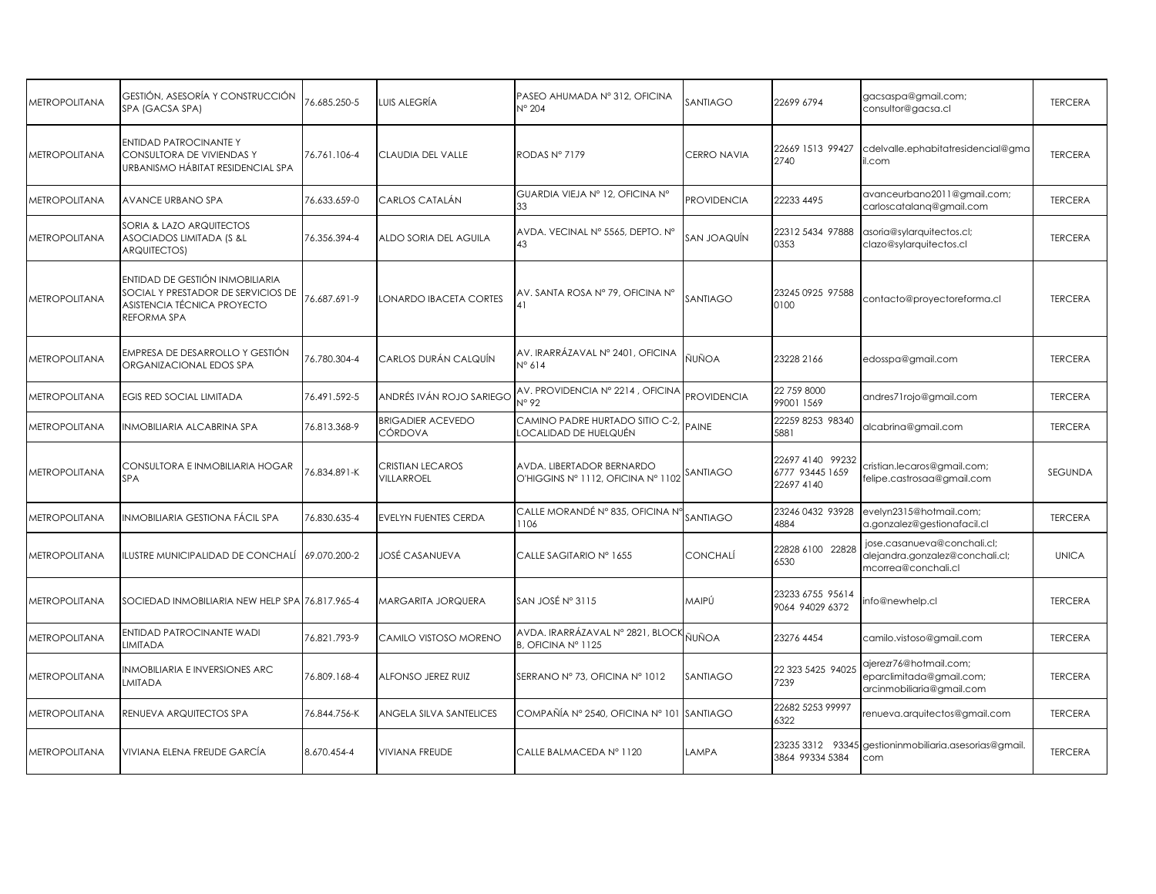| METROPOLITANA               | GESTIÓN, ASESORÍA Y CONSTRUCCIÓN<br>SPA (GACSA SPA)                                                                 | 76.685.250-5 | UIS ALEGRÍA                         | PASEO AHUMADA Nº 312, OFICINA<br>$N^{\circ}$ 204                | SANTIAGO           | 22699 6794                                        | gacsaspa@gmail.com;<br>consultor@gacsa.cl                                             | <b>TERCERA</b> |
|-----------------------------|---------------------------------------------------------------------------------------------------------------------|--------------|-------------------------------------|-----------------------------------------------------------------|--------------------|---------------------------------------------------|---------------------------------------------------------------------------------------|----------------|
| <b>METROPOLITANA</b>        | <b>ENTIDAD PATROCINANTE Y</b><br>CONSULTORA DE VIVIENDAS Y<br>URBANISMO HÁBITAT RESIDENCIAL SPA                     | 76.761.106-4 | CLAUDIA DEL VALLE                   | RODAS Nº 7179                                                   | <b>CERRO NAVIA</b> | 22669 1513 99427<br>2740                          | cdelvalle.ephabitatresidencial@gma<br>il.com                                          | <b>TERCERA</b> |
| <b>METROPOLITANA</b>        | AVANCE URBANO SPA                                                                                                   | 76.633.659-0 | CARLOS CATALÁN                      | GUARDIA VIEJA Nº 12, OFICINA Nº<br>33                           | <b>PROVIDENCIA</b> | 22233 4495                                        | avanceurbano2011@gmail.com;<br>carloscatalang@gmail.com                               | <b>TERCERA</b> |
| METROPOLITANA               | SORIA & LAZO ARQUITECTOS<br>ASOCIADOS LIMITADA (S &L<br><b>ARQUITECTOS)</b>                                         | 76.356.394-4 | ALDO SORIA DEL AGUILA               | AVDA. VECINAL Nº 5565, DEPTO. Nº<br>43                          | SAN JOAQUÍN        | 22312 5434 97888<br>0353                          | asoria@sylarquitectos.cl;<br>clazo@sylarquitectos.cl                                  | <b>TERCERA</b> |
| <b>METROPOLITANA</b>        | ENTIDAD DE GESTIÓN INMOBILIARIA<br>SOCIAL Y PRESTADOR DE SERVICIOS DE<br>ASISTENCIA TÉCNICA PROYECTO<br>REFORMA SPA | 76.687.691-9 | LONARDO IBACETA CORTES              | AV. SANTA ROSA Nº 79, OFICINA Nº                                | SANTIAGO           | 23245 0925 97588<br>0100                          | contacto@proyectoreforma.cl                                                           | <b>TERCERA</b> |
| METROPOLITANA               | EMPRESA DE DESARROLLO Y GESTIÓN<br>ORGANIZACIONAL EDOS SPA                                                          | 76.780.304-4 | CARLOS DURÁN CALQUÍN                | AV. IRARRÁZAVAL Nº 2401, OFICINA<br>$N^{\circ}$ 614             | ÑUÑOA              | 23228 2166                                        | edosspa@gmail.com                                                                     | <b>TERCERA</b> |
| <b>METROPOLITANA</b>        | EGIS RED SOCIAL LIMITADA                                                                                            | 76.491.592-5 | ANDRÉS IVÁN ROJO SARIEGC            | AV. PROVIDENCIA Nº 2214, OFICINA<br>N° 92                       | <b>PROVIDENCIA</b> | 22 759 8000<br>99001 1569                         | andres71rojo@gmail.com                                                                | <b>TERCERA</b> |
| <b>METROPOLITANA</b>        | INMOBILIARIA ALCABRINA SPA                                                                                          | 76.813.368-9 | <b>BRIGADIER ACEVEDO</b><br>CÓRDOVA | CAMINO PADRE HURTADO SITIO C-2,<br>LOCALIDAD DE HUELQUÉN        | PAINE              | 22259 8253 98340<br>5881                          | alcabrina@gmail.com                                                                   | <b>TERCERA</b> |
| <b><i>METROPOLITANA</i></b> | CONSULTORA E INMOBILIARIA HOGAR<br><b>SPA</b>                                                                       | 76.834.891-K | CRISTIAN LECAROS<br>VILLARROEL      | AVDA. LIBERTADOR BERNARDO<br>O'HIGGINS Nº 1112, OFICINA Nº 1102 | SANTIAGO           | 22697 4140 99232<br>6777 93445 1659<br>22697 4140 | cristian.lecaros@gmail.com;<br>felipe.castrosaa@gmail.com                             | SEGUNDA        |
| <b>METROPOLITANA</b>        | INMOBILIARIA GESTIONA FÁCIL SPA                                                                                     | 76.830.635-4 | EVELYN FUENTES CERDA                | CALLE MORANDÉ N° 835, OFICINA N°<br>1106                        | SANTIAGO           | 23246 0432 93928<br>4884                          | evelyn2315@hotmail.com;<br>a.gonzalez@gestionafacil.cl                                | <b>TERCERA</b> |
| <b>METROPOLITANA</b>        | LUSTRE MUNICIPALIDAD DE CONCHALÍ                                                                                    | 69.070.200-2 | JOSÉ CASANUEVA                      | CALLE SAGITARIO Nº 1655                                         | CONCHALÍ           | 22828 6100 22828<br>6530                          | jose.casanueva@conchali.cl;<br>alejandra.gonzalez@conchali.cl;<br>mcorrea@conchali.cl | <b>UNICA</b>   |
| <b>METROPOLITANA</b>        | SOCIEDAD INMOBILIARIA NEW HELP SPA 76.817.965-4                                                                     |              | <b>MARGARITA JORQUERA</b>           | SAN JOSÉ Nº 3115                                                | MAIPÚ              | 23233 6755 95614<br>9064 94029 6372               | info@newhelp.cl                                                                       | <b>TERCERA</b> |
| <b>METROPOLITANA</b>        | ENTIDAD PATROCINANTE WADI<br><b>LIMITADA</b>                                                                        | 76.821.793-9 | CAMILO VISTOSO MORENO               | AVDA. IRARRÁZAVAL N° 2821, BLOCK<br>B. OFICINA Nº 1125          | ÑUÑOA              | 23276 4454                                        | camilo.vistoso@gmail.com                                                              | <b>TERCERA</b> |
| <b><i>AETROPOLITANA</i></b> | NMOBILIARIA E INVERSIONES ARC<br>LMITADA                                                                            | 76.809.168-4 | ALFONSO JEREZ RUIZ                  | SERRANO Nº 73, OFICINA Nº 1012                                  | SANTIAGO           | 22 323 5425 94025<br>7239                         | ajerezr76@hotmail.com;<br>eparclimitada@gmail.com;<br>arcinmobiliaria@gmail.com       | <b>TERCERA</b> |
| <b>METROPOLITANA</b>        | RENUEVA ARQUITECTOS SPA                                                                                             | 76.844.756-K | ANGELA SILVA SANTELICES             | COMPAÑÍA Nº 2540, OFICINA Nº 101 SANTIAGO                       |                    | 22682 5253 99997<br>6322                          | renueva.arquitectos@gmail.com                                                         | <b>TERCERA</b> |
| <b>METROPOLITANA</b>        | VIVIANA ELENA FREUDE GARCÍA                                                                                         | 8.670.454-4  | <b>VIVIANA FREUDE</b>               | CALLE BALMACEDA Nº 1120                                         | LAMPA              | 3864 99334 5384                                   | 23235 3312 93345 gestioninmobiliaria.asesorias@gmail.<br>com                          | <b>TERCERA</b> |
|                             |                                                                                                                     |              |                                     |                                                                 |                    |                                                   |                                                                                       |                |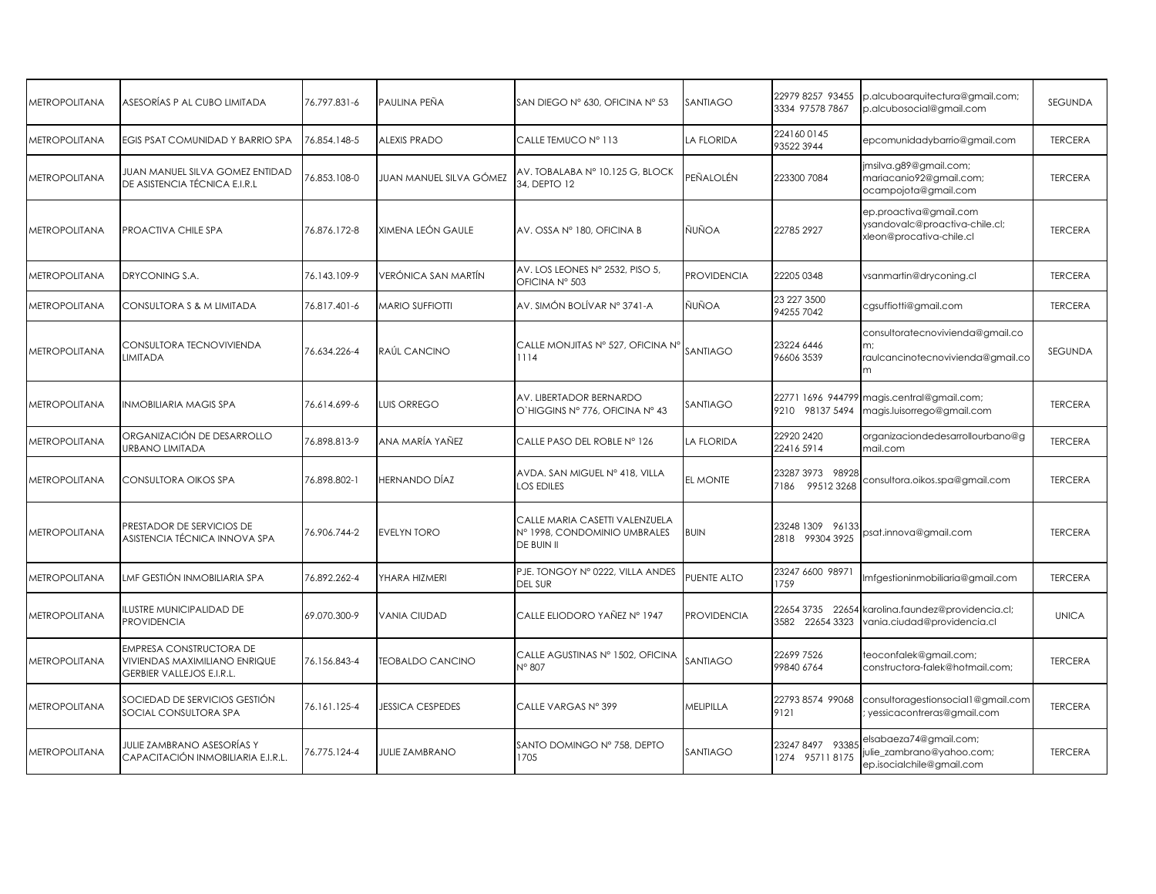| <b>METROPOLITANA</b> | ASESORÍAS P AL CUBO LIMITADA                                                                 | 76.797.831-6 | PAULINA PEÑA            | SAN DIEGO Nº 630, OFICINA Nº 53                                              | SANTIAGO           | 22979 8257 93455<br>3334 97578 7867 | p.alcuboarquitectura@gmail.com;<br>p.alcubosocial@gmail.com                                 | SEGUNDA        |
|----------------------|----------------------------------------------------------------------------------------------|--------------|-------------------------|------------------------------------------------------------------------------|--------------------|-------------------------------------|---------------------------------------------------------------------------------------------|----------------|
| <b>METROPOLITANA</b> | EGIS PSAT COMUNIDAD Y BARRIO SPA                                                             | 76.854.148-5 | <b>ALEXIS PRADO</b>     | CALLE TEMUCO Nº 113                                                          | LA FLORIDA         | 2241600145<br>93522 3944            | epcomunidadybarrio@gmail.com                                                                | <b>TERCERA</b> |
| METROPOLITANA        | JUAN MANUEL SILVA GOMEZ ENTIDAD<br>DE ASISTENCIA TÉCNICA E.I.R.L                             | 76.853.108-0 | JUAN MANUEL SILVA GÓMEZ | AV. TOBALABA Nº 10.125 G, BLOCK<br>34, DEPTO 12                              | PEÑALOLÉN          | 223300 7084                         | jmsilva.g89@gmail.com;<br>mariacanio92@gmail.com;<br>ocampojota@gmail.com                   | <b>TERCERA</b> |
| <b>METROPOLITANA</b> | PROACTIVA CHILE SPA                                                                          | 76.876.172-8 | XIMENA LEÓN GAULE       | AV. OSSA Nº 180, OFICINA B                                                   | ÑUÑOA              | 22785 2927                          | ep.proactiva@gmail.com<br>ysandovalc@proactiva-chile.cl;<br>xleon@procativa-chile.cl        | <b>TERCERA</b> |
| <b>METROPOLITANA</b> | DRYCONING S.A.                                                                               | 76.143.109-9 | VERÓNICA SAN MARTÍN     | AV. LOS LEONES Nº 2532, PISO 5,<br>OFICINA Nº 503                            | <b>PROVIDENCIA</b> | 22205 0348                          | vsanmartin@dryconing.cl                                                                     | <b>TERCERA</b> |
| <b>METROPOLITANA</b> | CONSULTORA S & M LIMITADA                                                                    | 76.817.401-6 | <b>MARIO SUFFIOTTI</b>  | AV. SIMÓN BOLÍVAR Nº 3741-A                                                  | ÑUÑOA              | 23 227 3500<br>94255 7042           | cgsuffiotti@gmail.com                                                                       | <b>TERCERA</b> |
| <b>METROPOLITANA</b> | CONSULTORA TECNOVIVIENDA<br>LIMITADA                                                         | 76.634.226-4 | RAÚL CANCINO            | CALLE MONJITAS Nº 527, OFICINA Nº<br>1114                                    | SANTIAGO           | 23224 6446<br>96606 3539            | consultoratecnovivienda@gmail.co<br>m;<br>raulcancinotecnovivienda@gmail.co<br><sub>m</sub> | SEGUNDA        |
| <b>METROPOLITANA</b> | INMOBILIARIA MAGIS SPA                                                                       | 76.614.699-6 | LUIS ORREGO             | AV. LIBERTADOR BERNARDO<br>O'HIGGINS Nº 776, OFICINA Nº 43                   | SANTIAGO           | 9210 98137 5494                     | 22771 1696 944799 magis.central@gmail.com;<br>magis.luisorrego@gmail.com                    | <b>TERCERA</b> |
| METROPOLITANA        | ORGANIZACIÓN DE DESARROLLO<br>URBANO LIMITADA                                                | 76.898.813-9 | ANA MARÍA YAÑEZ         | CALLE PASO DEL ROBLE N° 126                                                  | LA FLORIDA         | 22920 2420<br>22416 5914            | organizaciondedesarrollourbano@g<br>mail.com                                                | <b>TERCERA</b> |
| <b>METROPOLITANA</b> | CONSULTORA OIKOS SPA                                                                         | 76.898.802-1 | HERNANDO DÍAZ           | AVDA. SAN MIGUEL Nº 418, VILLA<br>LOS EDILES                                 | EL MONTE           | 23287 3973 98928<br>7186 995123268  | consultora.oikos.spa@gmail.com                                                              | <b>TERCERA</b> |
| METROPOLITANA        | PRESTADOR DE SERVICIOS DE<br>ASISTENCIA TÉCNICA INNOVA SPA                                   | 76.906.744-2 | <b>EVELYN TORO</b>      | CALLE MARIA CASETTI VALENZUELA<br>Nº 1998, CONDOMINIO UMBRALES<br>DE BUIN II | <b>BUIN</b>        | 23248 1309 96133<br>2818 99304 3925 | osat.innova@gmail.com                                                                       | <b>TERCERA</b> |
| <b>METROPOLITANA</b> | LMF GESTIÓN INMOBILIARIA SPA                                                                 | 76.892.262-4 | YHARA HIZMERI           | PJE. TONGOY Nº 0222, VILLA ANDES<br><b>DEL SUR</b>                           | PUENTE ALTO        | 23247 6600 98971<br>1759            | Imfgestioninmobiliaria@gmail.com                                                            | <b>TERCERA</b> |
| <b>METROPOLITANA</b> | <b>ILUSTRE MUNICIPALIDAD DE</b><br><b>PROVIDENCIA</b>                                        | 69.070.300-9 | <b>VANIA CIUDAD</b>     | CALLE ELIODORO YAÑEZ Nº 1947                                                 | <b>PROVIDENCIA</b> | 22654 3735 22654<br>3582 22654 3323 | karolina.faundez@providencia.cl;<br>vania.ciudad@providencia.cl                             | <b>UNICA</b>   |
| <b>METROPOLITANA</b> | EMPRESA CONSTRUCTORA DE<br>VIVIENDAS MAXIMILIANO ENRIQUE<br><b>GERBIER VALLEJOS E.I.R.L.</b> | 76.156.843-4 | <b>TEOBALDO CANCINO</b> | CALLE AGUSTINAS Nº 1502, OFICINA<br>N° 807                                   | SANTIAGO           | 22699 7526<br>99840 6764            | teoconfalek@gmail.com;<br>constructora-falek@hotmail.com;                                   | <b>TERCERA</b> |
| <b>METROPOLITANA</b> | SOCIEDAD DE SERVICIOS GESTIÓN<br>SOCIAL CONSULTORA SPA                                       | 76.161.125-4 | <b>JESSICA CESPEDES</b> | CALLE VARGAS Nº 399                                                          | MELIPILLA          | 22793 8574 99068<br>9121            | consultoragestionsocial1@gmail.com<br>yessicacontreras@gmail.com                            | <b>TERCERA</b> |
| <b>METROPOLITANA</b> | JULIE ZAMBRANO ASESORÍAS Y<br>CAPACITACIÓN INMOBILIARIA E.I.R.L.                             | 76.775.124-4 | <b>JULIE ZAMBRANO</b>   | SANTO DOMINGO Nº 758, DEPTO<br>1705                                          | SANTIAGO           | 23247 8497 9338<br>1274 957118175   | elsabaeza74@gmail.com;<br>ulie_zambrano@yahoo.com;<br>ep.isocialchile@gmail.com             | <b>TERCERA</b> |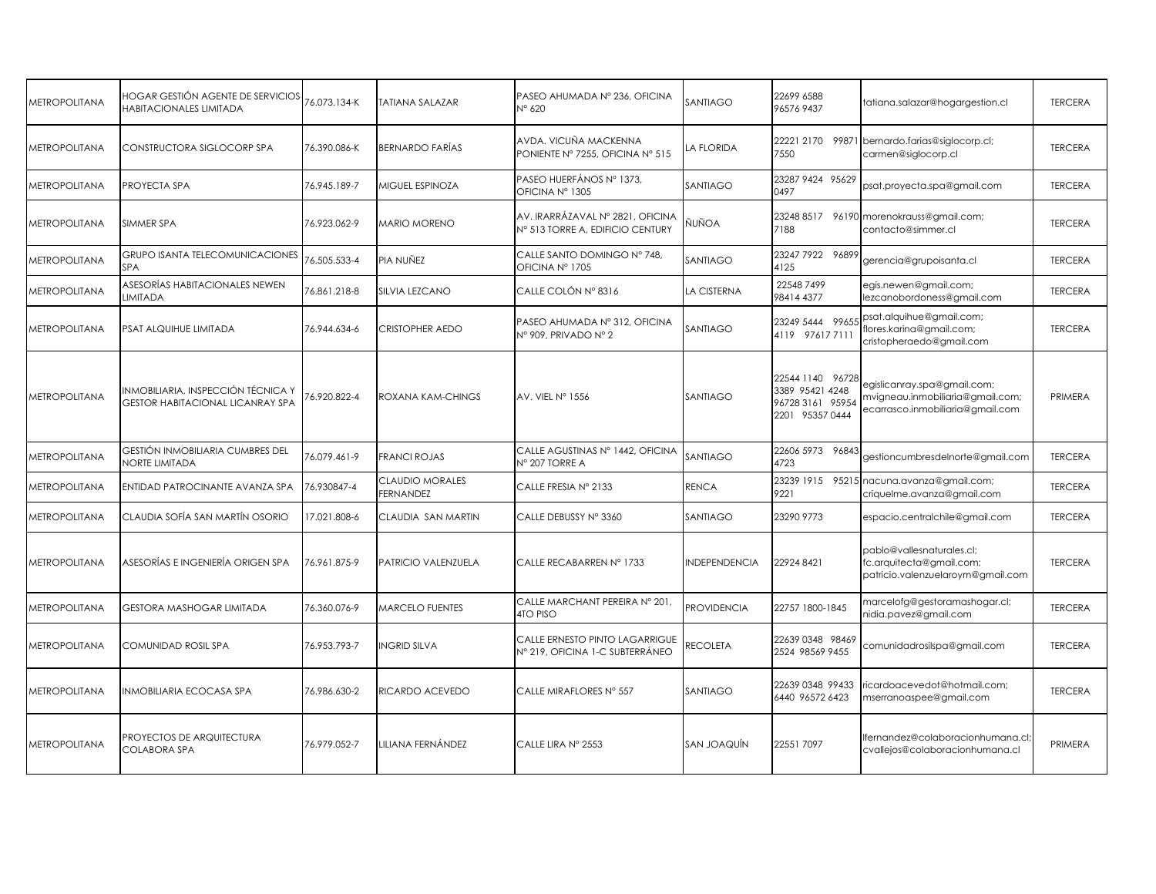| <b>METROPOLITANA</b> | HOGAR GESTIÓN AGENTE DE SERVICIOS<br>HABITACIONALES LIMITADA                  | 76.073.134-K | TATIANA SALAZAR                     | PASEO AHUMADA Nº 236, OFICINA<br>N° 620                              | SANTIAGO           | 22699 6588<br>965769437                                                    | tatiana.salazar@hogargestion.cl                                                                     | <b>TERCERA</b> |
|----------------------|-------------------------------------------------------------------------------|--------------|-------------------------------------|----------------------------------------------------------------------|--------------------|----------------------------------------------------------------------------|-----------------------------------------------------------------------------------------------------|----------------|
| <b>METROPOLITANA</b> | CONSTRUCTORA SIGLOCORP SPA                                                    | 76.390.086-K | BERNARDO FARÍAS                     | AVDA, VICUÑA MACKENNA<br>PONIENTE Nº 7255, OFICINA Nº 515            | LA FLORIDA         | 7550                                                                       | 22221 2170 99871 bernardo.farias@siglocorp.cl;<br>carmen@siglocorp.cl                               | <b>TERCERA</b> |
| <b>METROPOLITANA</b> | PROYECTA SPA                                                                  | 76.945.189-7 | MIGUEL ESPINOZA                     | PASEO HUERFÁNOS Nº 1373,<br>OFICINA Nº 1305                          | SANTIAGO           | 23287 9424 95629<br>0497                                                   | psat.proyecta.spa@gmail.com                                                                         | <b>TERCERA</b> |
| <b>METROPOLITANA</b> | SIMMER SPA                                                                    | 76.923.062-9 | <b>MARIO MORENO</b>                 | AV. IRARRÁZAVAL Nº 2821, OFICINA<br>N° 513 TORRE A, EDIFICIO CENTURY | ÑUÑOA              | 7188                                                                       | 23248 8517 96190 morenokrauss@gmail.com;<br>contacto@simmer.cl                                      | <b>TERCERA</b> |
| <b>METROPOLITANA</b> | <b>GRUPO ISANTA TELECOMUNICACIONES</b><br>SPA                                 | 76.505.533-4 | PIA NUÑEZ                           | CALLE SANTO DOMINGO Nº 748.<br>OFICINA Nº 1705                       | SANTIAGO           | 23247 7922 96899<br>4125                                                   | gerencia@grupoisanta.cl                                                                             | <b>TERCERA</b> |
| <b>METROPOLITANA</b> | ASESORÍAS HABITACIONALES NEWEN<br><b>LIMITADA</b>                             | 76.861.218-8 | <b>SILVIA LEZCANO</b>               | CALLE COLÓN Nº 8316                                                  | LA CISTERNA        | 22548 7499<br>98414 4377                                                   | egis.newen@gmail.com;<br>lezcanobordoness@gmail.com                                                 | <b>TERCERA</b> |
| <b>METROPOLITANA</b> | PSAT ALQUIHUE LIMITADA                                                        | 76.944.634-6 | <b>CRISTOPHER AEDO</b>              | PASEO AHUMADA Nº 312, OFICINA<br>Nº 909, PRIVADO Nº 2                | SANTIAGO           | 23249 5444 9965<br>4119 976177111                                          | psat.alquihue@gmail.com;<br>flores.karina@gmail.com;<br>cristopheraedo@gmail.com                    | <b>TERCERA</b> |
| <b>METROPOLITANA</b> | INMOBILIARIA, INSPECCIÓN TÉCNICA Y<br><b>GESTOR HABITACIONAL LICANRAY SPA</b> | 6.920.822-4  | ROXANA KAM-CHINGS                   | AV. VIEL Nº 1556                                                     | SANTIAGO           | 22544 1140 96728<br>3389 95421 4248<br>96728 3161 95954<br>2201 95357 0444 | egislicanray.spa@gmail.com;<br>mvigneau.inmobiliaria@gmail.com;<br>ecarrasco.inmobiliaria@gmail.com | PRIMERA        |
| <b>METROPOLITANA</b> | GESTIÓN INMOBILIARIA CUMBRES DEL<br>NORTE LIMITADA                            | 76.079.461-9 | <b>FRANCI ROJAS</b>                 | CALLE AGUSTINAS Nº 1442, OFICINA<br>N° 207 TORRE A                   | SANTIAGO           | 22606 5973 96843<br>4723                                                   | gestioncumbresdelnorte@gmail.com                                                                    | <b>TERCERA</b> |
| <b>METROPOLITANA</b> | ENTIDAD PATROCINANTE AVANZA SPA                                               | 76.930847-4  | CLAUDIO MORALES<br><b>FERNANDEZ</b> | CALLE FRESIA Nº 2133                                                 | RENCA              | 9221                                                                       | 23239 1915 95215 nacuna.avanza@gmail.com;<br>criquelme.avanza@gmail.com                             | <b>TERCERA</b> |
| <b>METROPOLITANA</b> | CLAUDIA SOFÍA SAN MARTÍN OSORIO                                               | 17.021.808-6 | CLAUDIA SAN MARTIN                  | CALLE DEBUSSY Nº 3360                                                | SANTIAGO           | 23290 9773                                                                 | espacio.centralchile@gmail.com                                                                      | <b>TERCERA</b> |
| <b>METROPOLITANA</b> | ASESORÍAS E INGENIERÍA ORIGEN SPA                                             | 76.961.875-9 | PATRICIO VALENZUELA                 | CALLE RECABARREN Nº 1733                                             | NDEPENDENCIA       | 229248421                                                                  | pablo@vallesnaturales.cl;<br>fc.arquitecta@gmail.com;<br>patricio.valenzuelaroym@gmail.com          | <b>TERCERA</b> |
| <b>METROPOLITANA</b> | GESTORA MASHOGAR LIMITADA                                                     | 76.360.076-9 | MARCELO FUENTES                     | CALLE MARCHANT PEREIRA Nº 201,<br>4TO PISO                           | <b>PROVIDENCIA</b> | 22757 1800-1845                                                            | marcelofg@gestoramashogar.cl;<br>nidia.pavez@gmail.com                                              | <b>TERCERA</b> |
| METROPOLITANA        | COMUNIDAD ROSIL SPA                                                           | 76.953.793-7 | <b>INGRID SILVA</b>                 | CALLE ERNESTO PINTO LAGARRIGUE<br>Nº 219, OFICINA 1-C SUBTERRÁNEO    | RECOLETA           | 22639 0348 98469<br>2524 98569 9455                                        | comunidadrosilspa@gmail.com                                                                         | <b>TERCERA</b> |
| <b>METROPOLITANA</b> | INMOBILIARIA ECOCASA SPA                                                      | 76.986.630-2 | RICARDO ACEVEDO                     | CALLE MIRAFLORES Nº 557                                              | SANTIAGO           | 22639 0348 99433<br>6440 96572 6423                                        | icardoacevedot@hotmail.com;<br>mserranoaspee@gmail.com                                              | <b>TERCERA</b> |
| <b>METROPOLITANA</b> | PROYECTOS DE ARQUITECTURA<br>COLABORA SPA                                     | 76.979.052-7 | LILIANA FERNÁNDEZ                   | CALLE LIRA Nº 2553                                                   | SAN JOAQUÍN        | 22551 7097                                                                 | lfernandez@colaboracionhumana.cl;<br>cvallejos@colaboracionhumana.cl                                | PRIMERA        |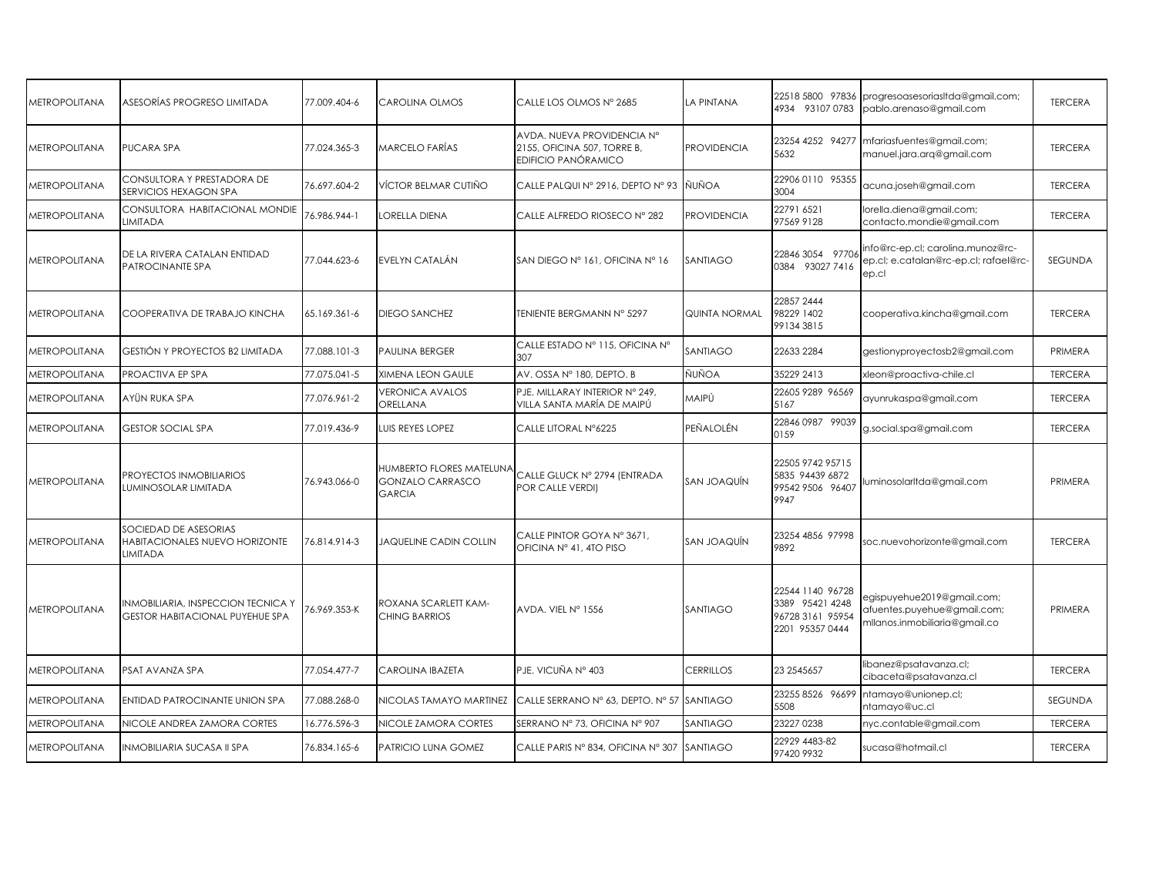| <b>METROPOLITANA</b> | ASESORÍAS PROGRESO LIMITADA                                                  | 77.009.404-6 | CAROLINA OLMOS                                                       | CALLE LOS OLMOS Nº 2685                                                                 | LA PINTANA         | 22518 5800 97836<br>4934 93107 0783                                        | progresoasesoriasItda@gmail.com;<br>pablo.arenaso@gmail.com                                | <b>TERCERA</b> |
|----------------------|------------------------------------------------------------------------------|--------------|----------------------------------------------------------------------|-----------------------------------------------------------------------------------------|--------------------|----------------------------------------------------------------------------|--------------------------------------------------------------------------------------------|----------------|
| <b>METROPOLITANA</b> | PUCARA SPA                                                                   | 77.024.365-3 | MARCELO FARÍAS                                                       | AVDA, NUEVA PROVIDENCIA Nº<br>2155, OFICINA 507, TORRE B,<br><b>EDIFICIO PANÓRAMICO</b> | <b>PROVIDENCIA</b> | 23254 4252 94277<br>5632                                                   | mfariasfuentes@gmail.com;<br>manuel.jara.arg@gmail.com                                     | <b>TERCERA</b> |
| <b>METROPOLITANA</b> | CONSULTORA Y PRESTADORA DE<br>SERVICIOS HEXAGON SPA                          | 76.697.604-2 | VÍCTOR BELMAR CUTIÑO                                                 | CALLE PALQUI Nº 2916, DEPTO Nº 93 NUÑOA                                                 |                    | 22906 0110 95355<br>3004                                                   | acuna.joseh@gmail.com                                                                      | <b>TERCERA</b> |
| <b>METROPOLITANA</b> | CONSULTORA HABITACIONAL MONDIE<br><b>LIMITADA</b>                            | 76.986.944-1 | LORELLA DIENA                                                        | CALLE ALFREDO RIOSECO Nº 282                                                            | <b>PROVIDENCIA</b> | 22791 6521<br>97569 9128                                                   | orella.diena@gmail.com;<br>contacto.mondie@gmail.com                                       | <b>TERCERA</b> |
| <b>METROPOLITANA</b> | DE LA RIVERA CATALAN ENTIDAD<br>PATROCINANTE SPA                             | 77.044.623-6 | EVELYN CATALÁN                                                       | SAN DIEGO N° 161, OFICINA N° 16                                                         | <b>SANTIAGO</b>    | 22846 3054 97706<br>0384 93027 7416                                        | info@rc-ep.cl; carolina.munoz@rc-<br>ep.cl; e.catalan@rc-ep.cl; rafael@rc-<br>ep.cl        | <b>SEGUNDA</b> |
| <b>METROPOLITANA</b> | COOPERATIVA DE TRABAJO KINCHA                                                | 65.169.361-6 | <b>DIEGO SANCHEZ</b>                                                 | TENIENTE BERGMANN N° 5297                                                               | QUINTA NORMAL      | 22857 2444<br>98229 1402<br>991343815                                      | cooperativa.kincha@gmail.com                                                               | <b>TERCERA</b> |
| <b>METROPOLITANA</b> | <b>GESTIÓN Y PROYECTOS B2 LIMITADA</b>                                       | 77.088.101-3 | PAULINA BERGER                                                       | CALLE ESTADO Nº 115, OFICINA Nº<br>307                                                  | SANTIAGO           | 22633 2284                                                                 | gestionyproyectosb2@gmail.com                                                              | PRIMERA        |
| <b>METROPOLITANA</b> | PROACTIVA EP SPA                                                             | 77.075.041-5 | <b>XIMENA LEON GAULE</b>                                             | AV. OSSA Nº 180, DEPTO. B                                                               | ÑUÑOA              | 35229 2413                                                                 | xleon@proactiva-chile.cl                                                                   | <b>TERCERA</b> |
| <b>METROPOLITANA</b> | AYÜN RUKA SPA                                                                | 77.076.961-2 | <b>VERONICA AVALOS</b><br>ORELLANA                                   | PJE. MILLARAY INTERIOR Nº 249,<br>VILLA SANTA MARÍA DE MAIPÚ                            | MAIPÚ              | 22605 9289 96569<br>5167                                                   | ayunrukaspa@gmail.com                                                                      | <b>TERCERA</b> |
| <b>METROPOLITANA</b> | <b>GESTOR SOCIAL SPA</b>                                                     | 77.019.436-9 | LUIS REYES LOPEZ                                                     | CALLE LITORAL N°6225                                                                    | PEÑALOLÉN          | 22846 0987 99039<br>0159                                                   | g.social.spa@gmail.com                                                                     | <b>TERCERA</b> |
| <b>METROPOLITANA</b> | PROYECTOS INMOBILIARIOS<br>LUMINOSOLAR LIMITADA                              | 76.943.066-0 | HUMBERTO FLORES MATELUNA<br><b>GONZALO CARRASCO</b><br><b>GARCIA</b> | CALLE GLUCK Nº 2794 (ENTRADA<br>POR CALLE VERDI)                                        | <b>SAN JOAQUÍN</b> | 22505 9742 95715<br>5835 94439 6872<br>99542 9506 96407<br>9947            | uminosolarltda@gmail.com                                                                   | PRIMERA        |
| <b>METROPOLITANA</b> | SOCIEDAD DE ASESORIAS<br>HABITACIONALES NUEVO HORIZONTE<br>LIMITADA          | 76.814.914-3 | <b>JAQUELINE CADIN COLLIN</b>                                        | CALLE PINTOR GOYA Nº 3671,<br>OFICINA Nº 41, 4TO PISO                                   | SAN JOAQUÍN        | 23254 4856 97998<br>9892                                                   | soc.nuevohorizonte@gmail.com                                                               | <b>TERCERA</b> |
| <b>METROPOLITANA</b> | INMOBILIARIA, INSPECCION TECNICA Y<br><b>GESTOR HABITACIONAL PUYEHUE SPA</b> | 6.969.353-K  | ROXANA SCARLETT KAM-<br>CHING BARRIOS                                | AVDA. VIEL Nº 1556                                                                      | SANTIAGO           | 22544 1140 96728<br>3389 95421 4248<br>96728 3161 95954<br>2201 95357 0444 | egispuyehue2019@gmail.com;<br>afuentes.puyehue@gmail.com;<br>mllanos.inmobiliaria@gmail.co | PRIMERA        |
| <b>METROPOLITANA</b> | PSAT AVANZA SPA                                                              | 77.054.477-7 | CAROLINA IBAZETA                                                     | PJE. VICUÑA Nº 403                                                                      | <b>CERRILLOS</b>   | 23 2545657                                                                 | libanez@psatavanza.cl;<br>cibaceta@psatavanza.cl                                           | <b>TERCERA</b> |
| METROPOLITANA        | <b>ENTIDAD PATROCINANTE UNION SPA</b>                                        | 77.088.268-0 | NICOLAS TAMAYO MARTINEZ                                              | CALLE SERRANO Nº 63, DEPTO. Nº 57 SANTIAGO                                              |                    | 23255 8526 96699<br>5508                                                   | ntamayo@unionep.cl;<br>ntamayo@uc.cl                                                       | <b>SEGUNDA</b> |
| <b>METROPOLITANA</b> | NICOLE ANDREA ZAMORA CORTES                                                  | 16.776.596-3 | NICOLE ZAMORA CORTES                                                 | SERRANO Nº 73, OFICINA Nº 907                                                           | <b>SANTIAGO</b>    | 23227 0238                                                                 | nyc.contable@gmail.com                                                                     | <b>TERCERA</b> |
| METROPOLITANA        | <b>INMOBILIARIA SUCASA II SPA</b>                                            | 76.834.165-6 | PATRICIO LUNA GOMEZ                                                  | CALLE PARIS N° 834, OFICINA N° 307 SANTIAGO                                             |                    | 22929 4483-82<br>97420 9932                                                | sucasa@hotmail.cl                                                                          | <b>TERCERA</b> |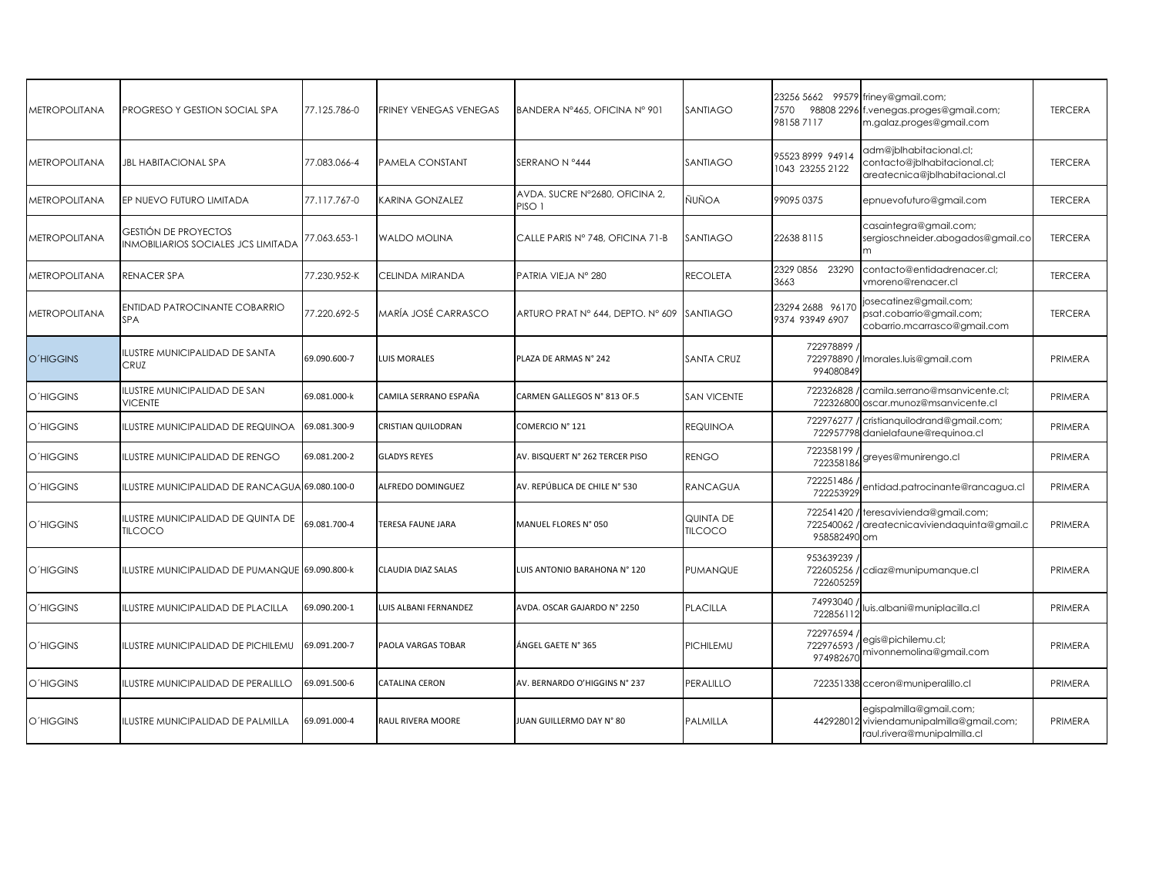| <b>METROPOLITANA</b> | PROGRESO Y GESTION SOCIAL SPA                                             | 77.125.786-0 | <b>FRINEY VENEGAS VENEGAS</b> | BANDERA Nº465, OFICINA Nº 901                       | <b>SANTIAGO</b>                    | 7570<br>981587117                     | 23256 5662 99579 friney@gmail.com;<br>98808 2296 f.venegas.proges@gmail.com;<br>m.galaz.proges@gmail.com | <b>TERCERA</b> |
|----------------------|---------------------------------------------------------------------------|--------------|-------------------------------|-----------------------------------------------------|------------------------------------|---------------------------------------|----------------------------------------------------------------------------------------------------------|----------------|
| <b>METROPOLITANA</b> | <b>JBL HABITACIONAL SPA</b>                                               | 77.083.066-4 | PAMELA CONSTANT               | SERRANO N °444                                      | SANTIAGO                           | 95523 8999 94914<br>1043 23255 2122   | adm@jblhabitacional.cl;<br>contacto@jblhabitacional.cl;<br>areatecnica@jblhabitacional.cl                | <b>TERCERA</b> |
| METROPOLITANA        | EP NUEVO FUTURO LIMITADA                                                  | 77.117.767-0 | KARINA GONZALEZ               | AVDA, SUCRE Nº2680, OFICINA 2,<br>PISO <sub>1</sub> | ÑUÑOA                              | 99095 0375                            | epnuevofuturo@gmail.com                                                                                  | <b>TERCERA</b> |
| <b>METROPOLITANA</b> | <b>GESTIÓN DE PROYECTOS</b><br><b>INMOBILIARIOS SOCIALES JCS LIMITADA</b> | 77.063.653-1 | <b>WALDO MOLINA</b>           | CALLE PARIS Nº 748, OFICINA 71-B                    | <b>SANTIAGO</b>                    | 226388115                             | casaintegra@gmail.com;<br>sergioschneider.abogados@gmail.co                                              | <b>TERCERA</b> |
| <b>METROPOLITANA</b> | RENACER SPA                                                               | 77.230.952-K | CELINDA MIRANDA               | PATRIA VIEJA Nº 280                                 | <b>RECOLETA</b>                    | 2329 0856 23290<br>3663               | contacto@entidadrenacer.cl:<br>moreno@renacer.cl                                                         | <b>TERCERA</b> |
| <b>METROPOLITANA</b> | <b>ENTIDAD PATROCINANTE COBARRIO</b><br>SPA                               | 77.220.692-5 | MARÍA JOSÉ CARRASCO           | ARTURO PRAT Nº 644, DEPTO. Nº 609 SANTIAGO          |                                    | 23294 2688 96170<br>9374 93949 6907   | osecatinez@gmail.com;<br>psat.cobarrio@gmail.com;<br>cobarrio.mcarrasco@gmail.com                        | <b>TERCERA</b> |
| <b>O'HIGGINS</b>     | ILUSTRE MUNICIPALIDAD DE SANTA<br>CRUZ                                    | 69.090.600-7 | LUIS MORALES                  | PLAZA DE ARMAS N° 242                               | <b>SANTA CRUZ</b>                  | 722978899<br>994080849                | 722978890 / Imorales.luis@gmail.com                                                                      | PRIMERA        |
| O'HIGGINS            | LUSTRE MUNICIPALIDAD DE SAN<br><b>VICENTE</b>                             | 69.081.000-k | CAMILA SERRANO ESPAÑA         | CARMEN GALLEGOS N° 813 OF.5                         | <b>SAN VICENTE</b>                 |                                       | 722326828 / camila.serrano@msanvicente.cl;<br>722326800 oscar.munoz@msanvicente.cl                       | PRIMERA        |
| <b>O'HIGGINS</b>     | ILUSTRE MUNICIPALIDAD DE REQUINOA                                         | 69.081.300-9 | CRISTIAN QUILODRAN            | COMERCIO Nº 121                                     | <b>REQUINOA</b>                    |                                       | 722976277 / cristianquilodrand@gmail.com;<br>722957798 danielafaune@requinoa.cl                          | PRIMERA        |
| O'HIGGINS            | ILUSTRE MUNICIPALIDAD DE RENGO                                            | 69.081.200-2 | <b>GLADYS REYES</b>           | AV. BISQUERT N° 262 TERCER PISO                     | <b>RENGO</b>                       | 722358199<br>722358186                | greyes@munirengo.cl                                                                                      | PRIMERA        |
| O'HIGGINS            | ILUSTRE MUNICIPALIDAD DE RANCAGUA 69.080.100-0                            |              | ALFREDO DOMINGUEZ             | AV. REPÚBLICA DE CHILE N° 530                       | <b>RANCAGUA</b>                    | 722251486<br>722253929                | entidad.patrocinante@rancagua.cl                                                                         | PRIMERA        |
| <b>O'HIGGINS</b>     | ILUSTRE MUNICIPALIDAD DE QUINTA DE<br><b>TILCOCO</b>                      | 59.081.700-4 | TERESA FAUNE JARA             | MANUEL FLORES N° 050                                | <b>QUINTA DE</b><br><b>TILCOCO</b> | 958582490 om                          | 722541420 / teresavivienda@gmail.com;<br>722540062 / areatecnicaviviendaguinta@gmail.c                   | PRIMERA        |
| O'HIGGINS            | ILUSTRE MUNICIPALIDAD DE PUMANQUE 69.090.800-k                            |              | CLAUDIA DIAZ SALAS            | LUIS ANTONIO BARAHONA N° 120                        | <b>PUMANQUE</b>                    | 953639239 /<br>722605259              | 722605256 / cdiaz@munipumanque.cl                                                                        | PRIMERA        |
| <b>O'HIGGINS</b>     | ILUSTRE MUNICIPALIDAD DE PLACILLA                                         | 69.090.200-1 | LUIS ALBANI FERNANDEZ         | AVDA. OSCAR GAJARDO Nº 2250                         | <b>PLACILLA</b>                    | 74993040<br>722856112                 | uis.albani@muniplacilla.cl                                                                               | PRIMERA        |
| <b>O'HIGGINS</b>     | ILUSTRE MUNICIPALIDAD DE PICHILEMU                                        | 69.091.200-7 | PAOLA VARGAS TOBAR            | ÁNGEL GAETE N° 365                                  | PICHILEMU                          | 722976594 /<br>722976593<br>974982670 | egis@pichilemu.cl;<br>mivonnemolina@gmail.com                                                            | PRIMERA        |
| <b>O'HIGGINS</b>     | ILUSTRE MUNICIPALIDAD DE PERALILLO                                        | 69.091.500-6 | CATALINA CERON                | AV. BERNARDO O'HIGGINS N° 237                       | PERALILLO                          |                                       | 722351338 cceron@muniperalillo.cl                                                                        | PRIMERA        |
| O'HIGGINS            | <b>ILUSTRE MUNICIPALIDAD DE PALMILLA</b>                                  | 69.091.000-4 | <b>RAUL RIVERA MOORE</b>      | JUAN GUILLERMO DAY N° 80                            | PALMILLA                           |                                       | egispalmilla@gmail.com;<br>442928012 viviendamunipalmilla@gmail.com;<br>raul.rivera@munipalmilla.cl      | PRIMERA        |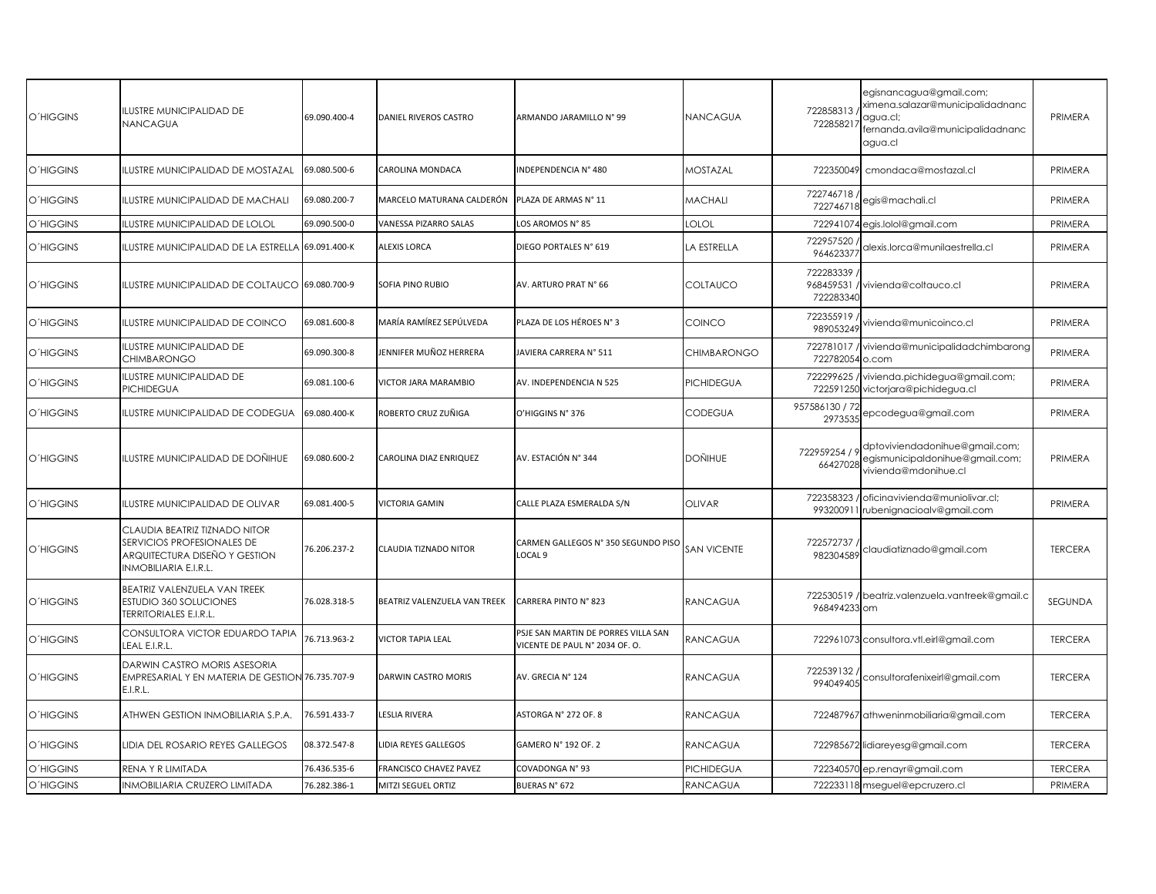| <b>O'HIGGINS</b> | <b>ILUSTRE MUNICIPALIDAD DE</b><br>NANCAGUA                                                                           | 69.090.400-4 | DANIEL RIVEROS CASTRO        | ARMANDO JARAMILLO Nº 99                                               | NANCAGUA           | 722858313<br>722858217    | egisnancagua@gmail.com;<br>ximena.salazar@municipalidadnanc<br>agua.cl;<br>fernanda.avila@municipalidadnanc<br>agua.cl | PRIMERA        |
|------------------|-----------------------------------------------------------------------------------------------------------------------|--------------|------------------------------|-----------------------------------------------------------------------|--------------------|---------------------------|------------------------------------------------------------------------------------------------------------------------|----------------|
| <b>O'HIGGINS</b> | ILUSTRE MUNICIPALIDAD DE MOSTAZAL                                                                                     | 69.080.500-6 | CAROLINA MONDACA             | INDEPENDENCIA Nº 480                                                  | MOSTAZAL           | 722350049                 | cmondaca@mostazal.cl                                                                                                   | PRIMERA        |
| <b>O'HIGGINS</b> | ILUSTRE MUNICIPALIDAD DE MACHALI                                                                                      | 69.080.200-7 | MARCELO MATURANA CALDERÓN    | PLAZA DE ARMAS N° 11                                                  | MACHALI            | 722746718 /<br>722746718  | egis@machali.cl                                                                                                        | PRIMERA        |
| O'HIGGINS        | ILUSTRE MUNICIPALIDAD DE LOLOL                                                                                        | 69.090.500-0 | VANESSA PIZARRO SALAS        | LOS AROMOS N° 85                                                      | lolol              |                           | 722941074 egis.lolol@gmail.com                                                                                         | PRIMERA        |
| <b>O'HIGGINS</b> | ILUSTRE MUNICIPALIDAD DE LA ESTRELLA                                                                                  | 69.091.400-K | <b>ALEXIS LORCA</b>          | DIEGO PORTALES N° 619                                                 | LA ESTRELLA        | 722957520<br>964623377    | alexis.lorca@munilaestrella.cl                                                                                         | PRIMERA        |
| <b>O'HIGGINS</b> | ILUSTRE MUNICIPALIDAD DE COLTAUCO 69.080.700-9                                                                        |              | SOFIA PINO RUBIO             | AV. ARTURO PRAT N° 66                                                 | COLTAUCO           | 722283339 /<br>722283340  | 968459531 / vivienda@coltauco.cl                                                                                       | PRIMERA        |
| <b>O'HIGGINS</b> | ILUSTRE MUNICIPALIDAD DE COINCO                                                                                       | 69.081.600-8 | MARÍA RAMÍREZ SEPÚLVEDA      | PLAZA DE LOS HÉROES N° 3                                              | COINCO             | 722355919<br>989053249    | vivienda@municoinco.cl                                                                                                 | PRIMERA        |
| <b>O'HIGGINS</b> | <b>ILUSTRE MUNICIPALIDAD DE</b><br><b>CHIMBARONGO</b>                                                                 | 69.090.300-8 | IENNIFER MUÑOZ HERRERA       | JAVIERA CARRERA N° 511                                                | <b>CHIMBARONGO</b> | 722782054 o.com           | 722781017 / vivienda@municipalidadchimbarong                                                                           | PRIMERA        |
| <b>O'HIGGINS</b> | ILUSTRE MUNICIPALIDAD DE<br>PICHIDEGUA                                                                                | 69.081.100-6 | VICTOR JARA MARAMBIO         | AV. INDEPENDENCIA N 525                                               | PICHIDEGUA         |                           | 722299625 / vivienda.pichidegua@gmail.com;<br>722591250 victorjara@pichidegua.cl                                       | PRIMERA        |
| <b>O'HIGGINS</b> | ILUSTRE MUNICIPALIDAD DE CODEGUA                                                                                      | 69.080.400-K | ROBERTO CRUZ ZUÑIGA          | O'HIGGINS N° 376                                                      | CODEGUA            | 957586130 / 72<br>2973535 | epcodegua@gmail.com                                                                                                    | PRIMERA        |
| <b>O'HIGGINS</b> | ILUSTRE MUNICIPALIDAD DE DOÑIHUE                                                                                      | 69.080.600-2 | CAROLINA DIAZ ENRIQUEZ       | AV. ESTACIÓN Nº 344                                                   | Doñihue            | 722959254 / 9<br>66427028 | dptoviviendadonihue@gmail.com;<br>egismunicipaldonihue@gmail.com;<br>vivienda@mdonihue.cl                              | PRIMERA        |
| <b>O'HIGGINS</b> | <b>ILUSTRE MUNICIPALIDAD DE OLIVAR</b>                                                                                | 69.081.400-5 | <b>VICTORIA GAMIN</b>        | CALLE PLAZA ESMERALDA S/N                                             | <b>OLIVAR</b>      |                           | 722358323 / oficinavivienda@muniolivar.cl;<br>993200911 rubenignacioalv@gmail.com                                      | PRIMERA        |
| <b>O'HIGGINS</b> | CLAUDIA BEATRIZ TIZNADO NITOR<br>SERVICIOS PROFESIONALES DE<br>ARQUITECTURA DISEÑO Y GESTION<br>INMOBILIARIA E.I.R.L. | 76.206.237-2 | CLAUDIA TIZNADO NITOR        | CARMEN GALLEGOS N° 350 SEGUNDO PISO<br>LOCAL 9                        | <b>SAN VICENTE</b> | 722572737<br>982304589    | claudiatiznado@gmail.com                                                                                               | <b>TERCERA</b> |
| <b>O'HIGGINS</b> | BEATRIZ VALENZUELA VAN TREEK<br><b>ESTUDIO 360 SOLUCIONES</b><br>TERRITORIALES E.I.R.L.                               | 76.028.318-5 | BEATRIZ VALENZUELA VAN TREEK | CARRERA PINTO N° 823                                                  | RANCAGUA           | 968494233 om              | 722530519 / beatriz.valenzuela.vantreek@gmail.c                                                                        | <b>SEGUNDA</b> |
| <b>O'HIGGINS</b> | CONSULTORA VICTOR EDUARDO TAPIA<br>LEAL E.I.R.L.                                                                      | 76.713.963-2 | VICTOR TAPIA LEAL            | PSJE SAN MARTIN DE PORRES VILLA SAN<br>VICENTE DE PAUL N° 2034 OF. O. | RANCAGUA           |                           | 722961073 consultora.vtl.eirl@gmail.com                                                                                | <b>TERCERA</b> |
| <b>O'HIGGINS</b> | DARWIN CASTRO MORIS ASESORIA<br>EMPRESARIAL Y EN MATERIA DE GESTION 76.735.707-9<br>E.I.R.L.                          |              | DARWIN CASTRO MORIS          | AV. GRECIA Nº 124                                                     | RANCAGUA           | 722539132/<br>994049405   | consultorafenixeirl@gmail.com                                                                                          | <b>TERCERA</b> |
| <b>O'HIGGINS</b> | ATHWEN GESTION INMOBILIARIA S.P.A.                                                                                    | 76.591.433-7 | LESLIA RIVERA                | ASTORGA N° 272 OF. 8                                                  | RANCAGUA           |                           | 722487967 athweninmobiliaria@gmail.com                                                                                 | <b>TERCERA</b> |
| <b>O'HIGGINS</b> | LIDIA DEL ROSARIO REYES GALLEGOS                                                                                      | 08.372.547-8 | LIDIA REYES GALLEGOS         | GAMERO N° 192 OF. 2                                                   | <b>RANCAGUA</b>    |                           | 722985672 lidiareyesg@gmail.com                                                                                        | <b>TERCERA</b> |
| <b>O'HIGGINS</b> | RENA Y R LIMITADA                                                                                                     | 76.436.535-6 | FRANCISCO CHAVEZ PAVEZ       | COVADONGA N° 93                                                       | <b>PICHIDEGUA</b>  |                           | 722340570 ep.renayr@gmail.com                                                                                          | <b>TERCERA</b> |
| <b>O'HIGGINS</b> | INMOBILIARIA CRUZERO LIMITADA                                                                                         | 76.282.386-1 | MITZI SEGUEL ORTIZ           | BUERAS N° 672                                                         | <b>RANCAGUA</b>    |                           | 722233118 mseguel@epcruzero.cl                                                                                         | PRIMERA        |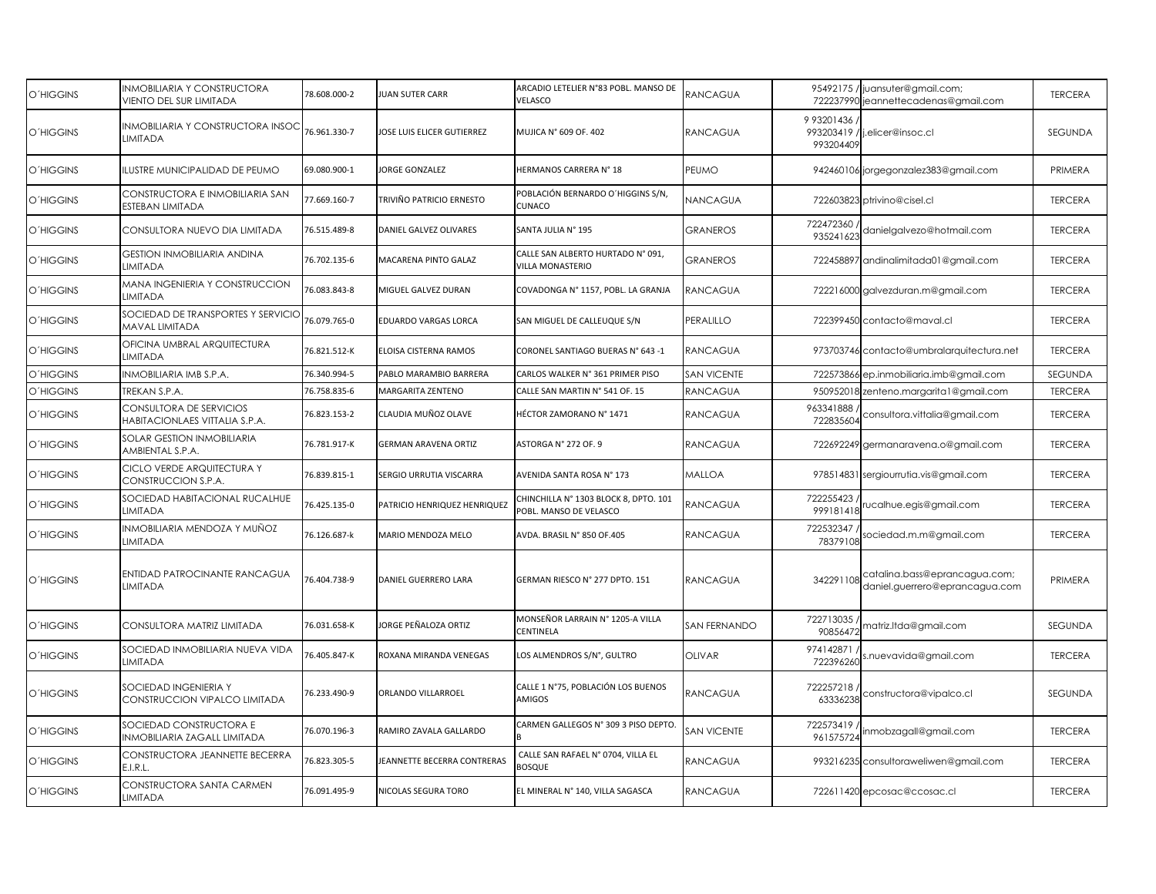| O'HIGGINS        | INMOBILIARIA Y CONSTRUCTORA<br>VIENTO DEL SUR LIMITADA    | 78.608.000-2 | <b>UAN SUTER CARR</b>             | ARCADIO LETELIER N°83 POBL. MANSO DE<br><b>VELASCO</b>          | RANCAGUA            |                          | 95492175 / juansuter@gmail.com;<br>722237990 jeannettecadenas@gmail.com | <b>TERCERA</b> |
|------------------|-----------------------------------------------------------|--------------|-----------------------------------|-----------------------------------------------------------------|---------------------|--------------------------|-------------------------------------------------------------------------|----------------|
| <b>O'HIGGINS</b> | INMOBILIARIA Y CONSTRUCTORA INSOC<br>LIMITADA             | 76.961.330-7 | OSE LUIS ELICER GUTIERREZ         | MUJICA N° 609 OF. 402                                           | <b>RANCAGUA</b>     | 9 93201436<br>993204409  | 993203419 / j.elicer@insoc.cl                                           | SEGUNDA        |
| <b>O'HIGGINS</b> | <b>ILUSTRE MUNICIPALIDAD DE PEUMO</b>                     | 69.080.900-1 | ORGE GONZALEZ                     | HERMANOS CARRERA Nº 18                                          | PEUMO               |                          | 942460106 jorgegonzalez383@gmail.com                                    | PRIMERA        |
| O'HIGGINS        | CONSTRUCTORA E INMOBILIARIA SAN<br>ESTEBAN LIMITADA       | 77.669.160-7 | TRIVIÑO PATRICIO ERNESTO          | POBLACIÓN BERNARDO O'HIGGINS S/N,<br><b>CUNACO</b>              | NANCAGUA            |                          | 722603823 ptrivino@cisel.cl                                             | <b>TERCERA</b> |
| O'HIGGINS        | CONSULTORA NUEVO DIA LIMITADA                             | 76.515.489-8 | DANIEL GALVEZ OLIVARES            | SANTA JULIA N° 195                                              | <b>GRANEROS</b>     | 722472360<br>935241623   | danielgalvezo@hotmail.com                                               | <b>TERCERA</b> |
| <b>O'HIGGINS</b> | <b>GESTION INMOBILIARIA ANDINA</b><br>LIMITADA            | 76.702.135-6 | MACARENA PINTO GALAZ              | CALLE SAN ALBERTO HURTADO Nº 091,<br>VILLA MONASTERIO           | <b>GRANEROS</b>     |                          | 722458897 andinalimitada01@gmail.com                                    | <b>TERCERA</b> |
| <b>O'HIGGINS</b> | MANA INGENIERIA Y CONSTRUCCION<br>LIMITADA                | 76.083.843-8 | VIGUEL GALVEZ DURAN               | COVADONGA N° 1157, POBL. LA GRANJA                              | <b>RANCAGUA</b>     |                          | 722216000 galvezduran.m@gmail.com                                       | <b>TERCERA</b> |
| O'HIGGINS        | SOCIEDAD DE TRANSPORTES Y SERVICIO<br>MAVAL LIMITADA      | 76.079.765-0 | EDUARDO VARGAS LORCA              | SAN MIGUEL DE CALLEUQUE S/N                                     | PERALILLO           |                          | 722399450 contacto@maval.cl                                             | <b>TERCERA</b> |
| <b>O'HIGGINS</b> | OFICINA UMBRAL ARQUITECTURA<br>LIMITADA                   | 76.821.512-K | ELOISA CISTERNA RAMOS             | CORONEL SANTIAGO BUERAS N° 643 -1                               | <b>RANCAGUA</b>     |                          | 973703746 contacto@umbralarquitectura.net                               | <b>TERCERA</b> |
| <b>O'HIGGINS</b> | INMOBILIARIA IMB S.P.A.                                   | 76.340.994-5 | PABLO MARAMBIO BARRERA            | CARLOS WALKER N° 361 PRIMER PISO                                | <b>SAN VICENTE</b>  | 722573866                | ep.inmobiliaria.imb@gmail.com                                           | <b>SEGUNDA</b> |
| O'HIGGINS        | TREKAN S.P.A.                                             | 76.758.835-6 | MARGARITA ZENTENO                 | CALLE SAN MARTIN N° 541 OF. 15                                  | RANCAGUA            |                          | 950952018 zenteno.margarita1@gmail.com                                  | <b>TERCERA</b> |
| <b>O'HIGGINS</b> | CONSULTORA DE SERVICIOS<br>HABITACIONLAES VITTALIA S.P.A. | 76.823.153-2 | CLAUDIA MUÑOZ OLAVE               | HÉCTOR ZAMORANO N° 1471                                         | <b>RANCAGUA</b>     | 963341888<br>722835604   | consultora.vittalia@gmail.com                                           | <b>TERCERA</b> |
| O'HIGGINS        | SOLAR GESTION INMOBILIARIA<br>AMBIENTAL S.P.A.            | 76.781.917-K | GERMAN ARAVENA ORTIZ              | ASTORGA N° 272 OF. 9                                            | <b>RANCAGUA</b>     |                          | 722692249 germanaravena.o@gmail.com                                     | <b>TERCERA</b> |
| O'HIGGINS        | CICLO VERDE ARQUITECTURA Y<br>CONSTRUCCION S.P.A.         | 76.839.815-1 | SERGIO URRUTIA VISCARRA           | AVENIDA SANTA ROSA Nº 173                                       | <b>MALLOA</b>       |                          | 978514831 sergiourrutia.vis@gmail.com                                   | <b>TERCERA</b> |
| <b>O'HIGGINS</b> | <b>SOCIEDAD HABITACIONAL RUCALHUE</b><br>LIMITADA         | 76.425.135-0 | PATRICIO HENRIQUEZ HENRIQUEZ      | CHINCHILLA N° 1303 BLOCK 8, DPTO. 101<br>POBL. MANSO DE VELASCO | RANCAGUA            | 722255423 /<br>999181418 | ucalhue.egis@gmail.com                                                  | <b>TERCERA</b> |
| O'HIGGINS        | NMOBILIARIA MENDOZA Y MUÑOZ<br>LIMITADA                   | 76.126.687-k | MARIO MENDOZA MELO                | AVDA. BRASIL N° 850 OF.405                                      | RANCAGUA            | 722532347<br>78379108    | sociedad.m.m@gmail.com                                                  | <b>TERCERA</b> |
| <b>O'HIGGINS</b> | ENTIDAD PATROCINANTE RANCAGUA<br><b>LIMITADA</b>          | 76.404.738-9 | DANIEL GUERRERO LARA              | GERMAN RIESCO N° 277 DPTO. 151                                  | <b>RANCAGUA</b>     | 342291108                | catalina.bass@eprancagua.com;<br>daniel.guerrero@eprancagua.com         | PRIMERA        |
| <b>O'HIGGINS</b> | CONSULTORA MATRIZ LIMITADA                                | 76.031.658-K | ORGE PEÑALOZA ORTIZ               | MONSEÑOR LARRAIN N° 1205-A VILLA<br><b>CENTINELA</b>            | <b>SAN FERNANDO</b> | 722713035<br>90856472    | matriz.ltda@gmail.com                                                   | <b>SEGUNDA</b> |
| <b>O'HIGGINS</b> | SOCIEDAD INMOBILIARIA NUEVA VIDA<br>LIMITADA              | 76.405.847-K | ROXANA MIRANDA VENEGAS            | LOS ALMENDROS S/N°, GULTRO                                      | <b>OLIVAR</b>       | 974142871<br>722396260   | .nuevavida@gmail.com                                                    | <b>TERCERA</b> |
| O'HIGGINS        | SOCIEDAD INGENIERIA Y<br>CONSTRUCCION VIPALCO LIMITADA    | 76.233.490-9 | ORLANDO VILLARROEL                | CALLE 1 N°75, POBLACIÓN LOS BUENOS<br>AMIGOS                    | RANCAGUA            | 722257218<br>63336238    | constructora@vipalco.cl                                                 | SEGUNDA        |
| <b>O'HIGGINS</b> | SOCIEDAD CONSTRUCTORA E<br>INMOBILIARIA ZAGALL LIMITADA   | 76.070.196-3 | RAMIRO ZAVALA GALLARDO            | CARMEN GALLEGOS N° 309 3 PISO DEPTO.                            | <b>SAN VICENTE</b>  | 722573419<br>961575724   | inmobzagall@gmail.com                                                   | <b>TERCERA</b> |
| <b>O'HIGGINS</b> | CONSTRUCTORA JEANNETTE BECERRA<br>E.I.R.L.                | 76.823.305-5 | <b>EANNETTE BECERRA CONTRERAS</b> | CALLE SAN RAFAEL N° 0704, VILLA EL<br><b>BOSQUE</b>             | <b>RANCAGUA</b>     |                          | 993216235 consultoraweliwen@gmail.com                                   | <b>TERCERA</b> |
| <b>O'HIGGINS</b> | CONSTRUCTORA SANTA CARMEN<br>LIMITADA                     | 76.091.495-9 | <b>NICOLAS SEGURA TORO</b>        | EL MINERAL N° 140, VILLA SAGASCA                                | <b>RANCAGUA</b>     |                          | 722611420 epcosac@ccosac.cl                                             | <b>TERCERA</b> |
|                  |                                                           |              |                                   |                                                                 |                     |                          |                                                                         |                |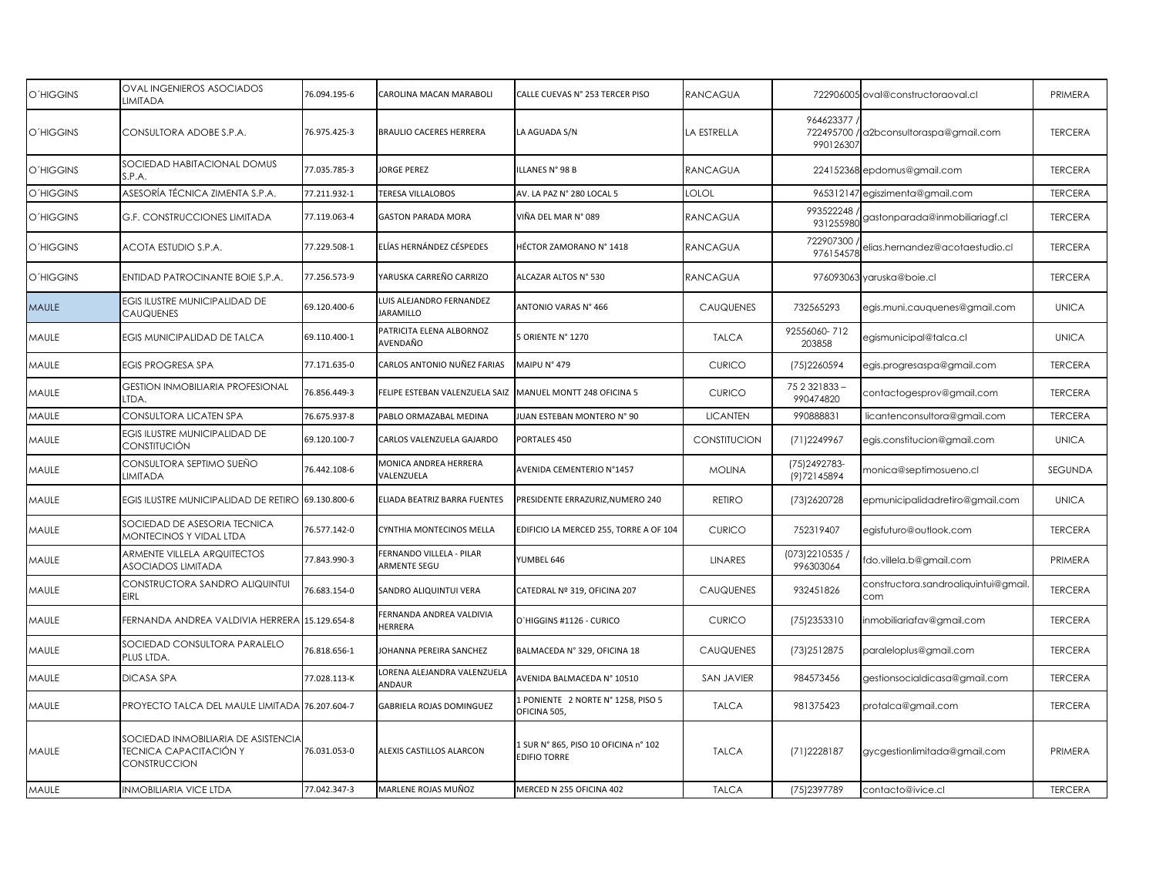| <b>O'HIGGINS</b> | <b>OVAL INGENIEROS ASOCIADOS</b><br>LIMITADA                                  | 76.094.195-6 | CAROLINA MACAN MARABOLI                     | CALLE CUEVAS N° 253 TERCER PISO                             | <b>RANCAGUA</b>   |                                | 722906005 oval@constructoraoval.cl          | PRIMERA        |
|------------------|-------------------------------------------------------------------------------|--------------|---------------------------------------------|-------------------------------------------------------------|-------------------|--------------------------------|---------------------------------------------|----------------|
| <b>O'HIGGINS</b> | CONSULTORA ADOBE S.P.A.                                                       | 76.975.425-3 | BRAULIO CACERES HERRERA                     | LA AGUADA S/N                                               | LA ESTRELLA       | 964623377<br>990126307         | 722495700 / a2bconsultoraspa@gmail.com      | <b>TERCERA</b> |
| <b>O'HIGGINS</b> | SOCIEDAD HABITACIONAL DOMUS<br>S.P.A.                                         | 77.035.785-3 | <b>JORGE PEREZ</b>                          | ILLANES N° 98 B                                             | <b>RANCAGUA</b>   |                                | 224152368 epdomus@gmail.com                 | <b>TERCERA</b> |
| <b>O'HIGGINS</b> | ASESORÍA TÉCNICA ZIMENTA S.P.A.                                               | 77.211.932-1 | TERESA VILLALOBOS                           | AV. LA PAZ N° 280 LOCAL 5                                   | LOLOL             |                                | 965312147 egiszimenta@gmail.com             | <b>TERCERA</b> |
| <b>O'HIGGINS</b> | <b>G.F. CONSTRUCCIONES LIMITADA</b>                                           | 77.119.063-4 | <b>GASTON PARADA MORA</b>                   | VIÑA DEL MAR N° 089                                         | <b>RANCAGUA</b>   | 993522248                      |                                             | <b>TERCERA</b> |
| <b>O'HIGGINS</b> | ACOTA ESTUDIO S.P.A.                                                          | 77.229.508-1 | ELÍAS HERNÁNDEZ CÉSPEDES                    | HÉCTOR ZAMORANO Nº 1418                                     | <b>RANCAGUA</b>   | 722907300<br>976154578         | elias.hernandez@acotaestudio.cl             | <b>TERCERA</b> |
| <b>O'HIGGINS</b> | ENTIDAD PATROCINANTE BOIE S.P.A.                                              | 77.256.573-9 | YARUSKA CARREÑO CARRIZO                     | ALCAZAR ALTOS N° 530                                        | <b>RANCAGUA</b>   |                                | 976093063 yaruska@boie.cl                   | <b>TERCERA</b> |
| <b>MAULE</b>     | EGIS ILUSTRE MUNICIPALIDAD DE<br>CAUQUENES                                    | 69.120.400-6 | UIS ALEJANDRO FERNANDEZ<br><b>JARAMILLO</b> | ANTONIO VARAS N° 466                                        | CAUQUENES         | 732565293                      | egis.muni.cauquenes@gmail.com               | <b>UNICA</b>   |
| MAULE            | EGIS MUNICIPALIDAD DE TALCA                                                   | 69.110.400-1 | PATRICITA ELENA ALBORNOZ<br>AVENDAÑO        | 5 ORIENTE Nº 1270                                           | <b>TALCA</b>      | 92556060-712<br>203858         | egismunicipal@talca.cl                      | <b>UNICA</b>   |
| MAULE            | <b>EGIS PROGRESA SPA</b>                                                      | 77.171.635-0 | CARLOS ANTONIO NUÑEZ FARIAS                 | MAIPU N° 479                                                | <b>CURICO</b>     | (75) 2260594                   | egis.progresaspa@gmail.com                  | <b>TERCERA</b> |
| MAULE            | <b>GESTION INMOBILIARIA PROFESIONAL</b><br>ltda.                              | 76.856.449-3 | FELIPE ESTEBAN VALENZUELA SAIZ              | MANUEL MONTT 248 OFICINA 5                                  | <b>CURICO</b>     | 75 2 32 1 8 3 3 -<br>990474820 | contactogesprov@gmail.com                   | <b>TERCERA</b> |
| MAULE            | CONSULTORA LICATEN SPA                                                        | 76.675.937-8 | PABLO ORMAZABAL MEDINA                      | JUAN ESTEBAN MONTERO N° 90                                  | <b>LICANTEN</b>   | 990888831                      | licantenconsultora@gmail.com                | <b>TERCERA</b> |
| MAULE            | EGIS ILUSTRE MUNICIPALIDAD DE<br>CONSTITUCIÓN                                 | 69.120.100-7 | CARLOS VALENZUELA GAJARDO                   | PORTALES 450                                                | CONSTITUCION      | (71) 2249967                   | egis.constitucion@gmail.com                 | <b>UNICA</b>   |
| MAULE            | CONSULTORA SEPTIMO SUEÑO<br>LIMITADA                                          | 76.442.108-6 | <b>MONICA ANDREA HERRERA</b><br>VALENZUELA  | AVENIDA CEMENTERIO N°1457                                   | <b>MOLINA</b>     | (75) 249 2783-<br>(9)72145894  | monica@septimosueno.cl                      | SEGUNDA        |
| MAULE            | EGIS ILUSTRE MUNICIPALIDAD DE RETIRO 69.130.800-6                             |              | ELIADA BEATRIZ BARRA FUENTES                | PRESIDENTE ERRAZURIZ, NUMERO 240                            | <b>RETIRO</b>     | (73) 2620728                   | epmunicipalidadretiro@gmail.com             | <b>UNICA</b>   |
| MAULE            | SOCIEDAD DE ASESORIA TECNICA<br>MONTECINOS Y VIDAL LTDA                       | 76.577.142-0 | CYNTHIA MONTECINOS MELLA                    | EDIFICIO LA MERCED 255, TORRE A OF 104                      | <b>CURICO</b>     | 752319407                      | egisfuturo@outlook.com                      | <b>TERCERA</b> |
| MAULE            | ARMENTE VILLELA ARQUITECTOS<br><b>ASOCIADOS LIMITADA</b>                      | 77.843.990-3 | FERNANDO VILLELA - PILAR<br>ARMENTE SEGU    | YUMBEL 646                                                  | <b>LINARES</b>    | (073) 2210535 /<br>996303064   | fdo.villela.b@gmail.com                     | PRIMERA        |
| MAULE            | CONSTRUCTORA SANDRO ALIQUINTUI<br><b>EIRL</b>                                 | 76.683.154-0 | SANDRO ALIQUINTUI VERA                      | CATEDRAL Nº 319, OFICINA 207                                | <b>CAUQUENES</b>  | 932451826                      | constructora.sandroaliquintui@gmail.<br>com | <b>TERCERA</b> |
| MAULE            | FERNANDA ANDREA VALDIVIA HERRERA                                              | 15.129.654-8 | FERNANDA ANDREA VALDIVIA<br>HERRERA         | O'HIGGINS #1126 - CURICO                                    | <b>CURICO</b>     | (75) 2353310                   | inmobiliariafav@gmail.com                   | <b>TERCERA</b> |
| MAULE            | SOCIEDAD CONSULTORA PARALELO<br>PLUS LTDA.                                    | 76.818.656-1 | OHANNA PEREIRA SANCHEZ                      | BALMACEDA N° 329, OFICINA 18                                | <b>CAUQUENES</b>  | (73) 251 2875                  | paraleloplus@gmail.com                      | <b>TERCERA</b> |
| MAULE            | <b>DICASA SPA</b>                                                             | 77.028.113-K | ORENA ALEJANDRA VALENZUELA<br>ANDAUR        | AVENIDA BALMACEDA Nº 10510                                  | <b>SAN JAVIER</b> | 984573456                      | gestionsocialdicasa@gmail.com               | <b>TERCERA</b> |
| MAULE            | PROYECTO TALCA DEL MAULE LIMITADA 76.207.604-7                                |              | GABRIELA ROJAS DOMINGUEZ                    | 1 PONIENTE 2 NORTE N° 1258, PISO 5<br>OFICINA 505           | <b>TALCA</b>      | 981375423                      | protalca@gmail.com                          | <b>TERCERA</b> |
| MAULE            | SOCIEDAD INMOBILIARIA DE ASISTENCIA<br>TECNICA CAPACITACIÓN Y<br>CONSTRUCCION | 76.031.053-0 | ALEXIS CASTILLOS ALARCON                    | 1 SUR N° 865, PISO 10 OFICINA n° 102<br><b>EDIFIO TORRE</b> | <b>TALCA</b>      | (71) 2228187                   | gycgestionlimitada@gmail.com                | PRIMERA        |
| MAULE            | <b>INMOBILIARIA VICE LTDA</b>                                                 | 77.042.347-3 | MARLENE ROJAS MUÑOZ                         | MERCED N 255 OFICINA 402                                    | <b>TALCA</b>      | (75)2397789                    | contacto@ivice.cl                           | <b>TERCERA</b> |
|                  |                                                                               |              |                                             |                                                             |                   |                                |                                             |                |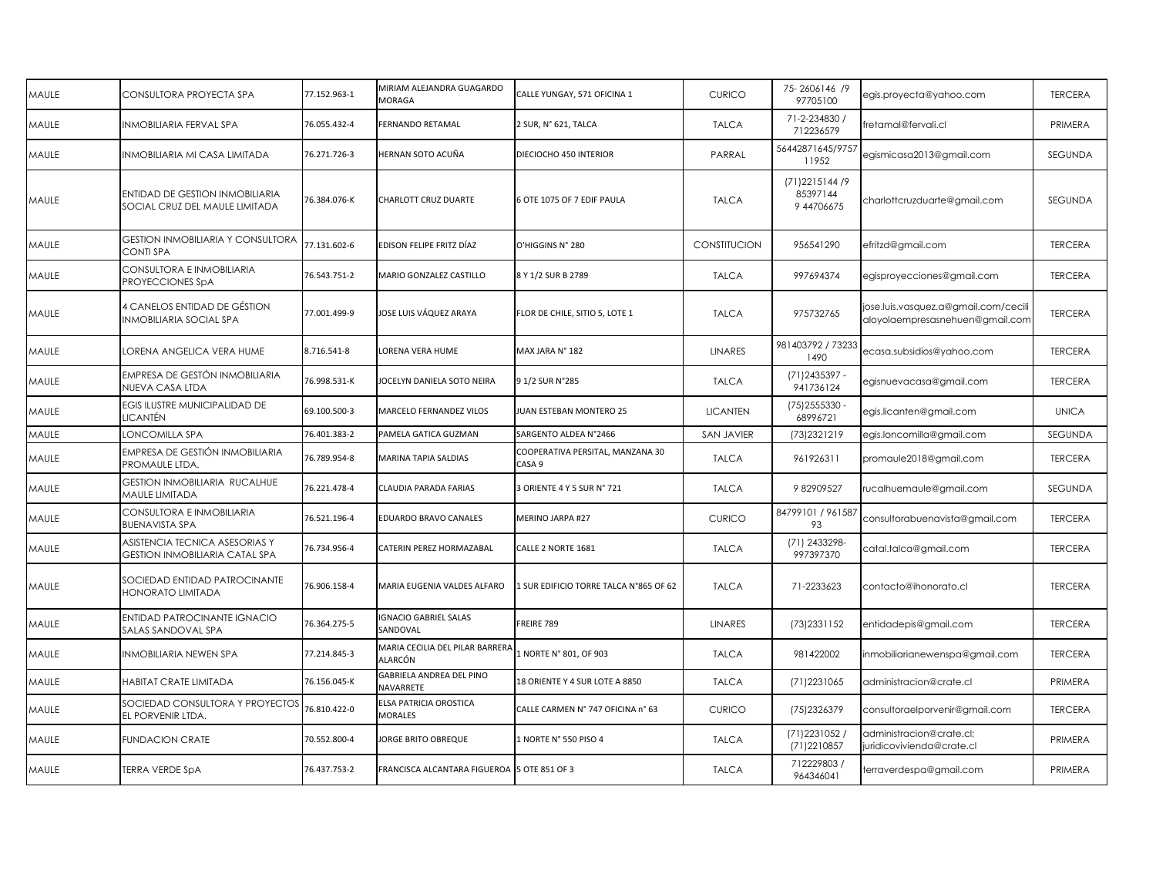| MAULE | CONSULTORA PROYECTA SPA                                                  | 77.152.963-1 | MIRIAM ALEJANDRA GUAGARDO<br>MORAGA         | CALLE YUNGAY, 571 OFICINA 1                | <b>CURICO</b>       | 75-2606146 /9<br>97705100                  | egis.proyecta@yahoo.com                                                 | <b>TERCERA</b> |
|-------|--------------------------------------------------------------------------|--------------|---------------------------------------------|--------------------------------------------|---------------------|--------------------------------------------|-------------------------------------------------------------------------|----------------|
| MAULE | INMOBILIARIA FERVAL SPA                                                  | 76.055.432-4 | FERNANDO RETAMAL                            | 2 SUR, N° 621, TALCA                       | <b>TALCA</b>        | 71-2-234830 /<br>712236579                 | iretamal@fervali.cl                                                     | PRIMERA        |
| MAULE | INMOBILIARIA MI CASA LIMITADA                                            | 76.271.726-3 | HERNAN SOTO ACUÑA                           | DIECIOCHO 450 INTERIOR                     | PARRAL              | 56442871645/9757<br>11952                  | egismicasa2013@gmail.com                                                | SEGUNDA        |
| MAULE | <b>ENTIDAD DE GESTION INMOBILIARIA</b><br>SOCIAL CRUZ DEL MAULE LIMITADA | 76.384.076-K | CHARLOTT CRUZ DUARTE                        | 6 OTE 1075 OF 7 EDIF PAULA                 | <b>TALCA</b>        | (71) 2215144 / 9<br>85397144<br>9 44706675 | charlottcruzduarte@gmail.com                                            | SEGUNDA        |
| MAULE | <b>GESTION INMOBILIARIA Y CONSULTORA</b><br><b>CONTI SPA</b>             | 77.131.602-6 | EDISON FELIPE FRITZ DÍAZ                    | O'HIGGINS N° 280                           | <b>CONSTITUCION</b> | 956541290                                  | efritzd@gmail.com                                                       | <b>TERCERA</b> |
| MAULE | CONSULTORA E INMOBILIARIA<br>PROYECCIONES SpA                            | 76.543.751-2 | MARIO GONZALEZ CASTILLO                     | 8 Y 1/2 SUR B 2789                         | <b>TALCA</b>        | 997694374                                  | egisproyecciones@gmail.com                                              | <b>TERCERA</b> |
| MAULE | 4 CANELOS ENTIDAD DE GÉSTION<br><b>INMOBILIARIA SOCIAL SPA</b>           | 77.001.499-9 | IOSE LUIS VÁQUEZ ARAYA                      | FLOR DE CHILE, SITIO 5, LOTE 1             | <b>TALCA</b>        | 975732765                                  | jose.luis.vasquez.a@gmail.com/cecili<br>aloyolaempresasnehuen@gmail.com | <b>TERCERA</b> |
| MAULE | LORENA ANGELICA VERA HUME                                                | 8.716.541-8  | LORENA VERA HUME                            | MAX JARA N° 182                            | <b>LINARES</b>      | 981403792 / 73233<br>1490                  | ecasa.subsidios@yahoo.com                                               | <b>TERCERA</b> |
| MAULE | EMPRESA DE GESTÓN INMOBILIARIA<br>NUEVA CASA LTDA                        | 76.998.531-K | <b>IOCELYN DANIELA SOTO NEIRA</b>           | 91/2 SUR N°285                             | <b>TALCA</b>        | (71) 2435397 -<br>941736124                | egisnuevacasa@gmail.com                                                 | <b>TERCERA</b> |
| MAULE | EGIS ILUSTRE MUNICIPALIDAD DE<br>LICANTÉN                                | 69.100.500-3 | MARCELO FERNANDEZ VILOS                     | JUAN ESTEBAN MONTERO 25                    | <b>LICANTEN</b>     | (75) 2555330<br>68996721                   | egis.licanten@gmail.com                                                 | <b>UNICA</b>   |
| MAULE | LONCOMILLA SPA                                                           | 76.401.383-2 | PAMELA GATICA GUZMAN                        | SARGENTO ALDEA N°2466                      | <b>SAN JAVIER</b>   | (73) 2321 219                              | egis.loncomilla@gmail.com                                               | <b>SEGUNDA</b> |
| MAULE | EMPRESA DE GESTIÓN INMOBILIARIA<br>PROMAULE LTDA.                        | 76.789.954-8 | MARINA TAPIA SALDIAS                        | COOPERATIVA PERSITAL, MANZANA 30<br>CASA 9 | <b>TALCA</b>        | 961926311                                  | promaule2018@gmail.com                                                  | <b>TERCERA</b> |
| MAULE | <b>GESTION INMOBILIARIA RUCALHUE</b><br>MAULE LIMITADA                   | 76.221.478-4 | CLAUDIA PARADA FARIAS                       | 3 ORIENTE 4 Y 5 SUR N° 721                 | <b>TALCA</b>        | 982909527                                  | rucalhuemaule@gmail.com                                                 | SEGUNDA        |
| MAULE | CONSULTORA E INMOBILIARIA<br><b>BUENAVISTA SPA</b>                       | 76.521.196-4 | EDUARDO BRAVO CANALES                       | MERINO JARPA #27                           | <b>CURICO</b>       | 84799101 / 961587<br>93                    | consultorabuenavista@gmail.com                                          | <b>TERCERA</b> |
| MAULE | ASISTENCIA TECNICA ASESORIAS Y<br>GESTION INMOBILIARIA CATAL SPA         | 76.734.956-4 | CATERIN PEREZ HORMAZABAL                    | CALLE 2 NORTE 1681                         | <b>TALCA</b>        | (71) 2433298-<br>997397370                 | catal.talca@gmail.com                                                   | <b>TERCERA</b> |
| MAULE | SOCIEDAD ENTIDAD PATROCINANTE<br><b>HONORATO LIMITADA</b>                | 76.906.158-4 | MARIA EUGENIA VALDES ALFARO                 | 1 SUR EDIFICIO TORRE TALCA N°865 OF 62     | <b>TALCA</b>        | 71-2233623                                 | contacto@ihonorato.cl                                                   | <b>TERCERA</b> |
| MAULE | <b>ENTIDAD PATROCINANTE IGNACIO</b><br>SALAS SANDOVAL SPA                | 76.364.275-5 | <b>GNACIO GABRIEL SALAS</b><br>SANDOVAL     | FREIRE 789                                 | <b>LINARES</b>      | (73) 233 1 1 5 2                           | entidadepis@gmail.com                                                   | <b>TERCERA</b> |
| MAULE | <b>INMOBILIARIA NEWEN SPA</b>                                            | 77.214.845-3 | MARIA CECILIA DEL PILAR BARRERA<br>ALARCÓN  | 1 NORTE N° 801, OF 903                     | <b>TALCA</b>        | 981422002                                  | inmobiliarianewenspa@gmail.com                                          | <b>TERCERA</b> |
| MAULE | HABITAT CRATE LIMITADA                                                   | 76.156.045-K | GABRIELA ANDREA DEL PINO<br>NAVARRETE       | 18 ORIENTE Y 4 SUR LOTE A 8850             | <b>TALCA</b>        | (71) 2231065                               | administracion@crate.cl                                                 | PRIMERA        |
| MAULE | SOCIEDAD CONSULTORA Y PROYECTOS<br>EL PORVENIR LTDA.                     | 76.810.422-0 | ELSA PATRICIA OROSTICA<br><b>MORALES</b>    | CALLE CARMEN N° 747 OFICINA n° 63          | <b>CURICO</b>       | (75) 2326379                               | consultoraelporvenir@gmail.com                                          | <b>TERCERA</b> |
| MAULE | <b>FUNDACION CRATE</b>                                                   | 70.552.800-4 | <b>IORGE BRITO OBREQUE</b>                  | 1 NORTE N° 550 PISO 4                      | <b>TALCA</b>        | (71) 2231052 /<br>(71) 2210 857            | administracion@crate.cl;<br>iuridicovivienda@crate.cl                   | PRIMERA        |
| MAULE | TERRA VERDE SpA                                                          | 76.437.753-2 | FRANCISCA ALCANTARA FIGUEROA 5 OTE 851 OF 3 |                                            | <b>TALCA</b>        | 712229803 /<br>964346041                   | terraverdespa@gmail.com                                                 | PRIMERA        |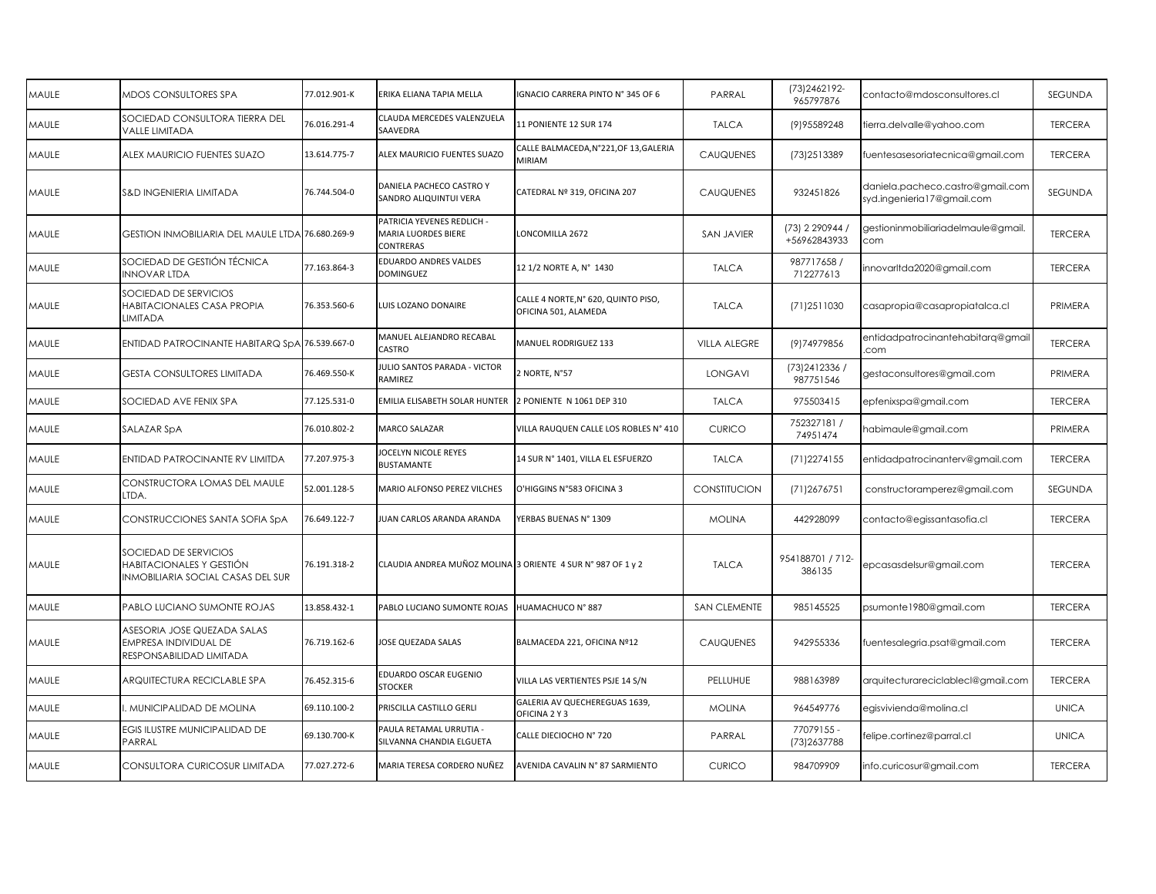| MAULE | MDOS CONSULTORES SPA                                                                          | 77.012.901-K | ERIKA ELIANA TAPIA MELLA                                              | IGNACIO CARRERA PINTO N° 345 OF 6                           | PARRAL              | (73) 246 2192-<br>965797876     | contacto@mdosconsultores.cl                                    | SEGUNDA        |
|-------|-----------------------------------------------------------------------------------------------|--------------|-----------------------------------------------------------------------|-------------------------------------------------------------|---------------------|---------------------------------|----------------------------------------------------------------|----------------|
| MAULE | SOCIEDAD CONSULTORA TIERRA DEL<br><b>VALLE LIMITADA</b>                                       | 76.016.291-4 | CLAUDA MERCEDES VALENZUELA<br>SAAVEDRA                                | <b>11 PONIENTE 12 SUR 174</b>                               | <b>TALCA</b>        | (9) 95589248                    | tierra.delvalle@yahoo.com                                      | <b>TERCERA</b> |
| MAULE | ALEX MAURICIO FUENTES SUAZO                                                                   | 13.614.775-7 | ALEX MAURICIO FUENTES SUAZO                                           | CALLE BALMACEDA, N°221, OF 13, GALERIA<br><b>MIRIAM</b>     | <b>CAUQUENES</b>    | (73) 2513389                    | fuentesasesoriatecnica@gmail.com                               | <b>TERCERA</b> |
| MAULE | S&D INGENIERIA LIMITADA                                                                       | 76.744.504-0 | DANIELA PACHECO CASTRO Y<br>SANDRO ALIQUINTUI VERA                    | CATEDRAL Nº 319, OFICINA 207                                | <b>CAUQUENES</b>    | 932451826                       | daniela.pacheco.castro@gmail.com<br>syd.ingenieria17@gmail.com | <b>SEGUNDA</b> |
| MAULE | GESTION INMOBILIARIA DEL MAULE LTDA 76.680.269-9                                              |              | PATRICIA YEVENES REDLICH -<br><b>MARIA LUORDES BIERE</b><br>CONTRERAS | LONCOMILLA 2672                                             | <b>SAN JAVIER</b>   | (73) 2 290944 /<br>+56962843933 | gestioninmobiliariadelmaule@gmail.<br>com                      | <b>TERCERA</b> |
| MAULE | SOCIEDAD DE GESTIÓN TÉCNICA<br><b>INNOVAR LTDA</b>                                            | 77.163.864-3 | EDUARDO ANDRES VALDES<br><b>DOMINGUEZ</b>                             | 12 1/2 NORTE A, N° 1430                                     | <b>TALCA</b>        | 987717658 /<br>712277613        | innovarltda2020@gmail.com                                      | <b>TERCERA</b> |
| MAULE | SOCIEDAD DE SERVICIOS<br>HABITACIONALES CASA PROPIA<br><b>LIMITADA</b>                        | 76.353.560-6 | LUIS LOZANO DONAIRE                                                   | CALLE 4 NORTE, N° 620, QUINTO PISO,<br>OFICINA 501, ALAMEDA | <b>TALCA</b>        | (71)2511030                     | casapropia@casapropiatalca.cl                                  | PRIMERA        |
| MAULE | ENTIDAD PATROCINANTE HABITARQ SpA 76.539.667-0                                                |              | MANUEL ALEJANDRO RECABAL<br>CASTRO                                    | MANUEL RODRIGUEZ 133                                        | <b>VILLA ALEGRE</b> | (9) 749 79856                   | entidadpatrocinantehabitarq@gmail<br>com                       | <b>TERCERA</b> |
| MAULE | <b>GESTA CONSULTORES LIMITADA</b>                                                             | 76.469.550-K | JULIO SANTOS PARADA - VICTOR<br>RAMIREZ                               | 2 NORTE, N°57                                               | LONGAVI             | (73) 241 2336 /<br>987751546    | gestaconsultores@gmail.com                                     | PRIMERA        |
| MAULE | SOCIEDAD AVE FENIX SPA                                                                        | 77.125.531-0 | <b>EMILIA ELISABETH SOLAR HUNTER</b>                                  | 2 PONIENTE N 1061 DEP 310                                   | <b>TALCA</b>        | 975503415                       | epfenixspa@gmail.com                                           | <b>TERCERA</b> |
| MAULE | SALAZAR SpA                                                                                   | 76.010.802-2 | MARCO SALAZAR                                                         | VILLA RAUQUEN CALLE LOS ROBLES N° 410                       | <b>CURICO</b>       | 752327181 /<br>74951474         | nabimaule@gmail.com                                            | PRIMERA        |
| MAULE | ENTIDAD PATROCINANTE RV LIMITDA                                                               | 77.207.975-3 | <b>IOCELYN NICOLE REYES</b><br><b>BUSTAMANTE</b>                      | 14 SUR N° 1401, VILLA EL ESFUERZO                           | <b>TALCA</b>        | (71)2274155                     | entidadpatrocinanterv@gmail.com                                | <b>TERCERA</b> |
| MAULE | CONSTRUCTORA LOMAS DEL MAULE<br>LTDA.                                                         | 52.001.128-5 | MARIO ALFONSO PEREZ VILCHES                                           | O'HIGGINS N°583 OFICINA 3                                   | CONSTITUCION        | (71)2676751                     | constructoramperez@gmail.com                                   | SEGUNDA        |
| MAULE | CONSTRUCCIONES SANTA SOFIA SpA                                                                | 76.649.122-7 | JUAN CARLOS ARANDA ARANDA                                             | YERBAS BUENAS N° 1309                                       | <b>MOLINA</b>       | 442928099                       | contacto@egissantasofia.cl                                     | <b>TERCERA</b> |
| MAULE | SOCIEDAD DE SERVICIOS<br>HABITACIONALES Y GESTIÓN<br><b>INMOBILIARIA SOCIAL CASAS DEL SUR</b> | 76.191.318-2 | CLAUDIA ANDREA MUÑOZ MOLINA 3 ORIENTE 4 SUR N° 987 OF 1 y 2           |                                                             | <b>TALCA</b>        | 954188701 / 712-<br>386135      | epcasasdelsur@gmail.com                                        | <b>TERCERA</b> |
| MAULE | PABLO LUCIANO SUMONTE ROJAS                                                                   | 13.858.432-1 | PABLO LUCIANO SUMONTE ROJAS                                           | HUAMACHUCO N° 887                                           | <b>SAN CLEMENTE</b> | 985145525                       | psumonte1980@gmail.com                                         | <b>TERCERA</b> |
| MAULE | ASESORIA JOSE QUEZADA SALAS<br>EMPRESA INDIVIDUAL DE<br>RESPONSABILIDAD LIMITADA              | 76.719.162-6 | JOSE QUEZADA SALAS                                                    | BALMACEDA 221, OFICINA Nº12                                 | <b>CAUQUENES</b>    | 942955336                       | fuentesalegria.psat@gmail.com                                  | <b>TERCERA</b> |
| MAULE | ARQUITECTURA RECICLABLE SPA                                                                   | 76.452.315-6 | EDUARDO OSCAR EUGENIO<br><b>STOCKER</b>                               | VILLA LAS VERTIENTES PSJE 14 S/N                            | PELLUHUE            | 988163989                       | arquitecturareciclablecl@gmail.com                             | <b>TERCERA</b> |
| MAULE | . MUNICIPALIDAD DE MOLINA                                                                     | 69.110.100-2 | PRISCILLA CASTILLO GERLI                                              | GALERIA AV QUECHEREGUAS 1639,<br>OFICINA 2 Y 3              | <b>MOLINA</b>       | 964549776                       | egisvivienda@molina.cl                                         | <b>UNICA</b>   |
| MAULE | EGIS ILUSTRE MUNICIPALIDAD DE<br>PARRAL                                                       | 69.130.700-K | PAULA RETAMAL URRUTIA -<br>SILVANNA CHANDIA ELGUETA                   | CALLE DIECIOCHO Nº 720                                      | PARRAL              | 77079155 -<br>(73) 2637788      | felipe.cortinez@parral.cl                                      | <b>UNICA</b>   |
| MAULE | CONSULTORA CURICOSUR LIMITADA                                                                 | 77.027.272-6 | MARIA TERESA CORDERO NUÑEZ                                            | AVENIDA CAVALIN Nº 87 SARMIENTO                             | <b>CURICO</b>       | 984709909                       | info.curicosur@gmail.com                                       | <b>TERCERA</b> |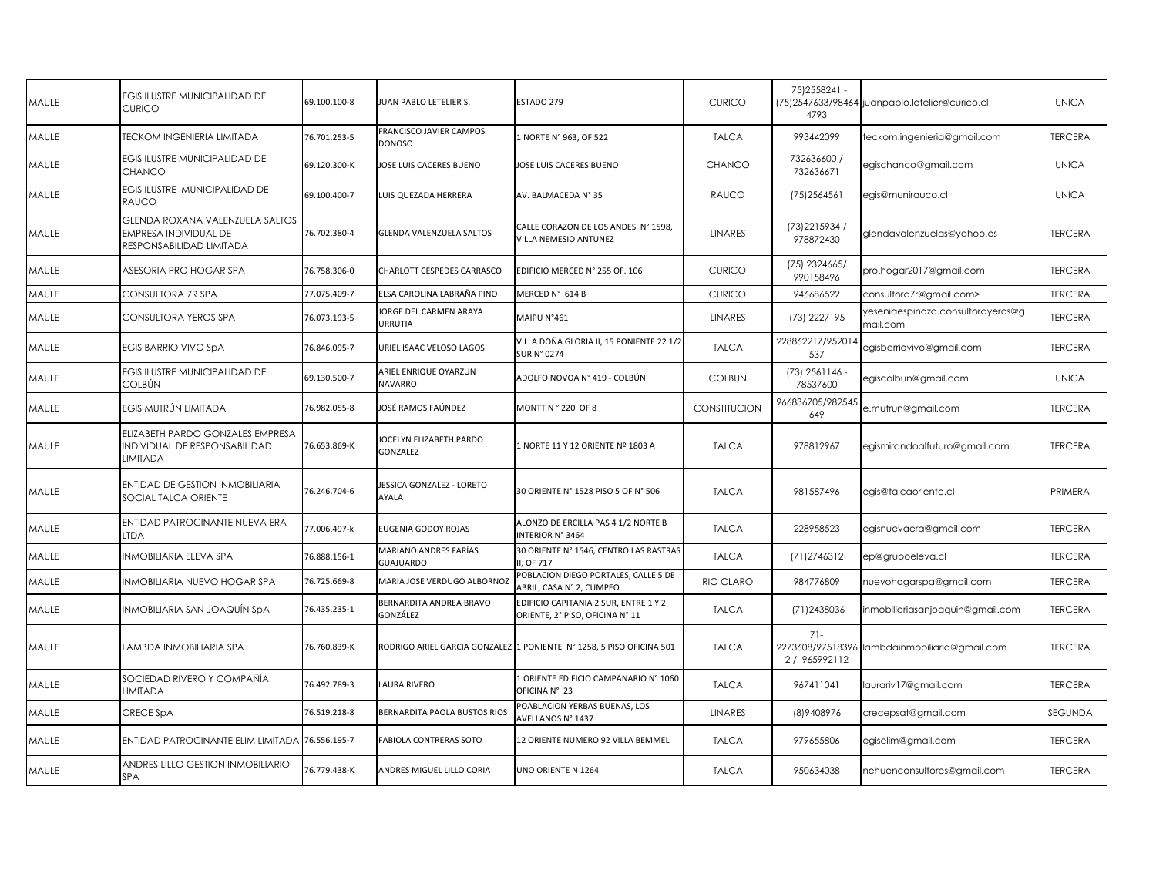| FRANCISCO JAVIER CAMPOS<br>993442099<br>MAULE<br><b>TECKOM INGENIERIA LIMITADA</b><br>76.701.253-5<br>1 NORTE N° 963, OF 522<br><b>TALCA</b><br>teckom.ingenieria@gmail.com<br>DONOSO<br>732636600 /<br><b>EGIS ILUSTRE MUNICIPALIDAD DE</b><br>69.120.300-K<br>JOSE LUIS CACERES BUENO<br>egischanco@gmail.com<br>MAULE<br>JOSE LUIS CACERES BUENO<br><b>CHANCO</b><br>732636671<br><b>CHANCO</b><br>EGIS ILUSTRE MUNICIPALIDAD DE<br>69.100.400-7<br>LUIS QUEZADA HERRERA<br>AV. BALMACEDA N° 35<br>RAUCO<br>(75) 2564561<br>MAULE<br>egis@munirauco.cl<br>RAUCO<br>GLENDA ROXANA VALENZUELA SALTOS<br>CALLE CORAZON DE LOS ANDES N° 1598,<br>(73) 2215934 /<br>MAULE<br>EMPRESA INDIVIDUAL DE<br>76.702.380-4<br><b>GLENDA VALENZUELA SALTOS</b><br><b>LINARES</b><br>glendavalenzuelas@yahoo.es<br>VILLA NEMESIO ANTUNEZ<br>978872430<br>RESPONSABILIDAD LIMITADA<br>(75) 2324665/<br>MAULE<br>ASESORIA PRO HOGAR SPA<br>76.758.306-0<br>CHARLOTT CESPEDES CARRASCO<br>EDIFICIO MERCED N° 255 OF. 106<br><b>CURICO</b><br>pro.hogar2017@gmail.com<br>990158496<br>CONSULTORA 7R SPA<br>77.075.409-7<br>ELSA CAROLINA LABRAÑA PINO<br>MERCED N° 614 B<br><b>CURICO</b><br>946686522<br>consultora7r@gmail.com><br>MAULE<br>yeseniaespinoza.consultorayeros@g<br>JORGE DEL CARMEN ARAYA<br>MAIPU N°461<br><b>LINARES</b><br>(73) 2227195<br>MAULE<br>CONSULTORA YEROS SPA<br>76.073.193-5<br>URRUTIA<br>mail.com<br>VILLA DOÑA GLORIA II, 15 PONIENTE 22 1/2<br>228862217/95201<br><b>EGIS BARRIO VIVO SpA</b><br>76.846.095-7<br>URIEL ISAAC VELOSO LAGOS<br><b>TALCA</b><br>egisbarriovivo@gmail.com<br>MAULE<br><b>SUR N° 0274</b><br>537<br>$(73)$ 2561146<br>EGIS ILUSTRE MUNICIPALIDAD DE<br>ARIEL ENRIQUE OYARZUN<br>69.130.500-7<br>ADOLFO NOVOA N° 419 - COLBÚN<br><b>COLBUN</b><br>egiscolbun@gmail.com<br>MAULE<br>COLBÚN<br>78537600<br><b>NAVARRO</b><br>966836705/98254:<br>EGIS MUTRÚN LIMITADA<br>JOSÉ RAMOS FAÚNDEZ<br>CONSTITUCION<br>MAULE<br>76.982.055-8<br>MONTT N ° 220 OF 8<br>e.mutrun@gmail.com<br>649<br>ELIZABETH PARDO GONZALES EMPRESA<br>JOCELYN ELIZABETH PARDO<br>INDIVIDUAL DE RESPONSABILIDAD<br>MAULE<br>76.653.869-K<br>1 NORTE 11 Y 12 ORIENTE Nº 1803 A<br><b>TALCA</b><br>978812967<br>egismirandoalfuturo@gmail.com<br>GONZALEZ<br>LIMITADA<br>ENTIDAD DE GESTION INMOBILIARIA<br><b>IESSICA GONZALEZ - LORETO</b><br>76.246.704-6<br>30 ORIENTE N° 1528 PISO 5 OF N° 506<br><b>TALCA</b><br>981587496<br>MAULE<br>egis@talcaoriente.cl<br>SOCIAL TALCA ORIENTE<br>AYALA<br>ENTIDAD PATROCINANTE NUEVA ERA<br>ALONZO DE ERCILLA PAS 4 1/2 NORTE B<br>77.006.497-k<br>228958523<br>MAULE<br>EUGENIA GODOY ROJAS<br><b>TALCA</b><br>egisnuevaera@gmail.com<br>LTDA<br>INTERIOR N° 3464<br>MARIANO ANDRES FARÍAS<br>30 ORIENTE N° 1546, CENTRO LAS RASTRAS<br>INMOBILIARIA ELEVA SPA<br>76.888.156-1<br><b>TALCA</b><br>(71) 2746312<br>MAULE<br>ep@grupoeleva.cl<br><b>GUAJUARDO</b><br>I, OF 717<br>POBLACION DIEGO PORTALES, CALLE 5 DE<br>RIO CLARO<br>984776809<br>MAULE<br>INMOBILIARIA NUEVO HOGAR SPA<br>76.725.669-8<br>MARIA JOSE VERDUGO ALBORNOZ<br>nuevohogarspa@gmail.com<br>ABRIL, CASA N° 2, CUMPEO<br>BERNARDITA ANDREA BRAVO<br>EDIFICIO CAPITANIA 2 SUR, ENTRE 1 Y 2<br>MAULE<br>INMOBILIARIA SAN JOAQUÍN SpA<br>76.435.235-1<br><b>TALCA</b><br>(71) 2438036<br>inmobiliariasanjoaquin@gmail.com<br>GONZÁLEZ<br>ORIENTE, 2° PISO, OFICINA N° 11<br>$71-$<br>MAULE<br>LAMBDA INMOBILIARIA SPA<br>76.760.839-K<br>RODRIGO ARIEL GARCIA GONZALEZ 1 PONIENTE Nº 1258, 5 PISO OFICINA 501<br><b>TALCA</b><br>2273608/97518396 lambdainmobiliaria@gmail.com<br>2 / 965992112<br>LORIENTE EDIFICIO CAMPANARIO Nº 1060<br>SOCIEDAD RIVERO Y COMPAÑÍA<br>76.492.789-3<br>LAURA RIVERO<br>MAULE<br><b>TALCA</b><br>967411041<br>laurariv17@gmail.com<br>LIMITADA<br>OFICINA N° 23<br>POABLACION YERBAS BUENAS, LOS<br><b>CRECE SpA</b><br>(8) 940 8976<br>MAULE<br><b>LINARES</b><br>crecepsat@gmail.com<br>76.519.218-8<br>BERNARDITA PAOLA BUSTOS RIOS<br>AVELLANOS N° 1437<br>979655806<br>MAULE<br>ENTIDAD PATROCINANTE ELIM LIMITADA 76.556.195-7<br>FABIOLA CONTRERAS SOTO<br>12 ORIENTE NUMERO 92 VILLA BEMMEL<br><b>TALCA</b><br>egiselim@gmail.com<br>ANDRES LILLO GESTION INMOBILIARIO<br>MAULE<br>76.779.438-K<br>ANDRES MIGUEL LILLO CORIA<br>UNO ORIENTE N 1264<br><b>TALCA</b><br>950634038<br>nehuenconsultores@gmail.com<br><b>SPA</b> | MAULE | EGIS ILUSTRE MUNICIPALIDAD DE<br>CURICO | 69.100.100-8 | JUAN PABLO LETELIER S. | ESTADO 279 | <b>CURICO</b> | 75) 2558241 -<br>4793 | (75)2547633/98464 juanpablo.letelier@curico.cl | <b>UNICA</b>   |
|----------------------------------------------------------------------------------------------------------------------------------------------------------------------------------------------------------------------------------------------------------------------------------------------------------------------------------------------------------------------------------------------------------------------------------------------------------------------------------------------------------------------------------------------------------------------------------------------------------------------------------------------------------------------------------------------------------------------------------------------------------------------------------------------------------------------------------------------------------------------------------------------------------------------------------------------------------------------------------------------------------------------------------------------------------------------------------------------------------------------------------------------------------------------------------------------------------------------------------------------------------------------------------------------------------------------------------------------------------------------------------------------------------------------------------------------------------------------------------------------------------------------------------------------------------------------------------------------------------------------------------------------------------------------------------------------------------------------------------------------------------------------------------------------------------------------------------------------------------------------------------------------------------------------------------------------------------------------------------------------------------------------------------------------------------------------------------------------------------------------------------------------------------------------------------------------------------------------------------------------------------------------------------------------------------------------------------------------------------------------------------------------------------------------------------------------------------------------------------------------------------------------------------------------------------------------------------------------------------------------------------------------------------------------------------------------------------------------------------------------------------------------------------------------------------------------------------------------------------------------------------------------------------------------------------------------------------------------------------------------------------------------------------------------------------------------------------------------------------------------------------------------------------------------------------------------------------------------------------------------------------------------------------------------------------------------------------------------------------------------------------------------------------------------------------------------------------------------------------------------------------------------------------------------------------------------------------------------------------------------------------------------------------------------------------------------------------------------------------------------------------------------------------------------------------------------------------------------------------------------------------------------------------------------------------------------------------------------------------------------------------------------------------------------------------------------------------------------------------------------------------------------------------------------------------------------------------------------------------------------------------------------------------------------------------------------------------------------------------------------------------------------------------|-------|-----------------------------------------|--------------|------------------------|------------|---------------|-----------------------|------------------------------------------------|----------------|
|                                                                                                                                                                                                                                                                                                                                                                                                                                                                                                                                                                                                                                                                                                                                                                                                                                                                                                                                                                                                                                                                                                                                                                                                                                                                                                                                                                                                                                                                                                                                                                                                                                                                                                                                                                                                                                                                                                                                                                                                                                                                                                                                                                                                                                                                                                                                                                                                                                                                                                                                                                                                                                                                                                                                                                                                                                                                                                                                                                                                                                                                                                                                                                                                                                                                                                                                                                                                                                                                                                                                                                                                                                                                                                                                                                                                                                                                                                                                                                                                                                                                                                                                                                                                                                                                                                                                                                                                          |       |                                         |              |                        |            |               |                       |                                                | <b>TERCERA</b> |
|                                                                                                                                                                                                                                                                                                                                                                                                                                                                                                                                                                                                                                                                                                                                                                                                                                                                                                                                                                                                                                                                                                                                                                                                                                                                                                                                                                                                                                                                                                                                                                                                                                                                                                                                                                                                                                                                                                                                                                                                                                                                                                                                                                                                                                                                                                                                                                                                                                                                                                                                                                                                                                                                                                                                                                                                                                                                                                                                                                                                                                                                                                                                                                                                                                                                                                                                                                                                                                                                                                                                                                                                                                                                                                                                                                                                                                                                                                                                                                                                                                                                                                                                                                                                                                                                                                                                                                                                          |       |                                         |              |                        |            |               |                       |                                                | <b>UNICA</b>   |
|                                                                                                                                                                                                                                                                                                                                                                                                                                                                                                                                                                                                                                                                                                                                                                                                                                                                                                                                                                                                                                                                                                                                                                                                                                                                                                                                                                                                                                                                                                                                                                                                                                                                                                                                                                                                                                                                                                                                                                                                                                                                                                                                                                                                                                                                                                                                                                                                                                                                                                                                                                                                                                                                                                                                                                                                                                                                                                                                                                                                                                                                                                                                                                                                                                                                                                                                                                                                                                                                                                                                                                                                                                                                                                                                                                                                                                                                                                                                                                                                                                                                                                                                                                                                                                                                                                                                                                                                          |       |                                         |              |                        |            |               |                       |                                                | <b>UNICA</b>   |
|                                                                                                                                                                                                                                                                                                                                                                                                                                                                                                                                                                                                                                                                                                                                                                                                                                                                                                                                                                                                                                                                                                                                                                                                                                                                                                                                                                                                                                                                                                                                                                                                                                                                                                                                                                                                                                                                                                                                                                                                                                                                                                                                                                                                                                                                                                                                                                                                                                                                                                                                                                                                                                                                                                                                                                                                                                                                                                                                                                                                                                                                                                                                                                                                                                                                                                                                                                                                                                                                                                                                                                                                                                                                                                                                                                                                                                                                                                                                                                                                                                                                                                                                                                                                                                                                                                                                                                                                          |       |                                         |              |                        |            |               |                       |                                                | <b>TERCERA</b> |
|                                                                                                                                                                                                                                                                                                                                                                                                                                                                                                                                                                                                                                                                                                                                                                                                                                                                                                                                                                                                                                                                                                                                                                                                                                                                                                                                                                                                                                                                                                                                                                                                                                                                                                                                                                                                                                                                                                                                                                                                                                                                                                                                                                                                                                                                                                                                                                                                                                                                                                                                                                                                                                                                                                                                                                                                                                                                                                                                                                                                                                                                                                                                                                                                                                                                                                                                                                                                                                                                                                                                                                                                                                                                                                                                                                                                                                                                                                                                                                                                                                                                                                                                                                                                                                                                                                                                                                                                          |       |                                         |              |                        |            |               |                       |                                                | <b>TERCERA</b> |
|                                                                                                                                                                                                                                                                                                                                                                                                                                                                                                                                                                                                                                                                                                                                                                                                                                                                                                                                                                                                                                                                                                                                                                                                                                                                                                                                                                                                                                                                                                                                                                                                                                                                                                                                                                                                                                                                                                                                                                                                                                                                                                                                                                                                                                                                                                                                                                                                                                                                                                                                                                                                                                                                                                                                                                                                                                                                                                                                                                                                                                                                                                                                                                                                                                                                                                                                                                                                                                                                                                                                                                                                                                                                                                                                                                                                                                                                                                                                                                                                                                                                                                                                                                                                                                                                                                                                                                                                          |       |                                         |              |                        |            |               |                       |                                                | <b>TERCERA</b> |
|                                                                                                                                                                                                                                                                                                                                                                                                                                                                                                                                                                                                                                                                                                                                                                                                                                                                                                                                                                                                                                                                                                                                                                                                                                                                                                                                                                                                                                                                                                                                                                                                                                                                                                                                                                                                                                                                                                                                                                                                                                                                                                                                                                                                                                                                                                                                                                                                                                                                                                                                                                                                                                                                                                                                                                                                                                                                                                                                                                                                                                                                                                                                                                                                                                                                                                                                                                                                                                                                                                                                                                                                                                                                                                                                                                                                                                                                                                                                                                                                                                                                                                                                                                                                                                                                                                                                                                                                          |       |                                         |              |                        |            |               |                       |                                                | <b>TERCERA</b> |
|                                                                                                                                                                                                                                                                                                                                                                                                                                                                                                                                                                                                                                                                                                                                                                                                                                                                                                                                                                                                                                                                                                                                                                                                                                                                                                                                                                                                                                                                                                                                                                                                                                                                                                                                                                                                                                                                                                                                                                                                                                                                                                                                                                                                                                                                                                                                                                                                                                                                                                                                                                                                                                                                                                                                                                                                                                                                                                                                                                                                                                                                                                                                                                                                                                                                                                                                                                                                                                                                                                                                                                                                                                                                                                                                                                                                                                                                                                                                                                                                                                                                                                                                                                                                                                                                                                                                                                                                          |       |                                         |              |                        |            |               |                       |                                                | <b>TERCERA</b> |
|                                                                                                                                                                                                                                                                                                                                                                                                                                                                                                                                                                                                                                                                                                                                                                                                                                                                                                                                                                                                                                                                                                                                                                                                                                                                                                                                                                                                                                                                                                                                                                                                                                                                                                                                                                                                                                                                                                                                                                                                                                                                                                                                                                                                                                                                                                                                                                                                                                                                                                                                                                                                                                                                                                                                                                                                                                                                                                                                                                                                                                                                                                                                                                                                                                                                                                                                                                                                                                                                                                                                                                                                                                                                                                                                                                                                                                                                                                                                                                                                                                                                                                                                                                                                                                                                                                                                                                                                          |       |                                         |              |                        |            |               |                       |                                                | <b>UNICA</b>   |
|                                                                                                                                                                                                                                                                                                                                                                                                                                                                                                                                                                                                                                                                                                                                                                                                                                                                                                                                                                                                                                                                                                                                                                                                                                                                                                                                                                                                                                                                                                                                                                                                                                                                                                                                                                                                                                                                                                                                                                                                                                                                                                                                                                                                                                                                                                                                                                                                                                                                                                                                                                                                                                                                                                                                                                                                                                                                                                                                                                                                                                                                                                                                                                                                                                                                                                                                                                                                                                                                                                                                                                                                                                                                                                                                                                                                                                                                                                                                                                                                                                                                                                                                                                                                                                                                                                                                                                                                          |       |                                         |              |                        |            |               |                       |                                                | <b>TERCERA</b> |
|                                                                                                                                                                                                                                                                                                                                                                                                                                                                                                                                                                                                                                                                                                                                                                                                                                                                                                                                                                                                                                                                                                                                                                                                                                                                                                                                                                                                                                                                                                                                                                                                                                                                                                                                                                                                                                                                                                                                                                                                                                                                                                                                                                                                                                                                                                                                                                                                                                                                                                                                                                                                                                                                                                                                                                                                                                                                                                                                                                                                                                                                                                                                                                                                                                                                                                                                                                                                                                                                                                                                                                                                                                                                                                                                                                                                                                                                                                                                                                                                                                                                                                                                                                                                                                                                                                                                                                                                          |       |                                         |              |                        |            |               |                       |                                                | <b>TERCERA</b> |
|                                                                                                                                                                                                                                                                                                                                                                                                                                                                                                                                                                                                                                                                                                                                                                                                                                                                                                                                                                                                                                                                                                                                                                                                                                                                                                                                                                                                                                                                                                                                                                                                                                                                                                                                                                                                                                                                                                                                                                                                                                                                                                                                                                                                                                                                                                                                                                                                                                                                                                                                                                                                                                                                                                                                                                                                                                                                                                                                                                                                                                                                                                                                                                                                                                                                                                                                                                                                                                                                                                                                                                                                                                                                                                                                                                                                                                                                                                                                                                                                                                                                                                                                                                                                                                                                                                                                                                                                          |       |                                         |              |                        |            |               |                       |                                                | PRIMERA        |
|                                                                                                                                                                                                                                                                                                                                                                                                                                                                                                                                                                                                                                                                                                                                                                                                                                                                                                                                                                                                                                                                                                                                                                                                                                                                                                                                                                                                                                                                                                                                                                                                                                                                                                                                                                                                                                                                                                                                                                                                                                                                                                                                                                                                                                                                                                                                                                                                                                                                                                                                                                                                                                                                                                                                                                                                                                                                                                                                                                                                                                                                                                                                                                                                                                                                                                                                                                                                                                                                                                                                                                                                                                                                                                                                                                                                                                                                                                                                                                                                                                                                                                                                                                                                                                                                                                                                                                                                          |       |                                         |              |                        |            |               |                       |                                                | <b>TERCERA</b> |
|                                                                                                                                                                                                                                                                                                                                                                                                                                                                                                                                                                                                                                                                                                                                                                                                                                                                                                                                                                                                                                                                                                                                                                                                                                                                                                                                                                                                                                                                                                                                                                                                                                                                                                                                                                                                                                                                                                                                                                                                                                                                                                                                                                                                                                                                                                                                                                                                                                                                                                                                                                                                                                                                                                                                                                                                                                                                                                                                                                                                                                                                                                                                                                                                                                                                                                                                                                                                                                                                                                                                                                                                                                                                                                                                                                                                                                                                                                                                                                                                                                                                                                                                                                                                                                                                                                                                                                                                          |       |                                         |              |                        |            |               |                       |                                                | <b>TERCERA</b> |
|                                                                                                                                                                                                                                                                                                                                                                                                                                                                                                                                                                                                                                                                                                                                                                                                                                                                                                                                                                                                                                                                                                                                                                                                                                                                                                                                                                                                                                                                                                                                                                                                                                                                                                                                                                                                                                                                                                                                                                                                                                                                                                                                                                                                                                                                                                                                                                                                                                                                                                                                                                                                                                                                                                                                                                                                                                                                                                                                                                                                                                                                                                                                                                                                                                                                                                                                                                                                                                                                                                                                                                                                                                                                                                                                                                                                                                                                                                                                                                                                                                                                                                                                                                                                                                                                                                                                                                                                          |       |                                         |              |                        |            |               |                       |                                                | <b>TERCERA</b> |
|                                                                                                                                                                                                                                                                                                                                                                                                                                                                                                                                                                                                                                                                                                                                                                                                                                                                                                                                                                                                                                                                                                                                                                                                                                                                                                                                                                                                                                                                                                                                                                                                                                                                                                                                                                                                                                                                                                                                                                                                                                                                                                                                                                                                                                                                                                                                                                                                                                                                                                                                                                                                                                                                                                                                                                                                                                                                                                                                                                                                                                                                                                                                                                                                                                                                                                                                                                                                                                                                                                                                                                                                                                                                                                                                                                                                                                                                                                                                                                                                                                                                                                                                                                                                                                                                                                                                                                                                          |       |                                         |              |                        |            |               |                       |                                                | <b>TERCERA</b> |
|                                                                                                                                                                                                                                                                                                                                                                                                                                                                                                                                                                                                                                                                                                                                                                                                                                                                                                                                                                                                                                                                                                                                                                                                                                                                                                                                                                                                                                                                                                                                                                                                                                                                                                                                                                                                                                                                                                                                                                                                                                                                                                                                                                                                                                                                                                                                                                                                                                                                                                                                                                                                                                                                                                                                                                                                                                                                                                                                                                                                                                                                                                                                                                                                                                                                                                                                                                                                                                                                                                                                                                                                                                                                                                                                                                                                                                                                                                                                                                                                                                                                                                                                                                                                                                                                                                                                                                                                          |       |                                         |              |                        |            |               |                       |                                                | <b>TERCERA</b> |
|                                                                                                                                                                                                                                                                                                                                                                                                                                                                                                                                                                                                                                                                                                                                                                                                                                                                                                                                                                                                                                                                                                                                                                                                                                                                                                                                                                                                                                                                                                                                                                                                                                                                                                                                                                                                                                                                                                                                                                                                                                                                                                                                                                                                                                                                                                                                                                                                                                                                                                                                                                                                                                                                                                                                                                                                                                                                                                                                                                                                                                                                                                                                                                                                                                                                                                                                                                                                                                                                                                                                                                                                                                                                                                                                                                                                                                                                                                                                                                                                                                                                                                                                                                                                                                                                                                                                                                                                          |       |                                         |              |                        |            |               |                       |                                                | <b>TERCERA</b> |
|                                                                                                                                                                                                                                                                                                                                                                                                                                                                                                                                                                                                                                                                                                                                                                                                                                                                                                                                                                                                                                                                                                                                                                                                                                                                                                                                                                                                                                                                                                                                                                                                                                                                                                                                                                                                                                                                                                                                                                                                                                                                                                                                                                                                                                                                                                                                                                                                                                                                                                                                                                                                                                                                                                                                                                                                                                                                                                                                                                                                                                                                                                                                                                                                                                                                                                                                                                                                                                                                                                                                                                                                                                                                                                                                                                                                                                                                                                                                                                                                                                                                                                                                                                                                                                                                                                                                                                                                          |       |                                         |              |                        |            |               |                       |                                                | SEGUNDA        |
|                                                                                                                                                                                                                                                                                                                                                                                                                                                                                                                                                                                                                                                                                                                                                                                                                                                                                                                                                                                                                                                                                                                                                                                                                                                                                                                                                                                                                                                                                                                                                                                                                                                                                                                                                                                                                                                                                                                                                                                                                                                                                                                                                                                                                                                                                                                                                                                                                                                                                                                                                                                                                                                                                                                                                                                                                                                                                                                                                                                                                                                                                                                                                                                                                                                                                                                                                                                                                                                                                                                                                                                                                                                                                                                                                                                                                                                                                                                                                                                                                                                                                                                                                                                                                                                                                                                                                                                                          |       |                                         |              |                        |            |               |                       |                                                | <b>TERCERA</b> |
|                                                                                                                                                                                                                                                                                                                                                                                                                                                                                                                                                                                                                                                                                                                                                                                                                                                                                                                                                                                                                                                                                                                                                                                                                                                                                                                                                                                                                                                                                                                                                                                                                                                                                                                                                                                                                                                                                                                                                                                                                                                                                                                                                                                                                                                                                                                                                                                                                                                                                                                                                                                                                                                                                                                                                                                                                                                                                                                                                                                                                                                                                                                                                                                                                                                                                                                                                                                                                                                                                                                                                                                                                                                                                                                                                                                                                                                                                                                                                                                                                                                                                                                                                                                                                                                                                                                                                                                                          |       |                                         |              |                        |            |               |                       |                                                | <b>TERCERA</b> |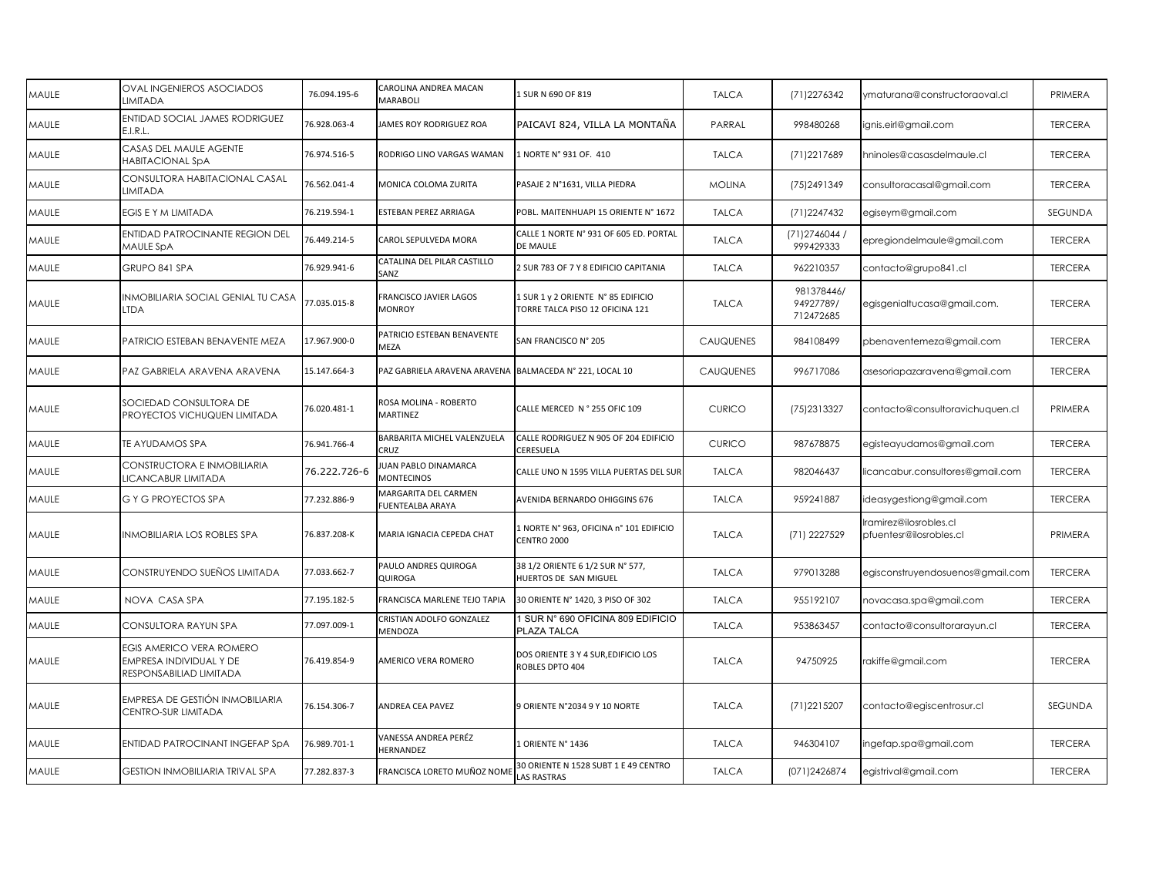| MAULE | <b>OVAL INGENIEROS ASOCIADOS</b><br><b>LIMITADA</b>                            | 76.094.195-6 | CAROLINA ANDREA MACAN<br>MARABOLI                       | 1 SUR N 690 OF 819                                                    | <b>TALCA</b>     | (71) 2276342                         | ymaturana@constructoraoval.cl                    | PRIMERA        |
|-------|--------------------------------------------------------------------------------|--------------|---------------------------------------------------------|-----------------------------------------------------------------------|------------------|--------------------------------------|--------------------------------------------------|----------------|
| MAULE | ENTIDAD SOCIAL JAMES RODRIGUEZ<br>E.I.R.L.                                     | 76.928.063-4 | JAMES ROY RODRIGUEZ ROA                                 | PAICAVI 824, VILLA LA MONTAÑA                                         | PARRAL           | 998480268                            | ignis.eirl@gmail.com                             | <b>TERCERA</b> |
| MAULE | CASAS DEL MAULE AGENTE<br><b>HABITACIONAL SpA</b>                              | 76.974.516-5 | RODRIGO LINO VARGAS WAMAN                               | 1 NORTE N° 931 OF. 410                                                | <b>TALCA</b>     | (71) 2217689                         | hninoles@casasdelmaule.cl                        | <b>TERCERA</b> |
| MAULE | CONSULTORA HABITACIONAL CASAL<br>LIMITADA                                      | 76.562.041-4 | MONICA COLOMA ZURITA                                    | PASAJE 2 N°1631, VILLA PIEDRA                                         | <b>MOLINA</b>    | (75) 249 1349                        | consultoracasal@gmail.com                        | <b>TERCERA</b> |
| MAULE | EGIS E Y M LIMITADA                                                            | 76.219.594-1 | ESTEBAN PEREZ ARRIAGA                                   | POBL. MAITENHUAPI 15 ORIENTE N° 1672                                  | <b>TALCA</b>     | (71) 2247432                         | egiseym@gmail.com                                | SEGUNDA        |
| MAULE | ENTIDAD PATROCINANTE REGION DEL<br>MAULE SpA                                   | 76.449.214-5 | CAROL SEPULVEDA MORA                                    | CALLE 1 NORTE N° 931 OF 605 ED. PORTAL<br>DE MAULE                    | <b>TALCA</b>     | (71) 2746044 /<br>999429333          | epregiondelmaule@gmail.com                       | <b>TERCERA</b> |
| MAULE | GRUPO 841 SPA                                                                  | 76.929.941-6 | CATALINA DEL PILAR CASTILLO<br>SANZ                     | 2 SUR 783 OF 7 Y 8 EDIFICIO CAPITANIA                                 | <b>TALCA</b>     | 962210357                            | contacto@grupo841.cl                             | <b>TERCERA</b> |
| MAULE | INMOBILIARIA SOCIAL GENIAL TU CASA<br><b>LTDA</b>                              | 77.035.015-8 | FRANCISCO JAVIER LAGOS<br><b>MONROY</b>                 | 1 SUR 1 y 2 ORIENTE N° 85 EDIFICIO<br>TORRE TALCA PISO 12 OFICINA 121 | <b>TALCA</b>     | 981378446/<br>94927789/<br>712472685 | egisgenialtucasa@gmail.com.                      | <b>TERCERA</b> |
| MAULE | PATRICIO ESTEBAN BENAVENTE MEZA                                                | 17.967.900-0 | PATRICIO ESTEBAN BENAVENTE<br>MEZA                      | SAN FRANCISCO N° 205                                                  | <b>CAUQUENES</b> | 984108499                            | pbenaventemeza@gmail.com                         | <b>TERCERA</b> |
| MAULE | PAZ GABRIELA ARAVENA ARAVENA                                                   | 15.147.664-3 | PAZ GABRIELA ARAVENA ARAVENA BALMACEDA Nº 221, LOCAL 10 |                                                                       | <b>CAUQUENES</b> | 996717086                            | asesoriapazaravena@gmail.com                     | <b>TERCERA</b> |
| MAULE | SOCIEDAD CONSULTORA DE<br>PROYECTOS VICHUQUEN LIMITADA                         | 76.020.481-1 | ROSA MOLINA - ROBERTO<br>MARTINEZ                       | CALLE MERCED N° 255 OFIC 109                                          | <b>CURICO</b>    | (75) 2313327                         | contacto@consultoravichuquen.cl                  | PRIMERA        |
| MAULE | TE AYUDAMOS SPA                                                                | 76.941.766-4 | BARBARITA MICHEL VALENZUELA<br>CRUZ                     | CALLE RODRIGUEZ N 905 OF 204 EDIFICIO<br><b>CERESUELA</b>             | <b>CURICO</b>    | 987678875                            | egisteayudamos@gmail.com                         | <b>TERCERA</b> |
| MAULE | CONSTRUCTORA E INMOBILIARIA<br>LICANCABUR LIMITADA                             | 76.222.726-6 | UAN PABLO DINAMARCA<br><b>MONTECINOS</b>                | CALLE UNO N 1595 VILLA PUERTAS DEL SUR                                | <b>TALCA</b>     | 982046437                            | licancabur.consultores@gmail.com                 | <b>TERCERA</b> |
| MAULE | G Y G PROYECTOS SPA                                                            | 77.232.886-9 | MARGARITA DEL CARMEN<br><b>FUENTEALBA ARAYA</b>         | AVENIDA BERNARDO OHIGGINS 676                                         | <b>TALCA</b>     | 959241887                            | ideasygestiong@gmail.com                         | <b>TERCERA</b> |
| MAULE | <b>INMOBILIARIA LOS ROBLES SPA</b>                                             | 76.837.208-K | MARIA IGNACIA CEPEDA CHAT                               | 1 NORTE N° 963, OFICINA n° 101 EDIFICIO<br>CENTRO 2000                | <b>TALCA</b>     | (71) 2227529                         | ramirez@ilosrobles.cl<br>pfuentesr@ilosrobles.cl | PRIMERA        |
| MAULE | CONSTRUYENDO SUEÑOS LIMITADA                                                   | 77.033.662-7 | PAULO ANDRES QUIROGA<br>QUIROGA                         | 38 1/2 ORIENTE 6 1/2 SUR N° 577,<br>HUERTOS DE SAN MIGUEL             | <b>TALCA</b>     | 979013288                            | egisconstruyendosuenos@gmail.com                 | <b>TERCERA</b> |
| MAULE | NOVA CASA SPA                                                                  | 77.195.182-5 | FRANCISCA MARLENE TEJO TAPIA                            | 30 ORIENTE N° 1420, 3 PISO OF 302                                     | <b>TALCA</b>     | 955192107                            | novacasa.spa@gmail.com                           | <b>TERCERA</b> |
| MAULE | CONSULTORA RAYUN SPA                                                           | 77.097.009-1 | CRISTIAN ADOLFO GONZALEZ<br>MENDOZA                     | I SUR N° 690 OFICINA 809 EDIFICIO<br>PLAZA TALCA                      | <b>TALCA</b>     | 953863457                            | contacto@consultorarayun.cl                      | <b>TERCERA</b> |
| MAULE | EGIS AMERICO VERA ROMERO<br>EMPRESA INDIVIDUAL Y DE<br>RESPONSABILIAD LIMITADA | 76.419.854-9 | AMERICO VERA ROMERO                                     | DOS ORIENTE 3 Y 4 SUR, EDIFICIO LOS<br>ROBLES DPTO 404                | <b>TALCA</b>     | 94750925                             | rakiffe@gmail.com                                | <b>TERCERA</b> |
| MAULE | EMPRESA DE GESTIÓN INMOBILIARIA<br>CENTRO-SUR LIMITADA                         | 76.154.306-7 | ANDREA CEA PAVEZ                                        | 9 ORIENTE N°2034 9 Y 10 NORTE                                         | <b>TALCA</b>     | (71) 2215 207                        | contacto@egiscentrosur.cl                        | SEGUNDA        |
| MAULE | ENTIDAD PATROCINANT INGEFAP SpA                                                | 76.989.701-1 | VANESSA ANDREA PERÉZ<br>HERNANDEZ                       | 1 ORIENTE N° 1436                                                     | <b>TALCA</b>     | 946304107                            | ingefap.spa@gmail.com                            | <b>TERCERA</b> |
| MAULE | <b>GESTION INMOBILIARIA TRIVAL SPA</b>                                         | 77.282.837-3 | FRANCISCA LORETO MUÑOZ NOM                              | 30 ORIENTE N 1528 SUBT 1 E 49 CENTRO<br><b>LAS RASTRAS</b>            | <b>TALCA</b>     | (071)2426874                         | egistrival@gmail.com                             | <b>TERCERA</b> |
|       |                                                                                |              |                                                         |                                                                       |                  |                                      |                                                  |                |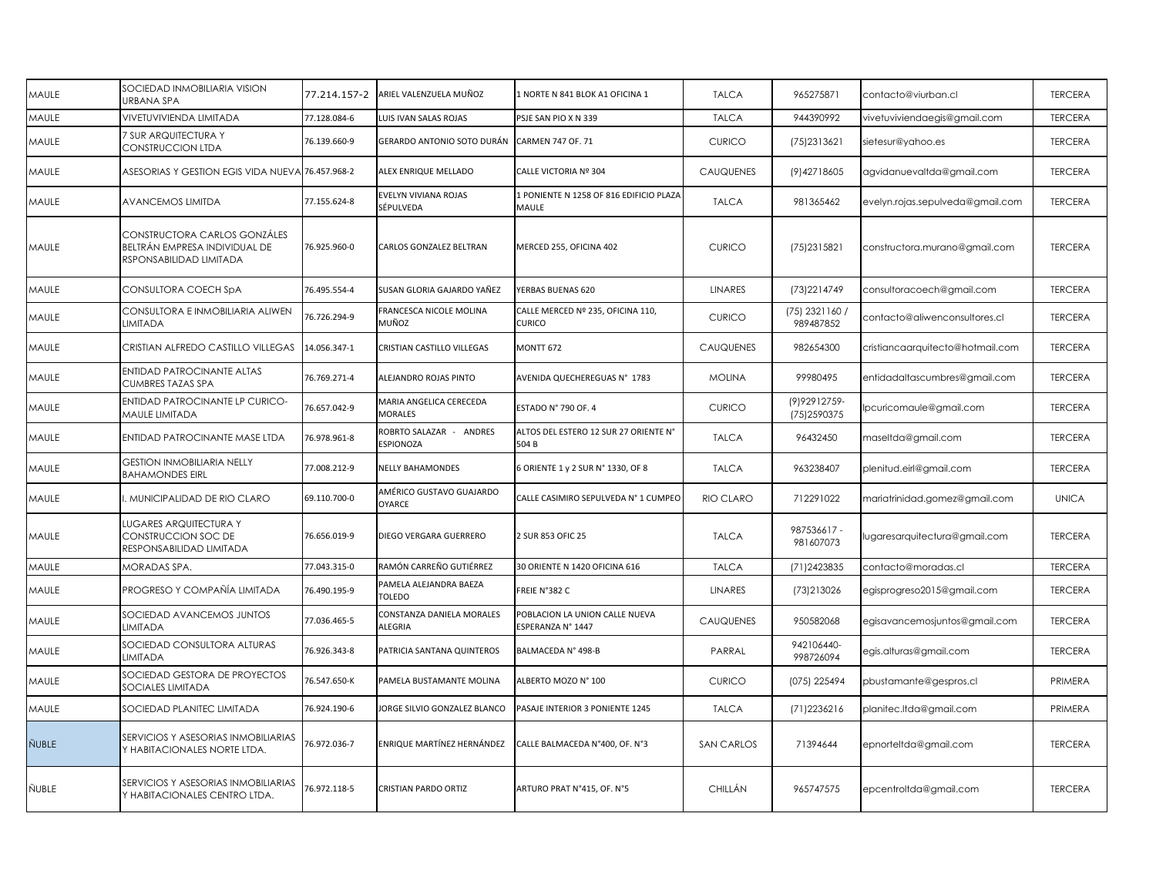| MAULE | SOCIEDAD INMOBILIARIA VISION<br>URBANA SPA                                               | 77.214.157-2 | ARIEL VALENZUELA MUÑOZ                    | 1 NORTE N 841 BLOK A1 OFICINA 1                     | <b>TALCA</b>      | 965275871                      | contacto@viurban.cl              | <b>TERCERA</b> |
|-------|------------------------------------------------------------------------------------------|--------------|-------------------------------------------|-----------------------------------------------------|-------------------|--------------------------------|----------------------------------|----------------|
| MAULE | VIVETUVIVIENDA LIMITADA                                                                  | 77.128.084-6 | <b>UIS IVAN SALAS ROJAS</b>               | PSJE SAN PIO X N 339                                | <b>TALCA</b>      | 944390992                      | vivetuviviendaegis@gmail.com     | <b>TERCERA</b> |
| MAULE | 7 SUR ARQUITECTURA Y<br>CONSTRUCCION LTDA                                                | 76.139.660-9 | GERARDO ANTONIO SOTO DURÁN                | <b>CARMEN 747 OF. 71</b>                            | <b>CURICO</b>     | (75) 2313621                   | sietesur@yahoo.es                | <b>TERCERA</b> |
| MAULE | ASESORIAS Y GESTION EGIS VIDA NUEVA 76.457.968-2                                         |              | ALEX ENRIQUE MELLADO                      | CALLE VICTORIA Nº 304                               | <b>CAUQUENES</b>  | (9) 427 18605                  | agvidanuevaltda@gmail.com        | <b>TERCERA</b> |
| MAULE | AVANCEMOS LIMITDA                                                                        | 77.155.624-8 | EVELYN VIVIANA ROJAS<br>SÉPULVEDA         | 1 PONIENTE N 1258 OF 816 EDIFICIO PLAZA<br>MAULE    | <b>TALCA</b>      | 981365462                      | evelyn.rojas.sepulveda@gmail.com | <b>TERCERA</b> |
| MAULE | CONSTRUCTORA CARLOS GONZÁLES<br>BELTRÁN EMPRESA INDIVIDUAL DE<br>RSPONSABILIDAD LIMITADA | 76.925.960-0 | CARLOS GONZALEZ BELTRAN                   | MERCED 255, OFICINA 402                             | <b>CURICO</b>     | (75) 2315821                   | constructora.murano@gmail.com    | <b>TERCERA</b> |
| MAULE | CONSULTORA COECH SpA                                                                     | 76.495.554-4 | SUSAN GLORIA GAJARDO YAÑEZ                | YERBAS BUENAS 620                                   | <b>LINARES</b>    | (73) 2214749                   | consultoracoech@gmail.com        | <b>TERCERA</b> |
| MAULE | CONSULTORA E INMOBILIARIA ALIWEN<br>LIMITADA                                             | 76.726.294-9 | FRANCESCA NICOLE MOLINA<br>MUÑOZ          | CALLE MERCED Nº 235, OFICINA 110,<br>Curico         | <b>CURICO</b>     | (75) 2321160 /<br>989487852    | contacto@aliwenconsultores.cl    | <b>TERCERA</b> |
| MAULE | CRISTIAN ALFREDO CASTILLO VILLEGAS                                                       | 14.056.347-1 | CRISTIAN CASTILLO VILLEGAS                | <b>MONTT 672</b>                                    | <b>CAUQUENES</b>  | 982654300                      | cristiancaarquitecto@hotmail.com | <b>TERCERA</b> |
| MAULE | ENTIDAD PATROCINANTE ALTAS<br>CUMBRES TAZAS SPA                                          | 76.769.271-4 | ALEJANDRO ROJAS PINTO                     | AVENIDA QUECHEREGUAS Nº 1783                        | <b>MOLINA</b>     | 99980495                       | entidadaltascumbres@gmail.com    | <b>TERCERA</b> |
| MAULE | ENTIDAD PATROCINANTE LP CURICO-<br>MAULE LIMITADA                                        | 76.657.042-9 | <b>MARIA ANGELICA CERECEDA</b><br>MORALES | ESTADO Nº 790 OF. 4                                 | <b>CURICO</b>     | (9) 929 12759-<br>(75) 2590375 | pcuricomaule@gmail.com           | <b>TERCERA</b> |
| MAULE | ENTIDAD PATROCINANTE MASE LTDA                                                           | 76.978.961-8 | ROBRTO SALAZAR - ANDRES<br>ESPIONOZA      | ALTOS DEL ESTERO 12 SUR 27 ORIENTE N°<br>504 B      | <b>TALCA</b>      | 96432450                       | maseltda@gmail.com               | <b>TERCERA</b> |
| MAULE | <b>GESTION INMOBILIARIA NELLY</b><br><b>BAHAMONDES EIRL</b>                              | 77.008.212-9 | <b>NELLY BAHAMONDES</b>                   | 6 ORIENTE 1 y 2 SUR N° 1330, OF 8                   | <b>TALCA</b>      | 963238407                      | plenitud.eirl@gmail.com          | <b>TERCERA</b> |
| MAULE | MUNICIPALIDAD DE RIO CLARO                                                               | 69.110.700-0 | AMÉRICO GUSTAVO GUAJARDO<br>OYARCE        | CALLE CASIMIRO SEPULVEDA Nº 1 CUMPEO                | RIO CLARO         | 712291022                      | mariatrinidad.gomez@gmail.com    | <b>UNICA</b>   |
| MAULE | LUGARES ARQUITECTURA Y<br>CONSTRUCCION SOC DE<br>RESPONSABILIDAD LIMITADA                | 76.656.019-9 | DIEGO VERGARA GUERRERO                    | 2 SUR 853 OFIC 25                                   | <b>TALCA</b>      | 987536617 -<br>981607073       | ugaresarquitectura@gmail.com     | <b>TERCERA</b> |
| MAULE | MORADAS SPA.                                                                             | 77.043.315-0 | RAMÓN CARREÑO GUTIÉRREZ                   | 30 ORIENTE N 1420 OFICINA 616                       | <b>TALCA</b>      | (71) 2423835                   | contacto@moradas.cl              | <b>TERCERA</b> |
| MAULE | PROGRESO Y COMPAÑÍA LIMITADA                                                             | 76.490.195-9 | PAMELA ALEJANDRA BAEZA<br>TOLEDO          | FREIE N°382 C                                       | <b>LINARES</b>    | (73) 2130 26                   | egisprogreso2015@gmail.com       | <b>TERCERA</b> |
| MAULE | SOCIEDAD AVANCEMOS JUNTOS<br>LIMITADA                                                    | 77.036.465-5 | CONSTANZA DANIELA MORALES<br>ALEGRIA      | POBLACION LA UNION CALLE NUEVA<br>ESPERANZA N° 1447 | <b>CAUQUENES</b>  | 950582068                      | egisavancemosjuntos@gmail.com    | <b>TERCERA</b> |
| MAULE | SOCIEDAD CONSULTORA ALTURAS<br>LIMITADA                                                  | 76.926.343-8 | PATRICIA SANTANA QUINTEROS                | BALMACEDA N° 498-B                                  | PARRAL            | 942106440-<br>998726094        | egis.alturas@gmail.com           | <b>TERCERA</b> |
| MAULE | SOCIEDAD GESTORA DE PROYECTOS<br>SOCIALES LIMITADA                                       | 76.547.650-K | PAMELA BUSTAMANTE MOLINA                  | ALBERTO MOZO N° 100                                 | <b>CURICO</b>     | (075) 225494                   | pbustamante@gespros.cl           | PRIMERA        |
| MAULE | SOCIEDAD PLANITEC LIMITADA                                                               | 76.924.190-6 | JORGE SILVIO GONZALEZ BLANCO              | PASAJE INTERIOR 3 PONIENTE 1245                     | <b>TALCA</b>      | (71) 2236216                   | planitec.ltda@gmail.com          | PRIMERA        |
| ÑUBLE | SERVICIOS Y ASESORIAS INMOBILIARIAS<br>Y HABITACIONALES NORTE LTDA.                      | 76.972.036-7 | ENRIQUE MARTÍNEZ HERNÁNDEZ                | CALLE BALMACEDA N°400, OF. N°3                      | <b>SAN CARLOS</b> | 71394644                       | epnorteltda@gmail.com            | <b>TERCERA</b> |
| ÑUBLE | SERVICIOS Y ASESORIAS INMOBILIARIAS<br>Y HABITACIONALES CENTRO LTDA.                     | 76.972.118-5 | CRISTIAN PARDO ORTIZ                      | ARTURO PRAT N°415, OF. N°5                          | CHILLÁN           | 965747575                      | epcentroltda@gmail.com           | <b>TERCERA</b> |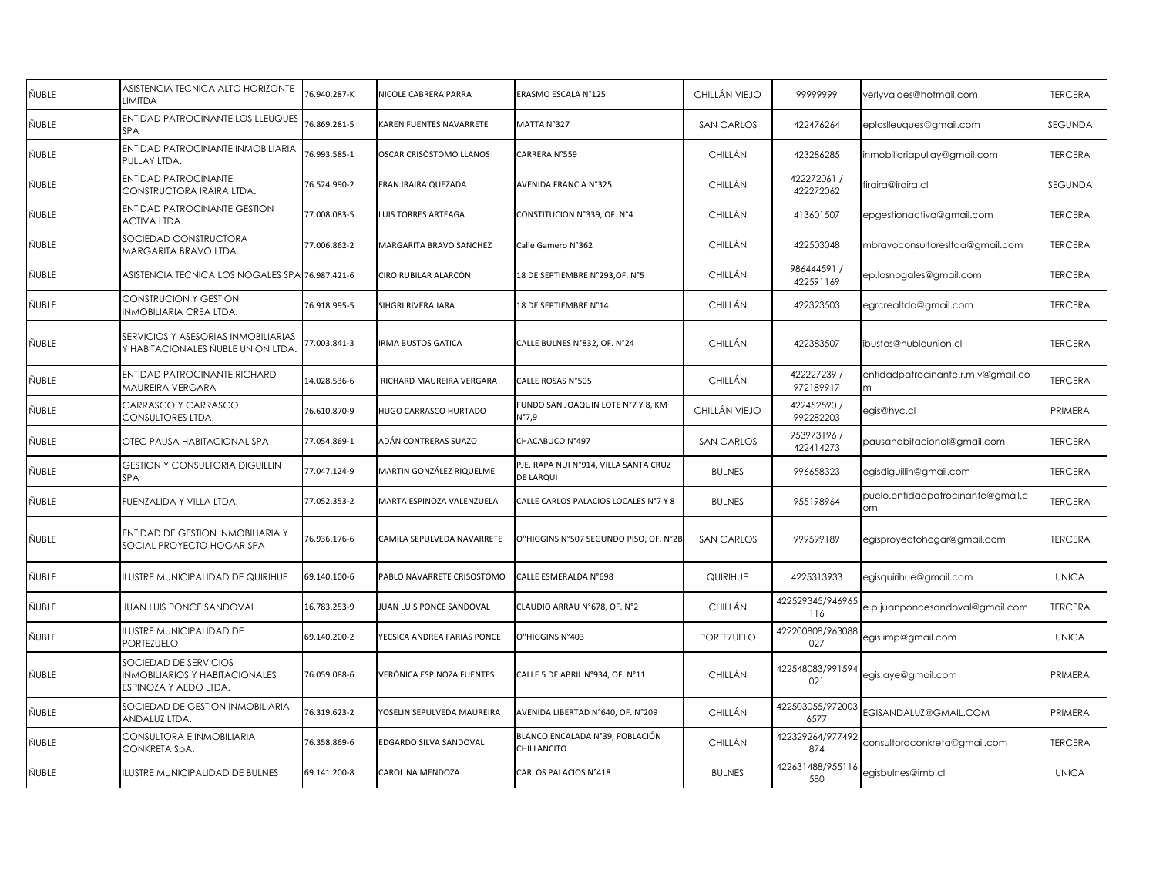| ÑUBLE | ASISTENCIA TECNICA ALTO HORIZONTE<br><b>IMITDA</b>                                      | 76.940.287-K | NICOLE CABRERA PARRA        | ERASMO ESCALA N°125                                | CHILLÁN VIEJO     | 99999999                 | yerlyvaldes@hotmail.com                 | <b>TERCERA</b> |
|-------|-----------------------------------------------------------------------------------------|--------------|-----------------------------|----------------------------------------------------|-------------------|--------------------------|-----------------------------------------|----------------|
| ÑUBLE | <b>ENTIDAD PATROCINANTE LOS LLEUQUES</b><br>SPA                                         | 76.869.281-5 | KAREN FUENTES NAVARRETE     | MATTA N°327                                        | SAN CARLOS        | 422476264                | eploslleuques@gmail.com                 | <b>SEGUNDA</b> |
| ÑUBLE | ENTIDAD PATROCINANTE INMOBILIARIA<br>PULLAY LTDA.                                       | 76.993.585-1 | OSCAR CRISÓSTOMO LLANOS     | CARRERA N°559                                      | CHILLÁN           | 423286285                | inmobiliariapullay@gmail.com            | <b>TERCERA</b> |
| ÑUBLE | <b>ENTIDAD PATROCINANTE</b><br>CONSTRUCTORA IRAIRA LTDA.                                | 76.524.990-2 | FRAN IRAIRA QUEZADA         | AVENIDA FRANCIA N°325                              | CHILLÁN           | 422272061 /<br>422272062 | firaira@iraira.cl                       | SEGUNDA        |
| ÑUBLE | <b>ENTIDAD PATROCINANTE GESTION</b><br>ACTIVA LTDA.                                     | 77.008.083-5 | UIS TORRES ARTEAGA          | CONSTITUCION N°339, OF. N°4                        | CHILLÁN           | 413601507                | epgestionactiva@gmail.com               | <b>TERCERA</b> |
| ÑUBLE | <b>SOCIEDAD CONSTRUCTORA</b><br>MARGARITA BRAVO LTDA.                                   | 77.006.862-2 | MARGARITA BRAVO SANCHEZ     | Calle Gamero N°362                                 | CHILLÁN           | 422503048                | mbravoconsultoresltda@gmail.com         | <b>TERCERA</b> |
| ÑUBLE | ASISTENCIA TECNICA LOS NOGALES SPA 76.987.421-6                                         |              | CIRO RUBILAR ALARCÓN        | 18 DE SEPTIEMBRE N°293, OF. N°5                    | CHILLÁN           | 986444591 /<br>422591169 | ep.losnogales@gmail.com                 | <b>TERCERA</b> |
| ÑUBLE | CONSTRUCION Y GESTION<br>INMOBILIARIA CREA LTDA.                                        | 76.918.995-5 | SIHGRI RIVERA JARA          | 18 DE SEPTIEMBRE N°14                              | CHILLÁN           | 422323503                | egrcrealtda@gmail.com                   | <b>TERCERA</b> |
| ÑUBLE | SERVICIOS Y ASESORIAS INMOBILIARIAS<br>Y HABITACIONALES ÑUBLE UNION LTDA                | 77.003.841-3 | IRMA BUSTOS GATICA          | CALLE BULNES N°832, OF. N°24                       | CHILLÁN           | 422383507                | ibustos@nubleunion.cl                   | <b>TERCERA</b> |
| ÑUBLE | ENTIDAD PATROCINANTE RICHARD<br><b>MAUREIRA VERGARA</b>                                 | 14.028.536-6 | RICHARD MAUREIRA VERGARA    | CALLE ROSAS N°505                                  | CHILLÁN           | 422227239 /<br>972189917 | entidadpatrocinante.r.m.v@gmail.co<br>m | <b>TERCERA</b> |
| ÑUBLE | CARRASCO Y CARRASCO<br>CONSULTORES LTDA.                                                | 76.610.870-9 | HUGO CARRASCO HURTADO       | FUNDO SAN JOAQUIN LOTE N°7 Y 8, KM<br>N°7,9        | CHILLÁN VIEJO     | 422452590 /<br>992282203 | egis@hyc.cl                             | PRIMERA        |
| ÑUBLE | OTEC PAUSA HABITACIONAL SPA                                                             | 77.054.869-1 | ADÁN CONTRERAS SUAZO        | CHACABUCO N°497                                    | <b>SAN CARLOS</b> | 953973196 /<br>422414273 | pausahabitacional@gmail.com             | <b>TERCERA</b> |
| ÑUBLE | <b>GESTION Y CONSULTORIA DIGUILLIN</b><br>SPA                                           | 77.047.124-9 | MARTIN GONZÁLEZ RIQUELME    | PJE. RAPA NUI N°914, VILLA SANTA CRUZ<br>DE LARQUI | <b>BULNES</b>     | 996658323                | egisdiguillin@gmail.com                 | <b>TERCERA</b> |
| ÑUBLE | FUENZALIDA Y VILLA LTDA.                                                                | 77.052.353-2 | MARTA ESPINOZA VALENZUELA   | CALLE CARLOS PALACIOS LOCALES N°7 Y 8              | <b>BULNES</b>     | 955198964                | puelo.entidadpatrocinante@gmail.c<br>om | <b>TERCERA</b> |
| ÑUBLE | ENTIDAD DE GESTION INMOBILIARIA Y<br>SOCIAL PROYECTO HOGAR SPA                          | 76.936.176-6 | CAMILA SEPULVEDA NAVARRETE  | O"HIGGINS N°507 SEGUNDO PISO, OF. N°2B             | <b>SAN CARLOS</b> | 999599189                | egisproyectohogar@gmail.com             | <b>TERCERA</b> |
| ÑUBLE | LUSTRE MUNICIPALIDAD DE QUIRIHUE                                                        | 69.140.100-6 | PABLO NAVARRETE CRISOSTOMO  | CALLE ESMERALDA N°698                              | <b>QUIRIHUE</b>   | 4225313933               | egisquirihue@gmail.com                  | <b>UNICA</b>   |
| ÑUBLE | <b>JUAN LUIS PONCE SANDOVAL</b>                                                         | 16.783.253-9 | UAN LUIS PONCE SANDOVAL     | CLAUDIO ARRAU N°678, OF. N°2                       | CHILLÁN           | 422529345/946965<br>116  | e.p.juanponcesandoval@gmail.com         | <b>TERCERA</b> |
| ÑUBLE | LUSTRE MUNICIPALIDAD DE<br>PORTEZUELO                                                   | 69.140.200-2 | YECSICA ANDREA FARIAS PONCE | O"HIGGINS N°403                                    | PORTEZUELO        | 422200808/963088<br>027  | egis.imp@gmail.com                      | <b>UNICA</b>   |
| ÑUBLE | SOCIEDAD DE SERVICIOS<br><b>INMOBILIARIOS Y HABITACIONALES</b><br>ESPINOZA Y AEDO LTDA. | 76.059.088-6 | VERÓNICA ESPINOZA FUENTES   | CALLE 5 DE ABRIL N°934, OF. N°11                   | CHILLÁN           | 422548083/991594<br>021  | egis.aye@gmail.com                      | PRIMERA        |
| ÑUBLE | SOCIEDAD DE GESTION INMOBILIARIA<br>ANDALUZ LTDA.                                       | 76.319.623-2 | /OSELIN SEPULVEDA MAUREIRA  | AVENIDA LIBERTAD N°640, OF. N°209                  | CHILLÁN           | 422503055/972003<br>6577 | EGISANDALUZ@GMAIL.COM                   | PRIMERA        |
| ÑUBLE | CONSULTORA E INMOBILIARIA<br>CONKRETA SpA.                                              | 76.358.869-6 | EDGARDO SILVA SANDOVAL      | BLANCO ENCALADA Nº39, POBLACIÓN<br>CHILLANCITO     | CHILLÁN           | 422329264/977492<br>874  | consultoraconkreta@gmail.com            | <b>TERCERA</b> |
| ÑUBLE | ILUSTRE MUNICIPALIDAD DE BULNES                                                         | 69.141.200-8 | CAROLINA MENDOZA            | CARLOS PALACIOS N°418                              | <b>BULNES</b>     | 422631488/955116<br>580  | egisbulnes@imb.cl                       | <b>UNICA</b>   |
|       |                                                                                         |              |                             |                                                    |                   |                          |                                         |                |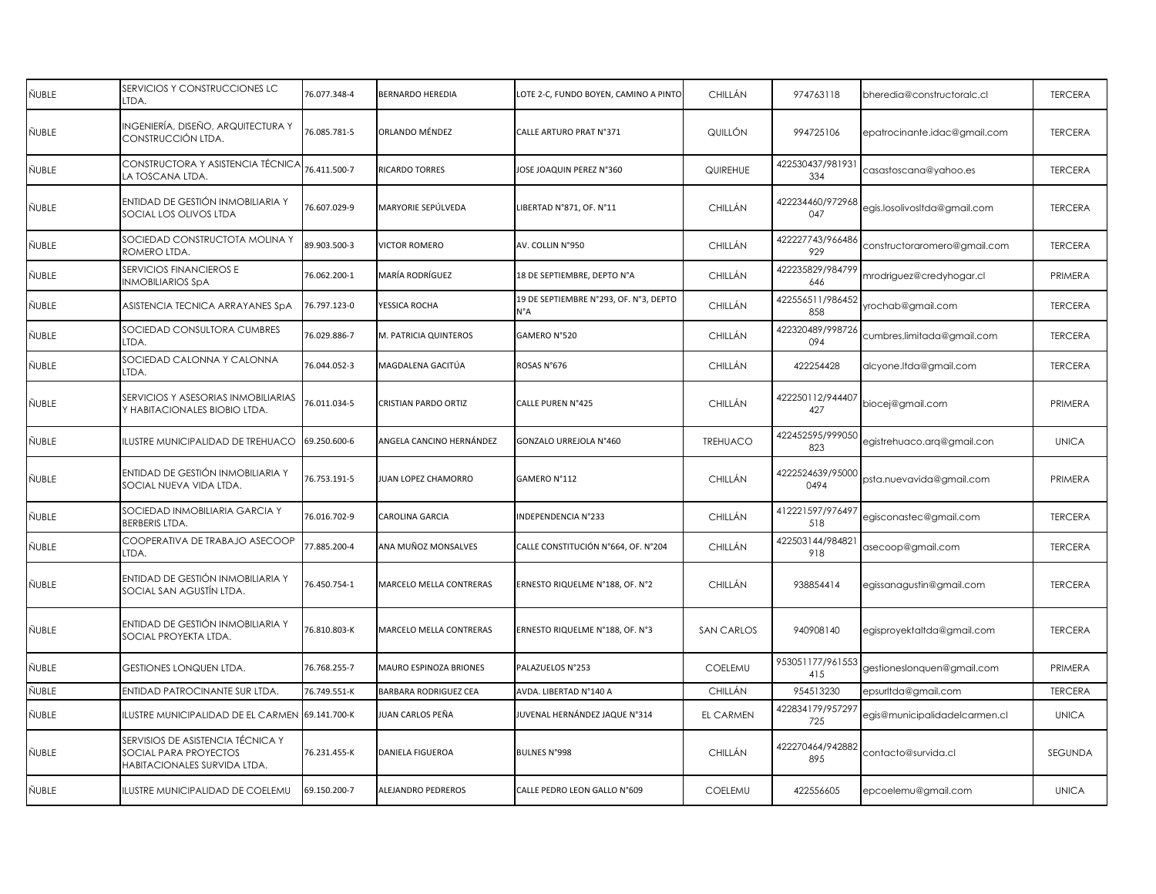| ÑUBLE | SERVICIOS Y CONSTRUCCIONES LC<br>IDA.                                                             | 76.077.348-4 | <b>BERNARDO HEREDIA</b>        | LOTE 2-C, FUNDO BOYEN, CAMINO A PINTO         | CHILLÁN           | 974763118                | bheredia@constructoralc.cl    | <b>TERCERA</b> |
|-------|---------------------------------------------------------------------------------------------------|--------------|--------------------------------|-----------------------------------------------|-------------------|--------------------------|-------------------------------|----------------|
| ÑUBLE | INGENIERÍA, DISEÑO, ARQUITECTURA Y<br>CONSTRUCCIÓN LTDA.                                          | 76.085.781-5 | ORLANDO MÉNDEZ                 | CALLE ARTURO PRAT N°371                       | QUILLÓN           | 994725106                | epatrocinante.idac@gmail.com  | <b>TERCERA</b> |
| ÑUBLE | CONSTRUCTORA Y ASISTENCIA TÉCNICA<br>LA TOSCANA LTDA.                                             | 76.411.500-7 | <b>RICARDO TORRES</b>          | <b>IOSE JOAQUIN PEREZ N°360</b>               | QUIREHUE          | 422530437/981931<br>334  | casastoscana@yahoo.es         | <b>TERCERA</b> |
| ÑUBLE | ENTIDAD DE GESTIÓN INMOBILIARIA Y<br>SOCIAL LOS OLIVOS LTDA                                       | 76.607.029-9 | MARYORIE SEPÚLVEDA             | LIBERTAD N°871, OF. N°11                      | CHILLÁN           | 422234460/972968<br>047  | egis.losolivosItda@gmail.com  | <b>TERCERA</b> |
| ÑUBLE | SOCIEDAD CONSTRUCTOTA MOLINA Y<br>ROMERO LTDA.                                                    | 89.903.500-3 | <b>JICTOR ROMERO</b>           | AV. COLLIN N°950                              | CHILLÁN           | 422227743/966486<br>929  | constructoraromero@gmail.com  | <b>TERCERA</b> |
| ÑUBLE | SERVICIOS FINANCIEROS E<br><b>NMOBILIARIOS SpA</b>                                                | 76.062.200-1 | MARÍA RODRÍGUEZ                | 18 DE SEPTIEMBRE, DEPTO N°A                   | CHILLÁN           | 422235829/984799<br>646  | mrodriguez@credyhogar.cl      | PRIMERA        |
| ÑUBLE | ASISTENCIA TECNICA ARRAYANES SpA                                                                  | 76.797.123-0 | <b>/ESSICA ROCHA</b>           | 19 DE SEPTIEMBRE N°293, OF. N°3, DEPTO<br>Ν°Α | CHILLÁN           | 422556511/986452<br>858  | rochab@gmail.com              | <b>TERCERA</b> |
| ÑUBLE | SOCIEDAD CONSULTORA CUMBRES<br>IDA.                                                               | 76.029.886-7 | M. PATRICIA QUINTEROS          | GAMERO N°520                                  | CHILLÁN           | 422320489/998726<br>094  | cumbres.limitada@gmail.com    | <b>TERCERA</b> |
| ÑUBLE | SOCIEDAD CALONNA Y CALONNA<br>IDA.                                                                | 76.044.052-3 | MAGDALENA GACITÚA              | ROSAS N°676                                   | CHILLÁN           | 422254428                | alcyone.Itda@gmail.com        | <b>TERCERA</b> |
| ÑUBLE | SERVICIOS Y ASESORIAS INMOBILIARIAS<br>Y HABITACIONALES BIOBIO LTDA.                              | 76.011.034-5 | CRISTIAN PARDO ORTIZ           | CALLE PUREN N°425                             | CHILLÁN           | 422250112/944407<br>427  | biocej@gmail.com              | PRIMERA        |
| ÑUBLE | LUSTRE MUNICIPALIDAD DE TREHUACO                                                                  | 69.250.600-6 | ANGELA CANCINO HERNÁNDEZ       | GONZALO URREJOLA N°460                        | <b>TREHUACO</b>   | 422452595/999050<br>823  | egistrehuaco.arq@gmail.con    | <b>UNICA</b>   |
| ÑUBLE | ENTIDAD DE GESTIÓN INMOBILIARIA Y<br>SOCIAL NUEVA VIDA LTDA.                                      | 76.753.191-5 | <b>JUAN LOPEZ CHAMORRO</b>     | GAMERO N°112                                  | CHILLÁN           | 4222524639/95000<br>0494 | psta.nuevavida@gmail.com      | PRIMERA        |
| ÑUBLE | SOCIEDAD INMOBILIARIA GARCIA Y<br>BERBERIS LTDA.                                                  | 76.016.702-9 | CAROLINA GARCIA                | NDEPENDENCIA N°233                            | CHILLÁN           | 412221597/976497<br>518  | egisconastec@gmail.com        | <b>TERCERA</b> |
| ÑUBLE | COOPERATIVA DE TRABAJO ASECOOP<br>IDA.                                                            | 77.885.200-4 | INA MUÑOZ MONSALVES            | CALLE CONSTITUCIÓN N°664, OF. N°204           | CHILLÁN           | 422503144/984821<br>918  | asecoop@gmail.com             | <b>TERCERA</b> |
| ÑUBLE | ENTIDAD DE GESTIÓN INMOBILIARIA Y<br>SOCIAL SAN AGUSTÍN LTDA.                                     | 76.450.754-1 | <b>MARCELO MELLA CONTRERAS</b> | ERNESTO RIQUELME N°188, OF. N°2               | CHILLÁN           | 938854414                | egissanagustin@gmail.com      | <b>TERCERA</b> |
| ÑUBLE | ENTIDAD DE GESTIÓN INMOBILIARIA Y<br>SOCIAL PROYEKTA LTDA.                                        | 76.810.803-K | MARCELO MELLA CONTRERAS        | ERNESTO RIQUELME N°188, OF. N°3               | <b>SAN CARLOS</b> | 940908140                | egisproyektaltda@gmail.com    | <b>TERCERA</b> |
| ÑUBLE | <b>GESTIONES LONQUEN LTDA.</b>                                                                    | 76.768.255-7 | MAURO ESPINOZA BRIONES         | PALAZUELOS N°253                              | COELEMU           | 953051177/961553<br>415  | gestioneslonquen@gmail.com    | PRIMERA        |
| ÑUBLE | ENTIDAD PATROCINANTE SUR LTDA.                                                                    | 76.749.551-K | BARBARA RODRIGUEZ CEA          | AVDA. LIBERTAD N°140 A                        | CHILLÁN           | 954513230                | epsurltda@gmail.com           | <b>TERCERA</b> |
| ÑUBLE | ILUSTRE MUNICIPALIDAD DE EL CARMEN                                                                | 69.141.700-K | UAN CARLOS PEÑA                | JUVENAL HERNÁNDEZ JAQUE N°314                 | EL CARMEN         | 422834179/957297<br>725  | egis@municipalidadelcarmen.cl | <b>UNICA</b>   |
| ÑUBLE | SERVISIOS DE ASISTENCIA TÉCNICA Y<br><b>SOCIAL PARA PROYECTOS</b><br>HABITACIONALES SURVIDA LTDA. | 76.231.455-K | DANIELA FIGUEROA               | <b>BULNES N°998</b>                           | CHILLÁN           | 422270464/942882<br>895  | contacto@survida.cl           | SEGUNDA        |
| ÑUBLE | ILUSTRE MUNICIPALIDAD DE COELEMU                                                                  | 69.150.200-7 | ALEJANDRO PEDREROS             | CALLE PEDRO LEON GALLO N°609                  | COELEMU           | 422556605                | epcoelemu@gmail.com           | <b>UNICA</b>   |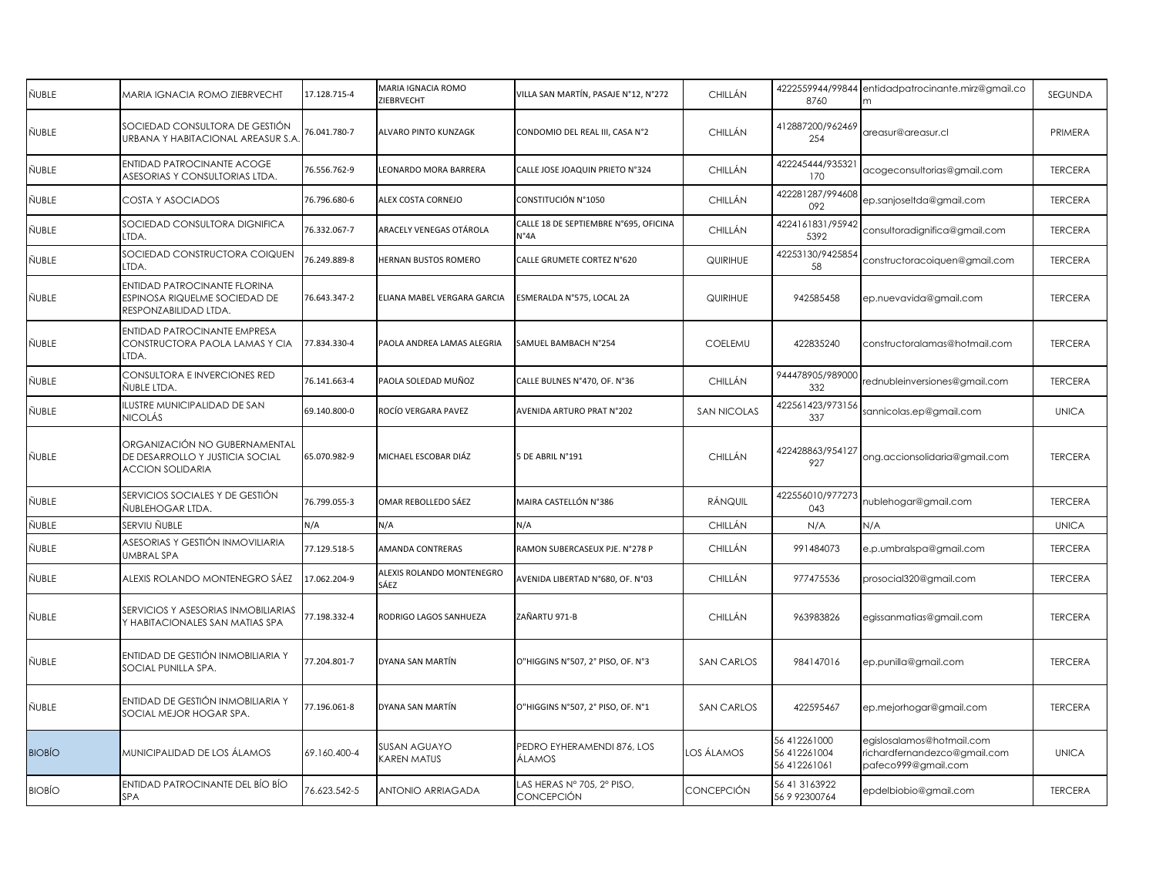| ÑUBLE  | MARIA IGNACIA ROMO ZIEBRVECHT                                                               | 17.128.715-4 | MARIA IGNACIA ROMO<br>ZIEBRVECHT   | VILLA SAN MARTÍN, PASAJE N°12, N°272          | CHILLÁN            | 8760                                         | 4222559944/99844 entidadpatrocinante.mirz@gmail.co                               | <b>SEGUNDA</b> |
|--------|---------------------------------------------------------------------------------------------|--------------|------------------------------------|-----------------------------------------------|--------------------|----------------------------------------------|----------------------------------------------------------------------------------|----------------|
| ÑUBLE  | SOCIEDAD CONSULTORA DE GESTIÓN<br>URBANA Y HABITACIONAL AREASUR S.A                         | 76.041.780-7 | <b>ALVARO PINTO KUNZAGK</b>        | CONDOMIO DEL REAL III, CASA N°2               | CHILLÁN            | 412887200/962469<br>254                      | areasur@areasur.cl                                                               | PRIMERA        |
| ÑUBLE  | <b>ENTIDAD PATROCINANTE ACOGE</b><br>ASESORIAS Y CONSULTORIAS LTDA.                         | 76.556.762-9 | EONARDO MORA BARRERA               | CALLE JOSE JOAQUIN PRIETO N°324               | <b>CHILLÁN</b>     | 422245444/935321<br>170                      | acogeconsultorias@gmail.com                                                      | <b>TERCERA</b> |
| ÑUBLE  | COSTA Y ASOCIADOS                                                                           | 76.796.680-6 | <b>ALEX COSTA CORNEJO</b>          | CONSTITUCIÓN N°1050                           | CHILLÁN            | 422281287/994608<br>092                      | ep.sanjoseltda@gmail.com                                                         | <b>TERCERA</b> |
| ÑUBLE  | SOCIEDAD CONSULTORA DIGNIFICA<br>LTDA.                                                      | 76.332.067-7 | ARACELY VENEGAS OTÁROLA            | CALLE 18 DE SEPTIEMBRE N°695, OFICINA<br>N°4A | CHILLÁN            | 4224161831/95942<br>5392                     | consultoradignifica@gmail.com                                                    | <b>TERCERA</b> |
| ÑUBLE  | SOCIEDAD CONSTRUCTORA COIQUEN<br>ltda.                                                      | 76.249.889-8 | <b>HERNAN BUSTOS ROMERO</b>        | CALLE GRUMETE CORTEZ N°620                    | QUIRIHUE           | 42253130/9425854<br>58                       | constructoracoiquen@gmail.com                                                    | <b>TERCERA</b> |
| ÑUBLE  | ENTIDAD PATROCINANTE FLORINA<br>ESPINOSA RIQUELME SOCIEDAD DE<br>RESPONZABILIDAD LTDA.      | 76.643.347-2 | ELIANA MABEL VERGARA GARCIA        | ESMERALDA N°575, LOCAL 2A                     | QUIRIHUE           | 942585458                                    | ep.nuevavida@gmail.com                                                           | <b>TERCERA</b> |
| ÑUBLE  | ENTIDAD PATROCINANTE EMPRESA<br>CONSTRUCTORA PAOLA LAMAS Y CIA<br>LTDA.                     | 77.834.330-4 | PAOLA ANDREA LAMAS ALEGRIA         | SAMUEL BAMBACH N°254                          | COELEMU            | 422835240                                    | constructoralamas@hotmail.com                                                    | <b>TERCERA</b> |
| ÑUBLE  | CONSULTORA E INVERCIONES RED<br>ÑUBLE LTDA.                                                 | 76.141.663-4 | PAOLA SOLEDAD MUÑOZ                | CALLE BULNES N°470, OF. N°36                  | CHILLÁN            | 944478905/989000<br>332                      | rednubleinversiones@gmail.com                                                    | <b>TERCERA</b> |
| ÑUBLE  | ILUSTRE MUNICIPALIDAD DE SAN<br>NICOLÁS                                                     | 69.140.800-0 | ROCÍO VERGARA PAVEZ                | AVENIDA ARTURO PRAT N°202                     | <b>SAN NICOLAS</b> | 422561423/973156<br>337                      | sannicolas.ep@gmail.com                                                          | <b>UNICA</b>   |
| ÑUBLE  | ORGANIZACIÓN NO GUBERNAMENTAL<br>DE DESARROLLO Y JUSTICIA SOCIAL<br><b>ACCION SOLIDARIA</b> | 65.070.982-9 | MICHAEL ESCOBAR DIÁZ               | 5 DE ABRIL N°191                              | CHILLÁN            | 422428863/954127<br>927                      | ong.accionsolidaria@gmail.com                                                    | <b>TERCERA</b> |
| ÑUBLE  | SERVICIOS SOCIALES Y DE GESTIÓN<br>ÑUBLEHOGAR LTDA.                                         | 76.799.055-3 | OMAR REBOLLEDO SÁEZ                | MAIRA CASTELLÓN N°386                         | RÁNQUIL            | 422556010/977273<br>043                      | nublehogar@gmail.com                                                             | <b>TERCERA</b> |
| ÑUBLE  | SERVIU ÑUBLE                                                                                | N/A          | N/A                                | N/A                                           | CHILLÁN            | N/A                                          | N/A                                                                              | <b>UNICA</b>   |
| ÑUBLE  | ASESORIAS Y GESTIÓN INMOVILIARIA<br>UMBRAL SPA                                              | 77.129.518-5 | <b>AMANDA CONTRERAS</b>            | RAMON SUBERCASEUX PJE. N°278 P                | CHILLÁN            | 991484073                                    | e.p.umbralspa@gmail.com                                                          | <b>TERCERA</b> |
| ÑUBLE  | ALEXIS ROLANDO MONTENEGRO SÁEZ                                                              | 17.062.204-9 | ALEXIS ROLANDO MONTENEGRO<br>SÁEZ  | AVENIDA LIBERTAD N°680, OF. N°03              | CHILLÁN            | 977475536                                    | prosocial320@gmail.com                                                           | <b>TERCERA</b> |
| ÑUBLE  | SERVICIOS Y ASESORIAS INMOBILIARIAS<br>Y HABITACIONALES SAN MATIAS SPA                      | 77.198.332-4 | RODRIGO LAGOS SANHUEZA             | ZAÑARTU 971-B                                 | CHILLÁN            | 963983826                                    | egissanmatias@gmail.com                                                          | <b>TERCERA</b> |
| ÑUBLE  | ENTIDAD DE GESTIÓN INMOBILIARIA Y<br>SOCIAL PUNILLA SPA.                                    | 77.204.801-7 | DYANA SAN MARTÍN                   | O"HIGGINS N°507, 2° PISO, OF. N°3             | <b>SAN CARLOS</b>  | 984147016                                    | ep.punilla@gmail.com                                                             | <b>TERCERA</b> |
| ÑUBLE  | ENTIDAD DE GESTIÓN INMOBILIARIA Y<br>SOCIAL MEJOR HOGAR SPA.                                | 77.196.061-8 | DYANA SAN MARTÍN                   | O"HIGGINS N°507, 2° PISO, OF. N°1             | <b>SAN CARLOS</b>  | 422595467                                    | ep.mejorhogar@gmail.com                                                          | <b>TERCERA</b> |
| BIOBÍO | MUNICIPALIDAD DE LOS ÁLAMOS                                                                 | 69.160.400-4 | SUSAN AGUAYO<br><b>CAREN MATUS</b> | PEDRO EYHERAMENDI 876, LOS<br>ÁLAMOS          | LOS ÁLAMOS         | 56 412261000<br>56 412261004<br>56 412261061 | egislosalamos@hotmail.com<br>richardfernandezco@gmail.com<br>pafeco999@gmail.com | <b>UNICA</b>   |
| BIOBÍO | ENTIDAD PATROCINANTE DEL BÍO BÍO<br><b>SPA</b>                                              | 76.623.542-5 | ANTONIO ARRIAGADA                  | LAS HERAS N° 705, 2° PISO,<br>CONCEPCIÓN      | CONCEPCIÓN         | 56 41 31 63 922<br>56 9 92300764             | epdelbiobio@gmail.com                                                            | <b>TERCERA</b> |
|        |                                                                                             |              |                                    |                                               |                    |                                              |                                                                                  |                |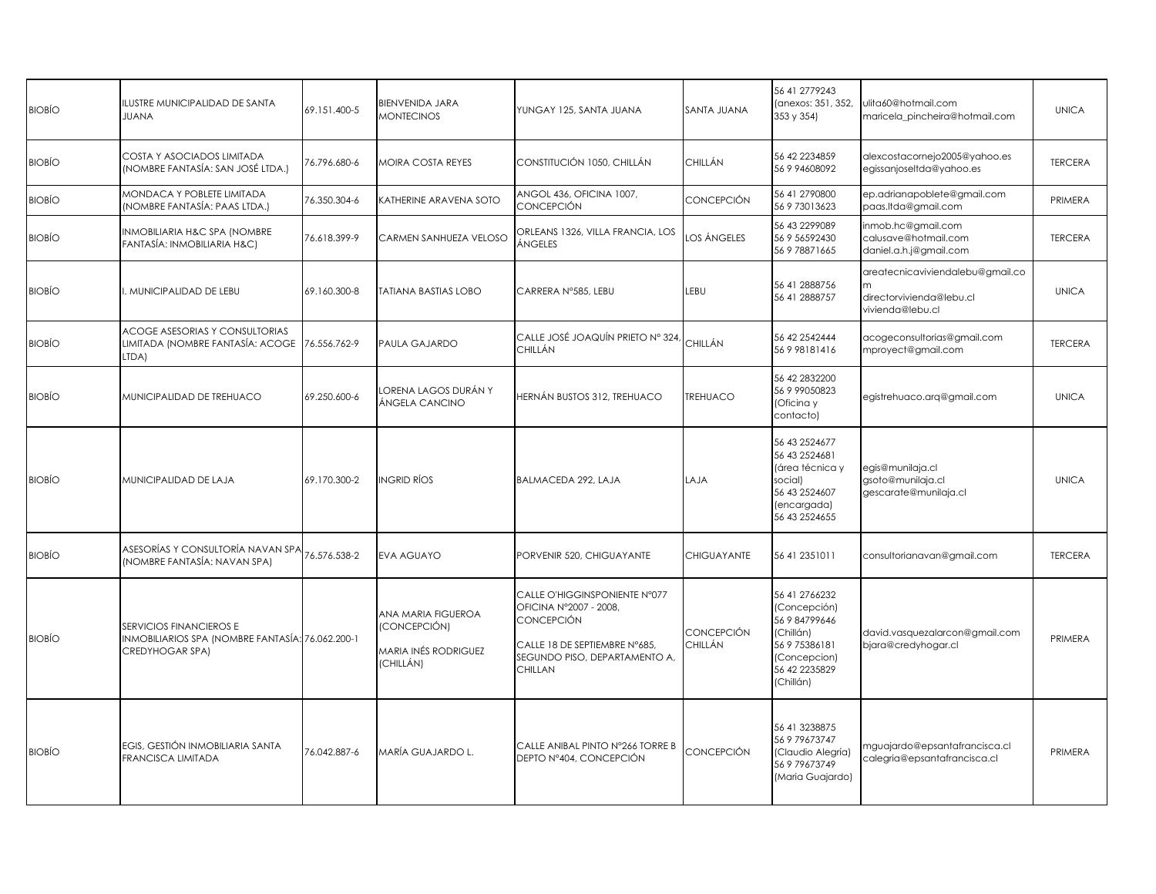| <b>BIOBÍO</b> | ILUSTRE MUNICIPALIDAD DE SANTA<br><b>JUANA</b>                                                 | 69.151.400-5 | <b>BIENVENIDA JARA</b><br><b>MONTECINOS</b>                             | YUNGAY 125, SANTA JUANA                                                                                                                                   | SANTA JUANA           | 56 41 2779243<br>(anexos: 351, 352,<br>353 y 354)                                                                          | ulita60@hotmail.com<br>maricela pincheira@hotmail.com                            | <b>UNICA</b>   |
|---------------|------------------------------------------------------------------------------------------------|--------------|-------------------------------------------------------------------------|-----------------------------------------------------------------------------------------------------------------------------------------------------------|-----------------------|----------------------------------------------------------------------------------------------------------------------------|----------------------------------------------------------------------------------|----------------|
| <b>BIOBÍO</b> | COSTA Y ASOCIADOS LIMITADA<br>(NOMBRE FANTASÍA: SAN JOSÉ LTDA.)                                | 76.796.680-6 | MOIRA COSTA REYES                                                       | CONSTITUCIÓN 1050, CHILLÁN                                                                                                                                | CHILLÁN               | 56 42 223 4859<br>56 9 94608092                                                                                            | alexcostacornejo2005@yahoo.es<br>egissanjoseltda@yahoo.es                        | <b>TERCERA</b> |
| <b>BIOBÍO</b> | MONDACA Y POBLETE LIMITADA<br>(NOMBRE FANTASÍA: PAAS LTDA.)                                    | 76.350.304-6 | KATHERINE ARAVENA SOTO                                                  | ANGOL 436, OFICINA 1007,<br><b>CONCEPCIÓN</b>                                                                                                             | CONCEPCIÓN            | 56 41 2790800<br>56 9 73013623                                                                                             | ep.adrianapoblete@gmail.com<br>paas.ltda@gmail.com                               | PRIMERA        |
| <b>BIOBÍO</b> | INMOBILIARIA H&C SPA (NOMBRE<br>FANTASÍA: INMOBILIARIA H&C)                                    | 76.618.399-9 | CARMEN SANHUEZA VELOSO                                                  | ORLEANS 1326, VILLA FRANCIA, LOS<br>ÁNGELES                                                                                                               | LOS ÁNGELES           | 56 43 2299089<br>56 9 56592430<br>56 9 78871665                                                                            | inmob.hc@gmail.com<br>calusave@hotmail.com<br>daniel.a.h.j@gmail.com             | <b>TERCERA</b> |
| <b>BIOBÍO</b> | I. MUNICIPALIDAD DE LEBU                                                                       | 69.160.300-8 | <b>TATIANA BASTIAS LOBO</b>                                             | CARRERA N°585, LEBU                                                                                                                                       | LEBU                  | 56 41 2888756<br>56 41 2888757                                                                                             | areatecnicaviviendalebu@gmail.co<br>directorvivienda@lebu.cl<br>vivienda@lebu.cl | <b>UNICA</b>   |
| <b>BIOBÍO</b> | ACOGE ASESORIAS Y CONSULTORIAS<br>LIMITADA (NOMBRE FANTASÍA: ACOGE<br>LTDA)                    | 76.556.762-9 | PAULA GAJARDO                                                           | CALLE JOSÉ JOAQUÍN PRIETO Nº 324,<br>CHILLÁN                                                                                                              | CHILLÁN               | 56 42 2542444<br>56998181416                                                                                               | acogeconsultorias@gmail.com<br>mproyect@gmail.com                                | <b>TERCERA</b> |
| <b>BIOBÍO</b> | MUNICIPALIDAD DE TREHUACO                                                                      | 69.250.600-6 | ORENA LAGOS DURÁN Y<br>ÁNGELA CANCINO                                   | HERNÁN BUSTOS 312, TREHUACO                                                                                                                               | TREHUACO              | 56 42 2832200<br>56 9 99050823<br>(Oficina y<br>contacto)                                                                  | egistrehuaco.arq@gmail.com                                                       | <b>UNICA</b>   |
| <b>BIOBÍO</b> | MUNICIPALIDAD DE LAJA                                                                          | 69.170.300-2 | INGRID RÍOS                                                             | BALMACEDA 292, LAJA                                                                                                                                       | LAJA                  | 56 43 252 4677<br>56 43 252 4681<br>(área técnica y<br>social)<br>56 43 2524607<br>(encargada)<br>56 43 252 4655           | egis@munilaja.cl<br>gsoto@munilaja.cl<br>gescarate@munilaja.cl                   | <b>UNICA</b>   |
| <b>BIOBÍO</b> | ASESORÍAS Y CONSULTORÍA NAVAN SPA<br>(NOMBRE FANTASÍA: NAVAN SPA)                              | 76.576.538-2 | EVA AGUAYO                                                              | PORVENIR 520, CHIGUAYANTE                                                                                                                                 | CHIGUAYANTE           | 56 41 235 1011                                                                                                             | consultorianavan@gmail.com                                                       | <b>TERCERA</b> |
| <b>BIOBÍO</b> | SERVICIOS FINANCIEROS E<br>INMOBILIARIOS SPA (NOMBRE FANTASÍA: 76.062.200-1<br>CREDYHOGAR SPA) |              | ANA MARIA FIGUEROA<br>(CONCEPCIÓN)<br>MARIA INÉS RODRIGUEZ<br>(CHILLÁN) | CALLE O'HIGGINSPONIENTE N°077<br>OFICINA N°2007 - 2008,<br><b>CONCEPCIÓN</b><br>CALLE 18 DE SEPTIEMBRE N°685,<br>SEGUNDO PISO, DEPARTAMENTO A,<br>CHILLAN | CONCEPCIÓN<br>CHILLÁN | 56 41 2766232<br>(Concepción)<br>56 9 84799646<br>(Chillán)<br>56 9 75386181<br>(Concepcion)<br>56 42 2235829<br>(Chillán) | david.vasquezalarcon@gmail.com<br>bjara@credyhogar.cl                            | PRIMERA        |
| <b>BIOBÍO</b> | EGIS, GESTIÓN INMOBILIARIA SANTA<br>FRANCISCA LIMITADA                                         | 76.042.887-6 | MARÍA GUAJARDO L.                                                       | CALLE ANIBAL PINTO N°266 TORRE B<br>DEPTO Nº404, CONCEPCIÓN                                                                                               | CONCEPCIÓN            | 56 41 3238875<br>56 9 79 673747<br>(Claudio Alegría)<br>56 9 79 673749<br>(Maria Guajardo)                                 | mguajardo@epsantafrancisca.cl<br>calegria@epsantafrancisca.cl                    | PRIMERA        |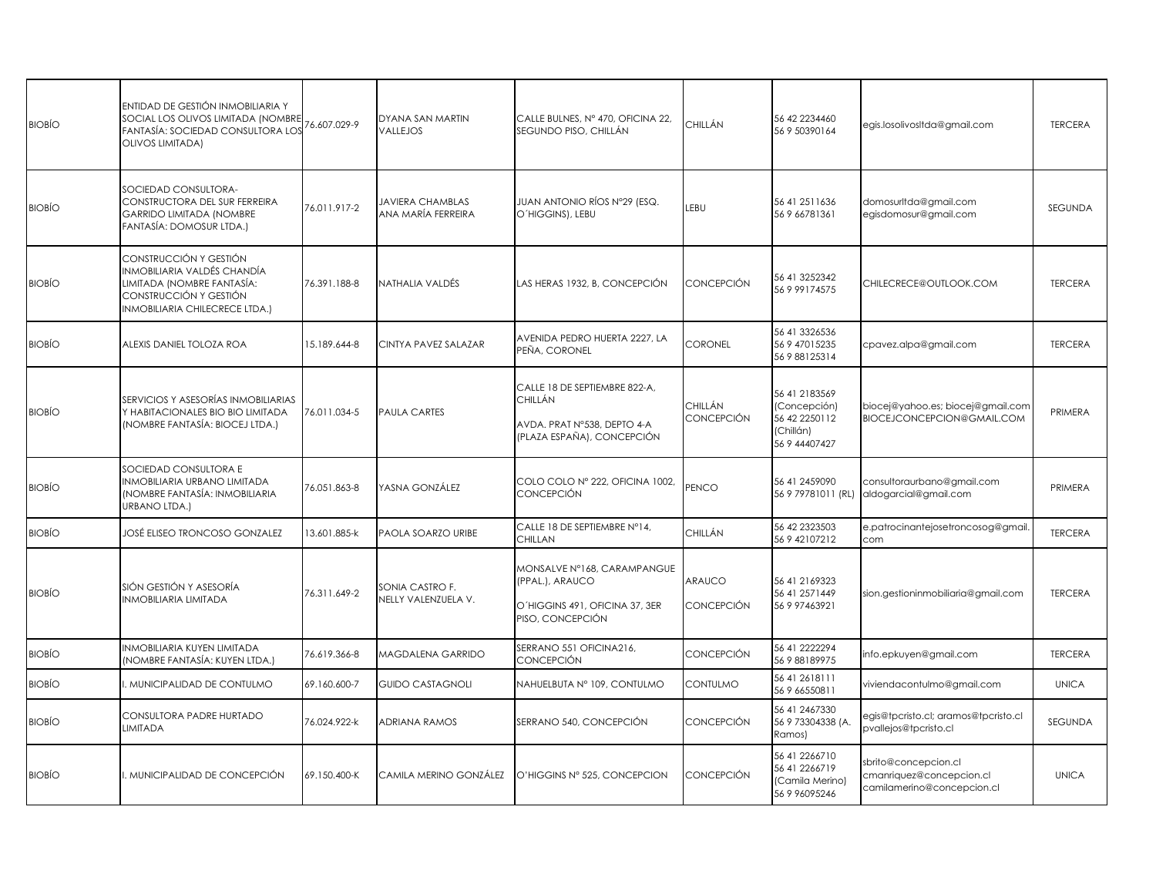| <b>BIOBÍO</b> | ENTIDAD DE GESTIÓN INMOBILIARIA Y<br>SOCIAL LOS OLIVOS LIMITADA (NOMBRE<br>FANTASÍA: SOCIEDAD CONSULTORA LOS<br>OLIVOS LIMITADA)                | 76.607.029-9 | DYANA SAN MARTIN<br>VALLEJOS                  | CALLE BULNES, Nº 470, OFICINA 22,<br>SEGUNDO PISO, CHILLÁN                                            | CHILLÁN               | 56 42 2234460<br>56 9 50390164                                               | egis.losolivosItda@gmail.com                                                   | <b>TERCERA</b> |
|---------------|-------------------------------------------------------------------------------------------------------------------------------------------------|--------------|-----------------------------------------------|-------------------------------------------------------------------------------------------------------|-----------------------|------------------------------------------------------------------------------|--------------------------------------------------------------------------------|----------------|
| <b>BIOBÍO</b> | SOCIEDAD CONSULTORA-<br>CONSTRUCTORA DEL SUR FERREIRA<br><b>GARRIDO LIMITADA (NOMBRE</b><br>FANTASÍA: DOMOSUR LTDA.)                            | 76.011.917-2 | <b>JAVIERA CHAMBLAS</b><br>ANA MARÍA FERREIRA | JUAN ANTONIO RÍOS Nº29 (ESQ.<br>O'HIGGINS), LEBU                                                      | LEBU                  | 56 41 251 1636<br>56 9 66781361                                              | domosurltda@gmail.com<br>egisdomosur@gmail.com                                 | SEGUNDA        |
| <b>BIOBIO</b> | CONSTRUCCIÓN Y GESTIÓN<br>INMOBILIARIA VALDÉS CHANDÍA<br>LIMITADA (NOMBRE FANTASÍA:<br>CONSTRUCCIÓN Y GESTIÓN<br>INMOBILIARIA CHILECRECE LTDA.) | 76.391.188-8 | NATHALIA VALDÉS                               | LAS HERAS 1932, B, CONCEPCIÓN                                                                         | <b>CONCEPCIÓN</b>     | 56 41 3252342<br>56 9 99174575                                               | CHILECRECE@OUTLOOK.COM                                                         | <b>TERCERA</b> |
| <b>BIOBÍO</b> | ALEXIS DANIEL TOLOZA ROA                                                                                                                        | 15.189.644-8 | CINTYA PAVEZ SALAZAR                          | AVENIDA PEDRO HUERTA 2227, LA<br>PEÑA, CORONEL                                                        | CORONEL               | 56 41 3326536<br>56 9 47015235<br>56 9 88125314                              | cpavez.alpa@gmail.com                                                          | <b>TERCERA</b> |
| <b>BIOBÍO</b> | SERVICIOS Y ASESORÍAS INMOBILIARIAS<br>Y HABITACIONALES BIO BIO LIMITADA<br>(NOMBRE FANTASÍA: BIOCEJ LTDA.)                                     | 76.011.034-5 | <b>PAULA CARTES</b>                           | CALLE 18 DE SEPTIEMBRE 822-A,<br>CHILLÁN<br>AVDA, PRAT N°538, DEPTO 4-A<br>(PLAZA ESPAÑA), CONCEPCIÓN | CHILLÁN<br>CONCEPCIÓN | 56 41 2183569<br>(Concepción)<br>56 42 2250112<br>(Chillán)<br>56 9 44407427 | biocej@yahoo.es; biocej@gmail.com<br><b>BIOCEJCONCEPCION@GMAIL.COM</b>         | PRIMERA        |
| <b>BIOBÍO</b> | <b>SOCIEDAD CONSULTORA E</b><br>INMOBILIARIA URBANO LIMITADA<br>(NOMBRE FANTASÍA: INMOBILIARIA<br>URBANO LTDA.)                                 | 76.051.863-8 | YASNA GONZÁLEZ                                | COLO COLO Nº 222, OFICINA 1002,<br>CONCEPCIÓN                                                         | PENCO                 | 56 41 2459090<br>56 9 79781011 (RL)                                          | consultoraurbano@gmail.com<br>aldogarcial@gmail.com                            | PRIMERA        |
| <b>BIOBIO</b> | JOSÉ ELISEO TRONCOSO GONZALEZ                                                                                                                   | 13.601.885-k | PAOLA SOARZO URIBE                            | CALLE 18 DE SEPTIEMBRE Nº14,<br>CHILLAN                                                               | CHILLÁN               | 56 42 2323503<br>56 9 42107212                                               | e.patrocinantejosetroncosog@gmail.<br>com                                      | <b>TERCERA</b> |
| <b>BIOBÍO</b> | SIÓN GESTIÓN Y ASESORÍA<br><b>INMOBILIARIA LIMITADA</b>                                                                                         | 76.311.649-2 | SONIA CASTRO F.<br>NELLY VALENZUELA V.        | MONSALVE Nº168, CARAMPANGUE<br>(PPAL.), ARAUCO<br>O'HIGGINS 491, OFICINA 37, 3ER<br>PISO, CONCEPCIÓN  | ARAUCO<br>CONCEPCIÓN  | 56 41 2169323<br>56 41 257 1449<br>56 9 97463921                             | sion.gestioninmobiliaria@gmail.com                                             | <b>TERCERA</b> |
| <b>BIOBÍO</b> | INMOBILIARIA KUYEN LIMITADA<br>(NOMBRE FANTASÍA: KUYEN LTDA.)                                                                                   | 76.619.366-8 | MAGDALENA GARRIDO                             | SERRANO 551 OFICINA216,<br>CONCEPCIÓN                                                                 | CONCEPCIÓN            | 56 41 2222294<br>56 9 88189975                                               | info.epkuyen@gmail.com                                                         | <b>TERCERA</b> |
| <b>BIOBÍO</b> | . MUNICIPALIDAD DE CONTULMO                                                                                                                     | 69.160.600-7 | <b>GUIDO CASTAGNOLI</b>                       | NAHUELBUTA N° 109, CONTULMO                                                                           | <b>CONTULMO</b>       | 56 41 26 18 11 1<br>56 9 66550811                                            | viviendacontulmo@gmail.com                                                     | <b>UNICA</b>   |
| <b>BIOBÍO</b> | CONSULTORA PADRE HURTADO<br>LIMITADA                                                                                                            | 76.024.922-k | <b>ADRIANA RAMOS</b>                          | SERRANO 540, CONCEPCIÓN                                                                               | <b>CONCEPCIÓN</b>     | 56 41 2467330<br>56 9 73304338 (A.<br>Ramos)                                 | egis@tpcristo.cl; aramos@tpcristo.cl<br>pvallejos@tpcristo.cl                  | <b>SEGUNDA</b> |
| <b>BIOBÍO</b> | , MUNICIPALIDAD DE CONCEPCIÓN                                                                                                                   | 69.150.400-K | CAMILA MERINO GONZÁLEZ                        | O'HIGGINS Nº 525, CONCEPCION                                                                          | <b>CONCEPCIÓN</b>     | 56 41 2266710<br>56 41 2266719<br>(Camila Merino)<br>56 9 9 60 9 5 2 4 6     | sbrito@concepcion.cl<br>cmanriquez@concepcion.cl<br>camilamerino@concepcion.cl | <b>UNICA</b>   |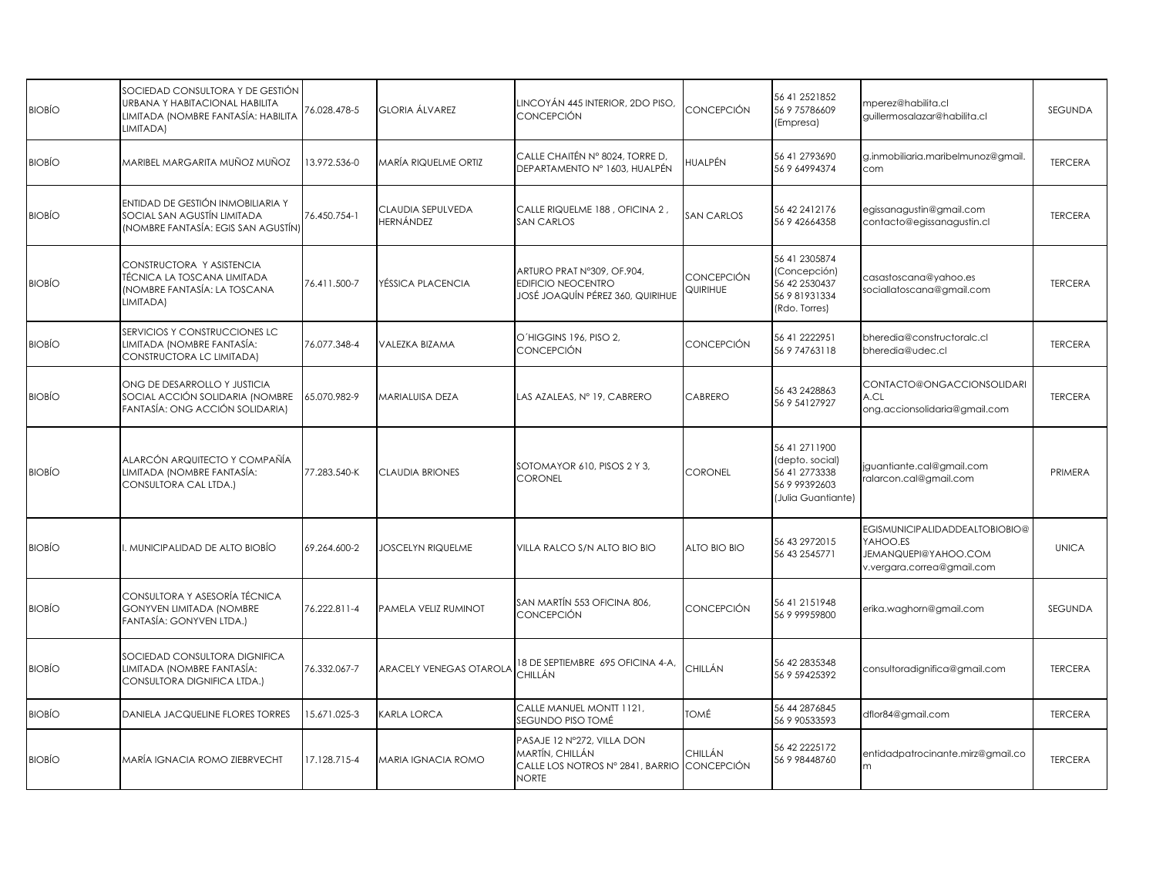| <b>BIOBÍO</b> | SOCIEDAD CONSULTORA Y DE GESTIÓN<br>URBANA Y HABITACIONAL HABILITA<br>LIMITADA (NOMBRE FANTASÍA: HABILITA<br>LIMITADA) | 76.028.478-5 | GLORIA ÁLVAREZ                 | LINCOYÁN 445 INTERIOR, 2DO PISO,<br>CONCEPCIÓN                                                    | CONCEPCIÓN                   | 56 41 2521852<br>56 9 75786609<br>(Empresa)                                              | mperez@habilita.cl<br>guillermosalazar@habilita.cl                                               | SEGUNDA        |
|---------------|------------------------------------------------------------------------------------------------------------------------|--------------|--------------------------------|---------------------------------------------------------------------------------------------------|------------------------------|------------------------------------------------------------------------------------------|--------------------------------------------------------------------------------------------------|----------------|
| <b>BIOBÍO</b> | MARIBEL MARGARITA MUÑOZ MUÑOZ                                                                                          | 13.972.536-0 | MARÍA RIQUELME ORTIZ           | CALLE CHAITÉN N° 8024, TORRE D,<br>DEPARTAMENTO Nº 1603, HUALPÉN                                  | HUALPÉN                      | 56 41 2793690<br>56 9 64994374                                                           | g.inmobiliaria.maribelmunoz@gmail<br>com                                                         | <b>TERCERA</b> |
| <b>BIOBÍO</b> | ENTIDAD DE GESTIÓN INMOBILIARIA Y<br>SOCIAL SAN AGUSTÍN LIMITADA<br>(NOMBRE FANTASÍA: EGIS SAN AGUSTÍN)                | 76.450.754-1 | CLAUDIA SEPULVEDA<br>HERNÁNDEZ | CALLE RIQUELME 188, OFICINA 2,<br><b>SAN CARLOS</b>                                               | <b>SAN CARLOS</b>            | 56 42 241 2176<br>56 9 42664358                                                          | egissanagustin@gmail.com<br>contacto@egissanagustin.cl                                           | <b>TERCERA</b> |
| <b>BIOBÍO</b> | CONSTRUCTORA Y ASISTENCIA<br>TÉCNICA LA TOSCANA LIMITADA<br>(NOMBRE FANTASÍA: LA TOSCANA<br>LIMITADA)                  | 76.411.500-7 | YÉSSICA PLACENCIA              | ARTURO PRAT N°309, OF.904,<br><b>EDIFICIO NEOCENTRO</b><br>JOSÉ JOAQUÍN PÉREZ 360, QUIRIHUE       | CONCEPCIÓN<br>QUIRIHUE       | 56 41 2305874<br>(Concepción)<br>56 42 2530437<br>56 9 81931334<br>(Rdo. Torres)         | casastoscana@yahoo.es<br>sociallatoscana@gmail.com                                               | <b>TERCERA</b> |
| <b>BIOBÍO</b> | SERVICIOS Y CONSTRUCCIONES LC<br>LIMITADA (NOMBRE FANTASÍA:<br>CONSTRUCTORA LC LIMITADA)                               | 76.077.348-4 | VALEZKA BIZAMA                 | O'HIGGINS 196, PISO 2,<br>CONCEPCIÓN                                                              | CONCEPCIÓN                   | 56 41 2222951<br>56 9 74763118                                                           | bheredia@constructoralc.cl<br>bheredia@udec.cl                                                   | <b>TERCERA</b> |
| <b>BIOBÍO</b> | ONG DE DESARROLLO Y JUSTICIA<br>SOCIAL ACCIÓN SOLIDARIA (NOMBRE<br>FANTASÍA: ONG ACCIÓN SOLIDARIA)                     | 65.070.982-9 | MARIALUISA DEZA                | LAS AZALEAS, Nº 19, CABRERO                                                                       | CABRERO                      | 56 43 2428863<br>56 9 54127927                                                           | CONTACTO@ONGACCIONSOLIDARI<br>A.CL<br>ong.accionsolidaria@gmail.com                              | <b>TERCERA</b> |
| <b>BIOBIO</b> | ALARCÓN ARQUITECTO Y COMPAÑÍA<br>LIMITADA (NOMBRE FANTASÍA:<br>CONSULTORA CAL LTDA.)                                   | 77.283.540-K | <b>CLAUDIA BRIONES</b>         | SOTOMAYOR 610, PISOS 2 Y 3,<br>CORONEL                                                            | CORONEL                      | 56 41 271 1900<br>(depto. social)<br>56 41 2773338<br>56 9 99392603<br>Julia Guantiante) | jguantiante.cal@gmail.com<br>ralarcon.cal@gmail.com                                              | PRIMERA        |
| <b>BIOBÍO</b> | I. MUNICIPALIDAD DE ALTO BIOBÍO                                                                                        | 69.264.600-2 | <b>JOSCELYN RIQUELME</b>       | VILLA RALCO S/N ALTO BIO BIO                                                                      | ALTO BIO BIO                 | 56 43 297 2015<br>56 43 2545771                                                          | EGISMUNICIPALIDADDEALTOBIOBIO@<br>YAHOO.ES<br>JEMANQUEPI@YAHOO.COM<br>v.vergara.correa@gmail.com | <b>UNICA</b>   |
| <b>BIOBÍO</b> | CONSULTORA Y ASESORÍA TÉCNICA<br><b>GONYVEN LIMITADA (NOMBRE</b><br>FANTASÍA: GONYVEN LTDA.)                           | 76.222.811-4 | PAMELA VELIZ RUMINOT           | SAN MARTÍN 553 OFICINA 806,<br>CONCEPCIÓN                                                         | CONCEPCIÓN                   | 56 41 2151948<br>56 9 99959800                                                           | erika.waghorn@gmail.com                                                                          | <b>SEGUNDA</b> |
| <b>BIOBÍO</b> | SOCIEDAD CONSULTORA DIGNIFICA<br>LIMITADA (NOMBRE FANTASÍA:<br>CONSULTORA DIGNIFICA LTDA.)                             | 76.332.067-7 | ARACELY VENEGAS OTAROLA        | 18 DE SEPTIEMBRE 695 OFICINA 4-A,<br>CHILLÁN                                                      | CHILLÁN                      | 56 42 2835348<br>56 9 59425392                                                           | consultoradignifica@gmail.com                                                                    | <b>TERCERA</b> |
| <b>BIOBÍO</b> | DANIELA JACQUELINE FLORES TORRES                                                                                       | 15.671.025-3 | KARLA LORCA                    | CALLE MANUEL MONTT 1121,<br>SEGUNDO PISO TOMÉ                                                     | TOMÉ                         | 56 44 287 6845<br>56 9 90533593                                                          | dflor84@gmail.com                                                                                | <b>TERCERA</b> |
| <b>BIOBÍO</b> | MARÍA IGNACIA ROMO ZIEBRVECHT                                                                                          | 17.128.715-4 | <b>MARIA IGNACIA ROMO</b>      | PASAJE 12 Nº272, VILLA DON<br>MARTÍN, CHILLÁN<br>CALLE LOS NOTROS Nº 2841, BARRIO<br><b>NORTE</b> | CHILLÁN<br><b>CONCEPCIÓN</b> | 56 42 2225172<br>56 9 98448760                                                           | entidadpatrocinante.mirz@gmail.co<br>m                                                           | <b>TERCERA</b> |
|               |                                                                                                                        |              |                                |                                                                                                   |                              |                                                                                          |                                                                                                  |                |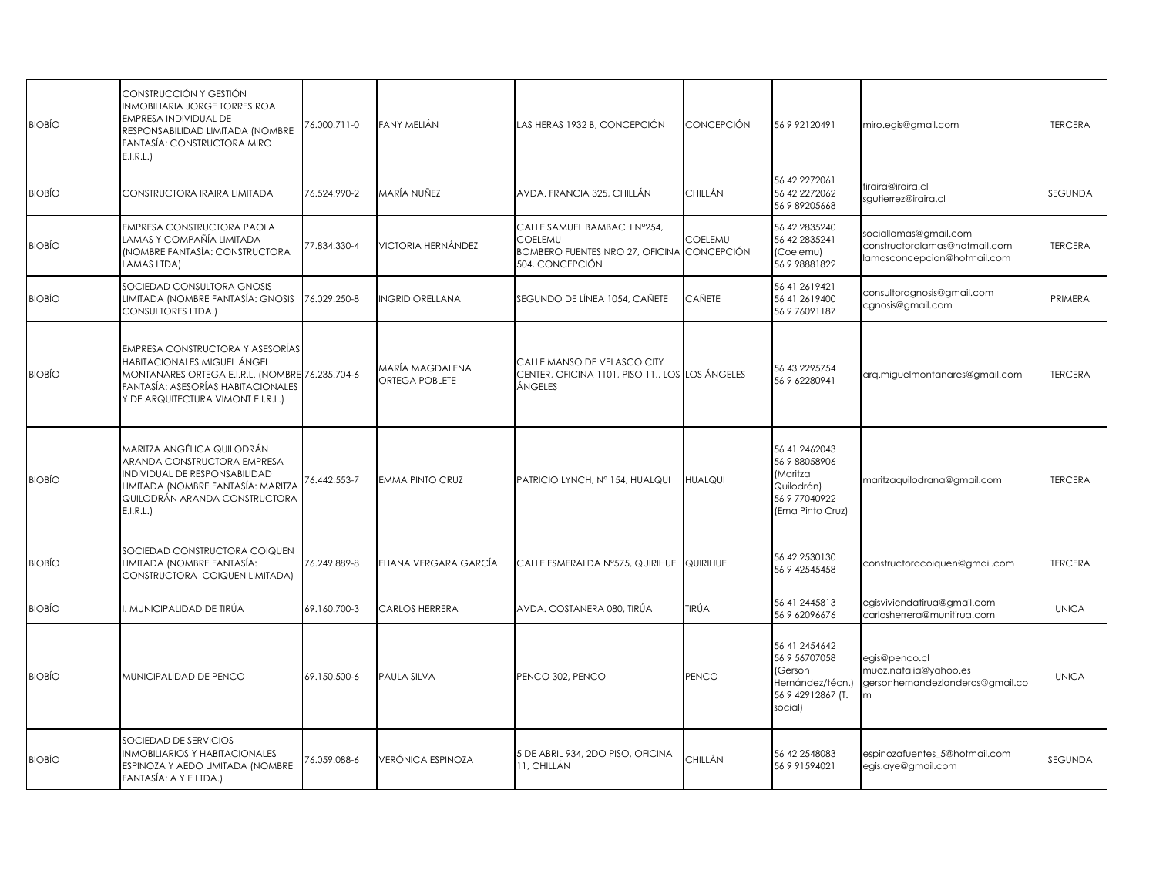| <b>BIOBÍO</b> | CONSTRUCCIÓN Y GESTIÓN<br><b>INMOBILIARIA JORGE TORRES ROA</b><br>EMPRESA INDIVIDUAL DE<br>RESPONSABILIDAD LIMITADA (NOMBRE<br>FANTASÍA: CONSTRUCTORA MIRO<br>E.I.R.L.                                | 76.000.711-0 | FANY MELIÁN                       | LAS HERAS 1932 B, CONCEPCIÓN                                                                            | <b>CONCEPCIÓN</b> | 56 9 92120491                                                                                        | miro.egis@gmail.com                                                                   | <b>TERCERA</b> |
|---------------|-------------------------------------------------------------------------------------------------------------------------------------------------------------------------------------------------------|--------------|-----------------------------------|---------------------------------------------------------------------------------------------------------|-------------------|------------------------------------------------------------------------------------------------------|---------------------------------------------------------------------------------------|----------------|
| <b>BIOBÍO</b> | CONSTRUCTORA IRAIRA LIMITADA                                                                                                                                                                          | 76.524.990-2 | MARÍA NUÑEZ                       | AVDA, FRANCIA 325, CHILLÁN                                                                              | CHILLÁN           | 56 42 227 2061<br>56 42 227 2062<br>56 9 89205668                                                    | firaira@iraira.cl<br>sautierrez@iraira.cl                                             | <b>SEGUNDA</b> |
| <b>BIOBÍO</b> | EMPRESA CONSTRUCTORA PAOLA<br>LAMAS Y COMPAÑÍA LIMITADA<br>(NOMBRE FANTASÍA: CONSTRUCTORA<br>LAMAS LTDA)                                                                                              | 77.834.330-4 | <b>VICTORIA HERNÁNDEZ</b>         | CALLE SAMUEL BAMBACH N°254,<br>COELEMU<br>BOMBERO FUENTES NRO 27, OFICINA CONCEPCIÓN<br>504, CONCEPCIÓN | <b>COELEMU</b>    | 56 42 2835240<br>56 42 2835241<br>(Coelemu)<br>56 9 98881822                                         | sociallamas@gmail.com<br>constructoralamas@hotmail.com<br>lamasconcepcion@hotmail.com | <b>TERCERA</b> |
| <b>BIOBÍO</b> | SOCIEDAD CONSULTORA GNOSIS<br>LIMITADA (NOMBRE FANTASÍA: GNOSIS<br><b>CONSULTORES LTDA.)</b>                                                                                                          | 76.029.250-8 | <b>INGRID ORELLANA</b>            | SEGUNDO DE LÍNEA 1054, CAÑETE                                                                           | <b>CAÑETE</b>     | 56 41 2619421<br>56 41 2619400<br>56 9 76091187                                                      | consultoragnosis@gmail.com<br>cgnosis@gmail.com                                       | PRIMERA        |
| <b>BIOBÍO</b> | <b>EMPRESA CONSTRUCTORA Y ASESORÍAS</b><br>HABITACIONALES MIGUEL ÁNGEL<br>MONTANARES ORTEGA E.I.R.L. (NOMBRE 76.235.704-6<br>FANTASÍA: ASESORÍAS HABITACIONALES<br>Y DE ARQUITECTURA VIMONT E.I.R.L.) |              | MARÍA MAGDALENA<br>ORTEGA POBLETE | CALLE MANSO DE VELASCO CITY<br>CENTER, OFICINA 1101, PISO 11., LOS LOS ÁNGELES<br>ÁNGELES               |                   | 56 43 229 57 54<br>56 9 62280941                                                                     | arg.miguelmontanares@gmail.com                                                        | <b>TERCERA</b> |
| <b>BIOBÍO</b> | MARITZA ANGÉLICA QUILODRÁN<br>ARANDA CONSTRUCTORA EMPRESA<br>INDIVIDUAL DE RESPONSABILIDAD<br>LIMITADA (NOMBRE FANTASÍA: MARITZA<br>QUILODRÁN ARANDA CONSTRUCTORA<br>E.I.R.L.                         | 76.442.553-7 | <b>EMMA PINTO CRUZ</b>            | PATRICIO LYNCH, Nº 154, HUALQUI                                                                         | <b>HUALQUI</b>    | 56 41 2462043<br>56 9 88058906<br><i>(Maritza</i><br>Quilodrán)<br>56 9 77040922<br>(Ema Pinto Cruz) | maritzaquilodrana@gmail.com                                                           | <b>TERCERA</b> |
| <b>BIOBÍO</b> | SOCIEDAD CONSTRUCTORA COIQUEN<br>LIMITADA (NOMBRE FANTASÍA:<br>CONSTRUCTORA COIQUEN LIMITADA)                                                                                                         | 76.249.889-8 | ELIANA VERGARA GARCÍA             | CALLE ESMERALDA Nº575, QUIRIHUE QUIRIHUE                                                                |                   | 56 42 2530130<br>56 9 42545458                                                                       | constructoracoiquen@gmail.com                                                         | <b>TERCERA</b> |
| <b>BIOBÍO</b> | . MUNICIPALIDAD DE TIRÚA                                                                                                                                                                              | 69.160.700-3 | CARLOS HERRERA                    | AVDA. COSTANERA 080, TIRÚA                                                                              | TIRÚA             | 56 41 2445813<br>56 9 62096676                                                                       | egisviviendatirua@gmail.com<br>carlosherrera@munitirua.com                            | <b>UNICA</b>   |
| <b>BIOBÍO</b> | MUNICIPALIDAD DE PENCO                                                                                                                                                                                | 69.150.500-6 | <b>PAULA SILVA</b>                | PENCO 302, PENCO                                                                                        | <b>PENCO</b>      | 56 41 2454642<br>56 9 56707058<br><b>Gerson</b><br>Hernández/técn.)<br>56 9 42912867 (T.<br>social)  | egis@penco.cl<br>muoz.natalia@yahoo.es<br>gersonhernandezlanderos@gmail.co            | <b>UNICA</b>   |
| <b>BIOBÍO</b> | SOCIEDAD DE SERVICIOS<br><b>INMOBILIARIOS Y HABITACIONALES</b><br>ESPINOZA Y AEDO LIMITADA (NOMBRE<br>FANTASÍA: A Y E LTDA.)                                                                          | 76.059.088-6 | VERÓNICA ESPINOZA                 | 5 DE ABRIL 934, 2DO PISO, OFICINA<br>11, CHILLÁN                                                        | CHILLÁN           | 56 42 2548083<br>56 9 91594021                                                                       | espinozafuentes_5@hotmail.com<br>egis.aye@gmail.com                                   | <b>SEGUNDA</b> |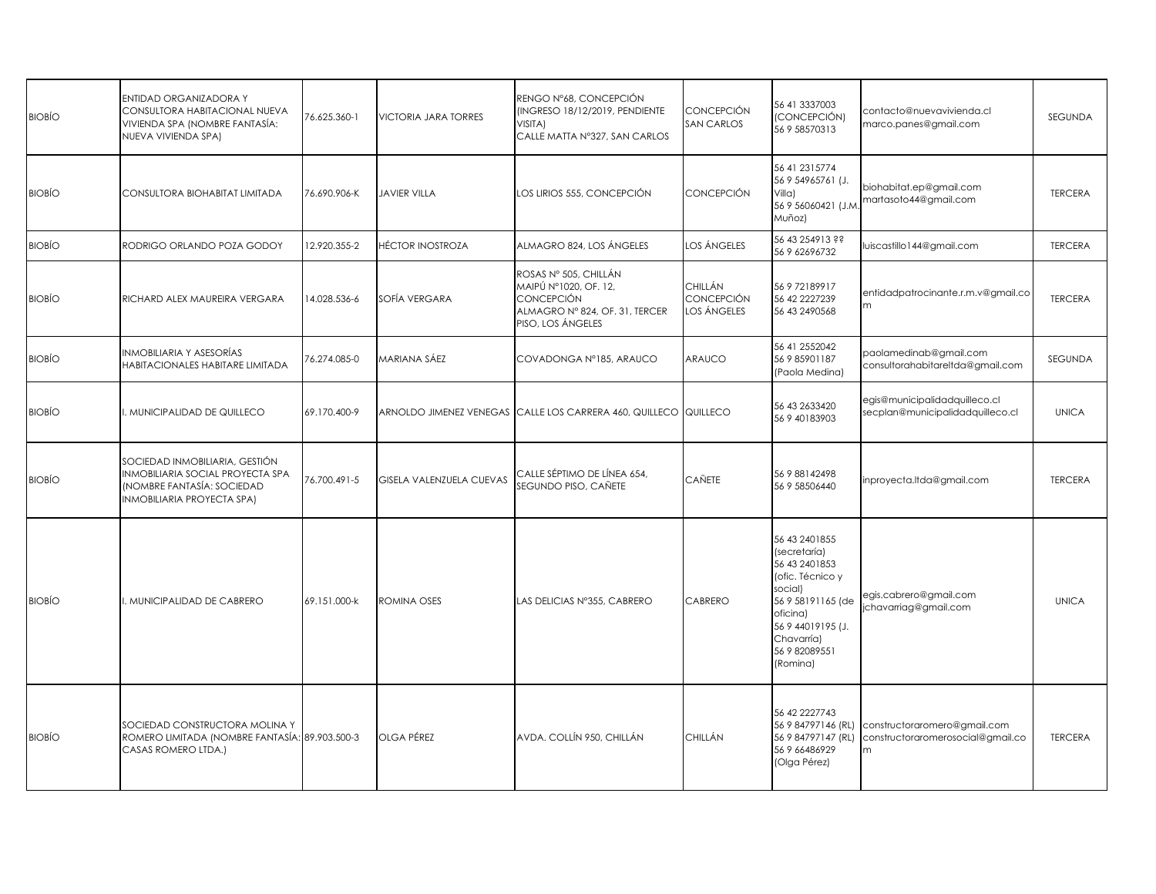| <b>BIOBÍO</b> | ENTIDAD ORGANIZADORA Y<br>CONSULTORA HABITACIONAL NUEVA<br>VIVIENDA SPA (NOMBRE FANTASÍA:<br>NUEVA VIVIENDA SPA)              | 76.625.360-1 | <b>VICTORIA JARA TORRES</b> | RENGO Nº68, CONCEPCIÓN<br>(INGRESO 18/12/2019, PENDIENTE<br>VISITA)<br>CALLE MATTA Nº327, SAN CARLOS                       | <b>CONCEPCIÓN</b><br><b>SAN CARLOS</b>      | 56 41 3337003<br>(CONCEPCIÓN)<br>56 9 58570313                                                                                                                                  | contacto@nuevavivienda.cl<br>marco.panes@gmail.com                     | <b>SEGUNDA</b> |
|---------------|-------------------------------------------------------------------------------------------------------------------------------|--------------|-----------------------------|----------------------------------------------------------------------------------------------------------------------------|---------------------------------------------|---------------------------------------------------------------------------------------------------------------------------------------------------------------------------------|------------------------------------------------------------------------|----------------|
| <b>BIOBÍO</b> | CONSULTORA BIOHABITAT LIMITADA                                                                                                | 76.690.906-K | <b>JAVIER VILLA</b>         | LOS LIRIOS 555, CONCEPCIÓN                                                                                                 | <b>CONCEPCIÓN</b>                           | 56 41 231 5774<br>56 9 54965761 (J.<br>Villa)<br>56 9 56060421 (J.M.<br>Muñoz)                                                                                                  | biohabitat.ep@gmail.com<br>martasoto44@gmail.com                       | <b>TERCERA</b> |
| <b>BIOBÍO</b> | RODRIGO ORLANDO POZA GODOY                                                                                                    | 12.920.355-2 | HÉCTOR INOSTROZA            | ALMAGRO 824, LOS ÁNGELES                                                                                                   | LOS ÁNGELES                                 | 56 43 254913 ??<br>56 9 62696732                                                                                                                                                | luiscastillo144@gmail.com                                              | <b>TERCERA</b> |
| <b>BIOBÍO</b> | RICHARD ALEX MAUREIRA VERGARA                                                                                                 | 14.028.536-6 | SOFÍA VERGARA               | ROSAS Nº 505, CHILLÁN<br>MAIPÚ Nº1020, OF. 12,<br><b>CONCEPCIÓN</b><br>ALMAGRO Nº 824, OF. 31, TERCER<br>PISO, LOS ÁNGELES | <b>CHILLÁN</b><br>CONCEPCIÓN<br>LOS ÁNGELES | 56 9 72189917<br>56 42 2227239<br>56 43 2490568                                                                                                                                 | entidadpatrocinante.r.m.v@gmail.co<br>m                                | <b>TERCERA</b> |
| <b>BIOBÍO</b> | NMOBILIARIA Y ASESORÍAS<br>HABITACIONALES HABITARE LIMITADA                                                                   | 76.274.085-0 | MARIANA SÁEZ                | COVADONGA Nº185, ARAUCO                                                                                                    | ARAUCO                                      | 56 41 2552042<br>56 9 85901187<br>(Paola Medina)                                                                                                                                | paolamedinab@gmail.com<br>consultorahabitareltda@gmail.com             | SEGUNDA        |
| <b>BIOBÍO</b> | MUNICIPALIDAD DE QUILLECO                                                                                                     | 69.170.400-9 |                             | ARNOLDO JIMENEZ VENEGAS CALLE LOS CARRERA 460, QUILLECO QUILLECO                                                           |                                             | 56 43 2633420<br>56 9 40183903                                                                                                                                                  | egis@municipalidadquilleco.cl<br>secplan@municipalidadquilleco.cl      | <b>UNICA</b>   |
| <b>BIOBÍO</b> | SOCIEDAD INMOBILIARIA, GESTIÓN<br>NMOBILIARIA SOCIAL PROYECTA SPA<br>(NOMBRE FANTASÍA: SOCIEDAD<br>INMOBILIARIA PROYECTA SPA) | 76.700.491-5 | GISELA VALENZUELA CUEVAS    | CALLE SÉPTIMO DE LÍNEA 654,<br>SEGUNDO PISO, CAÑETE                                                                        | CAÑETE                                      | 56 9 88142498<br>56 9 58506440                                                                                                                                                  | inproyecta.ltda@gmail.com                                              | <b>TERCERA</b> |
| <b>BIOBÍO</b> | MUNICIPALIDAD DE CABRERO                                                                                                      | 69.151.000-k | ROMINA OSES                 | LAS DELICIAS Nº355, CABRERO                                                                                                | CABRERO                                     | 56 43 2401855<br>(secretaría)<br>56 43 240 1853<br>(ofic. Técnico y<br>social)<br>56 9 58191165 (de<br>oficina)<br>56 9 44019195 (J.<br>Chavarría)<br>56 9 82089551<br>(Romina) | egis.cabrero@gmail.com<br>chavarriag@gmail.com                         | <b>UNICA</b>   |
| <b>BIOBÍO</b> | SOCIEDAD CONSTRUCTORA MOLINA Y<br>ROMERO LIMITADA (NOMBRE FANTASÍA: 89.903.500-3<br>CASAS ROMERO LTDA.)                       |              | OLGA PÉREZ                  | AVDA. COLLÍN 950, CHILLÁN                                                                                                  | CHILLÁN                                     | 56 42 2227743<br>56 9 84797146 (RL)<br>56 9 84797147 (RL)<br>56 9 66486929<br>(Olga Pérez)                                                                                      | constructoraromero@gmail.com<br>constructoraromerosocial@gmail.co<br>m | <b>TERCERA</b> |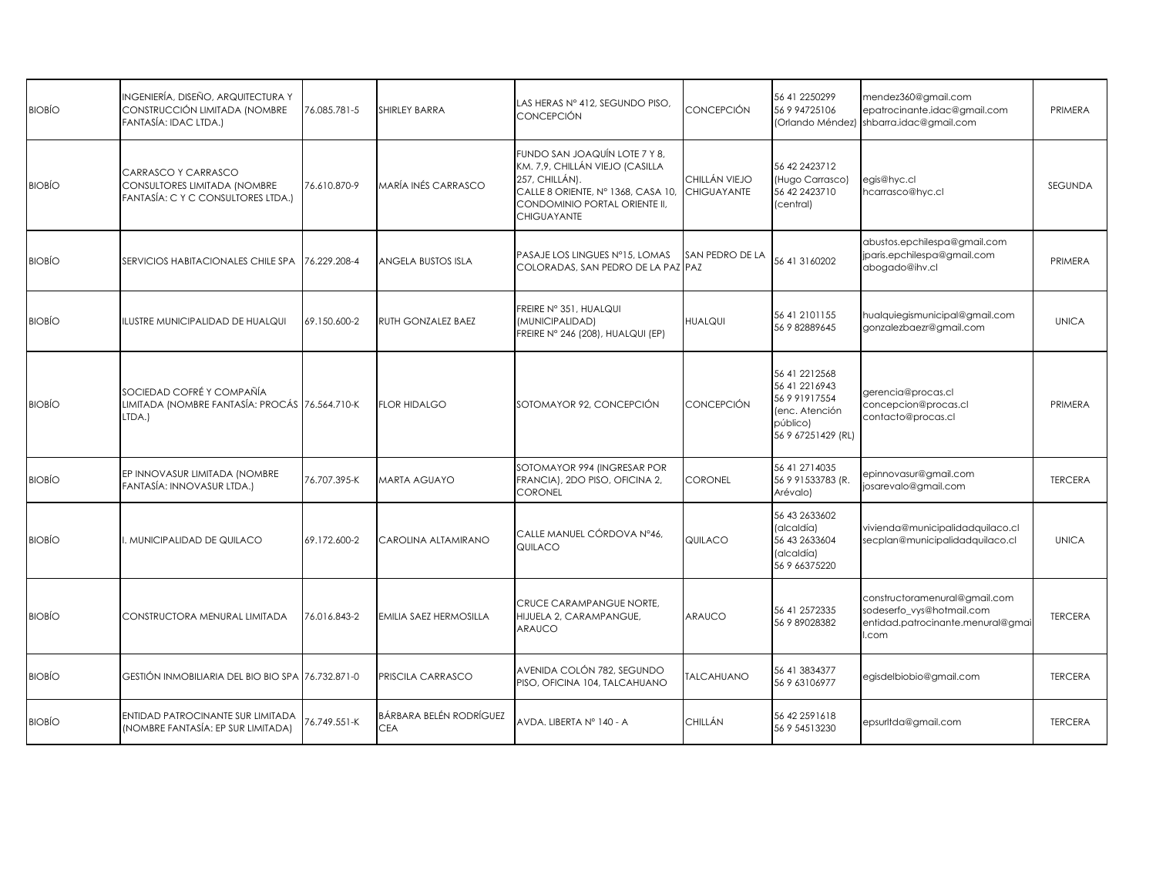| <b>BIOBÍO</b> | INGENIERÍA, DISEÑO, ARQUITECTURA Y<br>CONSTRUCCIÓN LIMITADA (NOMBRE<br>FANTASÍA: IDAC LTDA.) | 76.085.781-5 | SHIRLEY BARRA                  | LAS HERAS N° 412, SEGUNDO PISO,<br><b>CONCEPCIÓN</b>                                                                                                                            | CONCEPCIÓN                   | 56 41 2250299<br>56 9 94725106                                                                         | mendez360@gmail.com<br>epatrocinante.idac@gmail.com<br>(Orlando Méndez) shbarra.idac@gmail.com           | PRIMERA        |
|---------------|----------------------------------------------------------------------------------------------|--------------|--------------------------------|---------------------------------------------------------------------------------------------------------------------------------------------------------------------------------|------------------------------|--------------------------------------------------------------------------------------------------------|----------------------------------------------------------------------------------------------------------|----------------|
| <b>BIOBIO</b> | CARRASCO Y CARRASCO<br>CONSULTORES LIMITADA (NOMBRE<br>FANTASÍA: C Y C CONSULTORES LTDA.)    | 76.610.870-9 | VARÍA INÉS CARRASCO            | FUNDO SAN JOAQUÍN LOTE 7 Y 8,<br>KM. 7,9, CHILLÁN VIEJO (CASILLA<br>257, CHILLÁN).<br>CALLE 8 ORIENTE, Nº 1368, CASA 10,<br>CONDOMINIO PORTAL ORIENTE II,<br><b>CHIGUAYANTE</b> | CHILLÁN VIEJO<br>CHIGUAYANTE | 56 42 2423712<br>(Hugo Carrasco)<br>56 42 2423710<br>(central)                                         | egis@hyc.cl<br>hcarrasco@hyc.cl                                                                          | SEGUNDA        |
| <b>BIOBÍO</b> | SERVICIOS HABITACIONALES CHILE SPA                                                           | 76.229.208-4 | ANGELA BUSTOS ISLA             | PASAJE LOS LINGUES Nº15, LOMAS<br>COLORADAS, SAN PEDRO DE LA PAZ PAZ                                                                                                            | SAN PEDRO DE LA              | 56 41 31 60 20 2                                                                                       | abustos.epchilespa@gmail.com<br>jparis.epchilespa@gmail.com<br>abogado@ihv.cl                            | PRIMERA        |
| <b>BIOBÍO</b> | ILUSTRE MUNICIPALIDAD DE HUALQUI                                                             | 69.150.600-2 | RUTH GONZALEZ BAEZ             | FREIRE Nº 351, HUALQUI<br>(MUNICIPALIDAD)<br>FREIRE Nº 246 (208), HUALQUI (EP)                                                                                                  | <b>HUALQUI</b>               | 56 41 2101155<br>56 9 82889645                                                                         | hualquiegismunicipal@gmail.com<br>gonzalezbaezr@gmail.com                                                | <b>UNICA</b>   |
| <b>BIOBÍO</b> | SOCIEDAD COFRÉ Y COMPAÑÍA<br>LIMITADA (NOMBRE FANTASÍA: PROCÁS 76.564.710-K<br>LTDA.)        |              | <b>FLOR HIDALGO</b>            | SOTOMAYOR 92, CONCEPCIÓN                                                                                                                                                        | CONCEPCIÓN                   | 56 41 221 2568<br>56 41 221 69 43<br>56 9 91917554<br>(enc. Atención<br>público)<br>56 9 67251429 (RL) | gerencia@procas.cl<br>concepcion@procas.cl<br>contacto@procas.cl                                         | PRIMERA        |
| <b>BIOBÍO</b> | EP INNOVASUR LIMITADA (NOMBRE<br>FANTASÍA: INNOVASUR LTDA.)                                  | 76.707.395-K | <b>MARTA AGUAYO</b>            | SOTOMAYOR 994 (INGRESAR POR<br>FRANCIA), 2DO PISO, OFICINA 2,<br><b>CORONEL</b>                                                                                                 | CORONEL                      | 56 41 271 4035<br>56 9 91533783 (R.<br>Arévalo)                                                        | epinnovasur@gmail.com<br>josarevalo@gmail.com                                                            | <b>TERCERA</b> |
| <b>BIOBÍO</b> | MUNICIPALIDAD DE QUILACO                                                                     | 69.172.600-2 | CAROLINA ALTAMIRANO            | CALLE MANUEL CÓRDOVA Nº46,<br>QUILACO                                                                                                                                           | QUILACO                      | 56 43 2633602<br>(alcaldía)<br>56 43 2633604<br>(alcaldía)<br>56 9 66375220                            | vivienda@municipalidadquilaco.cl<br>secplan@municipalidadquilaco.cl                                      | <b>UNICA</b>   |
| <b>BIOBIO</b> | CONSTRUCTORA MENURAL LIMITADA                                                                | 76.016.843-2 | EMILIA SAEZ HERMOSILLA         | CRUCE CARAMPANGUE NORTE.<br>HIJUELA 2, CARAMPANGUE,<br><b>ARAUCO</b>                                                                                                            | ARAUCO                       | 56 41 2572335<br>56 9 89028382                                                                         | constructoramenural@gmail.com<br>sodeserfo_vys@hotmail.com<br>entidad.patrocinante.menural@gmai<br>I.com | <b>TERCERA</b> |
| <b>BIOBÍO</b> | GESTIÓN INMOBILIARIA DEL BIO BIO SPA 76.732.871-0                                            |              | PRISCILA CARRASCO              | AVENIDA COLÓN 782, SEGUNDO<br>PISO, OFICINA 104, TALCAHUANO                                                                                                                     | <b>TALCAHUANO</b>            | 56 41 3834377<br>56 9 63106977                                                                         | egisdelbiobio@gmail.com                                                                                  | <b>TERCERA</b> |
| <b>BIOBÍO</b> | ENTIDAD PATROCINANTE SUR LIMITADA<br>(NOMBRE FANTASÍA: EP SUR LIMITADA)                      | 76.749.551-K | BÁRBARA BELÉN RODRÍGUEZ<br>CEA | AVDA, LIBERTA Nº 140 - A                                                                                                                                                        | CHILLÁN                      | 56 42 259 16 18<br>56 9 54513230                                                                       | epsurltda@gmail.com                                                                                      | <b>TERCERA</b> |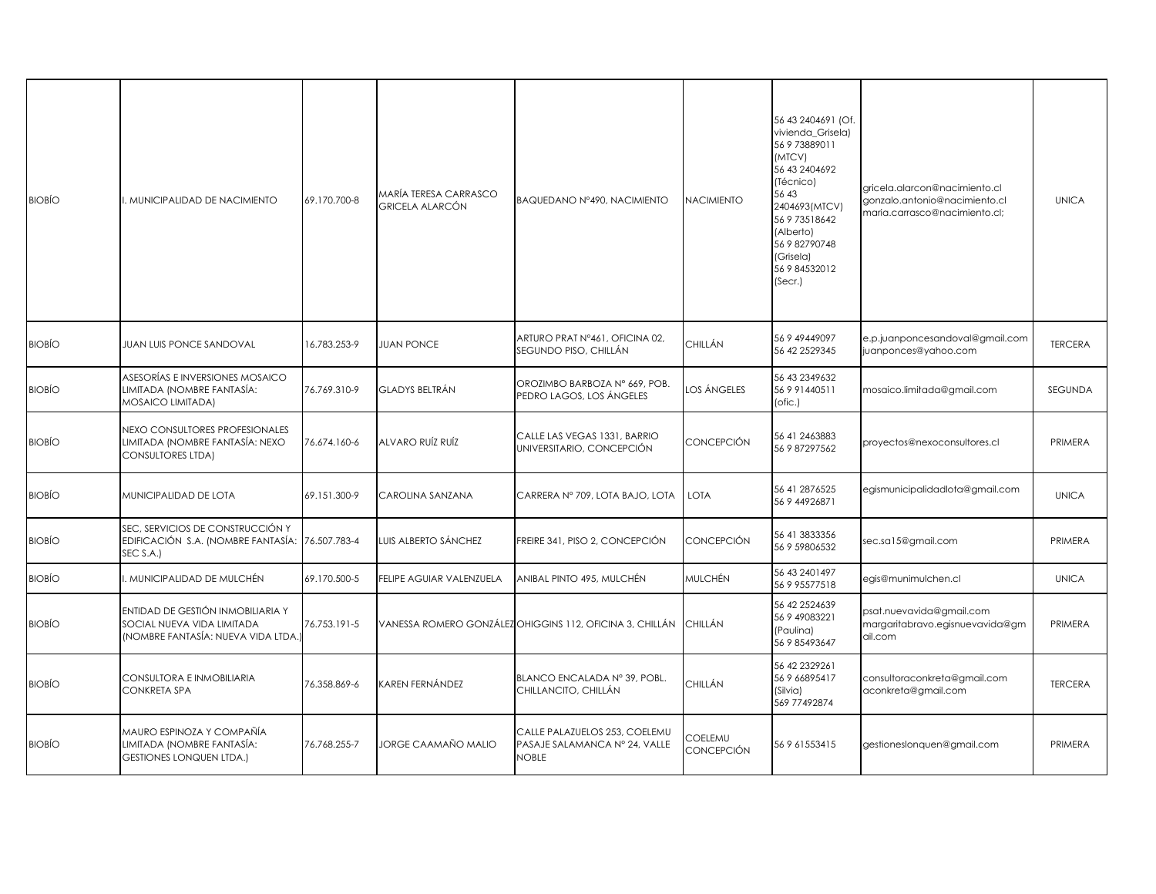| <b>BIOBÍO</b> | I. MUNICIPALIDAD DE NACIMIENTO                                                                         | 69.170.700-8 | MARÍA TERESA CARRASCO<br>GRICELA ALARCÓN | BAQUEDANO Nº490, NACIMIENTO                                                    | <b>NACIMIENTO</b>     | 56 43 2404691 (Of.<br>vivienda_Grisela)<br>56 9 73889011<br>(MTCV)<br>56 43 240 469 2<br>(Técnico)<br>56 43<br>2404693(MTCV)<br>56 9 73518642<br>(Alberto)<br>56 9 82790748<br>(Grisela)<br>56 9 84532012<br>(Secr.) | gricela.alarcon@nacimiento.cl<br>gonzalo.antonio@nacimiento.cl<br>maria.carrasco@nacimiento.cl; | <b>UNICA</b>   |
|---------------|--------------------------------------------------------------------------------------------------------|--------------|------------------------------------------|--------------------------------------------------------------------------------|-----------------------|----------------------------------------------------------------------------------------------------------------------------------------------------------------------------------------------------------------------|-------------------------------------------------------------------------------------------------|----------------|
| <b>BIOBÍO</b> | <b>JUAN LUIS PONCE SANDOVAL</b>                                                                        | 16.783.253-9 | <b>JUAN PONCE</b>                        | ARTURO PRAT Nº461, OFICINA 02,<br>SEGUNDO PISO, CHILLÁN                        | CHILLÁN               | 56 9 49449097<br>56 42 2529345                                                                                                                                                                                       | e.p.juanponcesandoval@gmail.com<br>juanponces@yahoo.com                                         | <b>TERCERA</b> |
| <b>BIOBÍO</b> | ASESORÍAS E INVERSIONES MOSAICO<br>LIMITADA (NOMBRE FANTASÍA:<br>MOSAICO LIMITADA)                     | 76.769.310-9 | GLADYS BELTRÁN                           | OROZIMBO BARBOZA Nº 669, POB.<br>PEDRO LAGOS, LOS ÁNGELES                      | <b>LOS ÁNGELES</b>    | 56 43 2349 632<br>56 9 91440511<br>(ofic.)                                                                                                                                                                           | mosaico.limitada@gmail.com                                                                      | SEGUNDA        |
| <b>BIOBÍO</b> | NEXO CONSULTORES PROFESIONALES<br>LIMITADA (NOMBRE FANTASÍA: NEXO<br><b>CONSULTORES LTDA)</b>          | 76.674.160-6 | ALVARO RUÍZ RUÍZ                         | CALLE LAS VEGAS 1331, BARRIO<br>UNIVERSITARIO, CONCEPCIÓN                      | CONCEPCIÓN            | 56 41 2463883<br>56 9 87297562                                                                                                                                                                                       | proyectos@nexoconsultores.cl                                                                    | PRIMERA        |
| <b>BIOBÍO</b> | MUNICIPALIDAD DE LOTA                                                                                  | 69.151.300-9 | CAROLINA SANZANA                         | CARRERA Nº 709, LOTA BAJO, LOTA                                                | LOTA                  | 56 41 2876525<br>56 9 44926871                                                                                                                                                                                       | egismunicipalidadlota@gmail.com                                                                 | <b>UNICA</b>   |
| <b>BIOBÍO</b> | SEC, SERVICIOS DE CONSTRUCCIÓN Y<br>EDIFICACIÓN S.A. (NOMBRE FANTASÍA:<br>SEC S.A.)                    | 76.507.783-4 | LUIS ALBERTO SÁNCHEZ                     | FREIRE 341, PISO 2, CONCEPCIÓN                                                 | <b>CONCEPCIÓN</b>     | 56 41 3833356<br>56 9 59806532                                                                                                                                                                                       | sec.sa15@gmail.com                                                                              | PRIMERA        |
| <b>BIOBÍO</b> | . MUNICIPALIDAD DE MULCHÉN                                                                             | 69.170.500-5 | FELIPE AGUIAR VALENZUELA                 | ANIBAL PINTO 495, MULCHÉN                                                      | <b>MULCHÉN</b>        | 56 43 240 1497<br>56 9 95577518                                                                                                                                                                                      | egis@munimulchen.cl                                                                             | <b>UNICA</b>   |
| <b>BIOBÍO</b> | ENTIDAD DE GESTIÓN INMOBILIARIA Y<br>SOCIAL NUEVA VIDA LIMITADA<br>(NOMBRE FANTASÍA: NUEVA VIDA LTDA.) | 76.753.191-5 |                                          | VANESSA ROMERO GONZÁLEZ OHIGGINS 112, OFICINA 3, CHILLÁN                       | <b>CHILLÁN</b>        | 56 42 2524639<br>56 9 49083221<br>(Paulina)<br>56 9 85493647                                                                                                                                                         | psat.nuevavida@gmail.com<br>margaritabravo.egisnuevavida@gm<br>ail.com                          | PRIMERA        |
| <b>BIOBÍO</b> | CONSULTORA E INMOBILIARIA<br><b>CONKRETA SPA</b>                                                       | 76.358.869-6 | CAREN FERNÁNDEZ                          | BLANCO ENCALADA Nº 39, POBL.<br>CHILLANCITO, CHILLÁN                           | CHILLÁN               | 56 42 2329 261<br>56 9 66895417<br>(Silvia)<br>569 77492874                                                                                                                                                          | consultoraconkreta@gmail.com<br>aconkreta@gmail.com                                             | <b>TERCERA</b> |
| <b>BIOBÍO</b> | MAURO ESPINOZA Y COMPAÑÍA<br>LIMITADA (NOMBRE FANTASÍA:<br>GESTIONES LONQUEN LTDA.)                    | 76.768.255-7 | JORGE CAAMAÑO MALIO                      | CALLE PALAZUELOS 253, COELEMU<br>PASAJE SALAMANCA Nº 24, VALLE<br><b>NOBLE</b> | COELEMU<br>CONCEPCIÓN | 56 9 61553415                                                                                                                                                                                                        | gestioneslonquen@gmail.com                                                                      | PRIMERA        |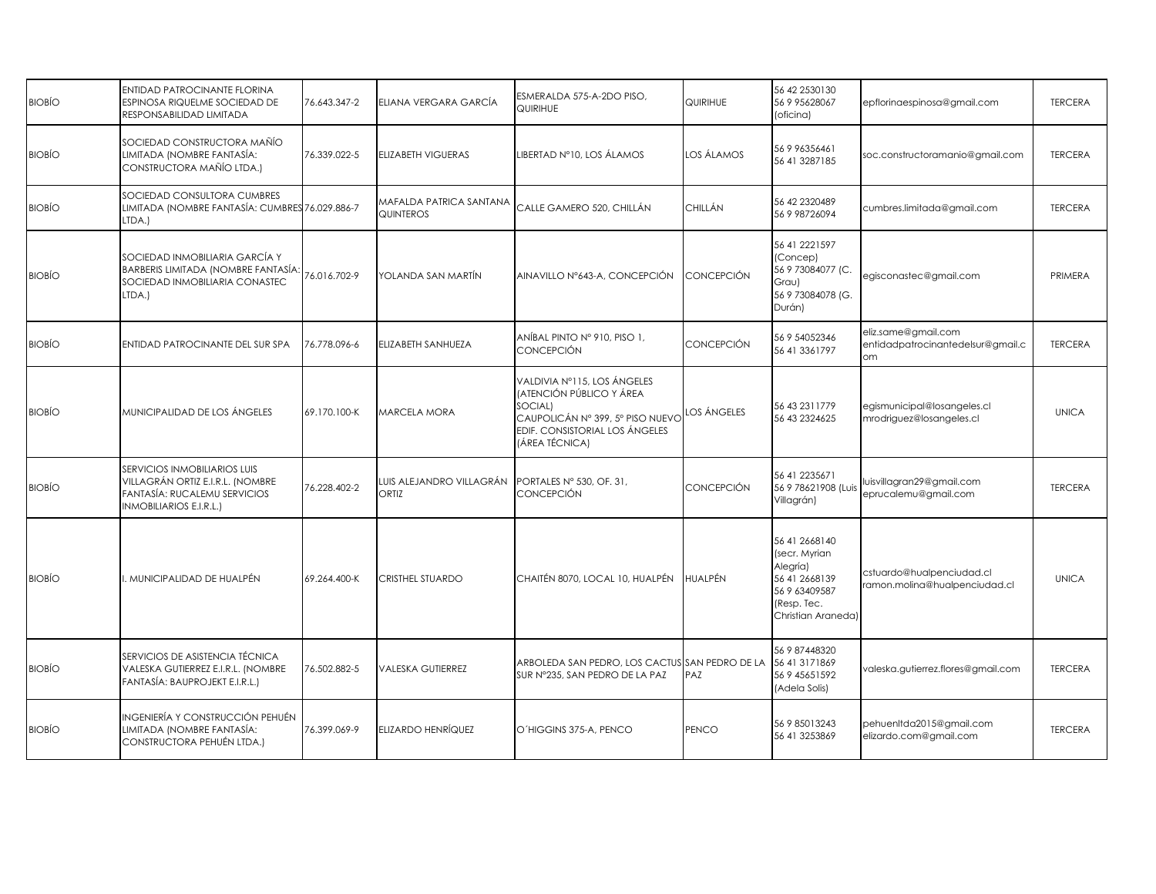| <b>BIOBÍO</b> | ENTIDAD PATROCINANTE FLORINA<br>ESPINOSA RIQUELME SOCIEDAD DE<br>RESPONSABILIDAD LIMITADA                                          | 76.643.347-2 | ELIANA VERGARA GARCÍA                | ESMERALDA 575-A-2DO PISO,<br><b>QUIRIHUE</b>                                                                                                               | QUIRIHUE           | 56 42 2530130<br>56 9 95628067<br>(oficina)                                                                       | epflorinaespinosa@gmail.com                                    | <b>TERCERA</b> |
|---------------|------------------------------------------------------------------------------------------------------------------------------------|--------------|--------------------------------------|------------------------------------------------------------------------------------------------------------------------------------------------------------|--------------------|-------------------------------------------------------------------------------------------------------------------|----------------------------------------------------------------|----------------|
| <b>BIOBIO</b> | SOCIEDAD CONSTRUCTORA MAÑÍO<br>LIMITADA (NOMBRE FANTASÍA:<br>CONSTRUCTORA MAÑÍO LTDA.)                                             | 76.339.022-5 | <b>ELIZABETH VIGUERAS</b>            | LIBERTAD N°10, LOS ÁLAMOS                                                                                                                                  | los álamos         | 56 9 96356461<br>56 41 3287185                                                                                    | soc.constructoramanio@gmail.com                                | <b>TERCERA</b> |
| <b>BIOBÍO</b> | SOCIEDAD CONSULTORA CUMBRES<br>LIMITADA (NOMBRE FANTASÍA: CUMBRES 76.029.886-7<br>LTDA.)                                           |              | MAFALDA PATRICA SANTANA<br>QUINTEROS | CALLE GAMERO 520, CHILLÁN                                                                                                                                  | CHILLÁN            | 56 42 2320489<br>56 9 98726094                                                                                    | cumbres.limitada@gmail.com                                     | <b>TERCERA</b> |
| <b>BIOBÍO</b> | SOCIEDAD INMOBILIARIA GARCÍA Y<br>BARBERIS LIMITADA (NOMBRE FANTASÍA:<br>SOCIEDAD INMOBILIARIA CONASTEC<br>LTDA.)                  | 76.016.702-9 | YOLANDA SAN MARTÍN                   | AINAVILLO Nº643-A, CONCEPCIÓN                                                                                                                              | <b>CONCEPCIÓN</b>  | 56 41 2221597<br>(Concep)<br>56 9 73084077 (C.<br>Grau)<br>56 9 73084078 (G.<br>Durán)                            | egisconastec@gmail.com                                         | PRIMERA        |
| <b>BIOBIO</b> | ENTIDAD PATROCINANTE DEL SUR SPA                                                                                                   | 76.778.096-6 | ELIZABETH SANHUEZA                   | ANÍBAL PINTO Nº 910, PISO 1,<br><b>CONCEPCIÓN</b>                                                                                                          | CONCEPCIÓN         | 56 9 54052346<br>56 41 3361797                                                                                    | eliz.same@gmail.com<br>entidadpatrocinantedelsur@gmail.c<br>om | <b>TERCERA</b> |
| <b>BIOBIO</b> | MUNICIPALIDAD DE LOS ÁNGELES                                                                                                       | 69.170.100-K | MARCELA MORA                         | VALDIVIA Nº115, LOS ÁNGELES<br>(ATENCIÓN PÚBLICO Y ÁREA<br>SOCIAL)<br>CAUPOLICÁN Nº 399, 5º PISO NUEVO<br>EDIF. CONSISTORIAL LOS ÁNGELES<br>(ÁREA TÉCNICA) | <b>LOS ÁNGELES</b> | 56 43 231 1779<br>56 43 232 46 25                                                                                 | egismunicipal@losangeles.cl<br>mrodriguez@losangeles.cl        | <b>UNICA</b>   |
| <b>BIOBIO</b> | SERVICIOS INMOBILIARIOS LUIS<br>VILLAGRÁN ORTIZ E.I.R.L. (NOMBRE<br>FANTASÍA: RUCALEMU SERVICIOS<br><b>INMOBILIARIOS E.I.R.L.)</b> | 76.228.402-2 | UIS ALEJANDRO VILLAGRÁN<br>ORTIZ     | PORTALES Nº 530, OF. 31,<br><b>CONCEPCIÓN</b>                                                                                                              | CONCEPCIÓN         | 56 41 2235671<br>56 9 78621908 (Luis<br>Villagrán)                                                                | luisvillagran29@gmail.com<br>eprucalemu@gmail.com              | <b>TERCERA</b> |
| <b>BIOBIO</b> | . MUNICIPALIDAD DE HUALPÉN                                                                                                         | 69.264.400-K | CRISTHEL STUARDO                     | CHAITÉN 8070, LOCAL 10, HUALPÉN                                                                                                                            | <b>HUALPÉN</b>     | 56 41 2668140<br>(secr. Myrian<br>Alegría)<br>56 41 2668139<br>56 9 63409587<br>(Resp. Tec.<br>Christian Araneda) | cstuardo@hualpenciudad.cl<br>ramon.molina@hualpenciudad.cl     | <b>UNICA</b>   |
| <b>BIOBÍO</b> | SERVICIOS DE ASISTENCIA TÉCNICA<br>VALESKA GUTIERREZ E.I.R.L. (NOMBRE<br>FANTASÍA: BAUPROJEKT E.I.R.L.)                            | 76.502.882-5 | <b>VALESKA GUTIERREZ</b>             | ARBOLEDA SAN PEDRO, LOS CACTUS SAN PEDRO DE LA<br>SUR Nº235, SAN PEDRO DE LA PAZ                                                                           | PAZ                | 56 9 87448320<br>56 41 3171869<br>56 9 45651592<br>(Adela Solis)                                                  | valeska.gutierrez.flores@gmail.com                             | <b>TERCERA</b> |
| <b>BIOBÍO</b> | INGENIERÍA Y CONSTRUCCIÓN PEHUÉN<br>LIMITADA (NOMBRE FANTASÍA:<br>CONSTRUCTORA PEHUÉN LTDA.)                                       | 76.399.069-9 | ELIZARDO HENRÍQUEZ                   | O'HIGGINS 375-A, PENCO                                                                                                                                     | PENCO              | 56 9 85013243<br>56 41 3253869                                                                                    | pehuenltda2015@gmail.com<br>elizardo.com@gmail.com             | <b>TERCERA</b> |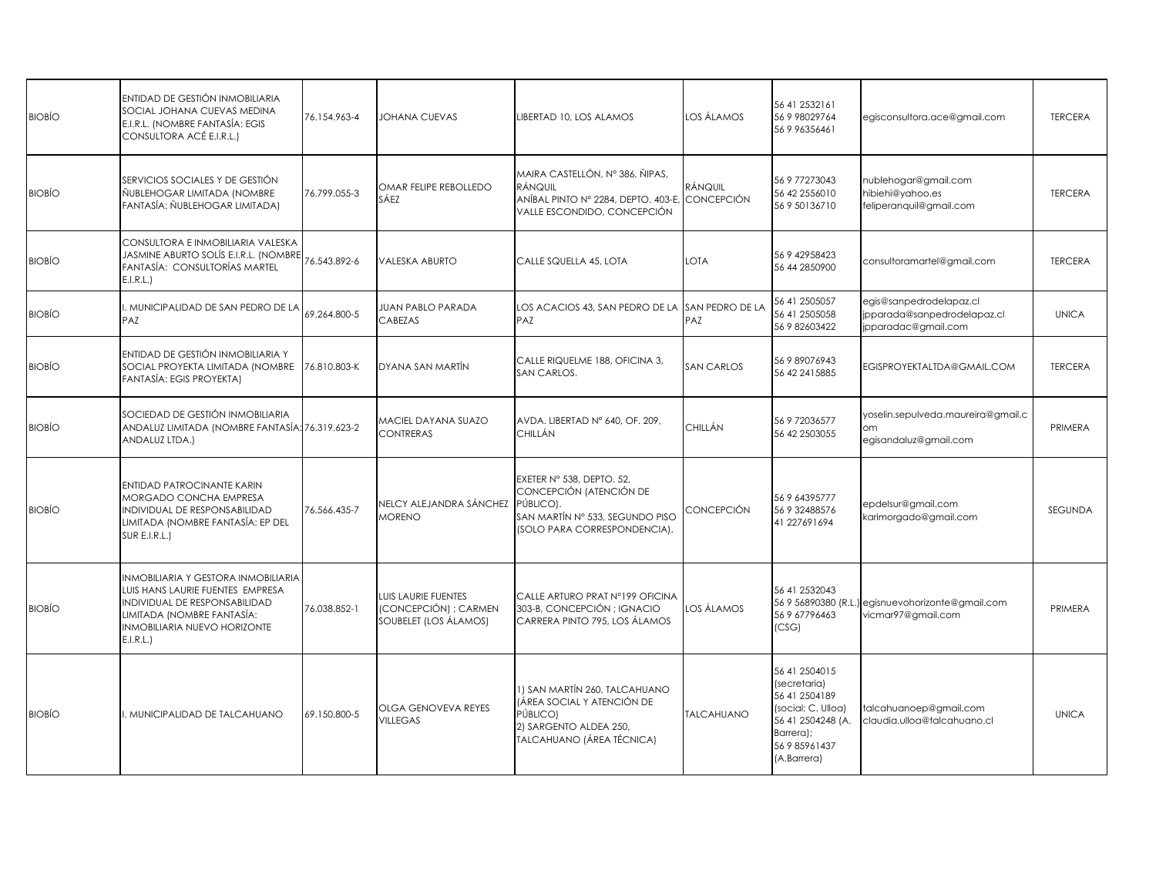| <b>BIOBÍO</b> | ENTIDAD DE GESTIÓN INMOBILIARIA<br>SOCIAL JOHANA CUEVAS MEDINA<br>E.I.R.L. (NOMBRE FANTASÍA: EGIS<br>CONSULTORA ACÉ E.I.R.L.)                                                      | 76.154.963-4 | JOHANA CUEVAS                                                         | LIBERTAD 10, LOS ALAMOS                                                                                                              | los álamos                   | 56 41 2532161<br>56 9 98029764<br>56 9 96356461                                                                                         | egisconsultora.ace@gmail.com                                                  | <b>TERCERA</b> |
|---------------|------------------------------------------------------------------------------------------------------------------------------------------------------------------------------------|--------------|-----------------------------------------------------------------------|--------------------------------------------------------------------------------------------------------------------------------------|------------------------------|-----------------------------------------------------------------------------------------------------------------------------------------|-------------------------------------------------------------------------------|----------------|
| <b>BIOBÍO</b> | SERVICIOS SOCIALES Y DE GESTIÓN<br>ÑUBLEHOGAR LIMITADA (NOMBRE<br>FANTASÍA: ÑUBLEHOGAR LIMITADA)                                                                                   | 76.799.055-3 | OMAR FELIPE REBOLLEDO<br>SÁEZ                                         | MAIRA CASTELLÓN, Nº 386, ÑIPAS,<br><b>RÁNQUIL</b><br>ANÍBAL PINTO Nº 2284, DEPTO. 403-E,<br>VALLE ESCONDIDO, CONCEPCIÓN              | RÁNQUIL<br><b>CONCEPCIÓN</b> | 56 9 77273043<br>56 42 2556010<br>56 9 50136710                                                                                         | nublehogar@gmail.com<br>hibiehi@yahoo.es<br>feliperanquil@gmail.com           | <b>TERCERA</b> |
| <b>BIOBÍO</b> | CONSULTORA E INMOBILIARIA VALESKA<br>JASMINE ABURTO SOLÍS E.I.R.L. (NOMBRE<br>FANTASÍA: CONSULTORÍAS MARTEL<br>E.I.R.L.                                                            | 76.543.892-6 | <b>VALESKA ABURTO</b>                                                 | CALLE SQUELLA 45, LOTA                                                                                                               | LOTA                         | 56 9 42958423<br>56 44 2850900                                                                                                          | consultoramartel@gmail.com                                                    | <b>TERCERA</b> |
| <b>BIOBÍO</b> | . MUNICIPALIDAD DE SAN PEDRO DE LA<br>PAZ                                                                                                                                          | 69.264.800-5 | <b>JUAN PABLO PARADA</b><br>CABEZAS                                   | LOS ACACIOS 43, SAN PEDRO DE LA<br>PAZ                                                                                               | SAN PEDRO DE LA<br>PAZ       | 56 41 2505057<br>56 41 2505058<br>56 9 82603422                                                                                         | egis@sanpedrodelapaz.cl<br>jpparada@sanpedrodelapaz.cl<br>jpparadac@gmail.com | <b>UNICA</b>   |
| <b>BIOBÍO</b> | ENTIDAD DE GESTIÓN INMOBILIARIA Y<br>SOCIAL PROYEKTA LIMITADA (NOMBRE<br>FANTASÍA: EGIS PROYEKTA)                                                                                  | 76.810.803-K | DYANA SAN MARTÍN                                                      | CALLE RIQUELME 188, OFICINA 3,<br>SAN CARLOS.                                                                                        | <b>SAN CARLOS</b>            | 56 9 89076943<br>56 42 241 5885                                                                                                         | EGISPROYEKTALTDA@GMAIL.COM                                                    | <b>TERCERA</b> |
| <b>BIOBÍO</b> | SOCIEDAD DE GESTIÓN INMOBILIARIA<br>ANDALUZ LIMITADA (NOMBRE FANTASÍA: 76.319.623-2<br>ANDALUZ LTDA.)                                                                              |              | <b><i>MACIEL DAYANA SUAZO</i></b><br>CONTRERAS                        | AVDA. LIBERTAD Nº 640, OF. 209,<br><b>CHILLÁN</b>                                                                                    | CHILLÁN                      | 56 9 72036577<br>56 42 2503055                                                                                                          | yoselin.sepulveda.maureira@gmail.c<br>om<br>egisandaluz@gmail.com             | PRIMERA        |
| <b>BIOBIO</b> | ENTIDAD PATROCINANTE KARIN<br>MORGADO CONCHA EMPRESA<br>INDIVIDUAL DE RESPONSABILIDAD<br>LIMITADA (NOMBRE FANTASÍA: EP DEL<br>SUR E.I.R.L.)                                        | 76.566.435-7 | NELCY ALEJANDRA SÁNCHEZ<br><b>MORENO</b>                              | EXETER Nº 538, DEPTO, 52,<br>CONCEPCIÓN (ATENCIÓN DE<br>PÚBLICO).<br>SAN MARTÍN Nº 533, SEGUNDO PISO<br>(SOLO PARA CORRESPONDENCIA). | CONCEPCIÓN                   | 56 9 64395777<br>56 9 32488576<br>41 227691694                                                                                          | epdelsur@gmail.com<br>karimorgado@gmail.com                                   | SEGUNDA        |
| <b>BIOBIO</b> | INMOBILIARIA Y GESTORA INMOBILIARIA<br>LUIS HANS LAURIE FUENTES EMPRESA<br>INDIVIDUAL DE RESPONSABILIDAD<br>LIMITADA (NOMBRE FANTASÍA:<br>INMOBILIARIA NUEVO HORIZONTE<br>E.I.R.L. | 76.038.852-1 | LUIS LAURIE FUENTES<br>(CONCEPCIÓN) ; CARMEN<br>SOUBELET (LOS ÁLAMOS) | CALLE ARTURO PRAT Nº199 OFICINA<br>303-B, CONCEPCIÓN; IGNACIO<br>CARRERA PINTO 795, LOS ÁLAMOS                                       | los álamos                   | 56 41 2532043<br>56 9 6779 6463<br>(CSG)                                                                                                | 56 9 56890380 (R.L.) egisnuevohorizonte@gmail.com<br>vicmar97@gmail.com       | PRIMERA        |
| <b>BIOBÍO</b> | MUNICIPALIDAD DE TALCAHUANO                                                                                                                                                        | 69.150.800-5 | OLGA GENOVEVA REYES<br>VILLEGAS                                       | 1) SAN MARTÍN 260, TALCAHUANO<br>(ÁREA SOCIAL Y ATENCIÓN DE<br>PÚBLICO)<br>2) SARGENTO ALDEA 250.<br>TALCAHUANO (ÁREA TÉCNICA)       | <b>TALCAHUANO</b>            | 56 41 250 4015<br>(secretaria)<br>56 41 2504189<br>(social: C. Ulloa)<br>56 41 2504248 (A.<br>Barrera);<br>56 9 85961437<br>(A.Barrera) | talcahuanoep@gmail.com<br>claudia.ulloa@talcahuano.cl                         | <b>UNICA</b>   |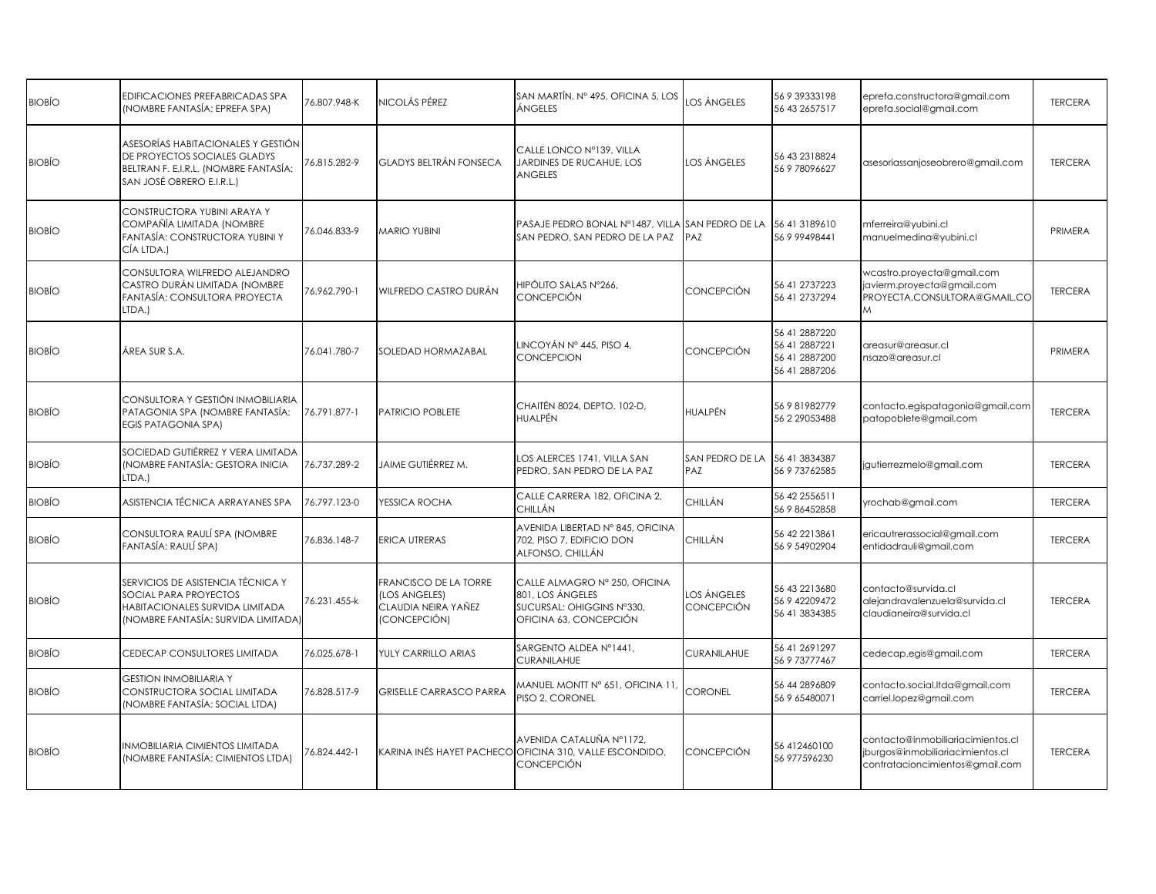| <b>BIOBÍO</b> | EDIFICACIONES PREFABRICADAS SPA<br>(NOMBRE FANTASÍA: EPREFA SPA)                                                                         | 76.807.948-K | NICOLÁS PÉREZ                                                                       | SAN MARTÍN, Nº 495, OFICINA 5, LOS<br>ÁNGELES                                                            | LOS ÁNGELES                      | 56 9 39333198<br>56 43 2657517                                   | eprefa.constructora@gmail.com<br>eprefa.social@gmail.com                                                 | <b>TERCERA</b> |
|---------------|------------------------------------------------------------------------------------------------------------------------------------------|--------------|-------------------------------------------------------------------------------------|----------------------------------------------------------------------------------------------------------|----------------------------------|------------------------------------------------------------------|----------------------------------------------------------------------------------------------------------|----------------|
| <b>BIOBÍO</b> | ASESORÍAS HABITACIONALES Y GESTIÓN<br>DE PROYECTOS SOCIALES GLADYS<br>BELTRAN F. E.I.R.L. (NOMBRE FANTASÍA:<br>SAN JOSÉ OBRERO E.I.R.L.) | 76.815.282-9 | GLADYS BELTRÁN FONSECA                                                              | CALLE LONCO Nº139, VILLA<br>JARDINES DE RUCAHUE, LOS<br><b>ANGELES</b>                                   | los ángeles                      | 56 43 2318824<br>56 9 78096627                                   | asesoriassanjoseobrero@gmail.com                                                                         | <b>TERCERA</b> |
| <b>BIOBÍO</b> | CONSTRUCTORA YUBINI ARAYA Y<br>COMPAÑÍA LIMITADA (NOMBRE<br>FANTASÍA: CONSTRUCTORA YUBINI Y<br>CÍA LTDA.)                                | 76.046.833-9 | <b>MARIO YUBINI</b>                                                                 | PASAJE PEDRO BONAL Nº1487, VILLA SAN PEDRO DE LA<br>SAN PEDRO, SAN PEDRO DE LA PAZ                       | PAZ                              | 56 41 3189610<br>56999498441                                     | mferreira@yubini.cl<br>manuelmedina@yubini.cl                                                            | PRIMERA        |
| <b>BIOBÍO</b> | CONSULTORA WILFREDO ALEJANDRO<br>CASTRO DURÁN LIMITADA (NOMBRE<br>FANTASÍA: CONSULTORA PROYECTA<br>LTDA.)                                | 76.962.790-1 | WILFREDO CASTRO DURÁN                                                               | HIPÓLITO SALAS Nº266.<br><b>CONCEPCIÓN</b>                                                               | CONCEPCIÓN                       | 56 41 2737223<br>56 41 2737294                                   | wcastro.proyecta@gmail.com<br>javierm.proyecta@gmail.com<br>PROYECTA.CONSULTORA@GMAIL.CO<br>M            | <b>TERCERA</b> |
| <b>BIOBÍO</b> | ÁREA SUR S.A.                                                                                                                            | 76.041.780-7 | SOLEDAD HORMAZABAL                                                                  | LINCOYÁN Nº 445, PISO 4,<br><b>CONCEPCION</b>                                                            | CONCEPCIÓN                       | 56 41 2887220<br>56 41 2887221<br>56 41 2887200<br>56 41 2887206 | areasur@areasur.cl<br>nsazo@areasur.cl                                                                   | PRIMERA        |
| <b>BIOBÍO</b> | CONSULTORA Y GESTIÓN INMOBILIARIA<br>PATAGONIA SPA (NOMBRE FANTASÍA:<br><b>EGIS PATAGONIA SPA)</b>                                       | 76.791.877-1 | PATRICIO POBLETE                                                                    | CHAITÉN 8024, DEPTO, 102-D.<br><b>HUALPÉN</b>                                                            | HUALPÉN                          | 56 9 81982779<br>56 2 29053488                                   | contacto.egispatagonia@gmail.com<br>patopoblete@gmail.com                                                | <b>TERCERA</b> |
| <b>BIOBÍO</b> | SOCIEDAD GUTIÉRREZ Y VERA LIMITADA<br>(NOMBRE FANTASÍA: GESTORA INICIA<br>LTDA.)                                                         | 76.737.289-2 | JAIME GUTIÉRREZ M.                                                                  | LOS ALERCES 1741, VILLA SAN<br>PEDRO, SAN PEDRO DE LA PAZ                                                | SAN PEDRO DE LA<br>PAZ           | 56 41 3834387<br>56 9 73762585                                   | jgutierrezmelo@gmail.com                                                                                 | <b>TERCERA</b> |
| <b>BIOBÍO</b> | ASISTENCIA TÉCNICA ARRAYANES SPA                                                                                                         | 76.797.123-0 | YESSICA ROCHA                                                                       | CALLE CARRERA 182, OFICINA 2,<br><b>CHILLÁN</b>                                                          | CHILLÁN                          | 56 42 2556511<br>56 9 86452858                                   | yrochab@gmail.com                                                                                        | <b>TERCERA</b> |
| <b>BIOBÍO</b> | CONSULTORA RAULÍ SPA (NOMBRE<br>FANTASÍA: RAULÍ SPA)                                                                                     | 76.836.148-7 | <b>ERICA UTRERAS</b>                                                                | AVENIDA LIBERTAD Nº 845, OFICINA<br>702, PISO 7, EDIFICIO DON<br>ALFONSO, CHILLÁN                        | CHILLÁN                          | 56 42 2213861<br>56 9 54902904                                   | ericautrerassocial@gmail.com<br>entidadrauli@gmail.com                                                   | <b>TERCERA</b> |
| <b>BIOBÍO</b> | SERVICIOS DE ASISTENCIA TÉCNICA Y<br>SOCIAL PARA PROYECTOS<br>HABITACIONALES SURVIDA LIMITADA<br>(NOMBRE FANTASÍA: SURVIDA LIMITADA)     | 76.231.455-k | FRANCISCO DE LA TORRE<br><b>LOS ANGELES)</b><br>CLAUDIA NEIRA YAÑEZ<br>(CONCEPCIÓN) | CALLE ALMAGRO Nº 250, OFICINA<br>801, LOS ÁNGELES<br>SUCURSAL: OHIGGINS N°330,<br>OFICINA 63, CONCEPCIÓN | <b>LOS ÁNGELES</b><br>CONCEPCIÓN | 56 43 2213680<br>56 9 42209472<br>56 41 3834385                  | contacto@survida.cl<br>alejandravalenzuela@survida.cl<br>claudianeira@survida.cl                         | <b>TERCERA</b> |
| <b>BIOBÍO</b> | CEDECAP CONSULTORES LIMITADA                                                                                                             | 76.025.678-1 | YULY CARRILLO ARIAS                                                                 | SARGENTO ALDEA Nº1441,<br>CURANILAHUE                                                                    | CURANILAHUE                      | 56 41 2691297<br>56 9 73777467                                   | cedecap.egis@gmail.com                                                                                   | <b>TERCERA</b> |
| <b>BIOBÍO</b> | <b>GESTION INMOBILIARIA Y</b><br>CONSTRUCTORA SOCIAL LIMITADA<br>(NOMBRE FANTASÍA: SOCIAL LTDA)                                          | 76.828.517-9 | <b>GRISELLE CARRASCO PARRA</b>                                                      | MANUEL MONTT N° 651, OFICINA 11<br>PISO 2, CORONEL                                                       | CORONEL                          | 56 44 289 6809<br>56 9 65480071                                  | contacto.social.Itda@gmail.com<br>carriel.lopez@gmail.com                                                | <b>TERCERA</b> |
| <b>BIOBIO</b> | <b>INMOBILIARIA CIMIENTOS LIMITADA</b><br>(NOMBRE FANTASÍA: CIMIENTOS LTDA)                                                              | 76.824.442-1 |                                                                                     | AVENIDA CATALUÑA Nº1172.<br>KARINA INÉS HAYET PACHECO OFICINA 310, VALLE ESCONDIDO,<br><b>CONCEPCIÓN</b> | <b>CONCEPCIÓN</b>                | 56 412460100<br>56 977596230                                     | contacto@inmobiliariacimientos.cl<br>jburgos@inmobiliariacimientos.cl<br>contratacioncimientos@gmail.com | <b>TERCERA</b> |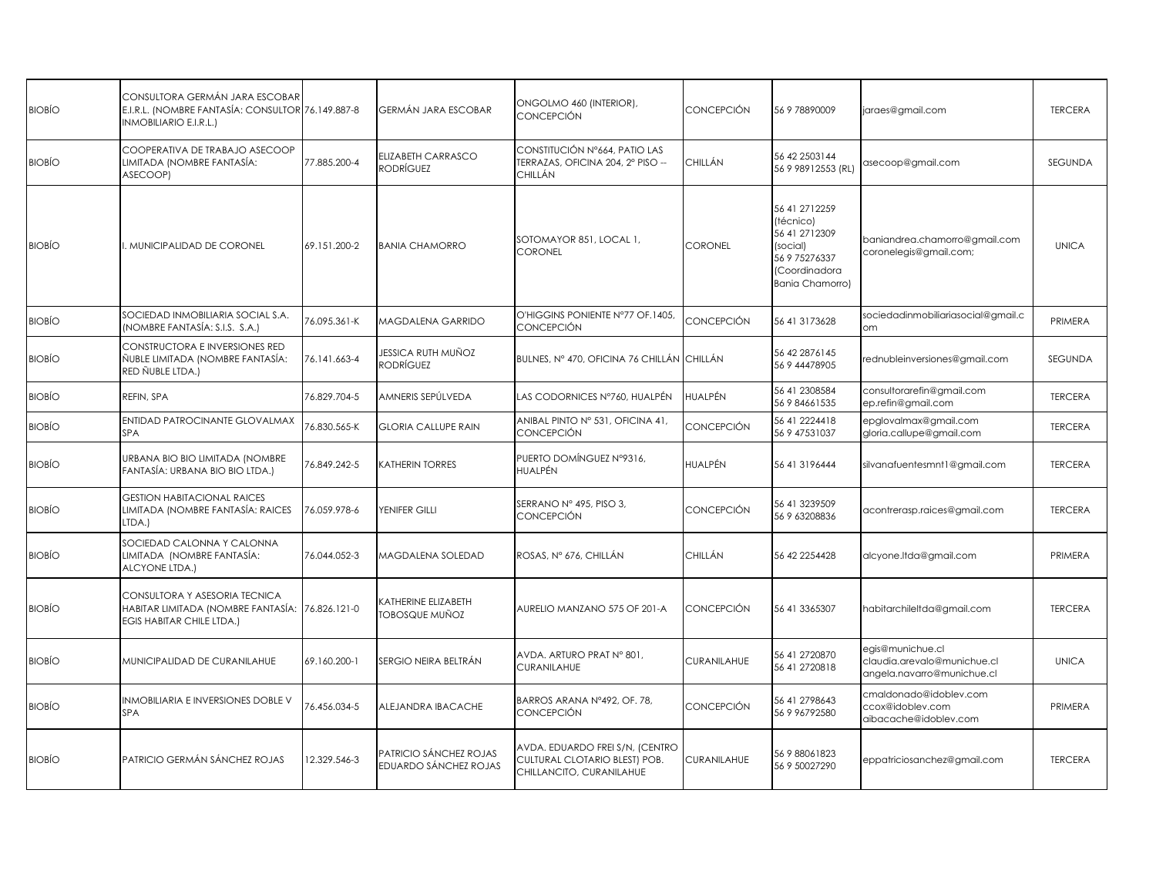| <b>BIOBÍO</b> | CONSULTORA GERMÁN JARA ESCOBAR<br>E.I.R.L. (NOMBRE FANTASÍA: CONSULTOR 76.149.887-8<br>INMOBILIARIO E.I.R.L.) |              | GERMÁN JARA ESCOBAR                             | ONGOLMO 460 (INTERIOR),<br>CONCEPCIÓN                                                        | CONCEPCIÓN         | 56 9 78890009                                                                                                         | jaraes@gmail.com                                                              | <b>TERCERA</b> |
|---------------|---------------------------------------------------------------------------------------------------------------|--------------|-------------------------------------------------|----------------------------------------------------------------------------------------------|--------------------|-----------------------------------------------------------------------------------------------------------------------|-------------------------------------------------------------------------------|----------------|
| <b>BIOBÍO</b> | COOPERATIVA DE TRABAJO ASECOOP<br>LIMITADA (NOMBRE FANTASÍA:<br>ASECOOP)                                      | 77.885.200-4 | <b>ELIZABETH CARRASCO</b><br>RODRÍGUEZ          | CONSTITUCIÓN Nº664, PATIO LAS<br>TERRAZAS, OFICINA 204, 2º PISO --<br>CHILLÁN                | CHILLÁN            | 56 42 2503144<br>56 9 98912553 (RL)                                                                                   | asecoop@gmail.com                                                             | <b>SEGUNDA</b> |
| <b>BIOBIO</b> | I. MUNICIPALIDAD DE CORONEL                                                                                   | 69.151.200-2 | <b>BANIA CHAMORRO</b>                           | SOTOMAYOR 851, LOCAL 1,<br><b>CORONEL</b>                                                    | <b>CORONEL</b>     | 56 41 271 2259<br>(técnico)<br>56 41 271 2309<br>(social)<br>56 9 75276337<br>(Coordinadora<br><b>Bania Chamorro)</b> | baniandrea.chamorro@gmail.com<br>coronelegis@gmail.com;                       | <b>UNICA</b>   |
| <b>BIOBÍO</b> | SOCIEDAD INMOBILIARIA SOCIAL S.A.<br>(NOMBRE FANTASÍA: S.I.S. S.A.)                                           | 76.095.361-K | <b>MAGDALENA GARRIDO</b>                        | O'HIGGINS PONIENTE N°77 OF 1405.<br><b>CONCEPCIÓN</b>                                        | CONCEPCIÓN         | 56 41 3173628                                                                                                         | sociedadinmobiliariasocial@gmail.c<br>om                                      | PRIMERA        |
| <b>BIOBÍO</b> | CONSTRUCTORA E INVERSIONES RED<br>ÑUBLE LIMITADA (NOMBRE FANTASÍA:<br>RED ÑUBLE LTDA.)                        | 76.141.663-4 | JESSICA RUTH MUÑOZ<br>RODRÍGUEZ                 | BULNES, Nº 470, OFICINA 76 CHILLÁN CHILLÁN                                                   |                    | 56 42 2876145<br>56 9 44478905                                                                                        | rednubleinversiones@gmail.com                                                 | SEGUNDA        |
| <b>BIOBÍO</b> | REFIN, SPA                                                                                                    | 76.829.704-5 | AMNERIS SEPÚLVEDA                               | LAS CODORNICES N°760, HUALPÉN                                                                | HUALPÉN            | 56 41 2308584<br>56 9 84661535                                                                                        | consultorarefin@gmail.com<br>ep.refin@gmail.com                               | <b>TERCERA</b> |
| <b>BIOBÍO</b> | ENTIDAD PATROCINANTE GLOVALMAX<br><b>SPA</b>                                                                  | 76.830.565-K | <b>GLORIA CALLUPE RAIN</b>                      | ANIBAL PINTO Nº 531, OFICINA 41,<br><b>CONCEPCIÓN</b>                                        | CONCEPCIÓN         | 56 41 2224418<br>56 9 47531037                                                                                        | epglovalmax@gmail.com<br>gloria.callupe@gmail.com                             | <b>TERCERA</b> |
| <b>BIOBÍO</b> | URBANA BIO BIO LIMITADA (NOMBRE<br>FANTASÍA: URBANA BIO BIO LTDA.)                                            | 76.849.242-5 | <b>CATHERIN TORRES</b>                          | PUERTO DOMÍNGUEZ Nº9316,<br>HUALPÉN                                                          | HUALPÉN            | 56 41 319 6444                                                                                                        | silvanafuentesmnt1@gmail.com                                                  | <b>TERCERA</b> |
| <b>BIOBÍO</b> | <b>GESTION HABITACIONAL RAICES</b><br>LIMITADA (NOMBRE FANTASÍA: RAICES<br>LTDA.)                             | 76.059.978-6 | YENIFER GILLI                                   | SERRANO Nº 495, PISO 3,<br>CONCEPCIÓN                                                        | CONCEPCIÓN         | 56 41 3239509<br>56 9 63208836                                                                                        | acontrerasp.raices@gmail.com                                                  | <b>TERCERA</b> |
| BIOBÍO        | SOCIEDAD CALONNA Y CALONNA<br>LIMITADA (NOMBRE FANTASÍA:<br>ALCYONE LTDA.)                                    | 76.044.052-3 | <b>MAGDALENA SOLEDAD</b>                        | ROSAS, Nº 676, CHILLÁN                                                                       | CHILLÁN            | 56 42 2254428                                                                                                         | alcyone.ltda@gmail.com                                                        | PRIMERA        |
| <b>BIOBIO</b> | CONSULTORA Y ASESORIA TECNICA<br>HABITAR LIMITADA (NOMBRE FANTASÍA:<br>EGIS HABITAR CHILE LTDA.)              | 76.826.121-0 | <b>CATHERINE ELIZABETH</b><br>iobosque muñoz    | AURELIO MANZANO 575 OF 201-A                                                                 | CONCEPCIÓN         | 56 41 3365307                                                                                                         | habitarchileltda@gmail.com                                                    | <b>TERCERA</b> |
| <b>BIOBÍO</b> | MUNICIPALIDAD DE CURANILAHUE                                                                                  | 69.160.200-1 | SERGIO NEIRA BELTRÁN                            | AVDA. ARTURO PRAT Nº 801,<br>CURANILAHUE                                                     | <b>CURANILAHUE</b> | 56 41 2720870<br>56 41 2720818                                                                                        | egis@munichue.cl<br>claudia.arevalo@munichue.cl<br>angela.navarro@munichue.cl | <b>UNICA</b>   |
| <b>BIOBÍO</b> | INMOBILIARIA E INVERSIONES DOBLE V<br><b>SPA</b>                                                              | 76.456.034-5 | ALEJANDRA IBACACHE                              | BARROS ARANA Nº492, OF. 78,<br><b>CONCEPCIÓN</b>                                             | CONCEPCIÓN         | 56 41 2798643<br>56 9 96792580                                                                                        | cmaldonado@idoblev.com<br>ccox@idoblev.com<br>aibacache@idoblev.com           | PRIMERA        |
| <b>BIOBÍO</b> | <b>PATRICIO GERMÁN SÁNCHEZ ROJAS</b>                                                                          | 12.329.546-3 | PATRICIO SÁNCHEZ ROJAS<br>EDUARDO SÁNCHEZ ROJAS | AVDA. EDUARDO FREI S/N, (CENTRO<br>CULTURAL CLOTARIO BLEST) POB.<br>CHILLANCITO, CURANILAHUE | <b>CURANILAHUE</b> | 56988061823<br>56 9 50027290                                                                                          | eppatriciosanchez@gmail.com                                                   | <b>TERCERA</b> |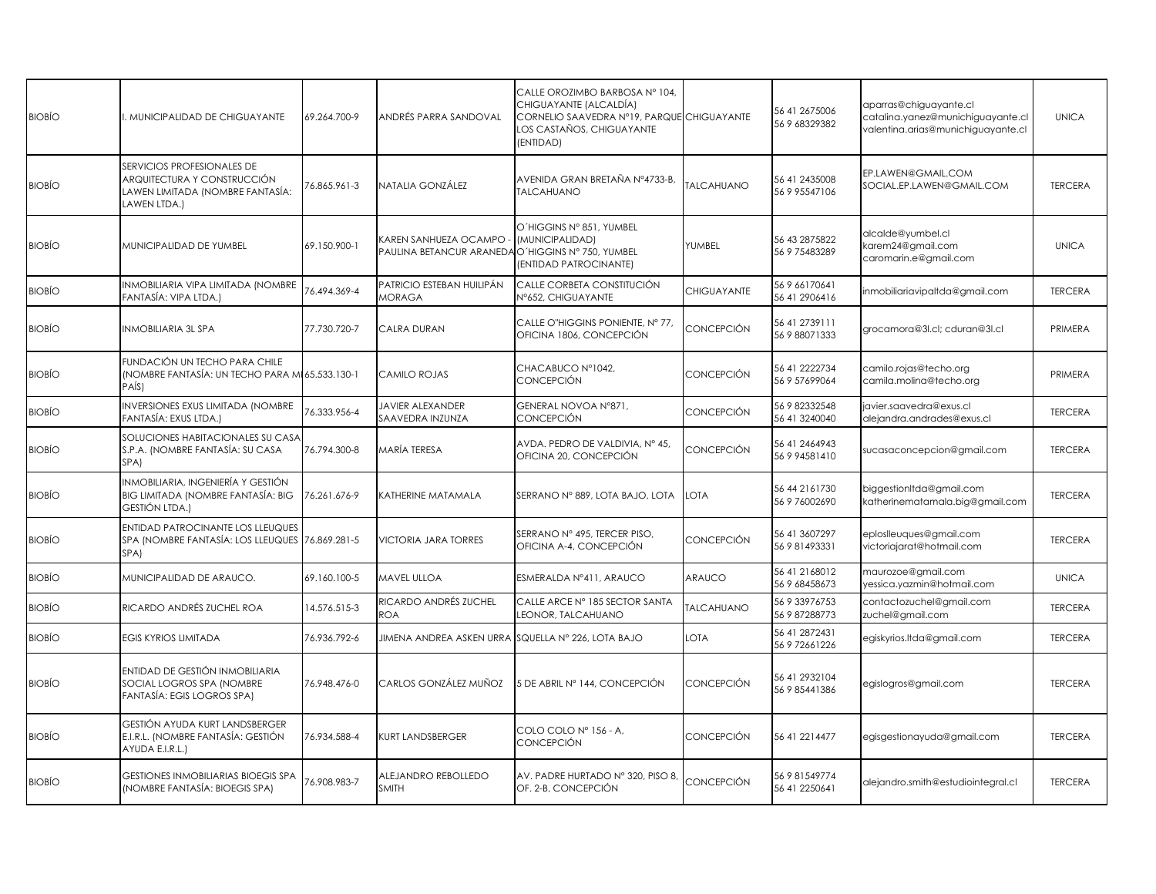| MUNICIPALIDAD DE CHIGUAYANTE                                                                                         | 69.264.700-9 | ANDRÉS PARRA SANDOVAL                                                                              | CALLE OROZIMBO BARBOSA Nº 104,<br>CHIGUAYANTE (ALCALDÍA)<br>LOS CASTAÑOS, CHIGUAYANTE<br>(ENTIDAD) |                                                                                                         | 56 41 2675006<br>56 9 68329382             | aparras@chiguayante.cl<br>catalina.yanez@munichiguayante.cl<br>valentina.arias@munichiguayante.cl | <b>UNICA</b>   |
|----------------------------------------------------------------------------------------------------------------------|--------------|----------------------------------------------------------------------------------------------------|----------------------------------------------------------------------------------------------------|---------------------------------------------------------------------------------------------------------|--------------------------------------------|---------------------------------------------------------------------------------------------------|----------------|
| <b>SERVICIOS PROFESIONALES DE</b><br>ARQUITECTURA Y CONSTRUCCIÓN<br>LAWEN LIMITADA (NOMBRE FANTASÍA:<br>LAWEN LTDA.) | 6.865.961-3  | NATALIA GONZÁLEZ                                                                                   | AVENIDA GRAN BRETAÑA N°4733-B<br><b>TALCAHUANO</b>                                                 | <b>TALCAHUANO</b>                                                                                       | 56 41 2435008<br>56 9 95547106             | EP.LAWEN@GMAIL.COM<br>SOCIAL.EP.LAWEN@GMAIL.COM                                                   | <b>TERCERA</b> |
| MUNICIPALIDAD DE YUMBEL                                                                                              | 69.150.900-1 | KAREN SANHUEZA OCAMPO                                                                              | O'HIGGINS Nº 851, YUMBEL<br>(MUNICIPALIDAD)<br>(ENTIDAD PATROCINANTE)                              | YUMBEL                                                                                                  | 56 43 287 5822<br>56 9 75483289            | alcalde@yumbel.cl<br>karem24@gmail.com<br>caromarin.e@gmail.com                                   | <b>UNICA</b>   |
| INMOBILIARIA VIPA LIMITADA (NOMBRE<br>FANTASÍA: VIPA LTDA.)                                                          | 76.494.369-4 | PATRICIO ESTEBAN HUILIPÁN<br><b>MORAGA</b>                                                         | CALLE CORBETA CONSTITUCIÓN<br>N°652, CHIGUAYANTE                                                   | CHIGUAYANTE                                                                                             | 56 9 66170641<br>56 41 290 641 6           | inmobiliariavipaltda@gmail.com                                                                    | <b>TERCERA</b> |
| INMOBILIARIA 3L SPA                                                                                                  | 77.730.720-7 | CALRA DURAN                                                                                        | CALLE O"HIGGINS PONIENTE, Nº 77,<br>OFICINA 1806, CONCEPCIÓN                                       | CONCEPCIÓN                                                                                              | 56 41 2739111<br>56 9 88071333             | grocamora@3l.cl; cduran@3l.cl                                                                     | PRIMERA        |
| FUNDACIÓN UN TECHO PARA CHILE<br>PAÍS)                                                                               |              | CAMILO ROJAS                                                                                       | CHACABUCO Nº1042,<br>CONCEPCIÓN                                                                    | CONCEPCIÓN                                                                                              | 56 41 2222734<br>56 9 57699064             | camilo.rojas@techo.org<br>camila.molina@techo.org                                                 | PRIMERA        |
| NVERSIONES EXUS LIMITADA (NOMBRE<br>FANTASÍA: EXUS LTDA.)                                                            | 6.333.956-4  | JAVIER ALEXANDER<br>SAAVEDRA INZUNZA                                                               | GENERAL NOVOA N°871,<br>CONCEPCIÓN                                                                 | CONCEPCIÓN                                                                                              | 56 9 82332548<br>56 41 3240040             | javier.saavedra@exus.cl<br>alejandra.andrades@exus.cl                                             | <b>TERCERA</b> |
| SOLUCIONES HABITACIONALES SU CASA<br>S.P.A. (NOMBRE FANTASÍA: SU CASA<br>SPA)                                        | 76.794.300-8 | MARÍA TERESA                                                                                       | AVDA. PEDRO DE VALDIVIA, Nº 45,<br>OFICINA 20, CONCEPCIÓN                                          | CONCEPCIÓN                                                                                              | 56 41 2464943<br>56 9 94581410             | sucasaconcepcion@gmail.com                                                                        | <b>TERCERA</b> |
| INMOBILIARIA, INGENIERÍA Y GESTIÓN<br>BIG LIMITADA (NOMBRE FANTASÍA: BIG<br>GESTIÓN LTDA.)                           | 76.261.676-9 | KATHERINE MATAMALA                                                                                 | SERRANO Nº 889, LOTA BAJO, LOTA                                                                    | <b>LOTA</b>                                                                                             | 56 44 21 61 730<br>56 9 76002690           | biggestionItda@gmail.com<br>katherinematamala.big@gmail.com                                       | <b>TERCERA</b> |
| ENTIDAD PATROCINANTE LOS LLEUQUES<br>SPA)                                                                            |              | <b>VICTORIA JARA TORRES</b>                                                                        | SERRANO Nº 495, TERCER PISO,<br>OFICINA A-4, CONCEPCIÓN                                            | CONCEPCIÓN                                                                                              | 56 41 3607297<br>56 9 81493331             | eploslleuques@gmail.com<br>victoriajarat@hotmail.com                                              | <b>TERCERA</b> |
| MUNICIPALIDAD DE ARAUCO.                                                                                             | 69.160.100-5 | MAVEL ULLOA                                                                                        | ESMERALDA Nº411, ARAUCO                                                                            | ARAUCO                                                                                                  | 56 41 2168012<br>56 9 68458673             | maurozoe@gmail.com<br>yessica.yazmin@hotmail.com                                                  | <b>UNICA</b>   |
| RICARDO ANDRÉS ZUCHEL ROA                                                                                            | 14.576.515-3 | RICARDO ANDRÉS ZUCHEL<br><b>ROA</b>                                                                | CALLE ARCE N° 185 SECTOR SANTA<br>LEONOR, TALCAHUANO                                               | <b>TALCAHUANO</b>                                                                                       | 56 9 33976753<br>56 9 87288773             | contactozuchel@gmail.com<br>zuchel@gmail.com                                                      | <b>TERCERA</b> |
| EGIS KYRIOS LIMITADA                                                                                                 | 76.936.792-6 |                                                                                                    |                                                                                                    | LOTA                                                                                                    | 56 41 2872431<br>56 9 72661226             | egiskyrios.Itda@gmail.com                                                                         | <b>TERCERA</b> |
| ENTIDAD DE GESTIÓN INMOBILIARIA<br>SOCIAL LOGROS SPA (NOMBRE<br>FANTASÍA: EGIS LOGROS SPA)                           | 76.948.476-0 | CARLOS GONZÁLEZ MUÑOZ                                                                              | 5 DE ABRIL Nº 144, CONCEPCIÓN                                                                      | CONCEPCIÓN                                                                                              | 56 41 2932104<br>56 9 85441386             | egislogros@gmail.com                                                                              | <b>TERCERA</b> |
| GESTIÓN AYUDA KURT LANDSBERGER<br>E.I.R.L. (NOMBRE FANTASÍA: GESTIÓN<br>AYUDA E.I.R.L.)                              | 76.934.588-4 | <b>KURT LANDSBERGER</b>                                                                            | COLO COLO Nº 156 - A,<br>CONCEPCIÓN                                                                | CONCEPCIÓN                                                                                              | 56 41 221 4477                             | egisgestionayuda@gmail.com                                                                        | <b>TERCERA</b> |
| GESTIONES INMOBILIARIAS BIOEGIS SPA<br>(NOMBRE FANTASÍA: BIOEGIS SPA)                                                | 76.908.983-7 | ALEJANDRO REBOLLEDO<br><b>SMITH</b>                                                                | AV. PADRE HURTADO Nº 320, PISO 8,<br>OF. 2-B, CONCEPCIÓN                                           | CONCEPCIÓN                                                                                              | 56 9 81549774<br>56 41 2250641             | alejandro.smith@estudiointegral.cl                                                                | <b>TERCERA</b> |
|                                                                                                                      |              | (NOMBRE FANTASÍA: UN TECHO PARA MI 65.533.130-1<br>SPA (NOMBRE FANTASÍA: LOS LLEUQUES 76.869.281-5 |                                                                                                    | PAULINA BETANCUR ARANEDA O'HIGGINS Nº 750, YUMBEL<br>JIMENA ANDREA ASKEN URRA SQUELLA Nº 226, LOTA BAJO | CORNELIO SAAVEDRA Nº19, PARQUE CHIGUAYANTE |                                                                                                   |                |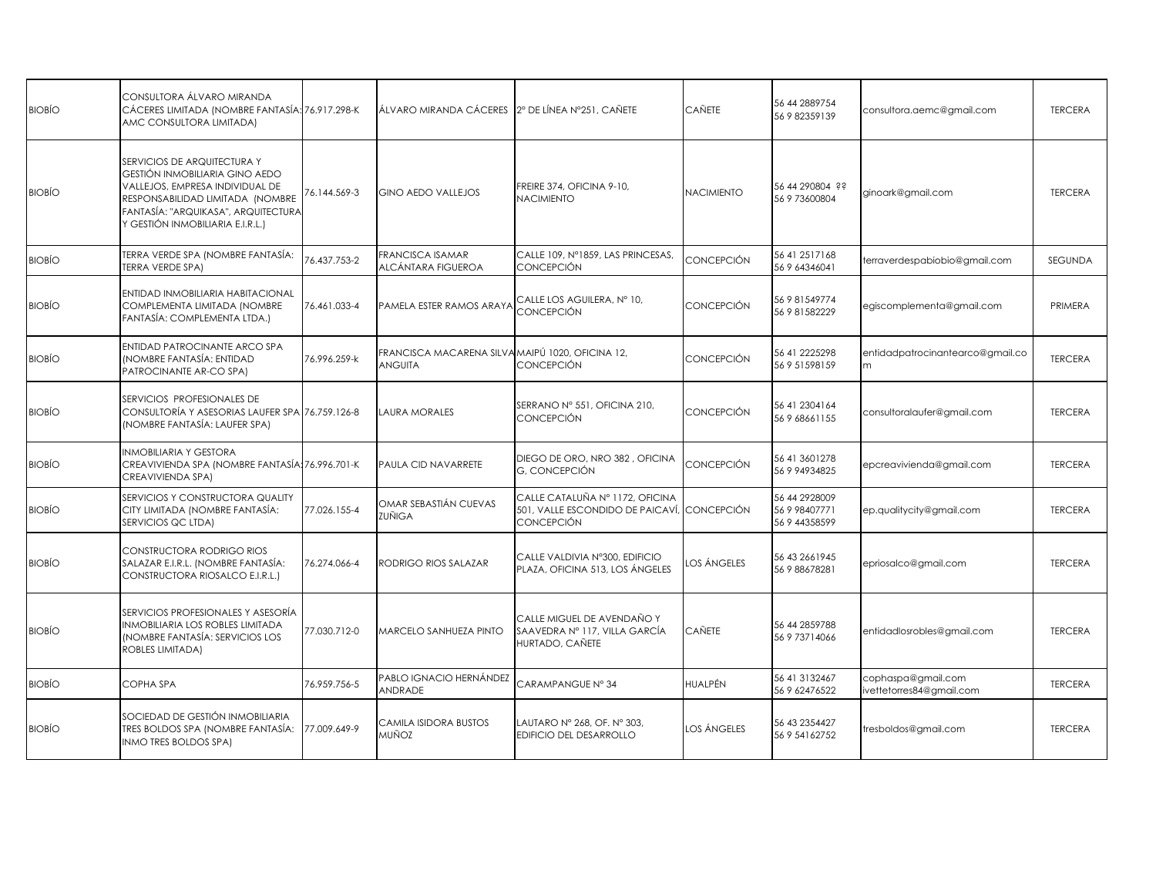| <b>BIOBIO</b> | CONSULTORA ÁLVARO MIRANDA<br>CÁCERES LIMITADA (NOMBRE FANTASÍA: 76.917.298-K<br>AMC CONSULTORA LIMITADA)                                                                                                        |              | ÁLVARO MIRANDA CÁCERES   2º DE LÍNEA Nº251, CAÑETE          |                                                                                          | CAÑETE            | 56 44 2889754<br>56 9 82359139                  | consultora.aemc@gmail.com                      | <b>TERCERA</b> |
|---------------|-----------------------------------------------------------------------------------------------------------------------------------------------------------------------------------------------------------------|--------------|-------------------------------------------------------------|------------------------------------------------------------------------------------------|-------------------|-------------------------------------------------|------------------------------------------------|----------------|
| <b>BIOBIO</b> | SERVICIOS DE ARQUITECTURA Y<br>GESTIÓN INMOBILIARIA GINO AEDO<br>VALLEJOS, EMPRESA INDIVIDUAL DE<br>RESPONSABILIDAD LIMITADA (NOMBRE<br>FANTASÍA: "ARQUIKASA", ARQUITECTURA<br>y GESTIÓN INMOBILIARIA E.I.R.L.) | 76.144.569-3 | <b>GINO AEDO VALLEJOS</b>                                   | FREIRE 374, OFICINA 9-10,<br><b>NACIMIENTO</b>                                           | <b>NACIMIENTO</b> | 56 44 290804 ??<br>56 9 73600804                | ginoark@gmail.com                              | <b>TERCERA</b> |
| <b>BIOBÍO</b> | TERRA VERDE SPA (NOMBRE FANTASÍA:<br><b>TERRA VERDE SPA)</b>                                                                                                                                                    | 76.437.753-2 | FRANCISCA ISAMAR<br>ALCÁNTARA FIGUEROA                      | CALLE 109, Nº1859, LAS PRINCESAS,<br><b>CONCEPCIÓN</b>                                   | CONCEPCIÓN        | 56 41 2517168<br>56 9 64346041                  | terraverdespabiobio@gmail.com                  | <b>SEGUNDA</b> |
| <b>BIOBÍO</b> | ENTIDAD INMOBILIARIA HABITACIONAL<br>COMPLEMENTA LIMITADA (NOMBRE<br>FANTASÍA: COMPLEMENTA LTDA.)                                                                                                               | 76.461.033-4 | PAMELA ESTER RAMOS ARAYA                                    | CALLE LOS AGUILERA, Nº 10,<br><b>CONCEPCIÓN</b>                                          | CONCEPCIÓN        | 56 9 81549774<br>56 9 81582229                  | egiscomplementa@gmail.com                      | PRIMERA        |
| <b>BIOBÍO</b> | <b>ENTIDAD PATROCINANTE ARCO SPA</b><br>(NOMBRE FANTASÍA: ENTIDAD<br>PATROCINANTE AR-CO SPA)                                                                                                                    | 76.996.259-k | FRANCISCA MACARENA SILVA MAIPÚ 1020, OFICINA 12,<br>ANGUITA | CONCEPCIÓN                                                                               | CONCEPCIÓN        | 56 41 2225298<br>56 9 51598159                  | entidadpatrocinantearco@gmail.co<br>m          | <b>TERCERA</b> |
| <b>BIOBIO</b> | SERVICIOS PROFESIONALES DE<br>CONSULTORÍA Y ASESORIAS LAUFER SPA 76.759.126-8<br>(NOMBRE FANTASÍA: LAUFER SPA)                                                                                                  |              | LAURA MORALES                                               | SERRANO Nº 551, OFICINA 210,<br>CONCEPCIÓN                                               | CONCEPCIÓN        | 56 41 2304164<br>56 9 68661155                  | consultoralaufer@gmail.com                     | <b>TERCERA</b> |
| <b>BIOBIO</b> | INMOBILIARIA Y GESTORA<br>CREAVIVIENDA SPA (NOMBRE FANTASÍA: 76.996.701-K<br>CREAVIVIENDA SPA)                                                                                                                  |              | PAULA CID NAVARRETE                                         | DIEGO DE ORO, NRO 382, OFICINA<br>G, CONCEPCIÓN                                          | CONCEPCIÓN        | 56 41 3601278<br>56 9 94934825                  | epcreavivienda@gmail.com                       | <b>TERCERA</b> |
| <b>BIOBIO</b> | SERVICIOS Y CONSTRUCTORA QUALITY<br>CITY LIMITADA (NOMBRE FANTASÍA:<br>SERVICIOS QC LTDA)                                                                                                                       | 77.026.155-4 | OMAR SEBASTIÁN CUEVAS<br>ZUÑIGA                             | CALLE CATALUÑA Nº 1172, OFICINA<br>501, VALLE ESCONDIDO DE PAICAVÍ,<br><b>CONCEPCIÓN</b> | <b>CONCEPCIÓN</b> | 56 44 2928009<br>56 9 98407771<br>56 9 44358599 | ep.qualitycity@gmail.com                       | <b>TERCERA</b> |
| <b>BIOBÍO</b> | CONSTRUCTORA RODRIGO RIOS<br>SALAZAR E.I.R.L. (NOMBRE FANTASÍA:<br>CONSTRUCTORA RIOSALCO E.I.R.L.)                                                                                                              | 76.274.066-4 | RODRIGO RIOS SALAZAR                                        | CALLE VALDIVIA N°300, EDIFICIO<br>PLAZA, OFICINA 513, LOS ÁNGELES                        | LOS ÁNGELES       | 56 43 266 1945<br>56 9 88678281                 | epriosalco@gmail.com                           | <b>TERCERA</b> |
| <b>BIOBIO</b> | SERVICIOS PROFESIONALES Y ASESORÍA<br>INMOBILIARIA LOS ROBLES LIMITADA<br>(NOMBRE FANTASÍA: SERVICIOS LOS<br>ROBLES LIMITADA)                                                                                   | 77.030.712-0 | MARCELO SANHUEZA PINTO                                      | CALLE MIGUEL DE AVENDAÑO Y<br>SAAVEDRA Nº 117, VILLA GARCÍA<br>HURTADO, CAÑETE           | CAÑETE            | 56 44 2859788<br>56 9 73714066                  | entidadlosrobles@gmail.com                     | <b>TERCERA</b> |
| <b>BIOBÍO</b> | COPHA SPA                                                                                                                                                                                                       | 76.959.756-5 | PABLO IGNACIO HERNÁNDEZ<br>ANDRADE                          | CARAMPANGUE Nº 34                                                                        | HUALPÉN           | 56 41 3132467<br>56 9 62476522                  | cophaspa@gmail.com<br>ivettetorres84@gmail.com | <b>TERCERA</b> |
| <b>BIOBÍO</b> | SOCIEDAD DE GESTIÓN INMOBILIARIA<br>TRES BOLDOS SPA (NOMBRE FANTASÍA:<br>INMO TRES BOLDOS SPA)                                                                                                                  | 77.009.649-9 | CAMILA ISIDORA BUSTOS<br>muñoz                              | LAUTARO Nº 268, OF. Nº 303,<br>EDIFICIO DEL DESARROLLO                                   | LOS ÁNGELES       | 56 43 2354427<br>56 9 54162752                  | tresboldos@gmail.com                           | <b>TERCERA</b> |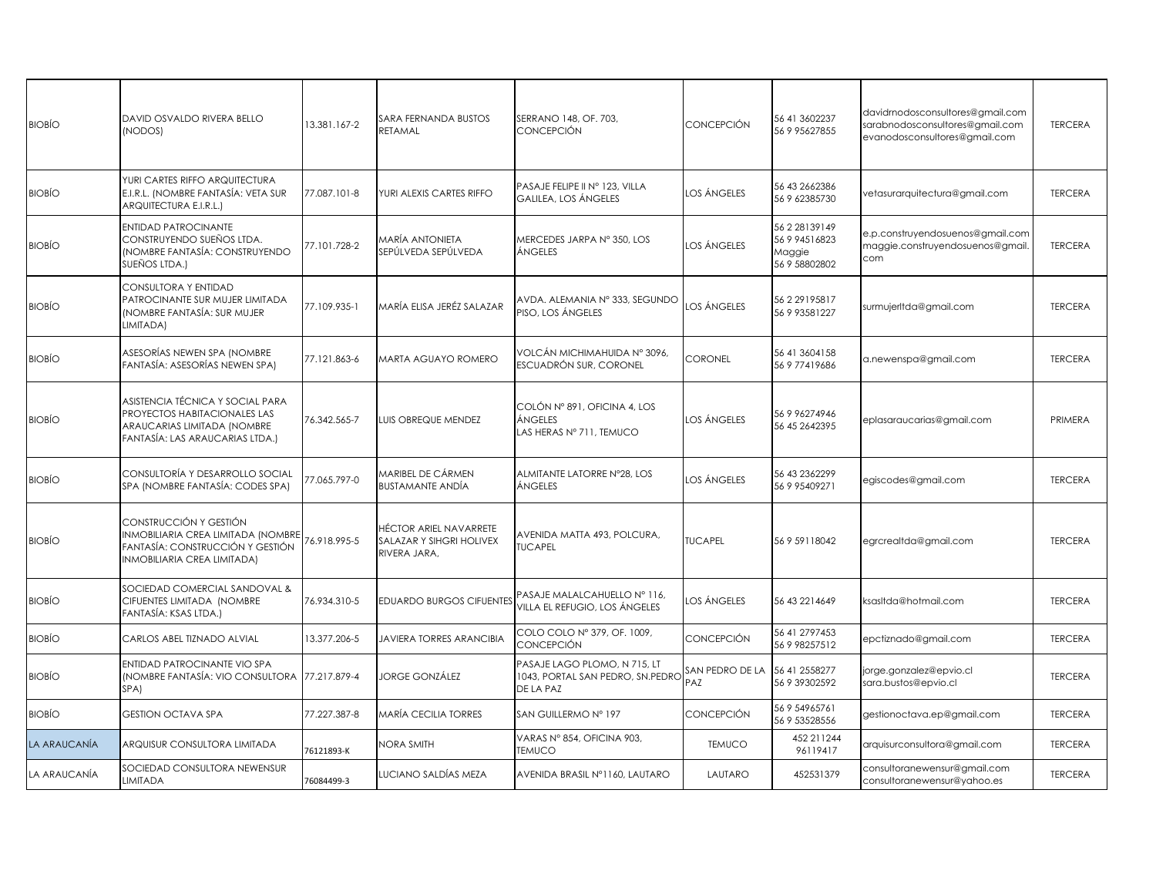| <b>BIOBIO</b> | DAVID OSVALDO RIVERA BELLO<br>(NODOS)                                                                                              | 13.381.167-2 | SARA FERNANDA BUSTOS<br>RETAMAL                                    | SERRANO 148, OF. 703,<br><b>CONCEPCIÓN</b>                                    | CONCEPCIÓN             | 56 41 3602237<br>56 9 95627855                             | davidrnodosconsultores@gmail.com<br>sarabnodosconsultores@gmail.com<br>evanodosconsultores@gmail.com | <b>TERCERA</b> |
|---------------|------------------------------------------------------------------------------------------------------------------------------------|--------------|--------------------------------------------------------------------|-------------------------------------------------------------------------------|------------------------|------------------------------------------------------------|------------------------------------------------------------------------------------------------------|----------------|
| <b>BIOBÍO</b> | YURI CARTES RIFFO ARQUITECTURA<br>E.I.R.L. (NOMBRE FANTASÍA: VETA SUR<br>ARQUITECTURA E.I.R.L.)                                    | 77.087.101-8 | YURI ALEXIS CARTES RIFFO                                           | PASAJE FELIPE II Nº 123, VILLA<br><b>GALILEA, LOS ÁNGELES</b>                 | los ángeles            | 56 43 2662386<br>56 9 62385730                             | vetasurarquitectura@gmail.com                                                                        | <b>TERCERA</b> |
| <b>BIOBÍO</b> | <b>ENTIDAD PATROCINANTE</b><br>CONSTRUYENDO SUEÑOS LTDA.<br>(NOMBRE FANTASÍA: CONSTRUYENDO<br>SUEÑOS LTDA.)                        | 77.101.728-2 | MARÍA ANTONIETA<br>SEPÚLVEDA SEPÚLVEDA                             | MERCEDES JARPA Nº 350, LOS<br>ÁNGELES                                         | los ángeles            | 56 2 28139149<br>56 9 9451 6823<br>Maggie<br>56 9 58802802 | e.p.construyendosuenos@gmail.com<br>maggie.construyendosuenos@gmail.<br>com                          | <b>TERCERA</b> |
| <b>BIOBIO</b> | CONSULTORA Y ENTIDAD<br>PATROCINANTE SUR MUJER LIMITADA<br>(NOMBRE FANTASÍA: SUR MUJER<br>LIMITADA)                                | 77.109.935-1 | MARÍA ELISA JERÉZ SALAZAR                                          | AVDA. ALEMANIA Nº 333, SEGUNDO<br>PISO, LOS ÁNGELES                           | LOS ÁNGELES            | 56 2 29 19 58 17<br>56 9 93581227                          | surmujerItda@gmail.com                                                                               | <b>TERCERA</b> |
| <b>BIOBÍO</b> | ASESORÍAS NEWEN SPA (NOMBRE<br>FANTASÍA: ASESORÍAS NEWEN SPA)                                                                      | 77.121.863-6 | MARTA AGUAYO ROMERO                                                | VOLCÁN MICHIMAHUIDA Nº 3096,<br><b>ESCUADRÓN SUR, CORONEL</b>                 | CORONEL                | 56 41 3604158<br>56 9 77419686                             | a.newenspa@gmail.com                                                                                 | <b>TERCERA</b> |
| <b>BIOBÍO</b> | ASISTENCIA TÉCNICA Y SOCIAL PARA<br>PROYECTOS HABITACIONALES LAS<br>ARAUCARIAS LIMITADA (NOMBRE<br>FANTASÍA: LAS ARAUCARIAS LTDA.) | 76.342.565-7 | <b>LUIS OBREQUE MENDEZ</b>                                         | COLÓN Nº 891, OFICINA 4, LOS<br>ÁNGELES<br>LAS HERAS Nº 711, TEMUCO           | LOS ÁNGELES            | 56 9 96274946<br>56 45 2642395                             | eplasaraucarias@gmail.com                                                                            | PRIMERA        |
| <b>BIOBÍO</b> | CONSULTORÍA Y DESARROLLO SOCIAL<br>SPA (NOMBRE FANTASÍA: CODES SPA)                                                                | 77.065.797-0 | MARIBEL DE CÁRMEN<br>BUSTAMANTE ANDÍA                              | ALMITANTE LATORRE Nº28, LOS<br>ÁNGELES                                        | LOS ÁNGELES            | 56 43 2362299<br>56 9 95409271                             | egiscodes@gmail.com                                                                                  | <b>TERCERA</b> |
| <b>BIOBIO</b> | CONSTRUCCIÓN Y GESTIÓN<br>INMOBILIARIA CREA LIMITADA (NOMBRE<br>FANTASÍA: CONSTRUCCIÓN Y GESTIÓN<br>INMOBILIARIA CREA LIMITADA)    | 6.918.995-5  | HÉCTOR ARIEL NAVARRETE<br>SALAZAR Y SIHGRI HOLIVEX<br>RIVERA JARA. | AVENIDA MATTA 493, POLCURA,<br><b>TUCAPEL</b>                                 | <b>TUCAPEL</b>         | 56 9 59118042                                              | egrcrealtda@gmail.com                                                                                | <b>TERCERA</b> |
| <b>BIOBÍO</b> | SOCIEDAD COMERCIAL SANDOVAL &<br>CIFUENTES LIMITADA (NOMBRE<br>FANTASÍA: KSAS LTDA.)                                               | 76.934.310-5 | <b>EDUARDO BURGOS CIFUENTE</b>                                     | PASAJE MALALCAHUELLO Nº 116,<br>VILLA EL REFUGIO, LOS ÁNGELES                 | LOS ÁNGELES            | 56 43 221 4649                                             | ksasltda@hotmail.com                                                                                 | <b>TERCERA</b> |
| <b>BIOBÍO</b> | CARLOS ABEL TIZNADO ALVIAL                                                                                                         | 13.377.206-5 | <b>JAVIERA TORRES ARANCIBIA</b>                                    | COLO COLO Nº 379, OF. 1009,<br><b>CONCEPCIÓN</b>                              | <b>CONCEPCIÓN</b>      | 56 41 2797453<br>56 9 98257512                             | epctiznado@gmail.com                                                                                 | <b>TERCERA</b> |
| <b>BIOBÍO</b> | ENTIDAD PATROCINANTE VIO SPA<br>(NOMBRE FANTASÍA: VIO CONSULTORA 77.217.879-4<br>SPA)                                              |              | <b>JORGE GONZÁLEZ</b>                                              | PASAJE LAGO PLOMO, N 715, LT<br>1043, PORTAL SAN PEDRO, SN.PEDRO<br>DE LA PAZ | SAN PEDRO DE LA<br>PAZ | 56 41 2558277<br>56 9 39302592                             | jorge.gonzalez@epvio.cl<br>sara.bustos@epvio.cl                                                      | <b>TERCERA</b> |
| <b>BIOBÍO</b> | <b>GESTION OCTAVA SPA</b>                                                                                                          | 77.227.387-8 | MARÍA CECILIA TORRES                                               | SAN GUILLERMO Nº 197                                                          | CONCEPCIÓN             | 56 9 54965761<br>56 9 53528556                             | gestionoctava.ep@gmail.com                                                                           | <b>TERCERA</b> |
| LA ARAUCANÍA  | ARQUISUR CONSULTORA LIMITADA                                                                                                       | 76121893-K   | NORA SMITH                                                         | VARAS Nº 854, OFICINA 903,<br><b>TEMUCO</b>                                   | <b>TEMUCO</b>          | 452 211244<br>96119417                                     | arquisurconsultora@gmail.com                                                                         | <b>TERCERA</b> |
| LA ARAUCANÍA  | SOCIEDAD CONSULTORA NEWENSUR<br>LIMITADA                                                                                           | 76084499-3   | LUCIANO SALDÍAS MEZA                                               | AVENIDA BRASIL Nº1160, LAUTARO                                                | LAUTARO                | 452531379                                                  | consultoranewensur@gmail.com<br>consultoranewensur@yahoo.es                                          | <b>TERCERA</b> |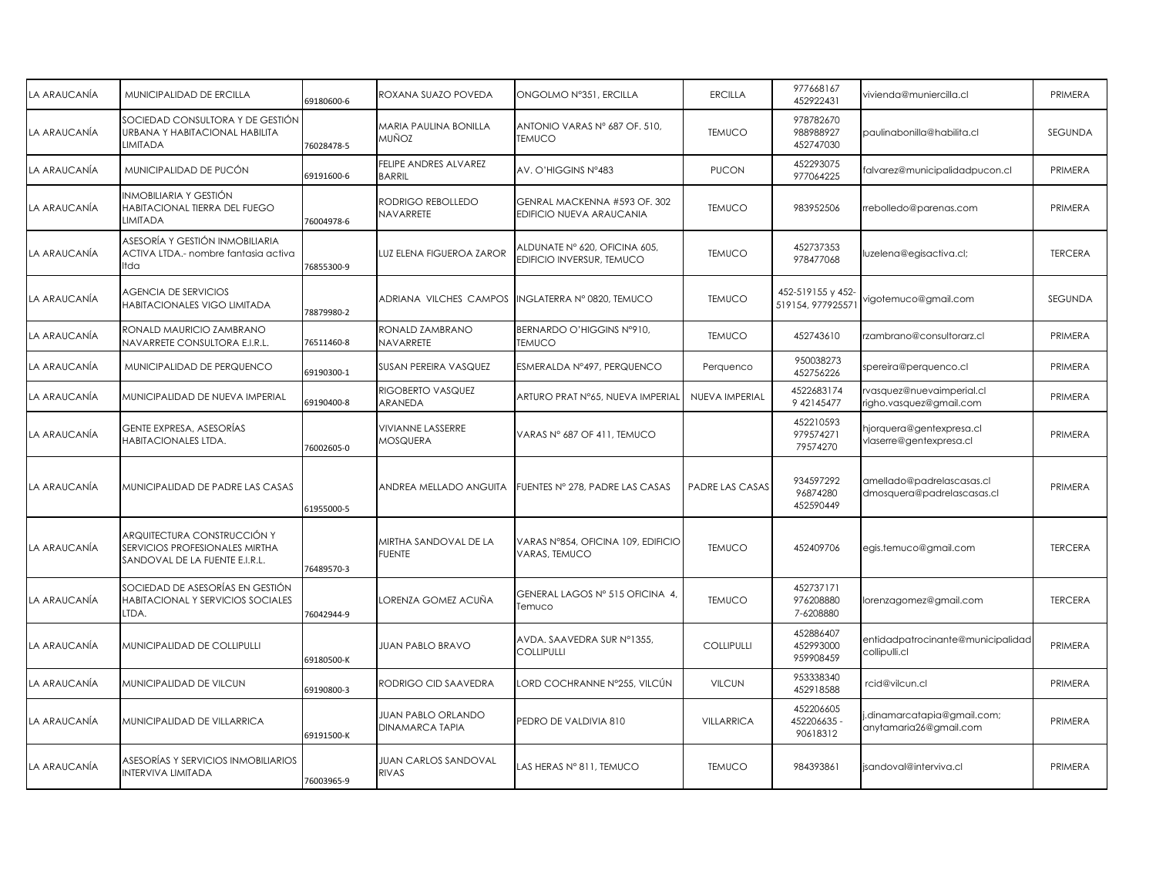| LA ARAUCANÍA | MUNICIPALIDAD DE ERCILLA                                                                        | 59180600-6 | ROXANA SUAZO POVEDA                                 | ONGOLMO Nº351, ERCILLA                                     | <b>ERCILLA</b>         | 977668167<br>452922431                 | vivienda@muniercilla.cl                                 | PRIMERA        |
|--------------|-------------------------------------------------------------------------------------------------|------------|-----------------------------------------------------|------------------------------------------------------------|------------------------|----------------------------------------|---------------------------------------------------------|----------------|
| LA ARAUCANÍA | SOCIEDAD CONSULTORA Y DE GESTIÓN<br>URBANA Y HABITACIONAL HABILITA<br>LIMITADA                  | 76028478-5 | MARIA PAULINA BONILLA<br>MUÑOZ                      | ANTONIO VARAS Nº 687 OF. 510,<br><b>TEMUCO</b>             | <b>TEMUCO</b>          | 978782670<br>988988927<br>452747030    | paulinabonilla@habilita.cl                              | SEGUNDA        |
| LA ARAUCANÍA | MUNICIPALIDAD DE PUCÓN                                                                          | 69191600-6 | FELIPE ANDRES ALVAREZ<br><b>BARRIL</b>              | AV. O'HIGGINS N°483                                        | <b>PUCON</b>           | 452293075<br>977064225                 | falvarez@municipalidadpucon.cl                          | PRIMERA        |
| LA ARAUCANÍA | INMOBILIARIA Y GESTIÓN<br>HABITACIONAL TIERRA DEL FUEGO<br>LIMITADA                             | 76004978-6 | RODRIGO REBOLLEDO<br>NAVARRETE                      | GENRAL MACKENNA #593 OF. 302<br>EDIFICIO NUEVA ARAUCANIA   | <b>TEMUCO</b>          | 983952506                              | rrebolledo@parenas.com                                  | PRIMERA        |
| LA ARAUCANÍA | ASESORÍA Y GESTIÓN INMOBILIARIA<br>ACTIVA LTDA,- nombre fantasia activa<br>Itda                 | 76855300-9 | LUZ ELENA FIGUEROA ZAROR                            | ALDUNATE Nº 620, OFICINA 605,<br>EDIFICIO INVERSUR, TEMUCO | <b>TEMUCO</b>          | 452737353<br>978477068                 | luzelena@egisactiva.cl;                                 | <b>TERCERA</b> |
| LA ARAUCANÍA | <b>AGENCIA DE SERVICIOS</b><br>HABITACIONALES VIGO LIMITADA                                     | 78879980-2 | ADRIANA VILCHES CAMPOS                              | INGLATERRA N° 0820, TEMUCO                                 | <b>TEMUCO</b>          | 452-519155 y 452-<br>519154, 977925571 | vigotemuco@gmail.com                                    | <b>SEGUNDA</b> |
| LA ARAUCANÍA | RONALD MAURICIO ZAMBRANO<br>NAVARRETE CONSULTORA E.I.R.L.                                       | 76511460-8 | RONALD ZAMBRANO<br>NAVARRETE                        | BERNARDO O'HIGGINS Nº910,<br><b>TEMUCO</b>                 | <b>TEMUCO</b>          | 452743610                              | rzambrano@consultorarz.cl                               | PRIMERA        |
| LA ARAUCANÍA | MUNICIPALIDAD DE PERQUENCO                                                                      | 69190300-1 | SUSAN PEREIRA VASQUEZ                               | ESMERALDA Nº497, PERQUENCO                                 | Perquenco              | 950038273<br>452756226                 | spereira@perquenco.cl                                   | PRIMERA        |
| LA ARAUCANÍA | MUNICIPALIDAD DE NUEVA IMPERIAL                                                                 | 59190400-8 | RIGOBERTO VASQUEZ<br>ARANEDA                        | ARTURO PRAT N°65, NUEVA IMPERIAL                           | NUEVA IMPERIAL         | 4522683174<br>9 421 45 477             | vasquez@nuevaimperial.cl<br>igho.vasquez@gmail.com      | PRIMERA        |
| LA ARAUCANÍA | GENTE EXPRESA, ASESORÍAS<br>HABITACIONALES LTDA.                                                | 76002605-0 | VIVIANNE LASSERRE<br>MOSQUERA                       | VARAS N° 687 OF 411, TEMUCO                                |                        | 452210593<br>979574271<br>79574270     | njorquera@gentexpresa.cl<br>vlaserre@gentexpresa.cl     | PRIMERA        |
| LA ARAUCANÍA | MUNICIPALIDAD DE PADRE LAS CASAS                                                                | 61955000-5 | ANDREA MELLADO ANGUITA                              | FUENTES Nº 278, PADRE LAS CASAS                            | <b>PADRE LAS CASAS</b> | 934597292<br>96874280<br>452590449     | amellado@padrelascasas.cl<br>dmosquera@padrelascasas.cl | PRIMERA        |
| LA ARAUCANÍA | ARQUITECTURA CONSTRUCCIÓN Y<br>SERVICIOS PROFESIONALES MIRTHA<br>SANDOVAL DE LA FUENTE E.I.R.L. | 76489570-3 | MIRTHA SANDOVAL DE LA<br><b>FUENTE</b>              | VARAS Nº854, OFICINA 109, EDIFICIO<br>VARAS, TEMUCO        | <b>TEMUCO</b>          | 452409706                              | egis.temuco@gmail.com                                   | <b>TERCERA</b> |
| LA ARAUCANÍA | SOCIEDAD DE ASESORÍAS EN GESTIÓN<br>HABITACIONAL Y SERVICIOS SOCIALES<br>LTDA.                  | 76042944-9 | .ORENZA GOMEZ ACUÑA                                 | GENERAL LAGOS Nº 515 OFICINA 4,<br>Temuco                  | <b>TEMUCO</b>          | 452737171<br>976208880<br>7-6208880    | lorenzagomez@gmail.com                                  | <b>TERCERA</b> |
| LA ARAUCANÍA | MUNICIPALIDAD DE COLLIPULLI                                                                     | 69180500-K | <b>JUAN PABLO BRAVO</b>                             | AVDA. SAAVEDRA SUR Nº1355,<br>COLLIPULLI                   | <b>COLLIPULLI</b>      | 452886407<br>452993000<br>959908459    | entidadpatrocinante@municipalidad<br>collipulli.cl      | PRIMERA        |
| LA ARAUCANÍA | MUNICIPALIDAD DE VILCUN                                                                         | 59190800-3 | RODRIGO CID SAAVEDRA                                | -ORD COCHRANNE №255, VILCÚN                                | <b>VILCUN</b>          | 953338340<br>452918588                 | rcid@vilcun.cl                                          | PRIMERA        |
| LA ARAUCANÍA | MUNICIPALIDAD DE VILLARRICA                                                                     | 69191500-K | <b>JUAN PABLO ORLANDO</b><br><b>DINAMARCA TAPIA</b> | PEDRO DE VALDIVIA 810                                      | <b>VILLARRICA</b>      | 452206605<br>452206635 -<br>90618312   | .dinamarcatapia@gmail.com;<br>anytamaria26@gmail.com    | PRIMERA        |
| LA ARAUCANÍA | ASESORÍAS Y SERVICIOS INMOBILIARIOS<br><b>INTERVIVA LIMITADA</b>                                | 76003965-9 | JUAN CARLOS SANDOVAL<br><b>RIVAS</b>                | LAS HERAS Nº 811, TEMUCO                                   | <b>TEMUCO</b>          | 984393861                              | isandoval@interviva.cl                                  | PRIMERA        |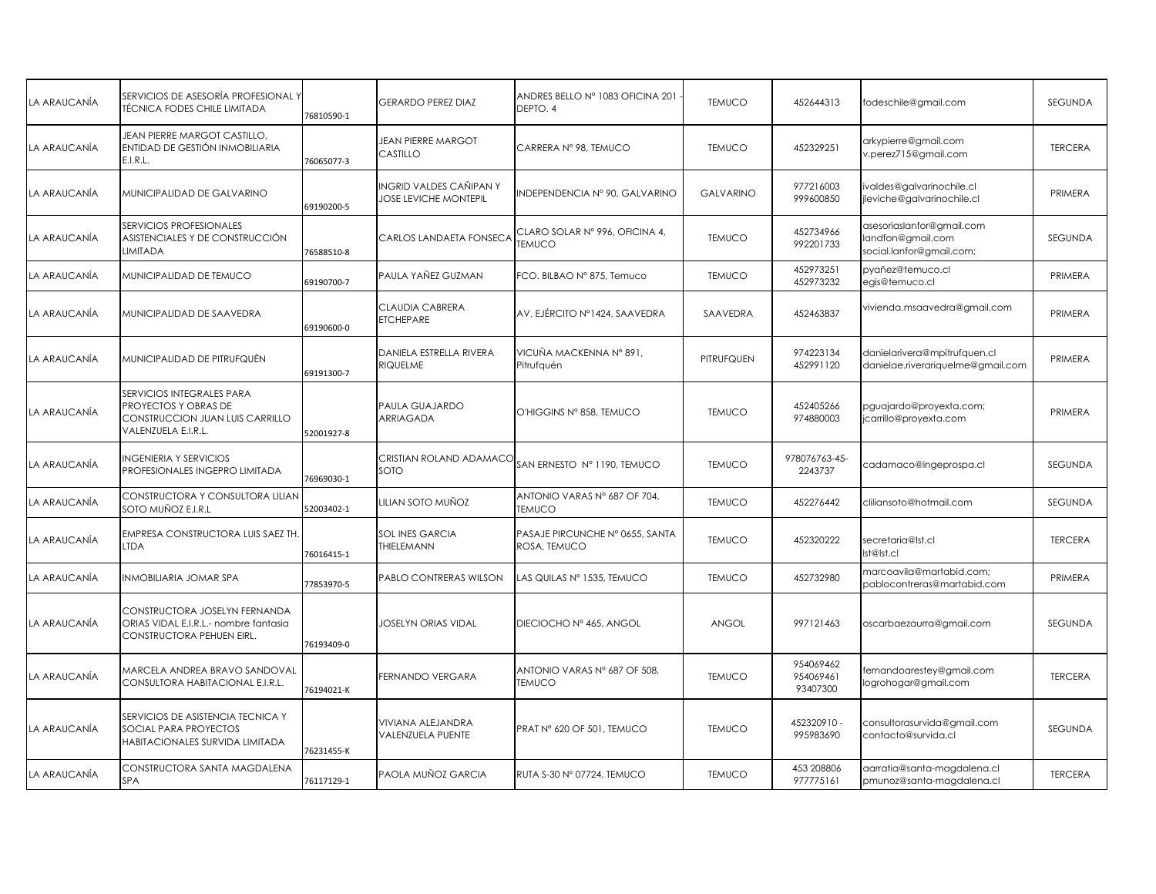| <b>TÉCNICA FODES CHILE LIMITADA</b>                                                                         | 76810590-1 | <b>GERARDO PEREZ DIAZ</b>                                               | ANDRES BELLO Nº 1083 OFICINA 201<br>DEPTO. 4    | <b>TEMUCO</b>           | 452644313                          | fodeschile@gmail.com                                                      | SEGUNDA        |
|-------------------------------------------------------------------------------------------------------------|------------|-------------------------------------------------------------------------|-------------------------------------------------|-------------------------|------------------------------------|---------------------------------------------------------------------------|----------------|
| JEAN PIERRE MARGOT CASTILLO,<br>ENTIDAD DE GESTIÓN INMOBILIARIA<br>E.I.R.L.                                 | 76065077-3 | <b>JEAN PIERRE MARGOT</b><br>CASTILLO                                   | CARRERA Nº 98, TEMUCO                           | <b>TEMUCO</b>           | 452329251                          | arkypierre@gmail.com<br>v.perez715@gmail.com                              | <b>TERCERA</b> |
| MUNICIPALIDAD DE GALVARINO                                                                                  | 69190200-5 | INGRID VALDES CAÑIPAN Y<br><b>JOSE LEVICHE MONTEPIL</b>                 | INDEPENDENCIA Nº 90, GALVARINO                  | <b>GALVARINO</b>        | 977216003<br>999600850             | valdes@galvarinochile.cl<br>jleviche@galvarinochile.cl                    | PRIMERA        |
| SERVICIOS PROFESIONALES<br>ASISTENCIALES Y DE CONSTRUCCIÓN<br><b>LIMITADA</b>                               | 76588510-8 | CARLOS LANDAETA FONSECA                                                 | CLARO SOLAR Nº 996, OFICINA 4,<br><b>TEMUCO</b> | <b>TEMUCO</b>           | 452734966<br>992201733             | asesoriaslanfor@gmail.com<br>andfon@gmail.com<br>social.lanfor@gmail.com; | SEGUNDA        |
| MUNICIPALIDAD DE TEMUCO                                                                                     | 69190700-7 | PAULA YAÑEZ GUZMAN                                                      | FCO. BILBAO Nº 875, Temuco                      | <b>TEMUCO</b>           | 452973251<br>452973232             | pyañez@temuco.cl<br>egis@temuco.cl                                        | PRIMERA        |
| MUNICIPALIDAD DE SAAVEDRA                                                                                   | 69190600-0 | CLAUDIA CABRERA<br><b>ETCHEPARE</b>                                     | AV. EJÉRCITO Nº1424, SAAVEDRA                   | SAAVEDRA                | 452463837                          | vivienda.msaavedra@gmail.com                                              | PRIMERA        |
| MUNICIPALIDAD DE PITRUFQUÉN                                                                                 | 69191300-7 | DANIELA ESTRELLA RIVERA<br>RIQUELME                                     | VICUÑA MACKENNA Nº 891,<br>Pitrufquén           | PITRUFQUEN              | 974223134<br>452991120             | danielarivera@mpitrufquen.cl<br>danielae.riverariquelme@gmail.com         | PRIMERA        |
| SERVICIOS INTEGRALES PARA<br>PROYECTOS Y OBRAS DE<br>CONSTRUCCION JUAN LUIS CARRILLO<br>VALENZUELA E.I.R.L. | 52001927-8 | PAULA GUAJARDO<br>ARRIAGADA                                             | O'HIGGINS Nº 858, TEMUCO                        | <b>TEMUCO</b>           | 452405266<br>974880003             | pguajardo@proyexta.com;<br>jcarrillo@proyexta.com                         | PRIMERA        |
| <b>INGENIERIA Y SERVICIOS</b><br>PROFESIONALES INGEPRO LIMITADA                                             | 76969030-1 | SOTO                                                                    | SAN ERNESTO Nº 1190, TEMUCO                     | <b>TEMUCO</b>           | 978076763-45-<br>2243737           | cadamaco@ingeprospa.cl                                                    | SEGUNDA        |
| SOTO MUÑOZ E.I.R.L                                                                                          | 52003402-1 | lilian soto muñoz                                                       | ANTONIO VARAS Nº 687 OF 704,<br><b>TEMUCO</b>   | <b>TEMUCO</b>           | 452276442                          | cliliansoto@hotmail.com                                                   | SEGUNDA        |
| EMPRESA CONSTRUCTORA LUIS SAEZ TH.<br><b>LTDA</b>                                                           | 76016415-1 | SOL INES GARCIA<br>THIELEMANN                                           | PASAJE PIRCUNCHE Nº 0655, SANTA<br>ROSA, TEMUCO | <b>TEMUCO</b>           | 452320222                          | secretaria@lst.cl<br>Ist@lst.cl                                           | <b>TERCERA</b> |
| INMOBILIARIA JOMAR SPA                                                                                      | 77853970-5 | PABLO CONTRERAS WILSON                                                  | AS QUILAS Nº 1535, TEMUCO                       | <b>TEMUCO</b>           | 452732980                          | marcoavila@martabid.com;<br>pablocontreras@martabid.com                   | PRIMERA        |
| CONSTRUCTORA JOSELYN FERNANDA<br>ORIAS VIDAL E.I.R.L.- nombre fantasia<br>CONSTRUCTORA PEHUEN EIRL.         | 76193409-0 | <b>JOSELYN ORIAS VIDAL</b>                                              | DIECIOCHO Nº 465, ANGOL                         | ANGOL                   | 997121463                          | oscarbaezaurra@gmail.com                                                  | SEGUNDA        |
| MARCELA ANDREA BRAVO SANDOVAL<br>CONSULTORA HABITACIONAL E.I.R.L.                                           | 76194021-K | FERNANDO VERGARA                                                        | ANTONIO VARAS Nº 687 OF 508.<br><b>TEMUCO</b>   | <b>TEMUCO</b>           | 954069462<br>954069461<br>93407300 | fernandoarestey@gmail.com<br>logrohogar@gmail.com                         | <b>TERCERA</b> |
| SERVICIOS DE ASISTENCIA TECNICA Y<br>SOCIAL PARA PROYECTOS<br>HABITACIONALES SURVIDA LIMITADA               | 76231455-K | VIVIANA ALEJANDRA<br>VALENZUELA PUENTE                                  | PRAT Nº 620 OF 501, TEMUCO                      | <b>TEMUCO</b>           | 452320910 -<br>995983690           | consultorasurvida@gmail.com<br>contacto@survida.cl                        | SEGUNDA        |
| CONSTRUCTORA SANTA MAGDALENA<br>SPA                                                                         | 76117129-1 | PAOLA MUÑOZ GARCIA                                                      | RUTA S-30 Nº 07724, TEMUCO                      | <b>TEMUCO</b>           | 453 208806<br>977775161            | aarratia@santa-magdalena.cl<br>pmunoz@santa-magdalena.cl                  | <b>TERCERA</b> |
|                                                                                                             |            | SERVICIOS DE ASESORÍA PROFESIONAL Y<br>CONSTRUCTORA Y CONSULTORA LILIAN |                                                 | CRISTIAN ROLAND ADAMACO |                                    |                                                                           |                |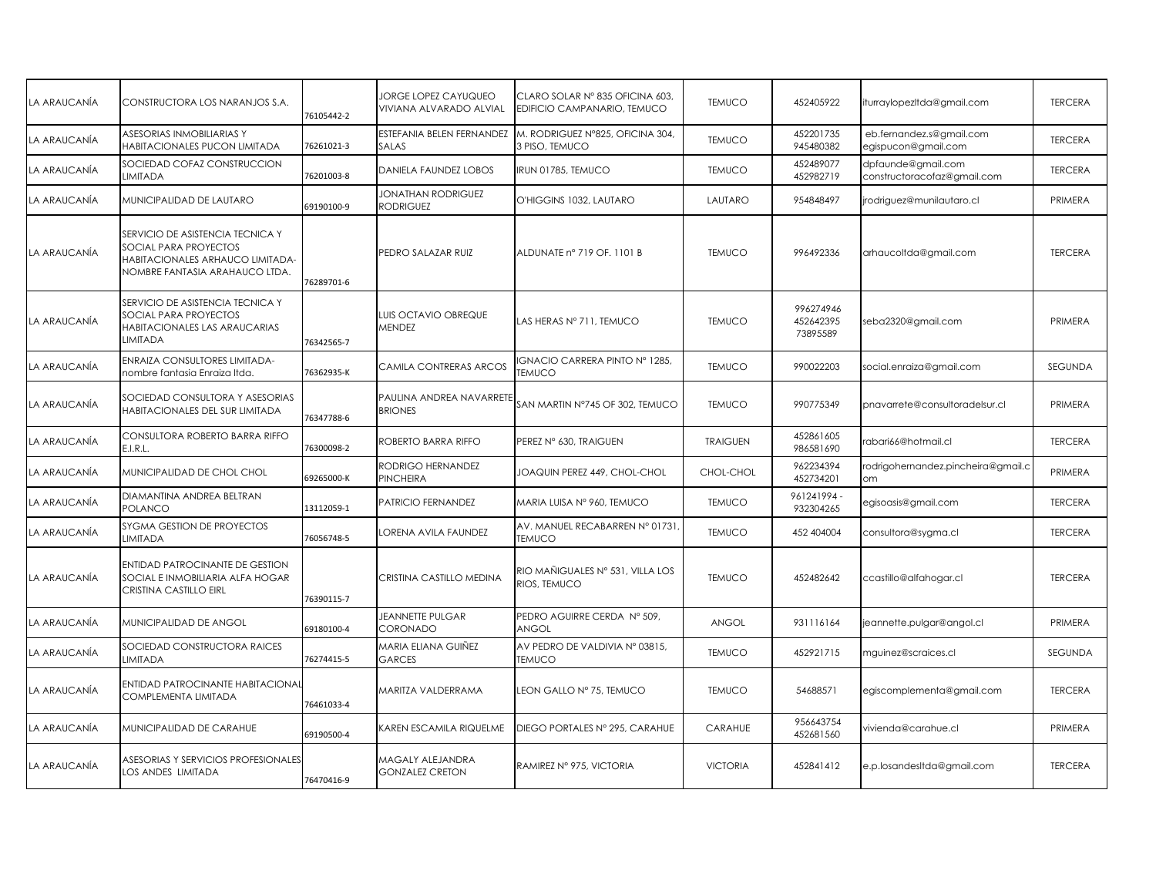| LA ARAUCANÍA | CONSTRUCTORA LOS NARANJOS S.A.                                                                                                  | 76105442-2 | <b>JORGE LOPEZ CAYUQUEO</b><br>VIVIANA ALVARADO ALVIAL | CLARO SOLAR Nº 835 OFICINA 603,<br>EDIFICIO CAMPANARIO, TEMUCO | <b>TEMUCO</b>   | 452405922                          | iturraylopezItda@gmail.com                        | <b>TERCERA</b> |
|--------------|---------------------------------------------------------------------------------------------------------------------------------|------------|--------------------------------------------------------|----------------------------------------------------------------|-----------------|------------------------------------|---------------------------------------------------|----------------|
| LA ARAUCANÍA | ASESORIAS INMOBILIARIAS Y<br>HABITACIONALES PUCON LIMITADA                                                                      | 76261021-3 | ESTEFANIA BELEN FERNANDEZ<br><b>SALAS</b>              | M. RODRIGUEZ N°825, OFICINA 304,<br>3 PISO, TEMUCO             | <b>TEMUCO</b>   | 452201735<br>945480382             | eb.fernandez.s@gmail.com<br>egispucon@gmail.com   | <b>TERCERA</b> |
| LA ARAUCANÍA | SOCIEDAD COFAZ CONSTRUCCION<br>LIMITADA                                                                                         | 76201003-8 | DANIELA FAUNDEZ LOBOS                                  | IRUN 01785, TEMUCO                                             | <b>TEMUCO</b>   | 452489077<br>452982719             | dpfaunde@gmail.com<br>constructoracofaz@gmail.com | <b>TERCERA</b> |
| LA ARAUCANÍA | MUNICIPALIDAD DE LAUTARO                                                                                                        | 69190100-9 | JONATHAN RODRIGUEZ<br><b>RODRIGUEZ</b>                 | O'HIGGINS 1032, LAUTARO                                        | LAUTARO         | 954848497                          | jrodriguez@munilautaro.cl                         | PRIMERA        |
| LA ARAUCANÍA | SERVICIO DE ASISTENCIA TECNICA Y<br>SOCIAL PARA PROYECTOS<br>HABITACIONALES ARHAUCO LIMITADA-<br>NOMBRE FANTASIA ARAHAUCO LTDA. | 76289701-6 | PEDRO SALAZAR RUIZ                                     | ALDUNATE n° 719 OF. 1101 B                                     | <b>TEMUCO</b>   | 996492336                          | arhaucoltda@gmail.com                             | <b>TERCERA</b> |
| LA ARAUCANÍA | SERVICIO DE ASISTENCIA TECNICA Y<br>SOCIAL PARA PROYECTOS<br>HABITACIONALES LAS ARAUCARIAS<br>LIMITADA                          | 76342565-7 | <b>UIS OCTAVIO OBREQUE</b><br>MENDEZ                   | LAS HERAS Nº 711, TEMUCO                                       | <b>TEMUCO</b>   | 996274946<br>452642395<br>73895589 | seba2320@gmail.com                                | PRIMERA        |
| LA ARAUCANÍA | ENRAIZA CONSULTORES LIMITADA-<br>nombre fantasia Enraiza Itda.                                                                  | 76362935-K | CAMILA CONTRERAS ARCOS                                 | IGNACIO CARRERA PINTO Nº 1285,<br><b>TEMUCO</b>                | <b>TEMUCO</b>   | 990022203                          | social.enraiza@gmail.com                          | SEGUNDA        |
| LA ARAUCANÍA | SOCIEDAD CONSULTORA Y ASESORIAS<br>HABITACIONALES DEL SUR LIMITADA                                                              | 76347788-6 | PAULINA ANDREA NAVARRET<br><b>BRIONES</b>              | SAN MARTIN N°745 OF 302, TEMUCO                                | <b>TEMUCO</b>   | 990775349                          | pnavarrete@consultoradelsur.cl                    | PRIMERA        |
| LA ARAUCANÍA | CONSULTORA ROBERTO BARRA RIFFO<br>E.I.R.L.                                                                                      | 76300098-2 | ROBERTO BARRA RIFFO                                    | PEREZ Nº 630, TRAIGUEN                                         | <b>TRAIGUEN</b> | 452861605<br>986581690             | rabari66@hotmail.cl                               | <b>TERCERA</b> |
| LA ARAUCANÍA | MUNICIPALIDAD DE CHOL CHOL                                                                                                      | 69265000-K | RODRIGO HERNANDEZ<br>PINCHEIRA                         | JOAQUIN PEREZ 449, CHOL-CHOL                                   | CHOL-CHOL       | 962234394<br>452734201             | rodrigohernandez.pincheira@gmail.c<br>om          | PRIMERA        |
| LA ARAUCANÍA | DIAMANTINA ANDREA BELTRAN<br><b>POLANCO</b>                                                                                     | 13112059-1 | PATRICIO FERNANDEZ                                     | MARIA LUISA Nº 960, TEMUCO                                     | <b>TEMUCO</b>   | 961241994 -<br>932304265           | egisoasis@gmail.com                               | <b>TERCERA</b> |
| LA ARAUCANÍA | SYGMA GESTION DE PROYECTOS<br>LIMITADA                                                                                          | 76056748-5 | ORENA AVILA FAUNDEZ                                    | AV. MANUEL RECABARREN Nº 01731<br><b>TEMUCO</b>                | <b>TEMUCO</b>   | 452 404004                         | consultora@sygma.cl                               | <b>TERCERA</b> |
| LA ARAUCANÍA | <b>ENTIDAD PATROCINANTE DE GESTION</b><br>SOCIAL E INMOBILIARIA ALFA HOGAR<br>CRISTINA CASTILLO EIRL                            | 76390115-7 | CRISTINA CASTILLO MEDINA                               | RIO MAÑIGUALES Nº 531, VILLA LOS<br>RIOS, TEMUCO               | <b>TEMUCO</b>   | 452482642                          | ccastillo@alfahogar.cl                            | <b>TERCERA</b> |
| LA ARAUCANÍA | <b>MUNICIPALIDAD DE ANGOL</b>                                                                                                   | 69180100-4 | <b>JEANNETTE PULGAR</b><br>CORONADO                    | PEDRO AGUIRRE CERDA Nº 509,<br>ANGOL                           | ANGOL           | 931116164                          | jeannette.pulgar@angol.cl                         | PRIMERA        |
| LA ARAUCANÍA | SOCIEDAD CONSTRUCTORA RAICES<br>LIMITADA                                                                                        | 76274415-5 | MARIA ELIANA GUIÑEZ<br>GARCES                          | AV PEDRO DE VALDIVIA Nº 03815,<br><b>TEMUCO</b>                | <b>TEMUCO</b>   | 452921715                          | mguinez@scraices.cl                               | SEGUNDA        |
| LA ARAUCANÍA | ENTIDAD PATROCINANTE HABITACIONAL<br>COMPLEMENTA LIMITADA                                                                       | 76461033-4 | <b>MARITZA VALDERRAMA</b>                              | LEON GALLO Nº 75, TEMUCO                                       | <b>TEMUCO</b>   | 54688571                           | egiscomplementa@gmail.com                         | <b>TERCERA</b> |
| LA ARAUCANÍA | MUNICIPALIDAD DE CARAHUE                                                                                                        | 69190500-4 | <b>KAREN ESCAMILA RIQUELME</b>                         | DIEGO PORTALES Nº 295, CARAHUE                                 | CARAHUE         | 956643754<br>452681560             | vivienda@carahue.cl                               | PRIMERA        |
| LA ARAUCANÍA | ASESORIAS Y SERVICIOS PROFESIONALES<br>LOS ANDES LIMITADA                                                                       | 76470416-9 | MAGALY ALEJANDRA<br><b>GONZALEZ CRETON</b>             | RAMIREZ Nº 975, VICTORIA                                       | <b>VICTORIA</b> | 452841412                          | e.p.losandesItda@gmail.com                        | <b>TERCERA</b> |
|              |                                                                                                                                 |            |                                                        |                                                                |                 |                                    |                                                   |                |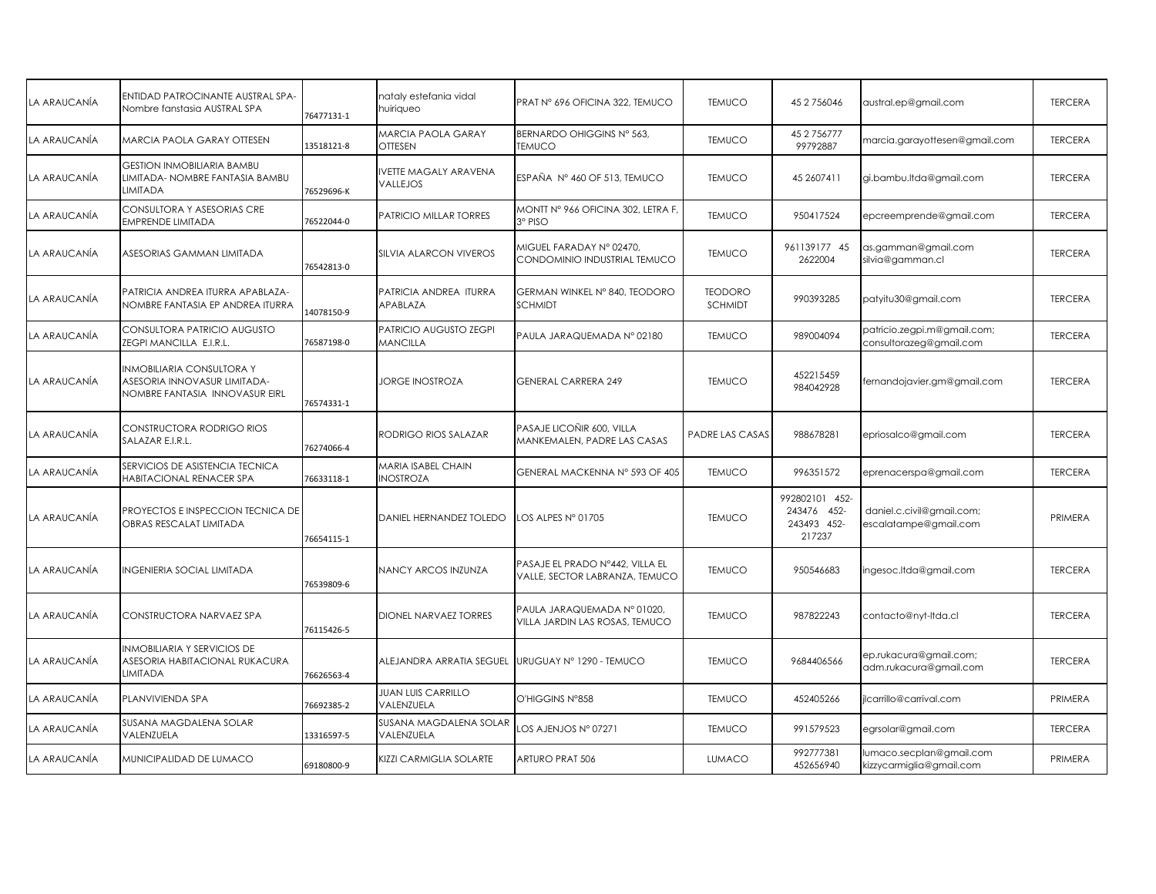| ENTIDAD PATROCINANTE AUSTRAL SPA-<br>Nombre fanstasia AUSTRAL SPA                                  | 76477131-1 | hataly estefania vidal<br>huiriqueo              | PRAT N° 696 OFICINA 322, TEMUCO                                   | <b>TEMUCO</b>             | 45 2 7 5 6 0 4 6                                       | austral.ep@gmail.com                                   | <b>TERCERA</b> |
|----------------------------------------------------------------------------------------------------|------------|--------------------------------------------------|-------------------------------------------------------------------|---------------------------|--------------------------------------------------------|--------------------------------------------------------|----------------|
| MARCIA PAOLA GARAY OTTESEN                                                                         | 13518121-8 | <b>MARCIA PAOLA GARAY</b><br><b>OTTESEN</b>      | BERNARDO OHIGGINS Nº 563.<br><b>TEMUCO</b>                        | <b>TEMUCO</b>             | 45 2 7 5 6 7 7 7<br>99792887                           | marcia.garayottesen@gmail.com                          | <b>TERCERA</b> |
| <b>GESTION INMOBILIARIA BAMBU</b><br>LIMITADA- NOMBRE FANTASIA BAMBU<br>LIMITADA                   | 76529696-K | VETTE MAGALY ARAVENA<br>VALLEJOS                 | ESPAÑA Nº 460 OF 513. TEMUCO                                      | <b>TEMUCO</b>             | 45 2607411                                             | gi.bambu.ltda@gmail.com                                | <b>TERCERA</b> |
| CONSULTORA Y ASESORIAS CRE<br><b>EMPRENDE LIMITADA</b>                                             | 76522044-0 | PATRICIO MILLAR TORRES                           | MONTT N° 966 OFICINA 302, LETRA F,<br>3º PISO                     | <b>TEMUCO</b>             | 950417524                                              | epcreemprende@gmail.com                                | <b>TERCERA</b> |
| ASESORIAS GAMMAN LIMITADA                                                                          | 76542813-0 | SILVIA ALARCON VIVEROS                           | MIGUEL FARADAY N° 02470.<br>CONDOMINIO INDUSTRIAL TEMUCO          | <b>TEMUCO</b>             | 961139177 45<br>2622004                                | as.gamman@gmail.com<br>silvia@gamman.cl                | <b>TERCERA</b> |
| PATRICIA ANDREA ITURRA APABLAZA-<br>NOMBRE FANTASIA EP ANDREA ITURRA                               | 14078150-9 | PATRICIA ANDREA ITURRA<br>APABLAZA               | GERMAN WINKEL N° 840, TEODORO<br><b>SCHMIDT</b>                   | <b>TEODORO</b><br>SCHMIDT | 990393285                                              | patyitu30@gmail.com                                    | <b>TERCERA</b> |
| CONSULTORA PATRICIO AUGUSTO<br>ZEGPI MANCILLA E.I.R.L.                                             | 76587198-0 | <b>PATRICIO AUGUSTO ZEGPI</b><br><b>MANCILLA</b> | PAULA JARAQUEMADA Nº 02180                                        | <b>TEMUCO</b>             | 989004094                                              | patricio.zegpi.m@gmail.com;<br>consultorazeg@gmail.com | <b>TERCERA</b> |
| <b>INMOBILIARIA CONSULTORA Y</b><br>ASESORIA INNOVASUR LIMITADA-<br>NOMBRE FANTASIA INNOVASUR EIRL | 76574331-1 | <b>JORGE INOSTROZA</b>                           | <b>GENERAL CARRERA 249</b>                                        | <b>TEMUCO</b>             | 452215459<br>984042928                                 | fernandojavier.gm@gmail.com                            | <b>TERCERA</b> |
| CONSTRUCTORA RODRIGO RIOS<br>SALAZAR E.I.R.L.                                                      | 76274066-4 | RODRIGO RIOS SALAZAR                             | PASAJE LICOÑIR 600, VILLA<br>MANKEMALEN, PADRE LAS CASAS          | PADRE LAS CASAS           | 988678281                                              | epriosalco@gmail.com                                   | <b>TERCERA</b> |
| SERVICIOS DE ASISTENCIA TECNICA<br>HABITACIONAL RENACER SPA                                        | 76633118-1 | <b>VARIA ISABEL CHAIN</b><br><b>NOSTROZA</b>     | GENERAL MACKENNA N° 593 OF 405                                    | <b>TEMUCO</b>             | 996351572                                              | eprenacerspa@gmail.com                                 | <b>TERCERA</b> |
| PROYECTOS E INSPECCION TECNICA DE<br>OBRAS RESCALAT LIMITADA                                       | 76654115-1 | DANIEL HERNANDEZ TOLEDO                          | OS ALPES Nº 01705                                                 | <b>TEMUCO</b>             | 992802101 452-<br>243476 452-<br>243493 452-<br>217237 | daniel.c.civil@gmail.com;<br>escalatampe@gmail.com     | PRIMERA        |
| <b>INGENIERIA SOCIAL LIMITADA</b>                                                                  | 76539809-6 | NANCY ARCOS INZUNZA                              | PASAJE EL PRADO Nº442, VILLA EL<br>VALLE, SECTOR LABRANZA, TEMUCO | <b>TEMUCO</b>             | 950546683                                              | ingesoc.ltda@gmail.com                                 | <b>TERCERA</b> |
| CONSTRUCTORA NARVAEZ SPA                                                                           | 76115426-5 | DIONEL NARVAEZ TORRES                            | PAULA JARAQUEMADA Nº 01020,<br>VILLA JARDIN LAS ROSAS, TEMUCO     | <b>TEMUCO</b>             | 987822243                                              | contacto@nyt-Itda.cl                                   | <b>TERCERA</b> |
| <b>INMOBILIARIA Y SERVICIOS DE</b><br>ASESORIA HABITACIONAL RUKACURA<br><b>LIMITADA</b>            | 76626563-4 | ALEJANDRA ARRATIA SEGUEL                         | JRUGUAY Nº 1290 - TEMUCO                                          | <b>TEMUCO</b>             | 9684406566                                             | ep.rukacura@gmail.com;<br>adm.rukacura@gmail.com       | <b>TERCERA</b> |
| PLANVIVIENDA SPA                                                                                   | 76692385-2 | <b>JUAN LUIS CARRILLO</b><br>VALENZUELA          | O'HIGGINS N°858                                                   | <b>TEMUCO</b>             | 452405266                                              | ilcarrillo@carrival.com                                | PRIMERA        |
| SUSANA MAGDALENA SOLAR<br>VALENZUELA                                                               | 13316597-5 | SUSANA MAGDALENA SOLAR<br>VALENZUELA             | OS AJENJOS Nº 07271.                                              | <b>TEMUCO</b>             | 991579523                                              | egrsolar@gmail.com                                     | <b>TERCERA</b> |
| MUNICIPALIDAD DE LUMACO                                                                            | 69180800-9 | KIZZI CARMIGLIA SOLARTE                          | ARTURO PRAT 506                                                   | <b>LUMACO</b>             | 992777381<br>452656940                                 | lumaco.secplan@gmail.com<br>kizzycarmiglia@gmail.com   | PRIMERA        |
|                                                                                                    |            |                                                  |                                                                   |                           |                                                        |                                                        |                |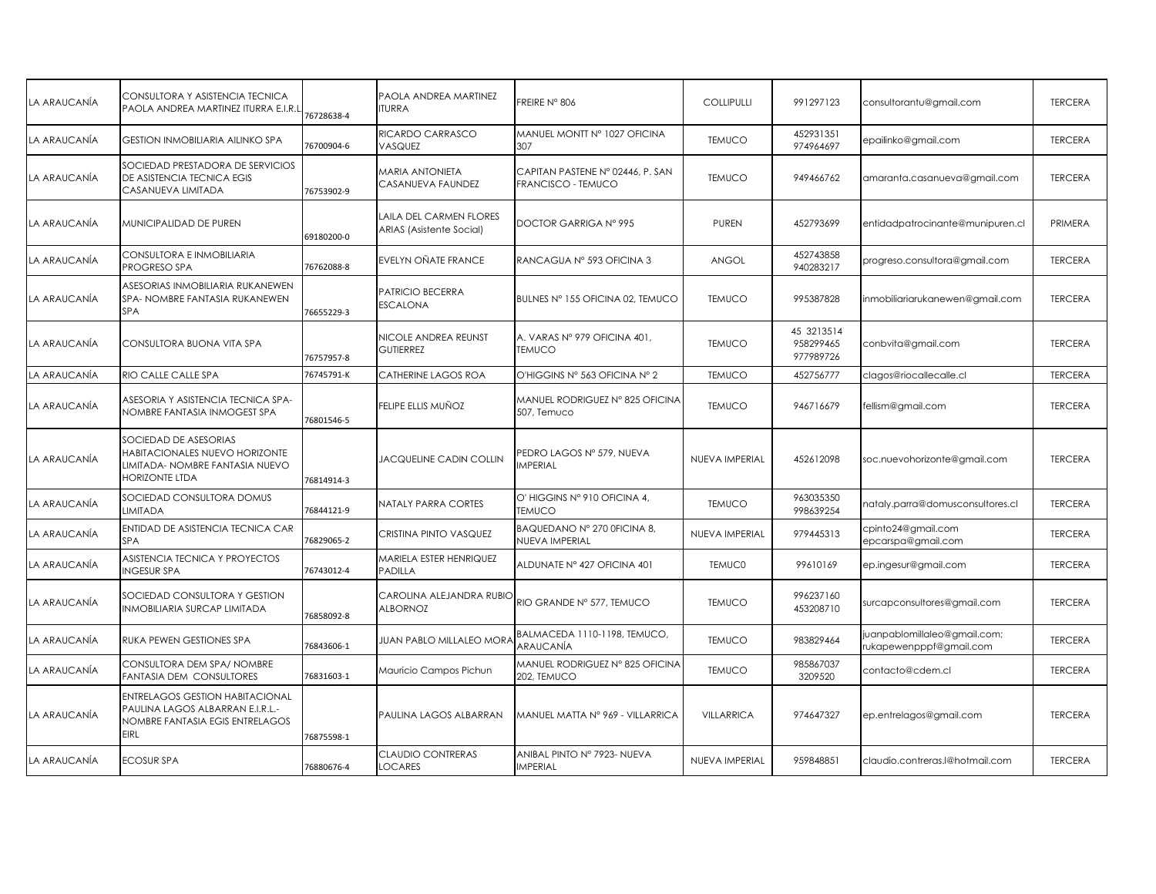| LA ARAUCANÍA | CONSULTORA Y ASISTENCIA TECNICA<br>PAOLA ANDREA MARTINEZ ITURRA E.I.R.L                                             | 76728638-4 | PAOLA ANDREA MARTINEZ<br><b>TURRA</b>                     | FREIRE N° 806                                          | COLLIPULLI     | 991297123                            | consultorantu@gmail.com                                 | <b>TERCERA</b> |
|--------------|---------------------------------------------------------------------------------------------------------------------|------------|-----------------------------------------------------------|--------------------------------------------------------|----------------|--------------------------------------|---------------------------------------------------------|----------------|
| LA ARAUCANÍA | <b>GESTION INMOBILIARIA AILINKO SPA</b>                                                                             | 76700904-6 | RICARDO CARRASCO<br>VASQUEZ                               | MANUEL MONTT N° 1027 OFICINA<br>307                    | <b>TEMUCO</b>  | 452931351<br>974964697               | epailinko@gmail.com                                     | <b>TERCERA</b> |
| LA ARAUCANÍA | SOCIEDAD PRESTADORA DE SERVICIOS<br>DE ASISTENCIA TECNICA EGIS<br>CASANUEVA LIMITADA                                | 76753902-9 | <b>MARIA ANTONIETA</b><br>CASANUEVA FAUNDEZ               | CAPITAN PASTENE Nº 02446, P. SAN<br>FRANCISCO - TEMUCO | <b>TEMUCO</b>  | 949466762                            | amaranta.casanueva@gmail.com                            | <b>TERCERA</b> |
| LA ARAUCANÍA | MUNICIPALIDAD DE PUREN                                                                                              | 69180200-0 | AILA DEL CARMEN FLORES<br><b>ARIAS (Asistente Social)</b> | DOCTOR GARRIGA Nº 995                                  | <b>PUREN</b>   | 452793699                            | entidadpatrocinante@munipuren.cl                        | PRIMERA        |
| LA ARAUCANÍA | CONSULTORA E INMOBILIARIA<br>PROGRESO SPA                                                                           | 76762088-8 | EVELYN OÑATE FRANCE                                       | RANCAGUA Nº 593 OFICINA 3                              | ANGOL          | 452743858<br>940283217               | progreso.consultora@gmail.com                           | <b>TERCERA</b> |
| LA ARAUCANÍA | ASESORIAS INMOBILIARIA RUKANEWEN<br>SPA- NOMBRE FANTASIA RUKANEWEN<br><b>SPA</b>                                    | 76655229-3 | PATRICIO BECERRA<br><b>ESCALONA</b>                       | BULNES Nº 155 OFICINA 02, TEMUCO                       | <b>TEMUCO</b>  | 995387828                            | inmobiliariarukanewen@gmail.com                         | <b>TERCERA</b> |
| LA ARAUCANÍA | CONSULTORA BUONA VITA SPA                                                                                           | 76757957-8 | NICOLE ANDREA REUNST<br><b>GUTIERREZ</b>                  | A. VARAS Nº 979 OFICINA 401,<br><b>TEMUCO</b>          | <b>TEMUCO</b>  | 45 3213514<br>958299465<br>977989726 | conbvita@gmail.com                                      | <b>TERCERA</b> |
| LA ARAUCANÍA | RIO CALLE CALLE SPA                                                                                                 | 76745791-K | CATHERINE LAGOS ROA                                       | O'HIGGINS Nº 563 OFICINA Nº 2                          | <b>TEMUCO</b>  | 452756777                            | clagos@riocallecalle.cl                                 | <b>TERCERA</b> |
| LA ARAUCANÍA | ASESORIA Y ASISTENCIA TECNICA SPA-<br>NOMBRE FANTASIA INMOGEST SPA                                                  | 76801546-5 | FELIPE ELLIS MUÑOZ                                        | MANUEL RODRIGUEZ Nº 825 OFICINA<br>507, Temuco         | <b>TEMUCO</b>  | 946716679                            | fellism@gmail.com                                       | <b>TERCERA</b> |
| LA ARAUCANÍA | SOCIEDAD DE ASESORIAS<br>HABITACIONALES NUEVO HORIZONTE<br>LIMITADA- NOMBRE FANTASIA NUEVO<br><b>HORIZONTE LTDA</b> | 76814914-3 | <b>JACQUELINE CADIN COLLIN</b>                            | PEDRO LAGOS Nº 579, NUEVA<br><b>IMPERIAL</b>           | NUEVA IMPERIAL | 452612098                            | soc.nuevohorizonte@gmail.com                            | <b>TERCERA</b> |
| LA ARAUCANÍA | SOCIEDAD CONSULTORA DOMUS<br>LIMITADA                                                                               | 76844121-9 | NATALY PARRA CORTES                                       | O' HIGGINS Nº 910 OFICINA 4.<br><b>TEMUCO</b>          | <b>TEMUCO</b>  | 963035350<br>998639254               | nataly.parra@domusconsultores.cl                        | <b>TERCERA</b> |
| LA ARAUCANÍA | ENTIDAD DE ASISTENCIA TECNICA CAR<br>SPA                                                                            | 76829065-2 | CRISTINA PINTO VASQUEZ                                    | BAQUEDANO Nº 270 0FICINA 8,<br>NUEVA IMPERIAL          | NUEVA IMPERIAL | 979445313                            | cpinto24@gmail.com<br>epcarspa@gmail.com                | <b>TERCERA</b> |
| LA ARAUCANÍA | ASISTENCIA TECNICA Y PROYECTOS<br><b>INGESUR SPA</b>                                                                | 76743012-4 | MARIELA ESTER HENRIQUEZ<br>PADILLA                        | ALDUNATE Nº 427 OFICINA 401                            | <b>TEMUCO</b>  | 99610169                             | ep.ingesur@gmail.com                                    | <b>TERCERA</b> |
| LA ARAUCANÍA | SOCIEDAD CONSULTORA Y GESTION<br>INMOBILIARIA SURCAP LIMITADA                                                       | 76858092-8 | CAROLINA ALEJANDRA RUBIO<br><b>ALBORNOZ</b>               | RIO GRANDE Nº 577, TEMUCO                              | <b>TEMUCO</b>  | 996237160<br>453208710               | surcapconsultores@gmail.com                             | <b>TERCERA</b> |
| LA ARAUCANÍA | RUKA PEWEN GESTIONES SPA                                                                                            | 76843606-1 | JUAN PABLO MILLALEO MORA                                  | BALMACEDA 1110-1198, TEMUCO,<br>ARAUCANÍA              | <b>TEMUCO</b>  | 983829464                            | juanpablomillaleo@gmail.com;<br>rukapewenpppf@gmail.com | <b>TERCERA</b> |
| LA ARAUCANÍA | CONSULTORA DEM SPA/NOMBRE<br>FANTASIA DEM CONSULTORES                                                               | 76831603-1 | Mauricio Campos Pichun                                    | MANUEL RODRIGUEZ Nº 825 OFICINA<br>202, TEMUCO         | <b>TEMUCO</b>  | 985867037<br>3209520                 | contacto@cdem.cl                                        | <b>TERCERA</b> |
| LA ARAUCANÍA | ENTRELAGOS GESTION HABITACIONAL<br>PAULINA LAGOS ALBARRAN E.I.R.L.-<br>NOMBRE FANTASIA EGIS ENTRELAGOS<br>EIRL      | 76875598-1 | PAULINA LAGOS ALBARRAN                                    | MANUEL MATTA Nº 969 - VILLARRICA                       | VILLARRICA     | 974647327                            | ep.entrelagos@gmail.com                                 | <b>TERCERA</b> |
| LA ARAUCANÍA | <b>ECOSUR SPA</b>                                                                                                   | 76880676-4 | CLAUDIO CONTRERAS<br><b>LOCARES</b>                       | ANIBAL PINTO Nº 7923- NUEVA<br><b>IMPERIAL</b>         | NUEVA IMPERIAL | 959848851                            | claudio.contreras.l@hotmail.com                         | <b>TERCERA</b> |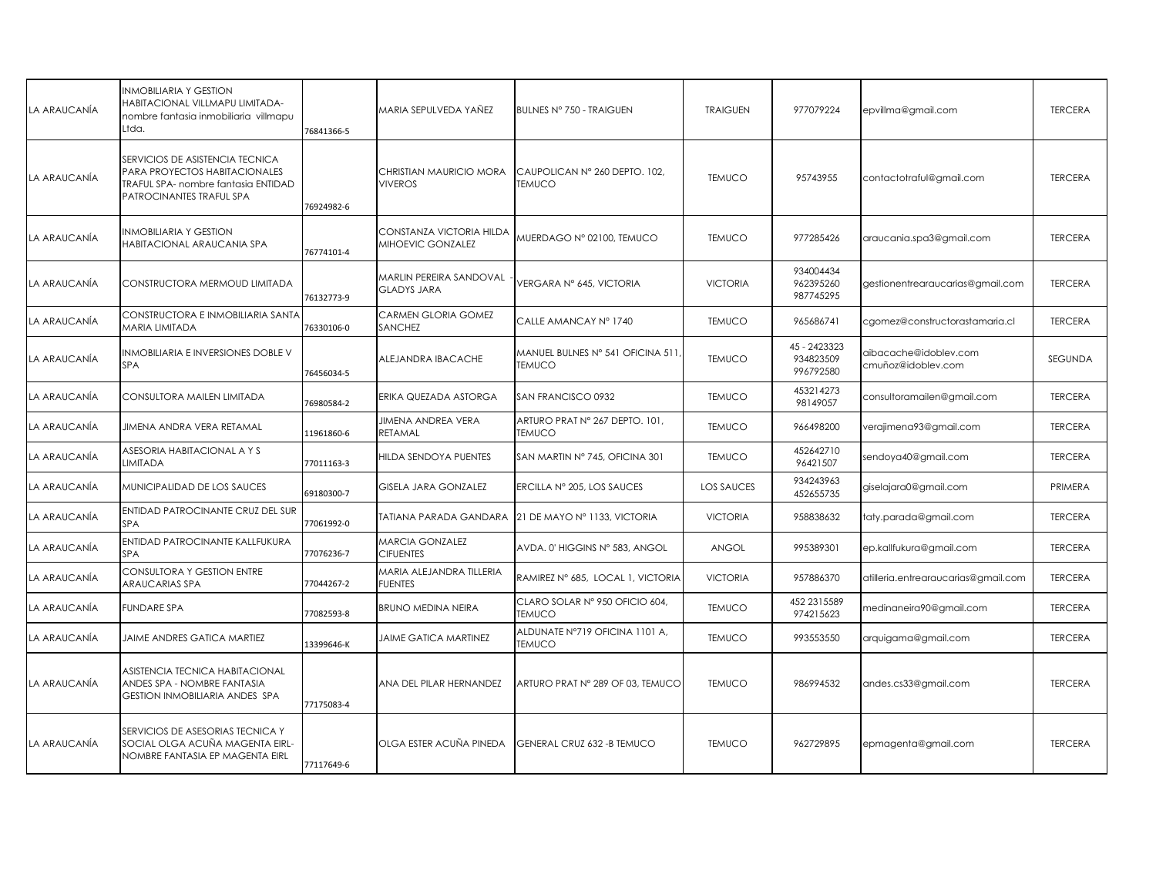| LA ARAUCANÍA | <b>INMOBILIARIA Y GESTION</b><br>HABITACIONAL VILLMAPU LIMITADA-<br>nombre fantasia inmobiliaria villmapu<br>Ltda.                  | 76841366-5 | MARIA SEPULVEDA YAÑEZ                         | BULNES Nº 750 - TRAIGUEN                             | <b>TRAIGUEN</b>   | 977079224                              | epvillma@gmail.com                          | <b>TERCERA</b> |
|--------------|-------------------------------------------------------------------------------------------------------------------------------------|------------|-----------------------------------------------|------------------------------------------------------|-------------------|----------------------------------------|---------------------------------------------|----------------|
| LA ARAUCANÍA | SERVICIOS DE ASISTENCIA TECNICA<br>PARA PROYECTOS HABITACIONALES<br>TRAFUL SPA- nombre fantasia ENTIDAD<br>PATROCINANTES TRAFUL SPA | 76924982-6 | CHRISTIAN MAURICIO MORA<br><b>VIVEROS</b>     | CAUPOLICAN Nº 260 DEPTO, 102.<br><b>TEMUCO</b>       | <b>TEMUCO</b>     | 95743955                               | contactotraful@gmail.com                    | <b>TERCERA</b> |
| LA ARAUCANÍA | <b>INMOBILIARIA Y GESTION</b><br>HABITACIONAL ARAUCANIA SPA                                                                         | 76774101-4 | CONSTANZA VICTORIA HILDA<br>MIHOEVIC GONZALEZ | MUERDAGO Nº 02100, TEMUCO                            | <b>TEMUCO</b>     | 977285426                              | araucania.spa3@gmail.com                    | <b>TERCERA</b> |
| LA ARAUCANÍA | CONSTRUCTORA MERMOUD LIMITADA                                                                                                       | 76132773-9 | MARLIN PEREIRA SANDOVAL<br><b>GLADYS JARA</b> | VERGARA Nº 645, VICTORIA                             | <b>VICTORIA</b>   | 934004434<br>962395260<br>987745295    | gestionentrearaucarias@gmail.com            | <b>TERCERA</b> |
| LA ARAUCANÍA | CONSTRUCTORA E INMOBILIARIA SANTA<br><b>MARIA LIMITADA</b>                                                                          | 76330106-0 | CARMEN GLORIA GOMEZ<br>SANCHEZ                | CALLE AMANCAY Nº 1740                                | <b>TEMUCO</b>     | 965686741                              | cgomez@constructorastamaria.cl              | <b>TERCERA</b> |
| LA ARAUCANÍA | INMOBILIARIA E INVERSIONES DOBLE V<br>SPA                                                                                           | 76456034-5 | ALEJANDRA IBACACHE                            | MANUEL BULNES Nº 541 OFICINA 511<br><b>TEMUCO</b>    | <b>TEMUCO</b>     | 45 - 2423323<br>934823509<br>996792580 | aibacache@idoblev.com<br>cmuñoz@idoblev.com | SEGUNDA        |
| LA ARAUCANÍA | CONSULTORA MAILEN LIMITADA                                                                                                          | 76980584-2 | ERIKA QUEZADA ASTORGA                         | SAN FRANCISCO 0932                                   | <b>TEMUCO</b>     | 453214273<br>98149057                  | consultoramailen@gmail.com                  | <b>TERCERA</b> |
| LA ARAUCANÍA | JIMENA ANDRA VERA RETAMAL                                                                                                           | 1961860-6  | <b>JIMENA ANDREA VERA</b><br>RETAMAL          | ARTURO PRAT Nº 267 DEPTO. 101,<br><b>TEMUCO</b>      | <b>TEMUCO</b>     | 966498200                              | verajimena93@gmail.com                      | <b>TERCERA</b> |
| LA ARAUCANÍA | ASESORIA HABITACIONAL A Y S<br><b>LIMITADA</b>                                                                                      | 77011163-3 | HILDA SENDOYA PUENTES                         | SAN MARTIN Nº 745, OFICINA 301                       | <b>TEMUCO</b>     | 452642710<br>96421507                  | sendoya40@gmail.com                         | <b>TERCERA</b> |
| LA ARAUCANÍA | MUNICIPALIDAD DE LOS SAUCES                                                                                                         | 69180300-7 | GISELA JARA GONZALEZ                          | ERCILLA Nº 205, LOS SAUCES                           | <b>LOS SAUCES</b> | 934243963<br>452655735                 | giselajara0@gmail.com                       | PRIMERA        |
| LA ARAUCANÍA | ENTIDAD PATROCINANTE CRUZ DEL SUR<br>SPA                                                                                            | 77061992-0 |                                               | TATIANA PARADA GANDARA ∥21 DE MAYO Nº 1133, VICTORIA | <b>VICTORIA</b>   | 958838632                              | taty.parada@gmail.com                       | <b>TERCERA</b> |
| LA ARAUCANÍA | ENTIDAD PATROCINANTE KALLFUKURA<br><b>SPA</b>                                                                                       | 77076236-7 | <b>MARCIA GONZALEZ</b><br><b>CIFUENTES</b>    | AVDA. 0' HIGGINS N° 583, ANGOL                       | ANGOL             | 995389301                              | ep.kallfukura@gmail.com                     | <b>TERCERA</b> |
| LA ARAUCANÍA | CONSULTORA Y GESTION ENTRE<br><b>ARAUCARIAS SPA</b>                                                                                 | 77044267-2 | MARIA ALEJANDRA TILLERIA<br><b>FUENTES</b>    | RAMIREZ Nº 685, LOCAL 1, VICTORIA                    | <b>VICTORIA</b>   | 957886370                              | atilleria.entrearaucarias@gmail.com         | <b>TERCERA</b> |
| LA ARAUCANÍA | <b>FUNDARE SPA</b>                                                                                                                  | 77082593-8 | <b>BRUNO MEDINA NEIRA</b>                     | CLARO SOLAR Nº 950 OFICIO 604,<br><b>TEMUCO</b>      | <b>TEMUCO</b>     | 452 231 5589<br>974215623              | medinaneira90@gmail.com                     | <b>TERCERA</b> |
| LA ARAUCANÍA | <b>JAIME ANDRES GATICA MARTIEZ</b>                                                                                                  | 13399646-K | <b>JAIME GATICA MARTINEZ</b>                  | ALDUNATE N°719 OFICINA 1101 A.<br><b>TEMUCO</b>      | <b>TEMUCO</b>     | 993553550                              | arquigama@gmail.com                         | <b>TERCERA</b> |
| LA ARAUCANÍA | ASISTENCIA TECNICA HABITACIONAL<br>ANDES SPA - NOMBRE FANTASIA<br><b>GESTION INMOBILIARIA ANDES SPA</b>                             | 77175083-4 | ANA DEL PILAR HERNANDEZ                       | ARTURO PRAT Nº 289 OF 03, TEMUCO                     | <b>TEMUCO</b>     | 986994532                              | andes.cs33@gmail.com                        | <b>TERCERA</b> |
| LA ARAUCANÍA | SERVICIOS DE ASESORIAS TECNICA Y<br>SOCIAL OLGA ACUÑA MAGENTA EIRL-<br>NOMBRE FANTASIA EP MAGENTA EIRL                              | 77117649-6 | OLGA ESTER ACUÑA PINEDA                       | GENERAL CRUZ 632 - B TEMUCO                          | <b>TEMUCO</b>     | 962729895                              | epmagenta@gmail.com                         | <b>TERCERA</b> |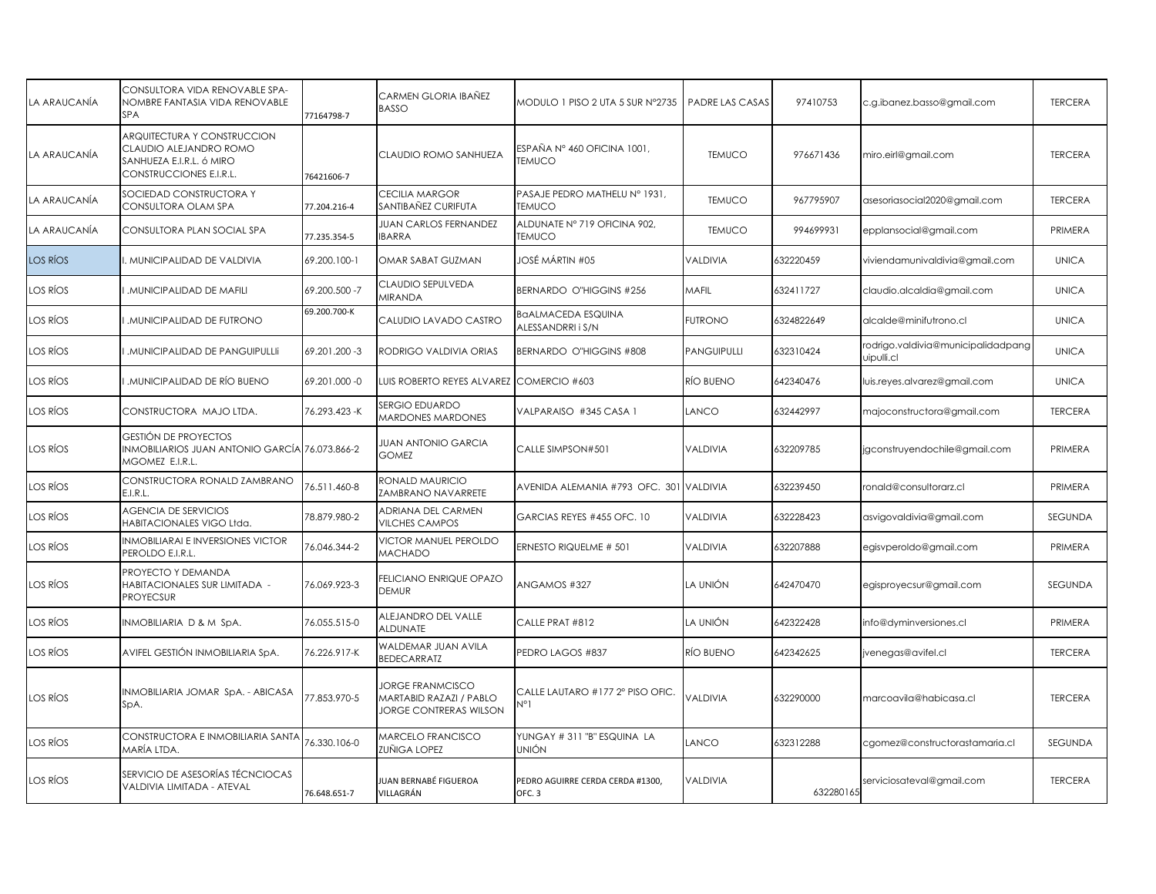| LA ARAUCANÍA | CONSULTORA VIDA RENOVABLE SPA-<br>NOMBRE FANTASIA VIDA RENOVABLE<br><b>SPA</b>                               | 77164798-7    | CARMEN GLORIA IBAÑEZ<br><b>BASSO</b>                                                | MODULO 1 PISO 2 UTA 5 SUR Nº2735               | PADRE LAS CASAS | 97410753   | c.g.ibanez.basso@gmail.com                       | <b>TERCERA</b> |
|--------------|--------------------------------------------------------------------------------------------------------------|---------------|-------------------------------------------------------------------------------------|------------------------------------------------|-----------------|------------|--------------------------------------------------|----------------|
| LA ARAUCANÍA | ARQUITECTURA Y CONSTRUCCION<br>CLAUDIO ALEJANDRO ROMO<br>SANHUEZA E.I.R.L. ó MIRO<br>CONSTRUCCIONES E.I.R.L. | 76421606-7    | CLAUDIO ROMO SANHUEZA                                                               | ESPAÑA Nº 460 OFICINA 1001,<br><b>TEMUCO</b>   | <b>TEMUCO</b>   | 976671436  | miro.eirl@gmail.com                              | <b>TERCERA</b> |
| LA ARAUCANÍA | SOCIEDAD CONSTRUCTORA Y<br>CONSULTORA OLAM SPA                                                               | 77.204.216-4  | CECILIA MARGOR<br>SANTIBAÑEZ CURIFUTA                                               | PASAJE PEDRO MATHELU Nº 1931,<br><b>TEMUCO</b> | <b>TEMUCO</b>   | 967795907  | asesoriasocial2020@gmail.com                     | <b>TERCERA</b> |
| LA ARAUCANÍA | CONSULTORA PLAN SOCIAL SPA                                                                                   | 77.235.354-5  | <b>JUAN CARLOS FERNANDEZ</b><br><b>BARRA</b>                                        | ALDUNATE Nº 719 OFICINA 902,<br><b>TEMUCO</b>  | <b>TEMUCO</b>   | 994699931  | epplansocial@gmail.com                           | PRIMERA        |
| LOS RÍOS     | . MUNICIPALIDAD DE VALDIVIA                                                                                  | 69.200.100-1  | OMAR SABAT GUZMAN                                                                   | JOSÉ MÁRTIN #05                                | VALDIVIA        | 632220459  | viviendamunivaldivia@gmail.com                   | <b>UNICA</b>   |
| LOS RÍOS     | .MUNICIPALIDAD DE MAFILI                                                                                     | 69.200.500 -7 | CLAUDIO SEPULVEDA<br><b>MIRANDA</b>                                                 | <b>BERNARDO O"HIGGINS #256</b>                 | <b>MAFIL</b>    | 632411727  | claudio.alcaldia@gmail.com                       | <b>UNICA</b>   |
| LOS RÍOS     | .MUNICIPALIDAD DE FUTRONO                                                                                    | 69.200.700-K  | CALUDIO LAVADO CASTRO                                                               | BaALMACEDA ESQUINA<br>ALESSANDRRI i S/N        | <b>FUTRONO</b>  | 6324822649 | alcalde@minifutrono.cl                           | <b>UNICA</b>   |
| LOS RÍOS     | .MUNICIPALIDAD DE PANGUIPULLII                                                                               | 69.201.200 -3 | RODRIGO VALDIVIA ORIAS                                                              | <b>BERNARDO O"HIGGINS #808</b>                 | PANGUIPULLI     | 632310424  | rodrigo.valdivia@municipalidadpang<br>uipulli.cl | <b>UNICA</b>   |
| LOS RÍOS     | .MUNICIPALIDAD DE RÍO BUENO                                                                                  | 69.201.000 -0 | LUIS ROBERTO REYES ALVAREZ COMERCIO #603                                            |                                                | RÍO BUENO       | 642340476  | uis.reyes.alvarez@gmail.com                      | <b>UNICA</b>   |
| LOS RÍOS     | CONSTRUCTORA MAJO LTDA.                                                                                      | 76.293.423 -K | SERGIO EDUARDO<br><b>MARDONES MARDONES</b>                                          | VALPARAISO #345 CASA 1                         | LANCO           | 632442997  | majoconstructora@gmail.com                       | <b>TERCERA</b> |
| LOS RÍOS     | GESTIÓN DE PROYECTOS<br>INMOBILIARIOS JUAN ANTONIO GARCÍA 76.073.866-2<br>mgomez e.i.r.l.                    |               | <b>JUAN ANTONIO GARCIA</b><br><b>GOMEZ</b>                                          | CALLE SIMPSON#501                              | VALDIVIA        | 632209785  | jgconstruyendochile@gmail.com                    | PRIMERA        |
| LOS RÍOS     | CONSTRUCTORA RONALD ZAMBRANO<br>E.I.R.L.                                                                     | 76.511.460-8  | RONALD MAURICIO<br>ZAMBRANO NAVARRETE                                               | AVENIDA ALEMANIA #793 OFC. 301                 | <b>VALDIVIA</b> | 632239450  | ronald@consultorarz.cl                           | PRIMERA        |
| LOS RÍOS     | <b>AGENCIA DE SERVICIOS</b><br>HABITACIONALES VIGO Ltda.                                                     | 78.879.980-2  | ADRIANA DEL CARMEN<br><b>VILCHES CAMPOS</b>                                         | GARCIAS REYES #455 OFC. 10                     | VALDIVIA        | 632228423  | asvigovaldivia@gmail.com                         | SEGUNDA        |
| LOS RÍOS     | <b>INMOBILIARAI E INVERSIONES VICTOR</b><br>PEROLDO E.I.R.L.                                                 | 76.046.344-2  | VICTOR MANUEL PEROLDO<br>MACHADO                                                    | ERNESTO RIQUELME # 501                         | VALDIVIA        | 632207888  | egisvperoldo@gmail.com                           | PRIMERA        |
| LOS RÍOS     | PROYECTO Y DEMANDA<br>HABITACIONALES SUR LIMITADA -<br><b>PROYECSUR</b>                                      | 76.069.923-3  | FELICIANO ENRIQUE OPAZO<br>DEMUR                                                    | ANGAMOS #327                                   | LA UNIÓN        | 642470470  | egisproyecsur@gmail.com                          | SEGUNDA        |
| LOS RÍOS     | INMOBILIARIA D & M SpA.                                                                                      | 76.055.515-0  | ALEJANDRO DEL VALLE<br><b>ALDUNATE</b>                                              | CALLE PRAT #812                                | LA UNIÓN        | 642322428  | info@dyminversiones.cl                           | PRIMERA        |
| LOS RÍOS     | AVIFEL GESTIÓN INMOBILIARIA SpA.                                                                             | 76.226.917-K  | WALDEMAR JUAN AVILA<br><b>BEDECARRATZ</b>                                           | PEDRO LAGOS #837                               | RÍO BUENO       | 642342625  | venegas@avifel.cl                                | <b>TERCERA</b> |
| LOS RÍOS     | INMOBILIARIA JOMAR SpA. - ABICASA<br>SpA.                                                                    | 77.853.970-5  | <b>JORGE FRANMCISCO</b><br>MARTABID RAZAZI / PABLO<br><b>JORGE CONTRERAS WILSON</b> | CALLE LAUTARO #177 2° PISO OFIC.<br>N°1        | VALDIVIA        | 632290000  | marcoavila@habicasa.cl                           | <b>TERCERA</b> |
| LOS RÍOS     | CONSTRUCTORA E INMOBILIARIA SANTA<br>MARÍA LTDA.                                                             | 76.330.106-0  | <b>MARCELO FRANCISCO</b><br>zuñiga lopez                                            | YUNGAY # 311 "B" ESQUINA LA<br><b>UNIÓN</b>    | LANCO           | 632312288  | cgomez@constructorastamaria.cl                   | <b>SEGUNDA</b> |
| LOS RÍOS     | SERVICIO DE ASESORÍAS TÉCNCIOCAS<br>VALDIVIA LIMITADA - ATEVAL                                               | 76.648.651-7  | IUAN BERNABÉ FIGUEROA<br>VILLAGRÁN                                                  | PEDRO AGUIRRE CERDA CERDA #1300,<br>OFC.3      | VALDIVIA        | 632280165  | serviciosateval@gmail.com                        | <b>TERCERA</b> |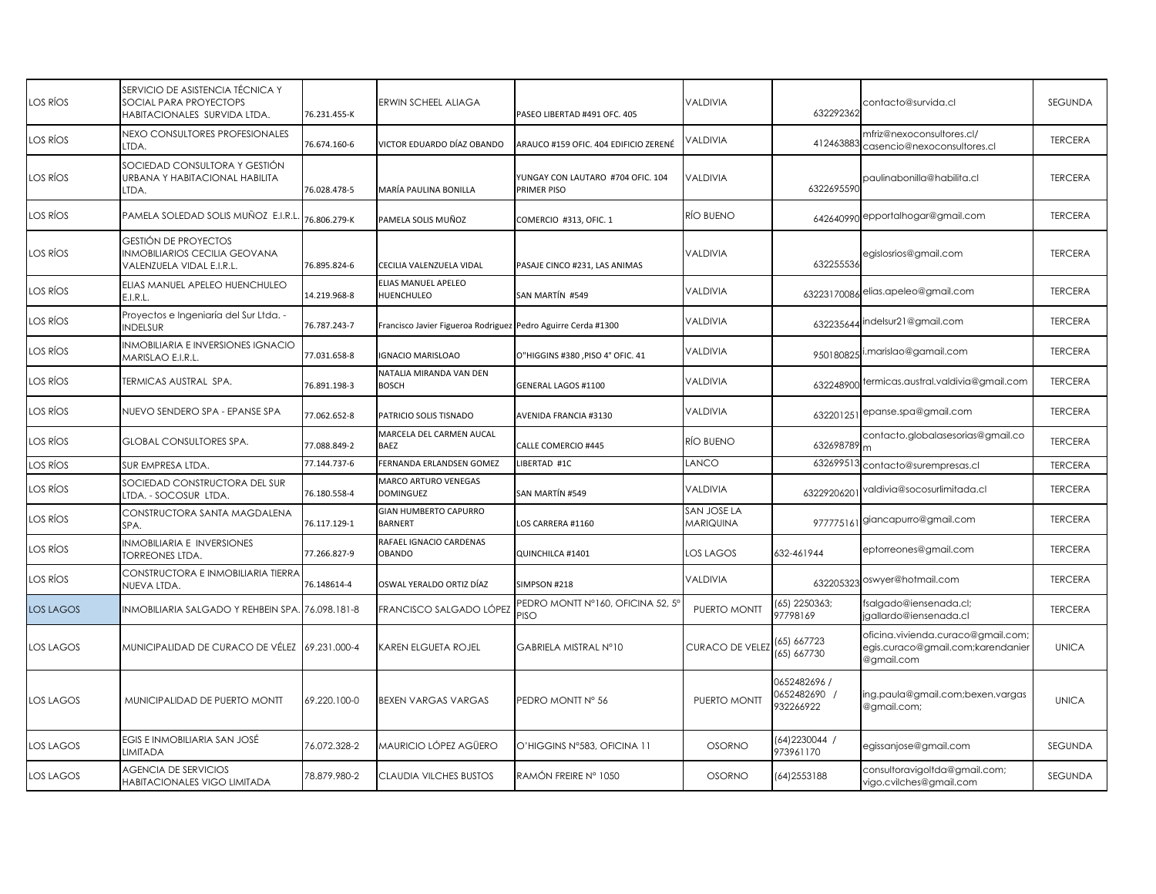| LOS RÍOS         | SERVICIO DE ASISTENCIA TÉCNICA Y<br>SOCIAL PARA PROYECTOPS<br>HABITACIONALES SURVIDA LTDA. | 76.231.455-K | ERWIN SCHEEL ALIAGA                                           | PASEO LIBERTAD #491 OFC. 405                            | VALDIVIA                 | 632292362                                | contacto@survida.cl                                                                   | SEGUNDA        |
|------------------|--------------------------------------------------------------------------------------------|--------------|---------------------------------------------------------------|---------------------------------------------------------|--------------------------|------------------------------------------|---------------------------------------------------------------------------------------|----------------|
| LOS RÍOS         | NEXO CONSULTORES PROFESIONALES<br>LTDA.                                                    | 76.674.160-6 | VICTOR EDUARDO DÍAZ OBANDO                                    | ARAUCO #159 OFIC. 404 EDIFICIO ZERENÉ                   | VALDIVIA                 | 412463883                                | mfriz@nexoconsultores.cl/<br>casencio@nexoconsultores.cl                              | <b>TERCERA</b> |
| LOS RÍOS         | SOCIEDAD CONSULTORA Y GESTIÓN<br>URBANA Y HABITACIONAL HABILITA<br>LTDA.                   | 76.028.478-5 | MARÍA PAULINA BONILLA                                         | YUNGAY CON LAUTARO #704 OFIC. 104<br><b>PRIMER PISO</b> | VALDIVIA                 | 6322695590                               | paulinabonilla@habilita.cl                                                            | <b>TERCERA</b> |
| LOS RÍOS         | PAMELA SOLEDAD SOLIS MUÑOZ E.I.R.L                                                         | 76.806.279-K | PAMELA SOLIS MUÑOZ                                            | COMERCIO #313, OFIC. 1                                  | RÍO BUENO                |                                          | 642640990 epportalhogar@gmail.com                                                     | <b>TERCERA</b> |
| LOS RÍOS         | GESTIÓN DE PROYECTOS<br>INMOBILIARIOS CECILIA GEOVANA<br>VALENZUELA VIDAL E.I.R.L.         | 76.895.824-6 | CECILIA VALENZUELA VIDAL                                      | PASAJE CINCO #231, LAS ANIMAS                           | VALDIVIA                 | 632255536                                | egislosrios@gmail.com                                                                 | <b>TERCERA</b> |
| LOS RÍOS         | ELIAS MANUEL APELEO HUENCHULEO<br>E.I.R.L.                                                 | 14.219.968-8 | ELIAS MANUEL APELEO<br>HUENCHULEO                             | SAN MARTÍN #549                                         | VALDIVIA                 | 63223170086                              | elias.apeleo@gmail.com                                                                | <b>TERCERA</b> |
| LOS RÍOS         | Proyectos e Ingeniaría del Sur Ltda. -<br><b>INDELSUR</b>                                  | 76.787.243-7 | Francisco Javier Figueroa Rodriguez Pedro Aguirre Cerda #1300 |                                                         | VALDIVIA                 | 632235644                                | ndelsur21@gmail.com                                                                   | <b>TERCERA</b> |
| LOS RÍOS         | <b>INMOBILIARIA E INVERSIONES IGNACIO</b><br>MARISLAO E.I.R.L.                             | 77.031.658-8 | <b>GNACIO MARISLOAO</b>                                       | O"HIGGINS #380, PISO 4° OFIC. 41                        | VALDIVIA                 |                                          | 950180825 i.marislao@gamail.com                                                       | <b>TERCERA</b> |
| LOS RÍOS         | TERMICAS AUSTRAL SPA.                                                                      | 76.891.198-3 | NATALIA MIRANDA VAN DEN<br><b>BOSCH</b>                       | GENERAL LAGOS #1100                                     | VALDIVIA                 | 632248900                                | termicas.austral.valdivia@gmail.com                                                   | <b>TERCERA</b> |
| LOS RÍOS         | NUEVO SENDERO SPA - EPANSE SPA                                                             | 77.062.652-8 | PATRICIO SOLIS TISNADO                                        | AVENIDA FRANCIA #3130                                   | VALDIVIA                 | 632201251                                | epanse.spa@gmail.com                                                                  | <b>TERCERA</b> |
| LOS RÍOS         | <b>GLOBAL CONSULTORES SPA.</b>                                                             | 77.088.849-2 | MARCELA DEL CARMEN AUCAL<br>BAEZ                              | CALLE COMERCIO #445                                     | RÍO BUENO                | 632698789                                | contacto.globalasesorias@gmail.co<br>m                                                | <b>TERCERA</b> |
| LOS RÍOS         | SUR EMPRESA LTDA.                                                                          | 77.144.737-6 | FERNANDA ERLANDSEN GOMEZ                                      | LIBERTAD #1C                                            | LANCO                    | 63269951                                 | contacto@surempresas.cl                                                               | <b>TERCERA</b> |
| LOS RÍOS         | SOCIEDAD CONSTRUCTORA DEL SUR<br>LTDA. - SOCOSUR LTDA.                                     | 76.180.558-4 | MARCO ARTURO VENEGAS<br>DOMINGUEZ                             | SAN MARTÍN #549                                         | VALDIVIA                 | 6322920620                               | /aldivia@socosurlimitada.cl                                                           | <b>TERCERA</b> |
| LOS RÍOS         | CONSTRUCTORA SANTA MAGDALENA<br>SPA.                                                       | 76.117.129-1 | <b>GIAN HUMBERTO CAPURRO</b><br><b>BARNERT</b>                | LOS CARRERA #1160                                       | SAN JOSE LA<br>MARIQUINA | 977775161                                | giancapurro@gmail.com                                                                 | <b>TERCERA</b> |
| LOS RÍOS         | INMOBILIARIA E INVERSIONES<br><b>TORREONES LTDA.</b>                                       | 77.266.827-9 | RAFAEL IGNACIO CARDENAS<br>OBANDO                             | QUINCHILCA #1401                                        | LOS LAGOS                | 632-461944                               | eptorreones@gmail.com                                                                 | <b>TERCERA</b> |
| LOS RÍOS         | CONSTRUCTORA E INMOBILIARIA TIERRA<br>NUEVA LTDA.                                          | 76.148614-4  | OSWAL YERALDO ORTIZ DÍAZ                                      | SIMPSON #218                                            | VALDIVIA                 |                                          | 632205323 oswyer@hotmail.com                                                          | <b>TERCERA</b> |
| <b>LOS LAGOS</b> | INMOBILIARIA SALGADO Y REHBEIN SPA.                                                        | 76.098.181-8 | FRANCISCO SALGADO LÓPEZ                                       | PEDRO MONTT Nº160, OFICINA 52, 5°<br>PISO               | PUERTO MONTT             | (65) 2250363;<br>97798169                | fsalgado@iensenada.cl;<br>igallardo@iensenada.cl                                      | <b>TERCERA</b> |
| <b>LOS LAGOS</b> | MUNICIPALIDAD DE CURACO DE VÉLEZ                                                           | 69.231.000-4 | <b>KAREN ELGUETA ROJEL</b>                                    | GABRIELA MISTRAL Nº10                                   | CURACO DE VELEZ          | (65) 667723<br>(65) 667730               | oficina.vivienda.curaco@gmail.com;<br>egis.curaco@gmail.com;karendanier<br>@gmail.com | <b>UNICA</b>   |
| <b>LOS LAGOS</b> | MUNICIPALIDAD DE PUERTO MONTT                                                              | 69.220.100-0 | BEXEN VARGAS VARGAS                                           | PEDRO MONTT N° 56                                       | PUERTO MONTT             | 0652482696/<br>0652482690 /<br>932266922 | ing.paula@gmail.com;bexen.vargas<br>@gmail.com;                                       | <b>UNICA</b>   |
| LOS LAGOS        | EGIS E INMOBILIARIA SAN JOSÉ<br>LIMITADA                                                   | 76.072.328-2 | MAURICIO LÓPEZ AGÜERO                                         | O'HIGGINS N°583, OFICINA 11                             | <b>OSORNO</b>            | $(64)$ 2230044 /<br>973961170            | egissanjose@gmail.com                                                                 | SEGUNDA        |
| <b>LOS LAGOS</b> | <b>AGENCIA DE SERVICIOS</b><br>HABITACIONALES VIGO LIMITADA                                | 78.879.980-2 | CLAUDIA VILCHES BUSTOS                                        | RAMÓN FREIRE Nº 1050                                    | <b>OSORNO</b>            | (64) 2553188                             | consultoravigoltda@gmail.com;<br>vigo.cvilches@gmail.com                              | SEGUNDA        |
|                  |                                                                                            |              |                                                               |                                                         |                          |                                          |                                                                                       |                |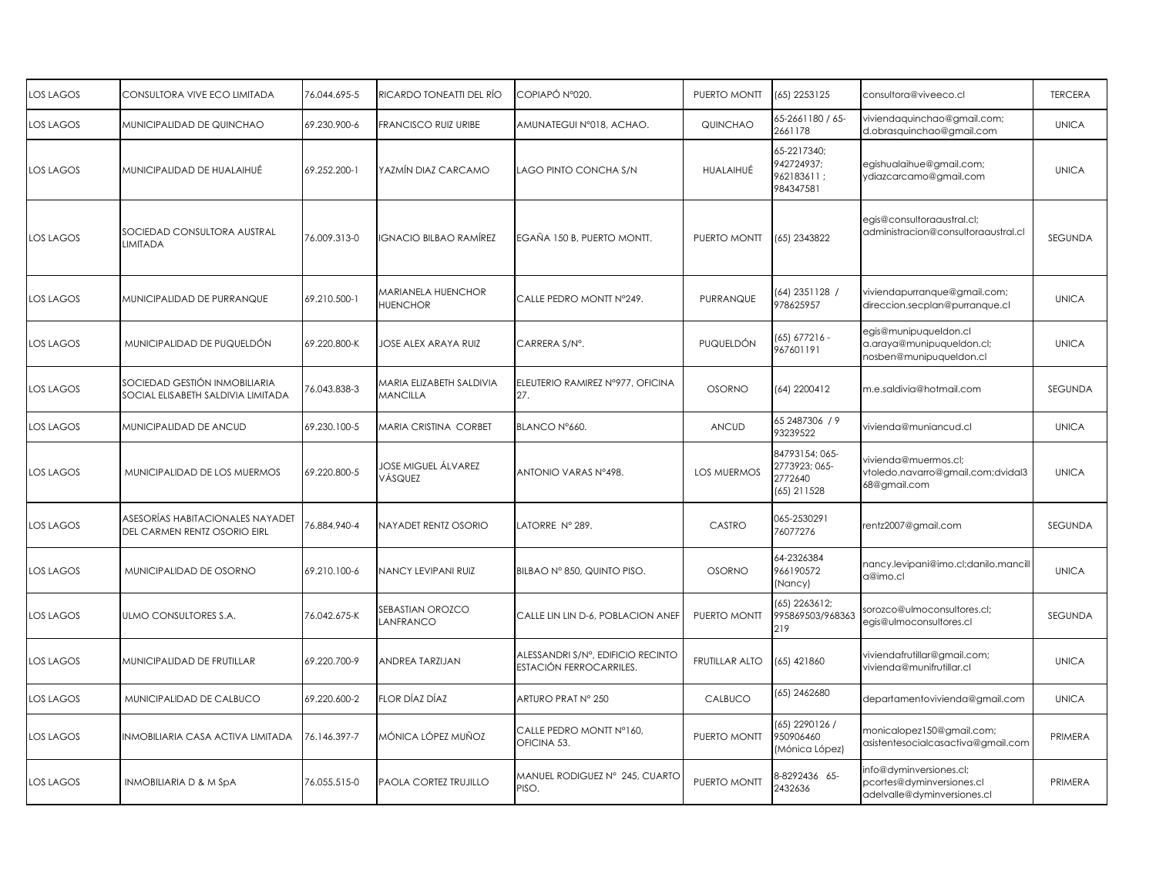| <b>LOS LAGOS</b> | CONSULTORA VIVE ECO LIMITADA                                        | 76.044.695-5 | RICARDO TONEATTI DEL RÍO                    | COPIAPÓ Nº020.                                               | PUERTO MONTT          | (65) 2253125                                              | consultora@viveeco.cl                                                               | <b>TERCERA</b> |
|------------------|---------------------------------------------------------------------|--------------|---------------------------------------------|--------------------------------------------------------------|-----------------------|-----------------------------------------------------------|-------------------------------------------------------------------------------------|----------------|
| LOS LAGOS        | MUNICIPALIDAD DE QUINCHAO                                           | 69.230.900-6 | FRANCISCO RUIZ URIBE                        | AMUNATEGUI Nº018, ACHAO.                                     | QUINCHAO              | 65-2661180 / 65-<br>2661178                               | viviendaquinchao@gmail.com;<br>d.obrasquinchao@gmail.com                            | <b>UNICA</b>   |
| <b>LOS LAGOS</b> | MUNICIPALIDAD DE HUALAIHUÉ                                          | 69.252.200-1 | YAZMÍN DIAZ CARCAMO                         | LAGO PINTO CONCHA S/N                                        | HUALAIHUÉ             | 65-2217340;<br>942724937;<br>962183611;<br>984347581      | egishualaihue@gmail.com;<br>ydiazcarcamo@gmail.com                                  | <b>UNICA</b>   |
| <b>LOS LAGOS</b> | SOCIEDAD CONSULTORA AUSTRAL<br>LIMITADA                             | 76.009.313-0 | IGNACIO BILBAO RAMÍREZ                      | EGAÑA 150 B, PUERTO MONTT.                                   | PUERTO MONTT          | (65) 2343822                                              | egis@consultoraaustral.cl;<br>administracion@consultoraaustral.cl                   | <b>SEGUNDA</b> |
| LOS LAGOS        | MUNICIPALIDAD DE PURRANQUE                                          | 69.210.500-1 | MARIANELA HUENCHOR<br><b>HUENCHOR</b>       | CALLE PEDRO MONTI N°249.                                     | PURRANQUE             | (64) 2351128 /<br>978625957                               | viviendapurranque@gmail.com;<br>direccion.secplan@purranque.cl                      | <b>UNICA</b>   |
| LOS LAGOS        | MUNICIPALIDAD DE PUQUELDÓN                                          | 69.220.800-K | JOSE ALEX ARAYA RUIZ                        | CARRERA S/N°.                                                | PUQUELDÓN             | (65) 677216 -<br>967601191                                | egis@munipuqueldon.cl<br>a.araya@munipuqueldon.cl;<br>nosben@munipuqueldon.cl       | <b>UNICA</b>   |
| LOS LAGOS        | SOCIEDAD GESTIÓN INMOBILIARIA<br>SOCIAL ELISABETH SALDIVIA LIMITADA | 76.043.838-3 | MARIA ELIZABETH SALDIVIA<br><b>MANCILLA</b> | ELEUTERIO RAMIREZ Nº977, OFICINA<br>27.                      | <b>OSORNO</b>         | (64) 2200412                                              | m.e.saldivia@hotmail.com                                                            | SEGUNDA        |
| LOS LAGOS        | MUNICIPALIDAD DE ANCUD                                              | 69.230.100-5 | MARIA CRISTINA CORBET                       | BLANCO N°660.                                                | <b>ANCUD</b>          | 65 2487306 / 9<br>93239522                                | vivienda@muniancud.cl                                                               | <b>UNICA</b>   |
| LOS LAGOS        | MUNICIPALIDAD DE LOS MUERMOS                                        | 69.220.800-5 | JOSE MIGUEL ÁLVAREZ<br>VÁSQUEZ              | ANTONIO VARAS N°498.                                         | LOS MUERMOS           | 84793154; 065-<br>2773923; 065-<br>2772640<br>(65) 211528 | vivienda@muermos.cl;<br>vtoledo.navarro@gmail.com;dvidal3<br>68@gmail.com           | <b>UNICA</b>   |
| <b>LOS LAGOS</b> | ASESORÍAS HABITACIONALES NAYADET<br>DEL CARMEN RENTZ OSORIO EIRL    | 76.884.940-4 | NAYADET RENTZ OSORIO                        | LATORRE Nº 289.                                              | CASTRO                | 065-2530291<br>76077276                                   | rentz2007@gmail.com                                                                 | <b>SEGUNDA</b> |
| LOS LAGOS        | MUNICIPALIDAD DE OSORNO                                             | 69.210.100-6 | NANCY LEVIPANI RUIZ                         | BILBAO Nº 850, QUINTO PISO.                                  | <b>OSORNO</b>         | 64-2326384<br>966190572<br>(Nancy)                        | nancy.levipani@imo.cl;danilo.mancill<br>a@imo.cl                                    | <b>UNICA</b>   |
| LOS LAGOS        | ULMO CONSULTORES S.A.                                               | 76.042.675-K | SEBASTIAN OROZCO<br><b>ANFRANCO</b>         | CALLE LIN LIN D-6, POBLACION ANEF                            | PUERTO MONTT          | (65) 2263612;<br>995869503/968363<br>219                  | sorozco@ulmoconsultores.cl;<br>egis@ulmoconsultores.cl                              | SEGUNDA        |
| LOS LAGOS        | MUNICIPALIDAD DE FRUTILLAR                                          | 69.220.700-9 | ANDREA TARZIJAN                             | ALESSANDRI S/N°, EDIFICIO RECINTO<br>ESTACIÓN FERROCARRILES. | <b>FRUTILLAR ALTO</b> | (65) 421860                                               | viviendafrutillar@gmail.com;<br>vivienda@munifrutillar.cl                           | <b>UNICA</b>   |
| LOS LAGOS        | MUNICIPALIDAD DE CALBUCO                                            | 69.220.600-2 | FLOR DÍAZ DÍAZ                              | ARTURO PRAT Nº 250                                           | CALBUCO               | (65) 2462680                                              | departamentovivienda@gmail.com                                                      | <b>UNICA</b>   |
| LOS LAGOS        | INMOBILIARIA CASA ACTIVA LIMITADA                                   | 76.146.397-7 | MÓNICA LÓPEZ MUÑOZ                          | CALLE PEDRO MONTT N°160,<br>OFICINA 53.                      | PUERTO MONTT          | (65) 2290126 /<br>950906460<br>(Mónica López)             | monicalopez150@gmail.com;<br>asistentesocialcasactiva@gmail.com                     | PRIMERA        |
| <b>LOS LAGOS</b> | <b>INMOBILIARIA D &amp; M SpA</b>                                   | 76.055.515-0 | PAOLA CORTEZ TRUJILLO                       | MANUEL RODIGUEZ N° 245, CUARTO<br>PISO.                      | PUERTO MONTT          | 8-8292436 65-<br>2432636                                  | info@dyminversiones.cl;<br>pcortes@dyminversiones.cl<br>adelvalle@dyminversiones.cl | PRIMERA        |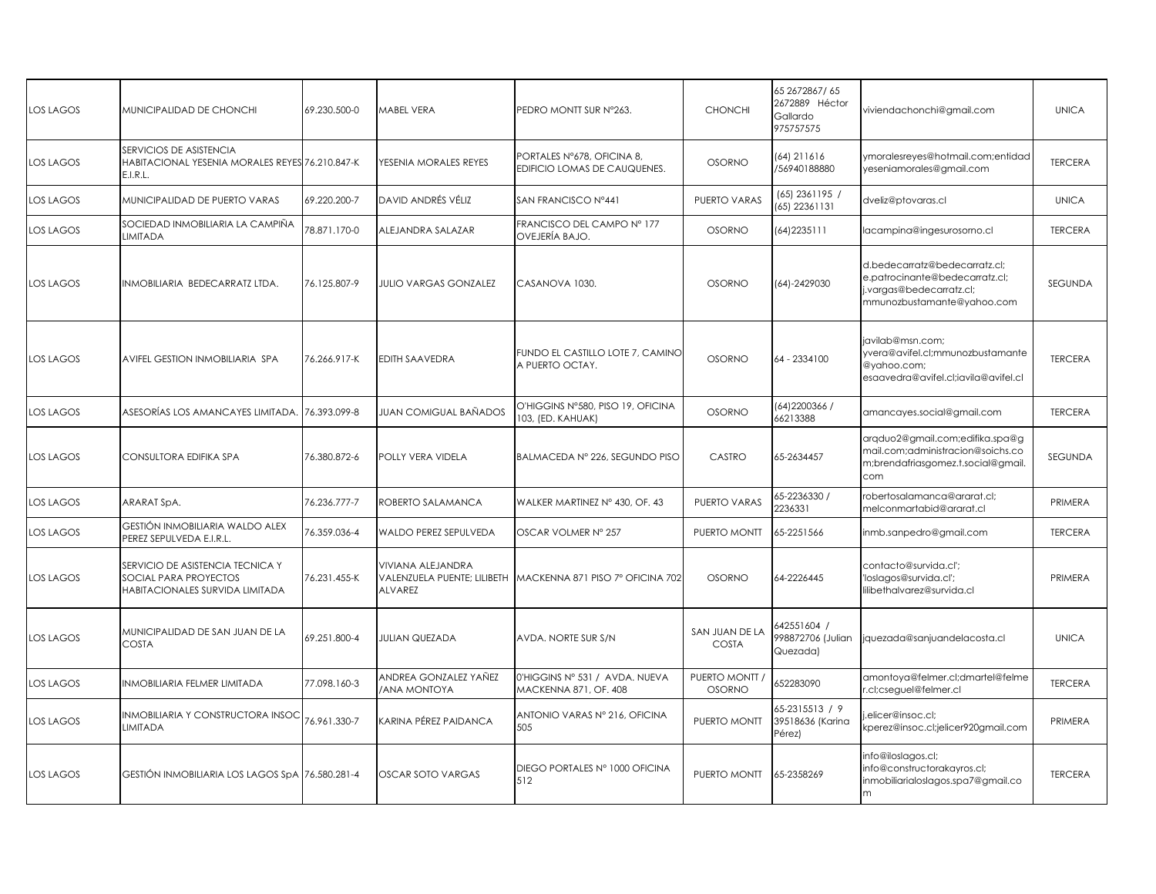| <b>LOS LAGOS</b> | MUNICIPALIDAD DE CHONCHI                                                                     | 69.230.500-0 | <b>MABEL VERA</b>                                                  | PEDRO MONTT SUR N°263.                                     | <b>CHONCHI</b>                | 65 267 2867/65<br>2672889 Héctor<br>Gallardo<br>975757575 | viviendachonchi@gmail.com                                                                                                 | <b>UNICA</b>   |
|------------------|----------------------------------------------------------------------------------------------|--------------|--------------------------------------------------------------------|------------------------------------------------------------|-------------------------------|-----------------------------------------------------------|---------------------------------------------------------------------------------------------------------------------------|----------------|
| <b>LOS LAGOS</b> | SERVICIOS DE ASISTENCIA<br>HABITACIONAL YESENIA MORALES REYES 76.210.847-K<br>E.I.R.L.       |              | YESENIA MORALES REYES                                              | PORTALES N°678, OFICINA 8,<br>EDIFICIO LOMAS DE CAUQUENES. | <b>OSORNO</b>                 | (64) 211616<br>/56940188880                               | ymoralesreyes@hotmail.com;entidad<br>yeseniamorales@gmail.com                                                             | <b>TERCERA</b> |
| <b>LOS LAGOS</b> | MUNICIPALIDAD DE PUERTO VARAS                                                                | 69.220.200-7 | DAVID ANDRÉS VÉLIZ                                                 | SAN FRANCISCO Nº441                                        | PUERTO VARAS                  | $(65)$ 2361195 /<br>(65) 22361131                         | dveliz@ptovaras.cl                                                                                                        | <b>UNICA</b>   |
| <b>LOS LAGOS</b> | SOCIEDAD INMOBILIARIA LA CAMPIÑA<br>LIMITADA                                                 | 78.871.170-0 | ALEJANDRA SALAZAR                                                  | FRANCISCO DEL CAMPO Nº 177<br>OVEJERÍA BAJO.               | <b>OSORNO</b>                 | (64) 2235 111                                             | lacampina@ingesurosorno.cl                                                                                                | <b>TERCERA</b> |
| <b>LOS LAGOS</b> | INMOBILIARIA BEDECARRATZ LTDA.                                                               | 76.125.807-9 | <b>JULIO VARGAS GONZALEZ</b>                                       | CASANOVA 1030.                                             | <b>OSORNO</b>                 | (64)-2429030                                              | d.bedecarratz@bedecarratz.cl;<br>e.patrocinante@bedecarratz.cl;<br>j.vargas@bedecarratz.cl;<br>mmunozbustamante@yahoo.com | SEGUNDA        |
| <b>LOS LAGOS</b> | AVIFEL GESTION INMOBILIARIA SPA                                                              | 76.266.917-K | EDITH SAAVEDRA                                                     | FUNDO EL CASTILLO LOTE 7, CAMINO<br>A PUERTO OCTAY.        | <b>OSORNO</b>                 | 64 - 2334100                                              | javilab@msn.com;<br>yvera@avifel.cl;mmunozbustamante<br>@yahoo.com;<br>esaavedra@avifel.cl;iavila@avifel.cl               | <b>TERCERA</b> |
| LOS LAGOS        | ASESORÍAS LOS AMANCAYES LIMITADA.                                                            | 6.393.099-8  | JUAN COMIGUAL BAÑADOS                                              | O'HIGGINS N°580, PISO 19, OFICINA<br>103, (ED. KAHUAK)     | <b>OSORNO</b>                 | (64) 2200366 /<br>66213388                                | amancayes.social@gmail.com                                                                                                | <b>TERCERA</b> |
| <b>LOS LAGOS</b> | CONSULTORA EDIFIKA SPA                                                                       | 76.380.872-6 | <b>POLLY VERA VIDELA</b>                                           | BALMACEDA Nº 226, SEGUNDO PISO                             | CASTRO                        | 65-2634457                                                | arqduo2@gmail.com;edifika.spa@g<br>mail.com;administracion@soichs.co<br>m;brendafriasgomez.t.social@gmail.<br>com         | SEGUNDA        |
| LOS LAGOS        | ARARAT SpA.                                                                                  | 76.236.777-7 | ROBERTO SALAMANCA                                                  | WALKER MARTINEZ Nº 430, OF. 43                             | PUERTO VARAS                  | 65-2236330 /<br>2236331                                   | obertosalamanca@ararat.cl;<br>melconmartabid@ararat.cl                                                                    | PRIMERA        |
| <b>LOS LAGOS</b> | GESTIÓN INMOBILIARIA WALDO ALEX<br>PEREZ SEPULVEDA E.I.R.L.                                  | 76.359.036-4 | WALDO PEREZ SEPULVEDA                                              | OSCAR VOLMER Nº 257                                        | PUERTO MONTT                  | 65-2251566                                                | inmb.sanpedro@gmail.com                                                                                                   | <b>TERCERA</b> |
| <b>LOS LAGOS</b> | SERVICIO DE ASISTENCIA TECNICA Y<br>SOCIAL PARA PROYECTOS<br>HABITACIONALES SURVIDA LIMITADA | 76.231.455-K | VIVIANA ALEJANDRA<br>VALENZUELA PUENTE; LILIBETH<br><b>ALVAREZ</b> | MACKENNA 871 PISO 7º OFICINA 702                           | <b>OSORNO</b>                 | 64-2226445                                                | contacto@survida.cl';<br>'loslagos@survida.cl';<br>lilibethalvarez@survida.cl                                             | PRIMERA        |
| <b>LOS LAGOS</b> | MUNICIPALIDAD DE SAN JUAN DE LA<br><b>COSTA</b>                                              | 69.251.800-4 | JULIAN QUEZADA                                                     | AVDA. NORTE SUR S/N                                        | SAN JUAN DE LA<br>COSTA       | 642551604 /<br>998872706 (Julian<br>Quezada)              | iquezada@sanjuandelacosta.cl                                                                                              | <b>UNICA</b>   |
| LOS LAGOS        | INMOBILIARIA FELMER LIMITADA                                                                 | 77.098.160-3 | ANDREA GONZALEZ YAÑEZ<br><b>ANA MONTOYA</b>                        | 0'HIGGINS Nº 531 / AVDA. NUEVA<br>MACKENNA 871, OF. 408    | PUERTO MONTT<br><b>OSORNO</b> | 552283090                                                 | amontoya@felmer.cl;dmartel@felme<br>.cl;cseguel@felmer.cl                                                                 | <b>TERCERA</b> |
| LOS LAGOS        | <b>INMOBILIARIA Y CONSTRUCTORA INSOC</b><br>LIMITADA                                         | 76.961.330-7 | KARINA PÉREZ PAIDANCA                                              | ANTONIO VARAS Nº 216, OFICINA<br>505                       | PUERTO MONTT                  | 55-2315513 / 9<br>39518636 (Karina<br>Pérez)              | .elicer@insoc.cl;<br><perez@insoc.cl;jelicer920gmail.com< td=""><td>PRIMERA</td></perez@insoc.cl;jelicer920gmail.com<>    | PRIMERA        |
| <b>LOS LAGOS</b> | GESTIÓN INMOBILIARIA LOS LAGOS SpA 76.580.281-4                                              |              | <b>OSCAR SOTO VARGAS</b>                                           | DIEGO PORTALES Nº 1000 OFICINA<br>512                      | PUERTO MONTT                  | 65-2358269                                                | info@iloslagos.cl;<br>info@constructorakayros.cl;<br>inmobiliarialoslagos.spa7@gmail.co<br>m                              | <b>TERCERA</b> |
|                  |                                                                                              |              |                                                                    |                                                            |                               |                                                           |                                                                                                                           |                |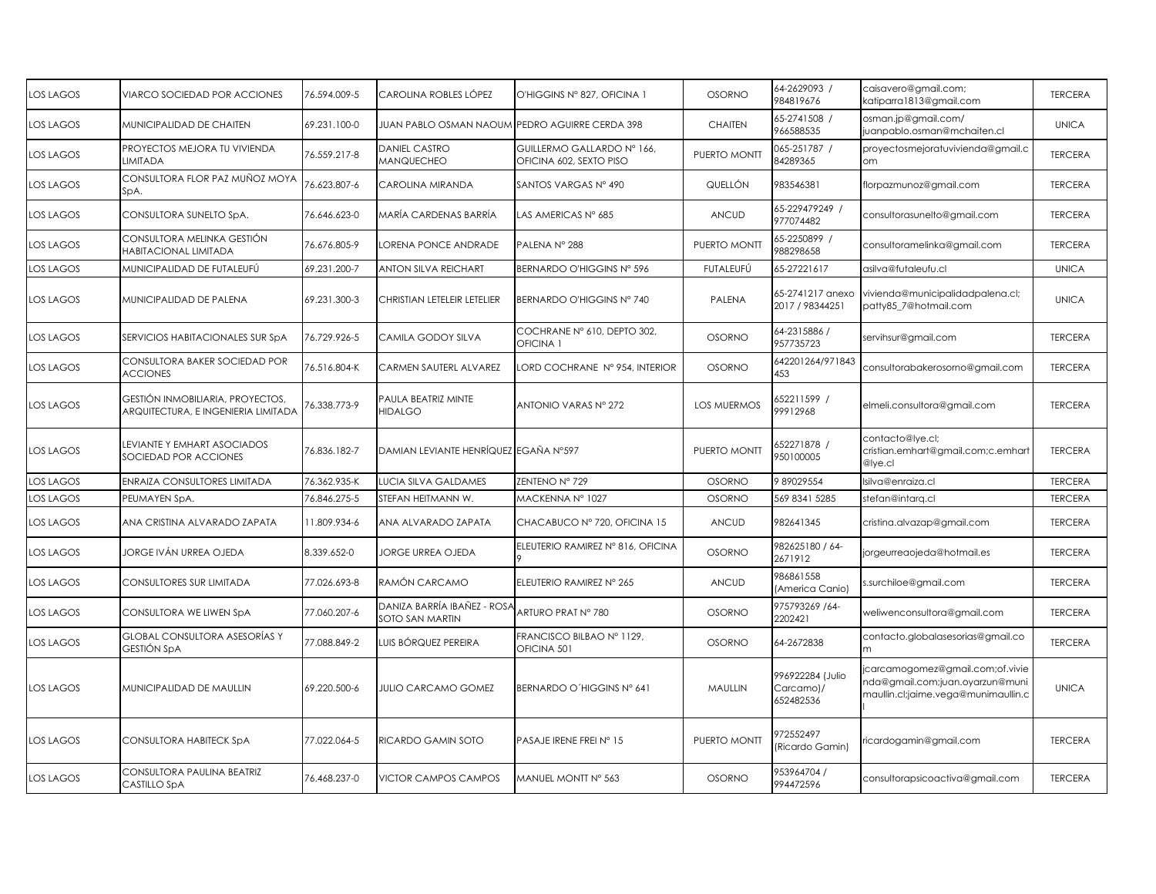| OS LAGOS         | VIARCO SOCIEDAD POR ACCIONES                                            | 76.594.009-5 | CAROLINA ROBLES LÓPEZ                          | O'HIGGINS Nº 827, OFICINA 1                           | <b>OSORNO</b>      | 64-2629093 /<br>984819676                  | caisavero@gmail.com;<br>katiparra1813@gmail.com                                                            | <b>TERCERA</b> |
|------------------|-------------------------------------------------------------------------|--------------|------------------------------------------------|-------------------------------------------------------|--------------------|--------------------------------------------|------------------------------------------------------------------------------------------------------------|----------------|
| OS LAGOS         | MUNICIPALIDAD DE CHAITEN                                                | 69.231.100-0 | JUAN PABLO OSMAN NAOUM PEDRO AGUIRRE CERDA 398 |                                                       | <b>CHAITEN</b>     | 65-2741508 /<br>966588535                  | osman.jp@gmail.com/<br>juanpablo.osman@mchaiten.cl                                                         | <b>UNICA</b>   |
| OS LAGOS         | PROYECTOS MEJORA TU VIVIENDA<br>LIMITADA                                | 76.559.217-8 | <b>DANIEL CASTRO</b><br><b>MANQUECHEO</b>      | GUILLERMO GALLARDO Nº 166,<br>OFICINA 602, SEXTO PISO | PUERTO MONTT       | 065-251787 /<br>84289365                   | proyectosmejoratuvivienda@gmail.c<br>om                                                                    | <b>TERCERA</b> |
| LOS LAGOS        | CONSULTORA FLOR PAZ MUÑOZ MOYA<br>SpA.                                  | 76.623.807-6 | CAROLINA MIRANDA                               | SANTOS VARGAS Nº 490                                  | QUELLÓN            | 983546381                                  | florpazmunoz@gmail.com                                                                                     | <b>TERCERA</b> |
| LOS LAGOS        | CONSULTORA SUNELTO SpA.                                                 | 76.646.623-0 | MARÍA CARDENAS BARRÍA                          | LAS AMERICAS Nº 685                                   | <b>ANCUD</b>       | 65-229479249 /<br>977074482                | consultorasunelto@gmail.com                                                                                | <b>TERCERA</b> |
| OS LAGOS         | CONSULTORA MELINKA GESTIÓN<br>HABITACIONAL LIMITADA                     | 76.676.805-9 | ORENA PONCE ANDRADE                            | PALENA Nº 288                                         | PUERTO MONTT       | 65-2250899 /<br>988298658                  | consultoramelinka@gmail.com                                                                                | <b>TERCERA</b> |
| OS LAGOS         | MUNICIPALIDAD DE FUTALEUFÚ                                              | 69.231.200-7 | ANTON SILVA REICHART                           | BERNARDO O'HIGGINS Nº 596                             | FUTALEUFÚ          | 65-27221617                                | asilva@futaleufu.cl                                                                                        | <b>UNICA</b>   |
| LOS LAGOS        | MUNICIPALIDAD DE PALENA                                                 | 69.231.300-3 | CHRISTIAN LETELEIR LETELIER                    | BERNARDO O'HIGGINS Nº 740                             | PALENA             | 65-2741217 anexo<br>2017 / 98344251        | vivienda@municipalidadpalena.cl;<br>patty85_7@hotmail.com                                                  | <b>UNICA</b>   |
| OS LAGOS         | SERVICIOS HABITACIONALES SUR SpA                                        | 76.729.926-5 | CAMILA GODOY SILVA                             | COCHRANE Nº 610, DEPTO 302,<br>OFICINA 1              | <b>OSORNO</b>      | 64-2315886 /<br>957735723                  | servihsur@gmail.com                                                                                        | <b>TERCERA</b> |
| LOS LAGOS        | CONSULTORA BAKER SOCIEDAD POR<br><b>ACCIONES</b>                        | 76.516.804-K | CARMEN SAUTERL ALVAREZ                         | LORD COCHRANE Nº 954, INTERIOR                        | <b>OSORNO</b>      | 642201264/971843<br>453                    | consultorabakerosorno@gmail.com                                                                            | <b>TERCERA</b> |
| OS LAGOS         | GESTIÓN INMOBILIARIA, PROYECTOS,<br>ARQUITECTURA, E INGENIERIA LIMITADA | 6.338.773-9  | <b>AULA BEATRIZ MINTE</b><br><b>HIDALGO</b>    | ANTONIO VARAS Nº 272                                  | <b>LOS MUERMOS</b> | 652211599 /<br>99912968                    | elmeli.consultora@gmail.com                                                                                | <b>TERCERA</b> |
| OS LAGOS         | LEVIANTE Y EMHART ASOCIADOS<br>SOCIEDAD POR ACCIONES                    | 76.836.182-7 | DAMIAN LEVIANTE HENRÍQUEZ EGAÑA Nº597          |                                                       | PUERTO MONTT       | 652271878 /<br>950100005                   | contacto@lye.cl;<br>cristian.emhart@gmail.com;c.emhart<br>@lve.cl                                          | <b>TERCERA</b> |
| OS LAGOS         | ENRAIZA CONSULTORES LIMITADA                                            | 76.362.935-K | <b>UCIA SILVA GALDAMES</b>                     | ZENTENO Nº 729                                        | <b>OSORNO</b>      | 989029554                                  | silva@enraiza.cl                                                                                           | <b>TERCERA</b> |
| OS LAGOS         | PEUMAYEN SpA.                                                           | 76.846.275-5 | STEFAN HEITMANN W.                             | MACKENNA Nº 1027                                      | <b>OSORNO</b>      | 569 8341 5285                              | tefan@intarq.cl                                                                                            | <b>TERCERA</b> |
| OS LAGOS         | ANA CRISTINA ALVARADO ZAPATA                                            | 11.809.934-6 | ANA ALVARADO ZAPATA                            | CHACABUCO Nº 720, OFICINA 15                          | <b>ANCUD</b>       | 982641345                                  | cristina.alvazap@gmail.com                                                                                 | <b>TERCERA</b> |
| OS LAGOS         | JORGE IVÁN URREA OJEDA                                                  | 8.339.652-0  | <b>IORGE URREA OJEDA</b>                       | ELEUTERIO RAMIREZ Nº 816, OFICINA                     | <b>OSORNO</b>      | 982625180 / 64-<br>2671912                 | jorgeurreaojeda@hotmail.es                                                                                 | <b>TERCERA</b> |
| LOS LAGOS        | CONSULTORES SUR LIMITADA                                                | 77.026.693-8 | RAMÓN CARCAMO                                  | ELEUTERIO RAMIREZ Nº 265                              | <b>ANCUD</b>       | 986861558<br>(America Canio)               | s.surchiloe@gmail.com                                                                                      | <b>TERCERA</b> |
| LOS LAGOS        | CONSULTORA WE LIWEN SpA                                                 | 77.060.207-6 | DANIZA BARRÍA IBAÑEZ - ROSA<br>SOTO SAN MARTIN | ARTURO PRAT Nº 780                                    | <b>OSORNO</b>      | 975793269 /64-<br>2202421                  | weliwenconsultora@gmail.com                                                                                | <b>TERCERA</b> |
| OS LAGOS         | GLOBAL CONSULTORA ASESORÍAS Y<br>GESTIÓN SpA                            | 77.088.849-2 | LUIS BÓRQUEZ PEREIRA                           | FRANCISCO BILBAO Nº 1129,<br>OFICINA 501              | <b>OSORNO</b>      | 64-2672838                                 | contacto.globalasesorias@gmail.co<br>m.                                                                    | <b>TERCERA</b> |
| <b>LOS LAGOS</b> | MUNICIPALIDAD DE MAULLIN                                                | 69.220.500-6 | <b>JULIO CARCAMO GOMEZ</b>                     | BERNARDO O'HIGGINS Nº 641                             | <b>MAULLIN</b>     | 996922284 (Julio<br>Carcamo)/<br>652482536 | jcarcamogomez@gmail.com;of.vivie<br>nda@gmail.com;juan.oyarzun@muni<br>maullin.cl;jaime.vega@munimaullin.c | <b>UNICA</b>   |
| LOS LAGOS        | CONSULTORA HABITECK SpA                                                 | 77.022.064-5 | RICARDO GAMIN SOTO                             | PASAJE IRENE FREI Nº 15                               | PUERTO MONTT       | 972552497<br>(Ricardo Gamin)               | ricardogamin@gmail.com                                                                                     | <b>TERCERA</b> |
| <b>LOS LAGOS</b> | CONSULTORA PAULINA BEATRIZ<br>CASTILLO SpA                              | 76.468.237-0 | VICTOR CAMPOS CAMPOS                           | MANUEL MONTT Nº 563                                   | <b>OSORNO</b>      | 953964704 /<br>994472596                   | consultorapsicoactiva@gmail.com                                                                            | <b>TERCERA</b> |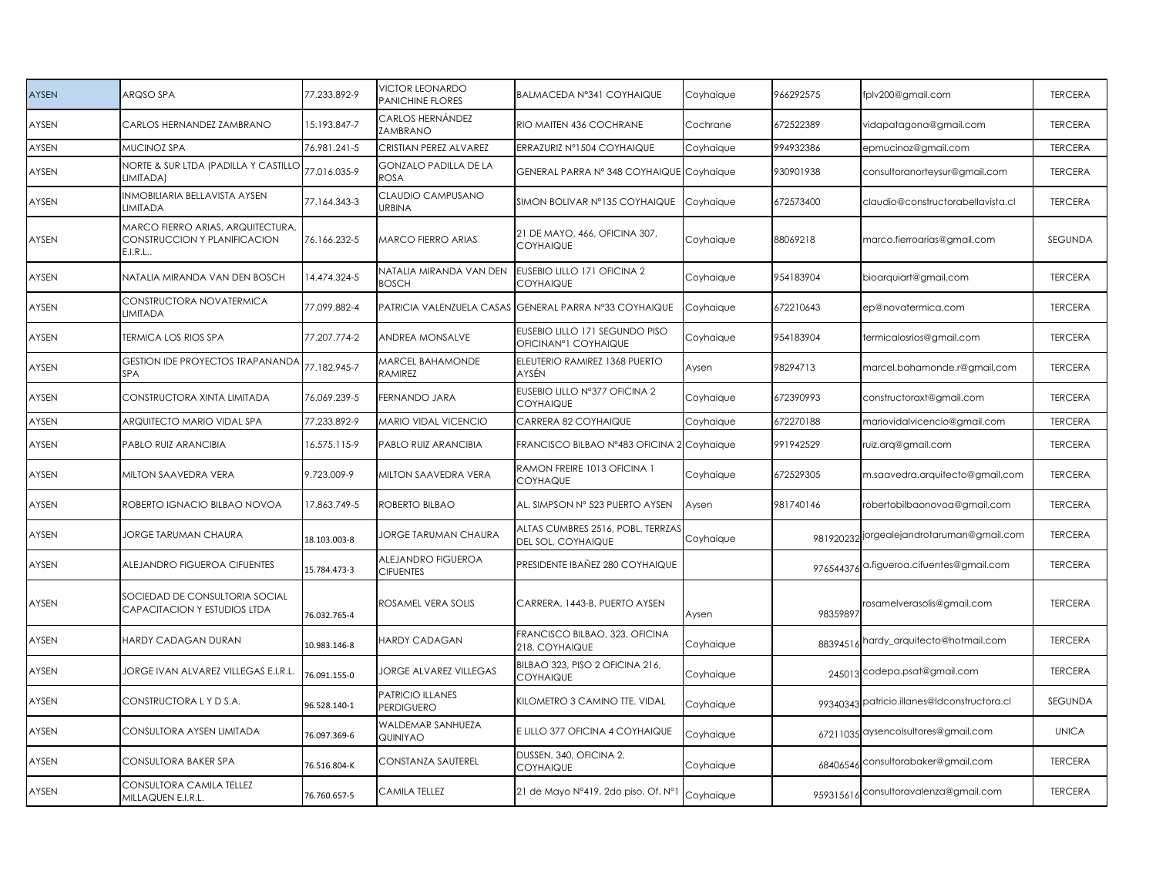| <b>AYSEN</b> | ARQSO SPA                                                                    | 77.233.892-9 | <b>VICTOR LEONARDO</b><br><b>PANICHINE FLORES</b> | BALMACEDA Nº341 COYHAIQUE                                      | Coyhaique | 966292575 | fplv200@gmail.com                           | <b>TERCERA</b> |
|--------------|------------------------------------------------------------------------------|--------------|---------------------------------------------------|----------------------------------------------------------------|-----------|-----------|---------------------------------------------|----------------|
| AYSEN        | CARLOS HERNANDEZ ZAMBRANO                                                    | 15.193.847-7 | CARLOS HERNÁNDEZ<br>ZAMBRANO                      | RIO MAITEN 436 COCHRANE                                        | Cochrane  | 672522389 | vidapatagona@gmail.com                      | <b>TERCERA</b> |
| AYSEN        | MUCINOZ SPA                                                                  | 76.981.241-5 | CRISTIAN PEREZ ALVAREZ                            | ERRAZURIZ Nº1504 COYHAIQUE                                     | Coyhaique | 994932386 | epmucinoz@gmail.com                         | <b>TERCERA</b> |
| <b>AYSEN</b> | NORTE & SUR LTDA (PADILLA Y CASTILLO<br>LIMITADA)                            | 77.016.035-9 | <b>GONZALO PADILLA DE LA</b><br><b>ROSA</b>       | GENERAL PARRA Nº 348 COYHAIQUE                                 | Coyhaique | 930901938 | consultoranorteysur@gmail.com               | <b>TERCERA</b> |
| AYSEN        | INMOBILIARIA BELLAVISTA AYSEN<br>LIMITADA                                    | 77.164.343-3 | CLAUDIO CAMPUSANO<br>URBINA                       | SIMON BOLIVAR Nº135 COYHAIQUE                                  | Coyhaique | 672573400 | claudio@constructorabellavista.cl           | <b>TERCERA</b> |
| AYSEN        | MARCO FIERRO ARIAS, ARQUITECTURA,<br>CONSTRUCCION Y PLANIFICACION<br>E.I.R.L | 76.166.232-5 | MARCO FIERRO ARIAS                                | 21 DE MAYO, 466, OFICINA 307,<br><b>COYHAIQUE</b>              | Coyhaique | 88069218  | marco.fierroarias@gmail.com                 | SEGUNDA        |
| AYSEN        | NATALIA MIRANDA VAN DEN BOSCH                                                | 14.474.324-5 | NATALIA MIRANDA VAN DEN<br><b>BOSCH</b>           | EUSEBIO LILLO 171 OFICINA 2<br><b>COYHAIQUE</b>                | Coyhaique | 954183904 | bioarquiart@gmail.com                       | <b>TERCERA</b> |
| AYSEN        | CONSTRUCTORA NOVATERMICA<br>LIMITADA                                         | 77.099.882-4 |                                                   | PATRICIA VALENZUELA CASAS GENERAL PARRA Nº33 COYHAIQUE         | Coyhaique | 672210643 | ep@novatermica.com                          | <b>TERCERA</b> |
| AYSEN        | <b>TERMICA LOS RIOS SPA</b>                                                  | 77.207.774-2 | ANDREA MONSALVE                                   | EUSEBIO LILLO 171 SEGUNDO PISO<br>OFICINANº1 COYHAIQUE         | Coyhaique | 954183904 | termicalosrios@gmail.com                    | <b>TERCERA</b> |
| AYSEN        | <b>GESTION IDE PROYECTOS TRAPANANDA</b><br><b>SPA</b>                        | 77.182.945-7 | MARCEL BAHAMONDE<br><b>RAMIREZ</b>                | ELEUTERIO RAMIREZ 1368 PUERTO<br>AYSÉN                         | Aysen     | 98294713  | marcel.bahamonde.r@gmail.com                | <b>TERCERA</b> |
| AYSEN        | CONSTRUCTORA XINTA LIMITADA                                                  | 76.069.239-5 | FERNANDO JARA                                     | EUSEBIO LILLO Nº377 OFICINA 2<br><b>COYHAIQUE</b>              | Coyhaique | 672390993 | constructoraxt@gmail.com                    | <b>TERCERA</b> |
| AYSEN        | ARQUITECTO MARIO VIDAL SPA                                                   | 77.233.892-9 | <b>MARIO VIDAL VICENCIO</b>                       | CARRERA 82 COYHAIQUE                                           | Coyhaique | 672270188 | mariovidalvicencio@gmail.com                | <b>TERCERA</b> |
| AYSEN        | PABLO RUIZ ARANCIBIA                                                         | 16.575.115-9 | PABLO RUIZ ARANCIBIA                              | FRANCISCO BILBAO Nº483 OFICINA 2                               | Coyhaique | 991942529 | ruiz.arg@gmail.com                          | <b>TERCERA</b> |
| AYSEN        | MILTON SAAVEDRA VERA                                                         | 9.723.009-9  | MILTON SAAVEDRA VERA                              | RAMON FREIRE 1013 OFICINA 1<br><b>COYHAQUE</b>                 | Coyhaique | 672529305 | m.saavedra.arquitecto@gmail.com             | <b>TERCERA</b> |
| AYSEN        | ROBERTO IGNACIO BILBAO NOVOA                                                 | 17.863.749-5 | ROBERTO BILBAO                                    | AL. SIMPSON Nº 523 PUERTO AYSEN                                | Aysen     | 981740146 | robertobilbaonovoa@gmail.com                | <b>TERCERA</b> |
| AYSEN        | JORGE TARUMAN CHAURA                                                         | 18.103.003-8 | <b>JORGE TARUMAN CHAURA</b>                       | ALTAS CUMBRES 2516, POBL. TERRZAS<br><b>DEL SOL, COYHAIQUE</b> | Coyhaique |           | 981920232 jorgealejandrotaruman@gmail.com   | <b>TERCERA</b> |
| AYSEN        | ALEJANDRO FIGUEROA CIFUENTES                                                 | 15.784.473-3 | ALEJANDRO FIGUEROA<br><b>CIFUENTES</b>            | PRESIDENTE IBAÑEZ 280 COYHAIQUE                                |           |           | 976544376 a.figueroa.cifuentes@gmail.com    | <b>TERCERA</b> |
| AYSEN        | SOCIEDAD DE CONSULTORIA SOCIAL<br>CAPACITACION Y ESTUDIOS LTDA               | 76.032.765-4 | ROSAMEL VERA SOLIS                                | CARRERA, 1443-B, PUERTO AYSEN                                  | Aysen     | 98359897  | rosamelverasolis@gmail.com                  | <b>TERCERA</b> |
| AYSEN        | HARDY CADAGAN DURAN                                                          | 10.983.146-8 | <b>HARDY CADAGAN</b>                              | FRANCISCO BILBAO, 323, OFICINA<br>218, COYHAIQUE               | Coyhaique |           | 88394516 hardy_arquitecto@hotmail.com       | <b>TERCERA</b> |
| AYSEN        | JORGE IVAN ALVAREZ VILLEGAS E.I.R.L.                                         | 76.091.155-0 | <b>JORGE ALVAREZ VILLEGAS</b>                     | BILBAO 323, PISO 2 OFICINA 216,<br><b>COYHAIQUE</b>            | Coyhaique |           | 245013 codepa.psat@gmail.com                | <b>TERCERA</b> |
| AYSEN        | CONSTRUCTORA L Y D S.A.                                                      | 96.528.140-1 | PATRICIO ILLANES<br>PERDIGUERO                    | KILOMETRO 3 CAMINO TTE. VIDAL                                  | Coyhaique |           | 99340343 patricio.illanes@ldconstructora.cl | SEGUNDA        |
| AYSEN        | CONSULTORA AYSEN LIMITADA                                                    | 76.097.369-6 | WALDEMAR SANHUEZA<br>QUINIYAO                     | E LILLO 377 OFICINA 4 COYHAIQUE                                | Coyhaique |           | 67211035 aysencolsultores@gmail.com         | <b>UNICA</b>   |
| AYSEN        | CONSULTORA BAKER SPA                                                         | 76.516.804-K | CONSTANZA SAUTEREL                                | DUSSEN, 340, OFICINA 2,<br><b>COYHAIQUE</b>                    | Coyhaique | 68406546  | consultorabaker@gmail.com                   | <b>TERCERA</b> |
| AYSEN        | CONSULTORA CAMILA TELLEZ<br>MILLAQUEN E.I.R.L.                               | 76.760.657-5 | CAMILA TELLEZ                                     | 21 de Mayo Nº419, 2do piso, Of. Nº1                            | Coyhaique | 959315616 | consultoravalenza@gmail.com                 | <b>TERCERA</b> |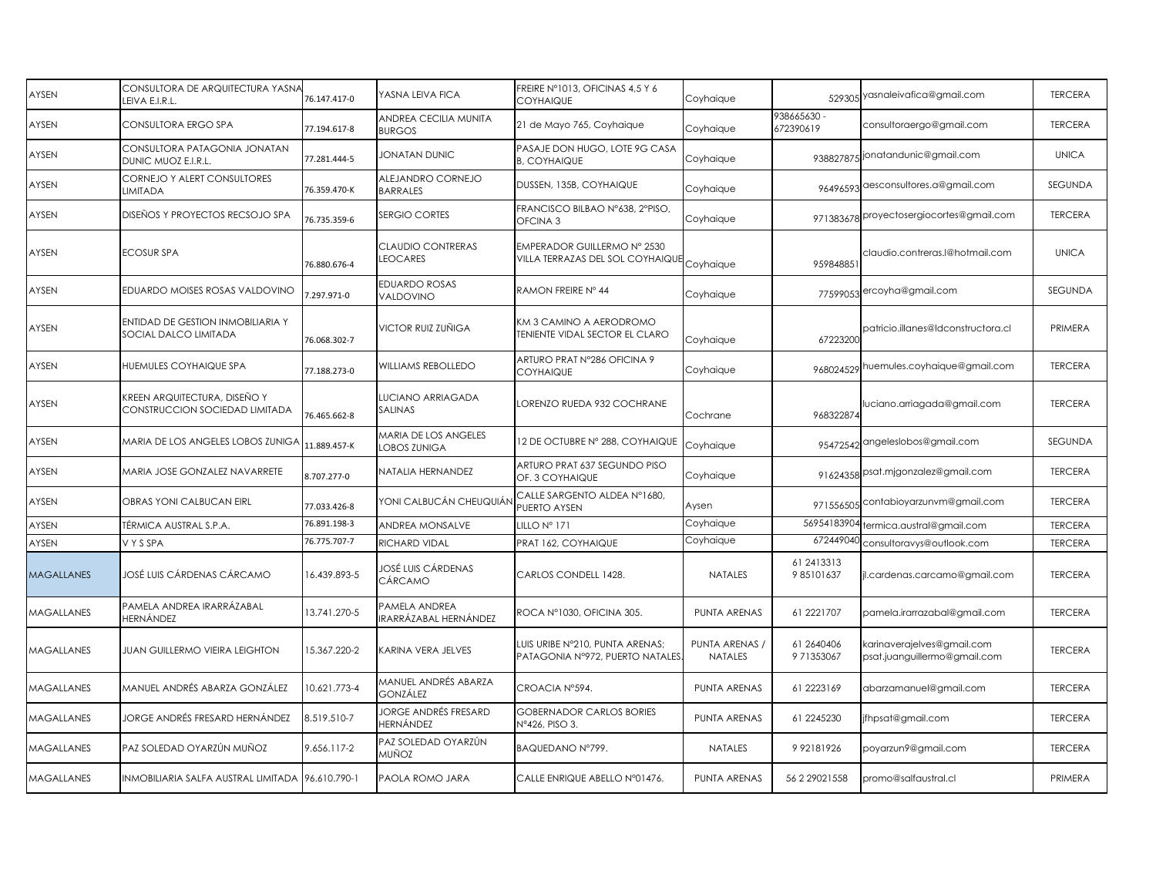| AYSEN             | CONSULTORA DE ARQUITECTURA YASNA<br>LEIVA E.I.R.L.             | 76.147.417-0 | YASNA LEIVA FICA                       | FREIRE Nº1013, OFICINAS 4,5 Y 6<br><b>COYHAIQUE</b>                       | Coyhaique                        |                         | 529305 yasnaleivafica@gmail.com                            | <b>TERCERA</b> |
|-------------------|----------------------------------------------------------------|--------------|----------------------------------------|---------------------------------------------------------------------------|----------------------------------|-------------------------|------------------------------------------------------------|----------------|
| AYSEN             | CONSULTORA ERGO SPA                                            | 77.194.617-8 | ANDREA CECILIA MUNITA<br><b>BURGOS</b> | 21 de Mayo 765, Coyhaique                                                 | Coyhaique                        | 938665630<br>672390619  | consultoraergo@gmail.com                                   | <b>TERCERA</b> |
| AYSEN             | CONSULTORA PATAGONIA JONATAN<br>DUNIC MUOZ E.I.R.L.            | 77.281.444-5 | JONATAN DUNIC                          | PASAJE DON HUGO, LOTE 9G CASA<br><b>B. COYHAIQUE</b>                      | Coyhaique                        |                         | 938827875 jonatandunic@gmail.com                           | <b>UNICA</b>   |
| AYSEN             | CORNEJO Y ALERT CONSULTORES<br>LIMITADA                        | 76.359.470-K | ALEJANDRO CORNEJO<br><b>BARRALES</b>   | DUSSEN, 135B, COYHAIQUE                                                   | Coyhaique                        |                         | 96496593 aesconsultores.a@gmail.com                        | <b>SEGUNDA</b> |
| AYSEN             | DISEÑOS Y PROYECTOS RECSOJO SPA                                | 76.735.359-6 | SERGIO CORTES                          | FRANCISCO BILBAO Nº638, 2ºPISO,<br>OFCINA <sub>3</sub>                    | Coyhaique                        |                         | 971383678 proyectosergiocortes@gmail.com                   | <b>TERCERA</b> |
| AYSEN             | <b>ECOSUR SPA</b>                                              | 76.880.676-4 | <b>CLAUDIO CONTRERAS</b><br>LEOCARES   | EMPERADOR GUILLERMO Nº 2530<br>VILLA TERRAZAS DEL SOL COYHAIQUE Coyhaique |                                  | 959848851               | claudio.contreras.l@hotmail.com                            | <b>UNICA</b>   |
| AYSEN             | EDUARDO MOISES ROSAS VALDOVINO                                 | 1.297.971-0  | <b>EDUARDO ROSAS</b><br>VALDOVINO      | RAMON FREIRE Nº 44                                                        | Coyhaique                        |                         | 77599053 ercoyha@gmail.com                                 | SEGUNDA        |
| AYSEN             | ENTIDAD DE GESTION INMOBILIARIA Y<br>SOCIAL DALCO LIMITADA     | 76.068.302-7 | VICTOR RUIZ ZUÑIGA                     | KM 3 CAMINO A AERODROMO<br><b>TENIENTE VIDAL SECTOR EL CLARO</b>          | Coyhaique                        | 67223200                | patricio.illanes@ldconstructora.cl                         | PRIMERA        |
| AYSEN             | HUEMULES COYHAIQUE SPA                                         | 77.188.273-0 | WILLIAMS REBOLLEDO                     | ARTURO PRAT N°286 OFICINA 9<br><b>COYHAIQUE</b>                           | Coyhaique                        |                         | 968024529 huemules.coyhaique@gmail.com                     | <b>TERCERA</b> |
| AYSEN             | KREEN ARQUITECTURA, DISEÑO Y<br>CONSTRUCCION SOCIEDAD LIMITADA | 76.465.662-8 | LUCIANO ARRIAGADA<br>SALINAS           | LORENZO RUEDA 932 COCHRANE                                                | Cochrane                         | 968322874               | luciano.arriagada@gmail.com                                | <b>TERCERA</b> |
| AYSEN             | MARIA DE LOS ANGELES LOBOS ZUNIGA                              | 11.889.457-K | MARIA DE LOS ANGELES<br>LOBOS ZUNIGA   | 12 DE OCTUBRE Nº 288, COYHAIQUE                                           | Coyhaigue                        |                         | 95472542 angeleslobos@gmail.com                            | SEGUNDA        |
| AYSEN             | MARIA JOSE GONZALEZ NAVARRETE                                  | 8.707.277-0  | NATALIA HERNANDEZ                      | ARTURO PRAT 637 SEGUNDO PISO<br>OF. 3 COYHAIQUE                           | Coyhaique                        |                         | 91624358 psat.mjgonzalez@gmail.com                         | <b>TERCERA</b> |
| AYSEN             | OBRAS YONI CALBUCAN EIRL                                       | 77.033.426-8 | YONI CALBUCÁN CHEUQUIÁI                | CALLE SARGENTO ALDEA Nº1680,<br>PUERTO AYSEN                              | Aysen                            |                         | 971556505 Contabioyarzunvm@gmail.com                       | <b>TERCERA</b> |
| AYSEN             | TÉRMICA AUSTRAL S.P.A.                                         | 76.891.198-3 | ANDREA MONSALVE                        | LILLO Nº 171                                                              | Coyhaique                        | 56954183904             | ermica.austral@gmail.com                                   | <b>TERCERA</b> |
| AYSEN             | VYSSPA                                                         | 76.775.707-7 | RICHARD VIDAL                          | PRAT 162, COYHAIQUE                                                       | Coyhaique                        | 672449040               | consultoravys@outlook.com                                  | <b>TERCERA</b> |
| <b>MAGALLANES</b> | JOSÉ LUIS CÁRDENAS CÁRCAMO                                     | 16.439.893-5 | JOSÉ LUIS CÁRDENAS<br>CÁRCAMO          | CARLOS CONDELL 1428.                                                      | <b>NATALES</b>                   | 61 2413313<br>985101637 | jl.cardenas.carcamo@gmail.com                              | <b>TERCERA</b> |
| <b>MAGALLANES</b> | PAMELA ANDREA IRARRÁZABAL<br>HERNÁNDEZ                         | 13.741.270-5 | PAMELA ANDREA<br>IRARRÁZABAL HERNÁNDEZ | ROCA Nº1030, OFICINA 305.                                                 | PUNTA ARENAS                     | 61 2221707              | pamela.irarrazabal@gmail.com                               | <b>TERCERA</b> |
| <b>MAGALLANES</b> | <b>JUAN GUILLERMO VIEIRA LEIGHTON</b>                          | 15.367.220-2 | KARINA VERA JELVES                     | LUIS URIBE Nº210, PUNTA ARENAS;<br>PATAGONIA Nº972, PUERTO NATALES        | PUNTA ARENAS /<br><b>NATALES</b> | 61 2640406<br>971353067 | karinaverajelves@gmail.com<br>psat.juanguillermo@gmail.com | <b>TERCERA</b> |
| <b>MAGALLANES</b> | MANUEL ANDRÉS ABARZA GONZÁLEZ                                  | 10.621.773-4 | MANUEL ANDRÉS ABARZA<br>GONZÁLEZ       | CROACIA Nº594.                                                            | PUNTA ARENAS                     | 61 2223169              | abarzamanuel@gmail.com                                     | <b>TERCERA</b> |
| <b>MAGALLANES</b> | JORGE ANDRÉS FRESARD HERNÁNDEZ                                 | 8.519.510-7  | JORGE ANDRÉS FRESARD<br>HERNÁNDEZ      | <b>GOBERNADOR CARLOS BORIES</b><br>Nº426, PISO 3.                         | PUNTA ARENAS                     | 61 2245230              | jfhpsat@gmail.com                                          | <b>TERCERA</b> |
| <b>MAGALLANES</b> | PAZ SOLEDAD OYARZÚN MUÑOZ                                      | 9.656.117-2  | PAZ SOLEDAD OYARZÚN<br>MUÑOZ           | BAQUEDANO N°799.                                                          | <b>NATALES</b>                   | 992181926               | poyarzun9@gmail.com                                        | <b>TERCERA</b> |
| <b>MAGALLANES</b> | INMOBILIARIA SALFA AUSTRAL LIMITADA 96.610.790-1               |              | PAOLA ROMO JARA                        | CALLE ENRIQUE ABELLO Nº01476.                                             | PUNTA ARENAS                     | 56 2 29021 558          | promo@salfaustral.cl                                       | PRIMERA        |